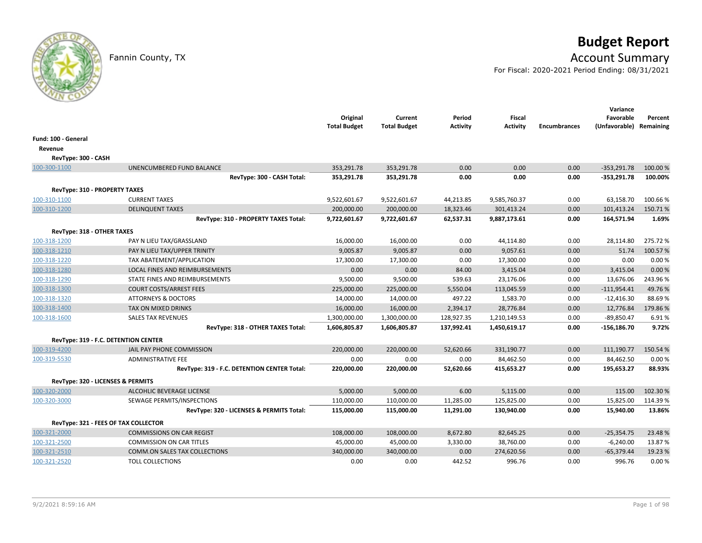# **Budget Report**

## Fannin County, TX **Account Summary**

For Fiscal: 2020-2021 Period Ending: 08/31/2021

|                                      |                                             | Original<br><b>Total Budget</b> | Current<br><b>Total Budget</b> | Period<br>Activity | <b>Fiscal</b><br><b>Activity</b> | <b>Encumbrances</b> | Variance<br>Favorable<br>(Unfavorable) Remaining | Percent |
|--------------------------------------|---------------------------------------------|---------------------------------|--------------------------------|--------------------|----------------------------------|---------------------|--------------------------------------------------|---------|
| Fund: 100 - General                  |                                             |                                 |                                |                    |                                  |                     |                                                  |         |
| Revenue                              |                                             |                                 |                                |                    |                                  |                     |                                                  |         |
| RevType: 300 - CASH                  |                                             |                                 |                                |                    |                                  |                     |                                                  |         |
| 100-300-1100                         | UNENCUMBERED FUND BALANCE                   | 353,291.78                      | 353,291.78                     | 0.00               | 0.00                             | 0.00                | $-353,291.78$                                    | 100.00% |
|                                      | RevType: 300 - CASH Total:                  | 353,291.78                      | 353,291.78                     | 0.00               | 0.00                             | 0.00                | $-353,291.78$                                    | 100.00% |
| <b>RevType: 310 - PROPERTY TAXES</b> |                                             |                                 |                                |                    |                                  |                     |                                                  |         |
| 100-310-1100                         | <b>CURRENT TAXES</b>                        | 9,522,601.67                    | 9,522,601.67                   | 44,213.85          | 9,585,760.37                     | 0.00                | 63,158.70                                        | 100.66% |
| 100-310-1200                         | <b>DELINQUENT TAXES</b>                     | 200,000.00                      | 200,000.00                     | 18,323.46          | 301,413.24                       | 0.00                | 101,413.24                                       | 150.71% |
|                                      | RevType: 310 - PROPERTY TAXES Total:        | 9,722,601.67                    | 9,722,601.67                   | 62,537.31          | 9,887,173.61                     | 0.00                | 164,571.94                                       | 1.69%   |
| RevType: 318 - OTHER TAXES           |                                             |                                 |                                |                    |                                  |                     |                                                  |         |
| 100-318-1200                         | PAY N LIEU TAX/GRASSLAND                    | 16,000.00                       | 16,000.00                      | 0.00               | 44,114.80                        | 0.00                | 28,114.80                                        | 275.72% |
| 100-318-1210                         | PAY N LIEU TAX/UPPER TRINITY                | 9,005.87                        | 9,005.87                       | 0.00               | 9,057.61                         | 0.00                | 51.74                                            | 100.57% |
| 100-318-1220                         | TAX ABATEMENT/APPLICATION                   | 17,300.00                       | 17,300.00                      | 0.00               | 17,300.00                        | 0.00                | 0.00                                             | 0.00%   |
| 100-318-1280                         | LOCAL FINES AND REIMBURSEMENTS              | 0.00                            | 0.00                           | 84.00              | 3,415.04                         | 0.00                | 3,415.04                                         | 0.00 %  |
| 100-318-1290                         | STATE FINES AND REIMBURSEMENTS              | 9,500.00                        | 9,500.00                       | 539.63             | 23,176.06                        | 0.00                | 13,676.06                                        | 243.96% |
| 100-318-1300                         | <b>COURT COSTS/ARREST FEES</b>              | 225,000.00                      | 225,000.00                     | 5,550.04           | 113,045.59                       | 0.00                | $-111,954.41$                                    | 49.76%  |
| 100-318-1320                         | <b>ATTORNEYS &amp; DOCTORS</b>              | 14,000.00                       | 14,000.00                      | 497.22             | 1,583.70                         | 0.00                | $-12,416.30$                                     | 88.69%  |
| 100-318-1400                         | <b>TAX ON MIXED DRINKS</b>                  | 16,000.00                       | 16,000.00                      | 2,394.17           | 28,776.84                        | 0.00                | 12,776.84                                        | 179.86% |
| 100-318-1600                         | <b>SALES TAX REVENUES</b>                   | 1,300,000.00                    | 1,300,000.00                   | 128,927.35         | 1,210,149.53                     | 0.00                | $-89,850.47$                                     | 6.91%   |
|                                      | RevType: 318 - OTHER TAXES Total:           | 1,606,805.87                    | 1,606,805.87                   | 137,992.41         | 1,450,619.17                     | 0.00                | $-156, 186.70$                                   | 9.72%   |
|                                      | RevType: 319 - F.C. DETENTION CENTER        |                                 |                                |                    |                                  |                     |                                                  |         |
| 100-319-4200                         | JAIL PAY PHONE COMMISSION                   | 220,000.00                      | 220,000.00                     | 52,620.66          | 331,190.77                       | 0.00                | 111,190.77                                       | 150.54% |
| 100-319-5530                         | <b>ADMINISTRATIVE FEE</b>                   | 0.00                            | 0.00                           | 0.00               | 84,462.50                        | 0.00                | 84,462.50                                        | 0.00%   |
|                                      | RevType: 319 - F.C. DETENTION CENTER Total: | 220,000.00                      | 220,000.00                     | 52,620.66          | 415,653.27                       | 0.00                | 195,653.27                                       | 88.93%  |
|                                      | RevType: 320 - LICENSES & PERMITS           |                                 |                                |                    |                                  |                     |                                                  |         |
| 100-320-2000                         | ALCOHLIC BEVERAGE LICENSE                   | 5,000.00                        | 5,000.00                       | 6.00               | 5,115.00                         | 0.00                | 115.00                                           | 102.30% |
| 100-320-3000                         | SEWAGE PERMITS/INSPECTIONS                  | 110,000.00                      | 110,000.00                     | 11,285.00          | 125,825.00                       | 0.00                | 15,825.00                                        | 114.39% |
|                                      | RevType: 320 - LICENSES & PERMITS Total:    | 115,000.00                      | 115,000.00                     | 11,291.00          | 130,940.00                       | 0.00                | 15,940.00                                        | 13.86%  |
|                                      | RevType: 321 - FEES OF TAX COLLECTOR        |                                 |                                |                    |                                  |                     |                                                  |         |
| 100-321-2000                         | <b>COMMISSIONS ON CAR REGIST</b>            | 108,000.00                      | 108,000.00                     | 8,672.80           | 82,645.25                        | 0.00                | $-25,354.75$                                     | 23.48%  |
| 100-321-2500                         | <b>COMMISSION ON CAR TITLES</b>             | 45,000.00                       | 45,000.00                      | 3,330.00           | 38,760.00                        | 0.00                | $-6,240.00$                                      | 13.87%  |
| 100-321-2510                         | <b>COMM.ON SALES TAX COLLECTIONS</b>        | 340,000.00                      | 340,000.00                     | 0.00               | 274,620.56                       | 0.00                | $-65,379.44$                                     | 19.23 % |
| 100-321-2520                         | <b>TOLL COLLECTIONS</b>                     | 0.00                            | 0.00                           | 442.52             | 996.76                           | 0.00                | 996.76                                           | 0.00%   |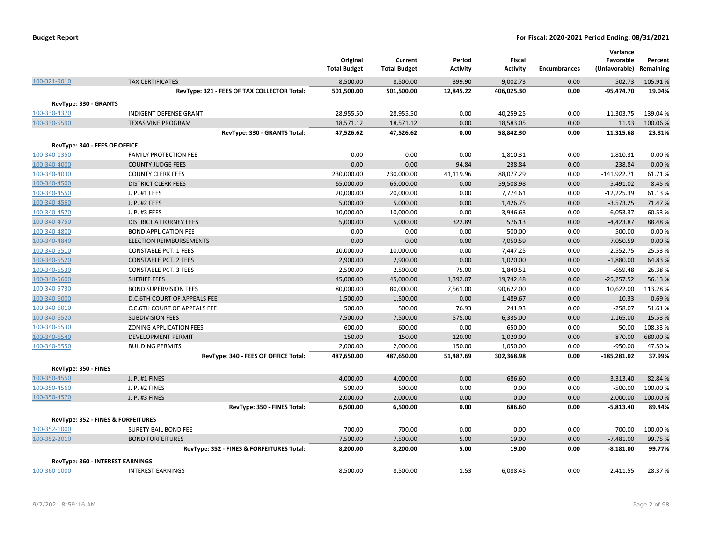|                               |                                                              | Original<br><b>Total Budget</b> | Current<br><b>Total Budget</b> | Period<br><b>Activity</b> | Fiscal<br><b>Activity</b> | <b>Encumbrances</b> | Variance<br>Favorable<br>(Unfavorable) Remaining | Percent           |
|-------------------------------|--------------------------------------------------------------|---------------------------------|--------------------------------|---------------------------|---------------------------|---------------------|--------------------------------------------------|-------------------|
| 100-321-9010                  | <b>TAX CERTIFICATES</b>                                      | 8,500.00                        | 8,500.00                       | 399.90                    | 9,002.73                  | 0.00                | 502.73                                           | 105.91%           |
|                               | RevType: 321 - FEES OF TAX COLLECTOR Total:                  | 501,500.00                      | 501,500.00                     | 12,845.22                 | 406,025.30                | 0.00                | $-95,474.70$                                     | 19.04%            |
| RevType: 330 - GRANTS         |                                                              |                                 |                                |                           |                           |                     |                                                  |                   |
| 100-330-4370                  | <b>INDIGENT DEFENSE GRANT</b>                                | 28,955.50                       | 28,955.50                      | 0.00                      | 40,259.25                 | 0.00                | 11,303.75                                        | 139.04 %          |
| 100-330-5590                  | <b>TEXAS VINE PROGRAM</b>                                    | 18,571.12                       | 18,571.12                      | 0.00                      | 18,583.05                 | 0.00                | 11.93                                            | 100.06%           |
|                               | RevType: 330 - GRANTS Total:                                 | 47,526.62                       | 47,526.62                      | 0.00                      | 58,842.30                 | 0.00                | 11,315.68                                        | 23.81%            |
|                               |                                                              |                                 |                                |                           |                           |                     |                                                  |                   |
| RevType: 340 - FEES OF OFFICE |                                                              |                                 |                                |                           |                           |                     |                                                  |                   |
| 100-340-1350<br>100-340-4000  | <b>FAMILY PROTECTION FEE</b><br><b>COUNTY JUDGE FEES</b>     | 0.00<br>0.00                    | 0.00                           | 0.00                      | 1,810.31                  | 0.00                | 1,810.31                                         | 0.00%             |
| 100-340-4030                  | <b>COUNTY CLERK FEES</b>                                     | 230,000.00                      | 0.00<br>230,000.00             | 94.84<br>41,119.96        | 238.84<br>88,077.29       | 0.00<br>0.00        | 238.84<br>$-141,922.71$                          | 0.00%<br>61.71%   |
| 100-340-4500                  | <b>DISTRICT CLERK FEES</b>                                   | 65,000.00                       | 65,000.00                      | 0.00                      | 59,508.98                 | 0.00                | $-5,491.02$                                      | 8.45 %            |
|                               | J. P. #1 FEES                                                |                                 |                                |                           |                           |                     |                                                  |                   |
| 100-340-4550                  |                                                              | 20,000.00                       | 20,000.00                      | 0.00                      | 7,774.61                  | 0.00                | $-12,225.39$                                     | 61.13%            |
| 100-340-4560                  | J. P. #2 FEES                                                | 5,000.00                        | 5,000.00                       | 0.00                      | 1,426.75                  | 0.00                | $-3,573.25$                                      | 71.47%            |
| 100-340-4570                  | J. P. #3 FEES                                                | 10,000.00                       | 10,000.00                      | 0.00                      | 3,946.63<br>576.13        | 0.00<br>0.00        | $-6,053.37$                                      | 60.53%<br>88.48%  |
| 100-340-4750                  | <b>DISTRICT ATTORNEY FEES</b>                                | 5,000.00<br>0.00                | 5,000.00                       | 322.89                    |                           | 0.00                | $-4,423.87$                                      |                   |
| 100-340-4800                  | <b>BOND APPLICATION FEE</b>                                  | 0.00                            | 0.00                           | 0.00<br>0.00              | 500.00                    | 0.00                | 500.00                                           | 0.00%             |
| 100-340-4840                  | <b>ELECTION REIMBURSEMENTS</b>                               |                                 | 0.00                           |                           | 7,050.59                  | 0.00                | 7,050.59                                         | 0.00%             |
| 100-340-5510<br>100-340-5520  | <b>CONSTABLE PCT. 1 FEES</b><br><b>CONSTABLE PCT. 2 FEES</b> | 10,000.00<br>2,900.00           | 10,000.00<br>2,900.00          | 0.00<br>0.00              | 7,447.25<br>1,020.00      | 0.00                | $-2,552.75$<br>$-1,880.00$                       | 25.53 %<br>64.83% |
|                               |                                                              |                                 |                                | 75.00                     | 1,840.52                  | 0.00                | $-659.48$                                        | 26.38%            |
| 100-340-5530                  | <b>CONSTABLE PCT. 3 FEES</b><br><b>SHERIFF FEES</b>          | 2,500.00                        | 2,500.00                       | 1,392.07                  |                           | 0.00                | $-25,257.52$                                     |                   |
| 100-340-5600                  | <b>BOND SUPERVISION FEES</b>                                 | 45,000.00                       | 45,000.00                      |                           | 19,742.48                 |                     |                                                  | 56.13%            |
| 100-340-5730                  |                                                              | 80,000.00                       | 80,000.00                      | 7,561.00                  | 90,622.00                 | 0.00                | 10,622.00                                        | 113.28%           |
| 100-340-6000                  | <b>D.C.6TH COURT OF APPEALS FEE</b>                          | 1,500.00                        | 1,500.00                       | 0.00                      | 1,489.67                  | 0.00                | $-10.33$<br>$-258.07$                            | 0.69%             |
| 100-340-6010                  | C.C.6TH COURT OF APPEALS FEE                                 | 500.00                          | 500.00                         | 76.93                     | 241.93                    | 0.00                |                                                  | 51.61%            |
| 100-340-6520                  | <b>SUBDIVISION FEES</b>                                      | 7,500.00                        | 7,500.00                       | 575.00                    | 6,335.00                  | 0.00                | $-1,165.00$                                      | 15.53 %           |
| 100-340-6530                  | ZONING APPLICATION FEES                                      | 600.00                          | 600.00                         | 0.00                      | 650.00                    | 0.00                | 50.00                                            | 108.33%           |
| 100-340-6540                  | <b>DEVELOPMENT PERMIT</b>                                    | 150.00                          | 150.00                         | 120.00                    | 1,020.00                  | 0.00                | 870.00                                           | 680.00 %          |
| 100-340-6550                  | <b>BUILDING PERMITS</b>                                      | 2,000.00                        | 2,000.00                       | 150.00                    | 1,050.00                  | 0.00                | $-950.00$                                        | 47.50%            |
|                               | RevType: 340 - FEES OF OFFICE Total:                         | 487,650.00                      | 487,650.00                     | 51,487.69                 | 302,368.98                | 0.00                | $-185,281.02$                                    | 37.99%            |
| RevType: 350 - FINES          |                                                              |                                 |                                |                           |                           |                     |                                                  |                   |
| 100-350-4550                  | J. P. #1 FINES                                               | 4,000.00                        | 4,000.00                       | 0.00                      | 686.60                    | 0.00                | $-3,313.40$                                      | 82.84%            |
| 100-350-4560                  | J. P. #2 FINES                                               | 500.00                          | 500.00                         | 0.00                      | 0.00                      | 0.00                | $-500.00$                                        | 100.00%           |
| 100-350-4570                  | J. P. #3 FINES                                               | 2,000.00                        | 2,000.00                       | 0.00                      | 0.00                      | 0.00                | $-2,000.00$                                      | 100.00%           |
|                               | RevType: 350 - FINES Total:                                  | 6,500.00                        | 6,500.00                       | 0.00                      | 686.60                    | 0.00                | $-5,813.40$                                      | 89.44%            |
|                               | RevType: 352 - FINES & FORFEITURES                           |                                 |                                |                           |                           |                     |                                                  |                   |
| 100-352-1000                  | SURETY BAIL BOND FEE                                         | 700.00                          | 700.00                         | 0.00                      | 0.00                      | 0.00                | $-700.00$                                        | 100.00%           |
| 100-352-2010                  | <b>BOND FORFEITURES</b>                                      | 7,500.00                        | 7,500.00                       | 5.00                      | 19.00                     | 0.00                | $-7,481.00$                                      | 99.75 %           |
|                               | RevType: 352 - FINES & FORFEITURES Total:                    | 8,200.00                        | 8,200.00                       | 5.00                      | 19.00                     | 0.00                | -8,181.00                                        | 99.77%            |
|                               | RevType: 360 - INTEREST EARNINGS                             |                                 |                                |                           |                           |                     |                                                  |                   |
| 100-360-1000                  | <b>INTEREST EARNINGS</b>                                     | 8,500.00                        | 8,500.00                       | 1.53                      | 6,088.45                  | 0.00                | $-2,411.55$                                      | 28.37%            |
|                               |                                                              |                                 |                                |                           |                           |                     |                                                  |                   |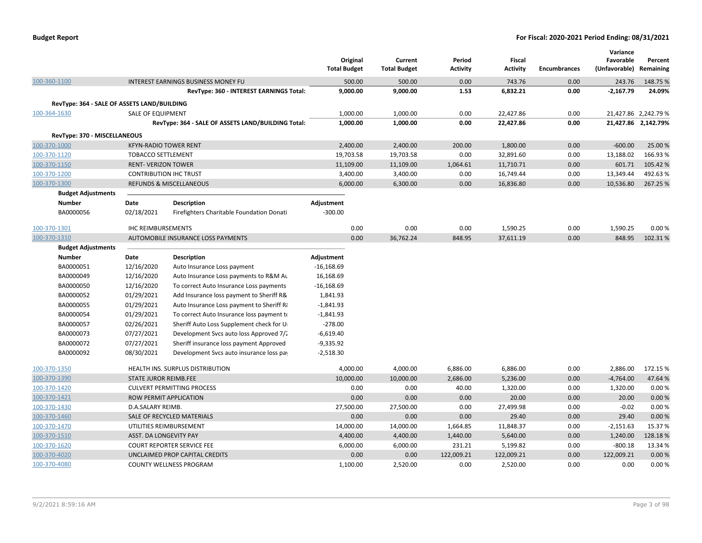| <b>Budget Report</b> |  |
|----------------------|--|
|----------------------|--|

|                                             |                              |                                                    | Original            | Current             | Period          | Fiscal     |                     | Variance<br>Favorable   | Percent              |
|---------------------------------------------|------------------------------|----------------------------------------------------|---------------------|---------------------|-----------------|------------|---------------------|-------------------------|----------------------|
|                                             |                              |                                                    | <b>Total Budget</b> | <b>Total Budget</b> | <b>Activity</b> | Activity   | <b>Encumbrances</b> | (Unfavorable) Remaining |                      |
| 100-360-1100                                |                              | INTEREST EARNINGS BUSINESS MONEY FU                | 500.00              | 500.00              | 0.00            | 743.76     | 0.00                | 243.76                  | 148.75 %             |
|                                             |                              | RevType: 360 - INTEREST EARNINGS Total:            | 9,000.00            | 9,000.00            | 1.53            | 6,832.21   | 0.00                | $-2,167.79$             | 24.09%               |
| RevType: 364 - SALE OF ASSETS LAND/BUILDING |                              |                                                    |                     |                     |                 |            |                     |                         |                      |
| 100-364-1630                                | <b>SALE OF EQUIPMENT</b>     |                                                    | 1,000.00            | 1,000.00            | 0.00            | 22,427.86  | 0.00                |                         | 21,427.86 2,242.79 % |
|                                             |                              | RevType: 364 - SALE OF ASSETS LAND/BUILDING Total: | 1,000.00            | 1,000.00            | 0.00            | 22,427.86  | 0.00                |                         | 21,427.86 2,142.79%  |
| RevType: 370 - MISCELLANEOUS                |                              |                                                    |                     |                     |                 |            |                     |                         |                      |
| 100-370-1000                                |                              | <b>KFYN-RADIO TOWER RENT</b>                       | 2,400.00            | 2,400.00            | 200.00          | 1,800.00   | 0.00                | $-600.00$               | 25.00 %              |
| 100-370-1120                                | <b>TOBACCO SETTLEMENT</b>    |                                                    | 19,703.58           | 19,703.58           | 0.00            | 32,891.60  | 0.00                | 13,188.02               | 166.93%              |
| 100-370-1150                                | <b>RENT- VERIZON TOWER</b>   |                                                    | 11,109.00           | 11,109.00           | 1,064.61        | 11,710.71  | 0.00                | 601.71                  | 105.42%              |
| 100-370-1200                                |                              | <b>CONTRIBUTION IHC TRUST</b>                      | 3,400.00            | 3,400.00            | 0.00            | 16,749.44  | 0.00                | 13,349.44               | 492.63%              |
| 100-370-1300                                |                              | <b>REFUNDS &amp; MISCELLANEOUS</b>                 | 6,000.00            | 6,300.00            | 0.00            | 16,836.80  | 0.00                | 10,536.80               | 267.25 %             |
| <b>Budget Adjustments</b>                   |                              |                                                    |                     |                     |                 |            |                     |                         |                      |
| <b>Number</b>                               | Date                         | <b>Description</b>                                 | Adjustment          |                     |                 |            |                     |                         |                      |
| BA0000056                                   | 02/18/2021                   | Firefighters Charitable Foundation Donati          | $-300.00$           |                     |                 |            |                     |                         |                      |
| 100-370-1301                                | <b>IHC REIMBURSEMENTS</b>    |                                                    | 0.00                | 0.00                | 0.00            | 1,590.25   | 0.00                | 1,590.25                | 0.00%                |
| 100-370-1310                                |                              | AUTOMOBILE INSURANCE LOSS PAYMENTS                 | 0.00                | 36,762.24           | 848.95          | 37,611.19  | 0.00                | 848.95                  | 102.31%              |
| <b>Budget Adjustments</b>                   |                              |                                                    |                     |                     |                 |            |                     |                         |                      |
| Number                                      | Date                         | Description                                        | Adjustment          |                     |                 |            |                     |                         |                      |
| BA0000051                                   | 12/16/2020                   | Auto Insurance Loss payment                        | $-16,168.69$        |                     |                 |            |                     |                         |                      |
| BA0000049                                   | 12/16/2020                   | Auto Insurance Loss payments to R&M Au             | 16,168.69           |                     |                 |            |                     |                         |                      |
| BA0000050                                   | 12/16/2020                   | To correct Auto Insurance Loss payments            | $-16,168.69$        |                     |                 |            |                     |                         |                      |
| BA0000052                                   | 01/29/2021                   | Add Insurance loss payment to Sheriff R&           | 1,841.93            |                     |                 |            |                     |                         |                      |
| BA0000055                                   | 01/29/2021                   | Auto Insurance Loss payment to Sheriff Ri          | $-1,841.93$         |                     |                 |            |                     |                         |                      |
| BA0000054                                   | 01/29/2021                   | To correct Auto Insurance loss payment to          | $-1,841.93$         |                     |                 |            |                     |                         |                      |
| BA0000057                                   | 02/26/2021                   | Sheriff Auto Loss Supplement check for U           | $-278.00$           |                     |                 |            |                     |                         |                      |
| BA0000073                                   | 07/27/2021                   | Development Svcs auto loss Approved 7/2            | $-6,619.40$         |                     |                 |            |                     |                         |                      |
| BA0000072                                   | 07/27/2021                   | Sheriff insurance loss payment Approved            | $-9,335.92$         |                     |                 |            |                     |                         |                      |
| BA0000092                                   | 08/30/2021                   | Development Svcs auto insurance loss pay           | $-2,518.30$         |                     |                 |            |                     |                         |                      |
| 100-370-1350                                |                              | HEALTH INS. SURPLUS DISTRIBUTION                   | 4,000.00            | 4,000.00            | 6,886.00        | 6,886.00   | 0.00                | 2,886.00                | 172.15 %             |
| 100-370-1390                                | <b>STATE JUROR REIMB.FEE</b> |                                                    | 10,000.00           | 10,000.00           | 2,686.00        | 5,236.00   | 0.00                | $-4,764.00$             | 47.64%               |
| 100-370-1420                                |                              | <b>CULVERT PERMITTING PROCESS</b>                  | 0.00                | 0.00                | 40.00           | 1,320.00   | 0.00                | 1,320.00                | 0.00%                |
| 100-370-1421                                |                              | <b>ROW PERMIT APPLICATION</b>                      | 0.00                | 0.00                | 0.00            | 20.00      | 0.00                | 20.00                   | 0.00%                |
| 100-370-1430                                | D.A.SALARY REIMB.            |                                                    | 27,500.00           | 27,500.00           | 0.00            | 27,499.98  | 0.00                | $-0.02$                 | 0.00%                |
| 100-370-1460                                |                              | SALE OF RECYCLED MATERIALS                         | 0.00                | 0.00                | 0.00            | 29.40      | 0.00                | 29.40                   | 0.00%                |
| 100-370-1470                                |                              | UTILITIES REIMBURSEMENT                            | 14,000.00           | 14,000.00           | 1,664.85        | 11,848.37  | 0.00                | $-2,151.63$             | 15.37%               |
| 100-370-1510                                | ASST. DA LONGEVITY PAY       |                                                    | 4,400.00            | 4,400.00            | 1,440.00        | 5,640.00   | 0.00                | 1,240.00                | 128.18%              |
| 100-370-1620                                |                              | <b>COURT REPORTER SERVICE FEE</b>                  | 6,000.00            | 6,000.00            | 231.21          | 5,199.82   | 0.00                | $-800.18$               | 13.34 %              |
| 100-370-4020                                |                              | UNCLAIMED PROP CAPITAL CREDITS                     | 0.00                | 0.00                | 122,009.21      | 122,009.21 | 0.00                | 122,009.21              | 0.00%                |
| 100-370-4080                                |                              | <b>COUNTY WELLNESS PROGRAM</b>                     | 1,100.00            | 2,520.00            | 0.00            | 2,520.00   | 0.00                | 0.00                    | 0.00%                |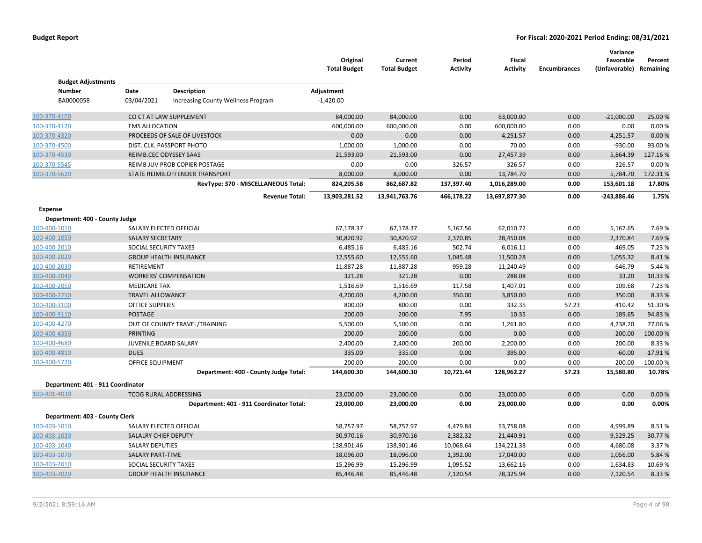| <b>Budget Adjustments</b>         |                         |                                          | Original<br><b>Total Budget</b> | Current<br><b>Total Budget</b> | Period<br><b>Activity</b> | <b>Fiscal</b><br><b>Activity</b> | <b>Encumbrances</b> | Variance<br>Favorable<br>(Unfavorable) Remaining | Percent           |
|-----------------------------------|-------------------------|------------------------------------------|---------------------------------|--------------------------------|---------------------------|----------------------------------|---------------------|--------------------------------------------------|-------------------|
| <b>Number</b>                     | Date                    | Description                              | Adjustment                      |                                |                           |                                  |                     |                                                  |                   |
| BA0000058                         | 03/04/2021              | Increasing County Wellness Program       | $-1,420.00$                     |                                |                           |                                  |                     |                                                  |                   |
| 100-370-4100                      |                         | CO CT AT LAW SUPPLEMENT                  | 84,000.00                       | 84,000.00                      | 0.00                      | 63,000.00                        | 0.00                | $-21,000.00$                                     | 25.00 %           |
| 100-370-4170                      | <b>EMS ALLOCATION</b>   |                                          | 600,000.00                      | 600,000.00                     | 0.00                      | 600,000.00                       | 0.00                | 0.00                                             | 0.00%             |
| 100-370-4320                      |                         | PROCEEDS OF SALE OF LIVESTOCK            | 0.00                            | 0.00                           | 0.00                      | 4,251.57                         | 0.00                | 4,251.57                                         | 0.00%             |
| 100-370-4500                      |                         | DIST. CLK. PASSPORT PHOTO                | 1,000.00                        | 1,000.00                       | 0.00                      | 70.00                            | 0.00                | $-930.00$                                        | 93.00%            |
| 100-370-4530                      |                         | REIMB.CEC ODYSSEY SAAS                   | 21,593.00                       | 21,593.00                      | 0.00                      | 27,457.39                        | 0.00                | 5,864.39                                         | 127.16%           |
| 100-370-5545                      |                         | REIMB JUV PROB COPIER POSTAGE            | 0.00                            | 0.00                           | 326.57                    | 326.57                           | 0.00                | 326.57                                           | 0.00%             |
| 100-370-5620                      |                         | STATE REIMB.OFFENDER TRANSPORT           | 8,000.00                        | 8,000.00                       | 0.00                      | 13,784.70                        | 0.00                | 5,784.70                                         | 172.31%           |
|                                   |                         | RevType: 370 - MISCELLANEOUS Total:      | 824,205.58                      | 862,687.82                     | 137,397.40                | 1,016,289.00                     | 0.00                | 153,601.18                                       | 17.80%            |
|                                   |                         | <b>Revenue Total:</b>                    | 13,903,281.52                   | 13,941,763.76                  | 466,178.22                | 13,697,877.30                    | 0.00                | $-243,886.46$                                    | 1.75%             |
| Expense                           |                         |                                          |                                 |                                |                           |                                  |                     |                                                  |                   |
| Department: 400 - County Judge    |                         |                                          |                                 |                                |                           |                                  |                     |                                                  |                   |
| 100-400-1010                      |                         | SALARY ELECTED OFFICIAL                  | 67,178.37                       | 67,178.37                      | 5,167.56                  | 62,010.72                        | 0.00                | 5,167.65                                         | 7.69%             |
| 100-400-1050                      | <b>SALARY SECRETARY</b> |                                          | 30,820.92                       | 30,820.92                      | 2,370.85                  | 28,450.08                        | 0.00                | 2,370.84                                         | 7.69%             |
| 100-400-2010                      | SOCIAL SECURITY TAXES   |                                          | 6,485.16                        | 6,485.16                       | 502.74                    | 6,016.11                         | 0.00                | 469.05                                           | 7.23 %            |
| 100-400-2020                      |                         | <b>GROUP HEALTH INSURANCE</b>            | 12,555.60                       | 12,555.60                      | 1,045.48                  | 11,500.28                        | 0.00                | 1,055.32                                         | 8.41%             |
| 100-400-2030                      | RETIREMENT              |                                          | 11,887.28                       | 11,887.28                      | 959.28                    | 11,240.49                        | 0.00                | 646.79                                           | 5.44 %            |
| 100-400-2040                      |                         | <b>WORKERS' COMPENSATION</b>             | 321.28                          | 321.28                         | 0.00                      | 288.08                           | 0.00                | 33.20                                            | 10.33%            |
| 100-400-2050                      | <b>MEDICARE TAX</b>     |                                          | 1,516.69                        | 1,516.69                       | 117.58                    | 1,407.01                         | 0.00                | 109.68                                           | 7.23 %            |
| 100-400-2250                      | <b>TRAVEL ALLOWANCE</b> |                                          | 4,200.00                        | 4,200.00                       | 350.00                    | 3,850.00                         | 0.00                | 350.00                                           | 8.33 %            |
| 100-400-3100                      | <b>OFFICE SUPPLIES</b>  |                                          | 800.00                          | 800.00                         | 0.00                      | 332.35                           | 57.23               | 410.42                                           | 51.30%            |
| 100-400-3110                      | <b>POSTAGE</b>          |                                          | 200.00                          | 200.00                         | 7.95                      | 10.35                            | 0.00                | 189.65                                           | 94.83%            |
| 100-400-4270                      | <b>PRINTING</b>         | OUT OF COUNTY TRAVEL/TRAINING            | 5,500.00<br>200.00              | 5,500.00<br>200.00             | 0.00<br>0.00              | 1,261.80<br>0.00                 | 0.00<br>0.00        | 4,238.20<br>200.00                               | 77.06%<br>100.00% |
| 100-400-4350                      |                         | JUVENILE BOARD SALARY                    |                                 | 2,400.00                       | 200.00                    | 2,200.00                         | 0.00                | 200.00                                           | 8.33%             |
| 100-400-4680<br>100-400-4810      | <b>DUES</b>             |                                          | 2,400.00<br>335.00              | 335.00                         | 0.00                      | 395.00                           | 0.00                | $-60.00$                                         | $-17.91%$         |
| 100-400-5720                      | OFFICE EQUIPMENT        |                                          | 200.00                          | 200.00                         | 0.00                      | 0.00                             | 0.00                | 200.00                                           | 100.00%           |
|                                   |                         | Department: 400 - County Judge Total:    | 144,600.30                      | 144,600.30                     | 10,721.44                 | 128,962.27                       | 57.23               | 15,580.80                                        | 10.78%            |
| Department: 401 - 911 Coordinator |                         |                                          |                                 |                                |                           |                                  |                     |                                                  |                   |
| 100-401-4030                      |                         | <b>TCOG RURAL ADDRESSING</b>             | 23,000.00                       | 23,000.00                      | 0.00                      | 23,000.00                        | 0.00                | 0.00                                             | 0.00%             |
|                                   |                         | Department: 401 - 911 Coordinator Total: | 23,000.00                       | 23,000.00                      | 0.00                      | 23,000.00                        | 0.00                | 0.00                                             | 0.00%             |
| Department: 403 - County Clerk    |                         |                                          |                                 |                                |                           |                                  |                     |                                                  |                   |
| 100-403-1010                      |                         | SALARY ELECTED OFFICIAL                  | 58,757.97                       | 58,757.97                      | 4,479.84                  | 53,758.08                        | 0.00                | 4,999.89                                         | 8.51%             |
| 100-403-1030                      | SALALRY CHIEF DEPUTY    |                                          | 30,970.16                       | 30,970.16                      | 2,382.32                  | 21,440.91                        | 0.00                | 9,529.25                                         | 30.77%            |
| 100-403-1040                      | <b>SALARY DEPUTIES</b>  |                                          | 138,901.46                      | 138,901.46                     | 10,068.64                 | 134,221.38                       | 0.00                | 4,680.08                                         | 3.37 %            |
| 100-403-1070                      | <b>SALARY PART-TIME</b> |                                          | 18,096.00                       | 18,096.00                      | 1,392.00                  | 17,040.00                        | 0.00                | 1,056.00                                         | 5.84 %            |
| 100-403-2010                      | SOCIAL SECURITY TAXES   |                                          | 15,296.99                       | 15,296.99                      | 1,095.52                  | 13,662.16                        | 0.00                | 1,634.83                                         | 10.69%            |
| 100-403-2020                      |                         | <b>GROUP HEALTH INSURANCE</b>            | 85,446.48                       | 85,446.48                      | 7,120.54                  | 78,325.94                        | 0.00                | 7,120.54                                         | 8.33%             |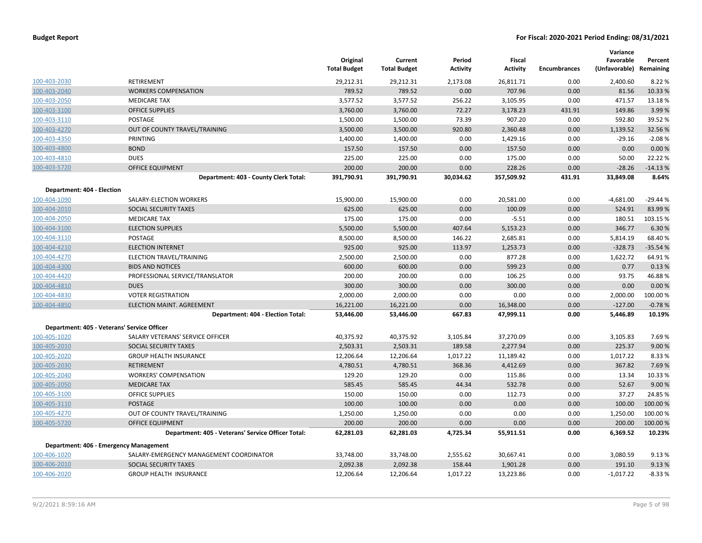|                            |                                                    | Original<br><b>Total Budget</b> | Current<br><b>Total Budget</b> | Period<br><b>Activity</b> | Fiscal<br><b>Activity</b> | <b>Encumbrances</b> | Variance<br>Favorable<br>(Unfavorable) Remaining | Percent   |
|----------------------------|----------------------------------------------------|---------------------------------|--------------------------------|---------------------------|---------------------------|---------------------|--------------------------------------------------|-----------|
| 100-403-2030               | RETIREMENT                                         | 29,212.31                       | 29,212.31                      | 2,173.08                  | 26,811.71                 | 0.00                | 2,400.60                                         | 8.22 %    |
| 100-403-2040               | <b>WORKERS COMPENSATION</b>                        | 789.52                          | 789.52                         | 0.00                      | 707.96                    | 0.00                | 81.56                                            | 10.33 %   |
| 100-403-2050               | <b>MEDICARE TAX</b>                                | 3,577.52                        | 3,577.52                       | 256.22                    | 3,105.95                  | 0.00                | 471.57                                           | 13.18 %   |
| 100-403-3100               | <b>OFFICE SUPPLIES</b>                             | 3,760.00                        | 3,760.00                       | 72.27                     | 3,178.23                  | 431.91              | 149.86                                           | 3.99%     |
| 100-403-3110               | POSTAGE                                            | 1,500.00                        | 1,500.00                       | 73.39                     | 907.20                    | 0.00                | 592.80                                           | 39.52 %   |
| 100-403-4270               | OUT OF COUNTY TRAVEL/TRAINING                      | 3,500.00                        | 3,500.00                       | 920.80                    | 2,360.48                  | 0.00                | 1,139.52                                         | 32.56 %   |
| 100-403-4350               | PRINTING                                           | 1,400.00                        | 1,400.00                       | 0.00                      | 1,429.16                  | 0.00                | $-29.16$                                         | $-2.08%$  |
| 100-403-4800               | <b>BOND</b>                                        | 157.50                          | 157.50                         | 0.00                      | 157.50                    | 0.00                | 0.00                                             | 0.00%     |
| 100-403-4810               | <b>DUES</b>                                        | 225.00                          | 225.00                         | 0.00                      | 175.00                    | 0.00                | 50.00                                            | 22.22 %   |
| 100-403-5720               | <b>OFFICE EQUIPMENT</b>                            | 200.00                          | 200.00                         | 0.00                      | 228.26                    | 0.00                | $-28.26$                                         | $-14.13%$ |
|                            | Department: 403 - County Clerk Total:              | 391,790.91                      | 391,790.91                     | 30,034.62                 | 357,509.92                | 431.91              | 33,849.08                                        | 8.64%     |
| Department: 404 - Election |                                                    |                                 |                                |                           |                           |                     |                                                  |           |
| 100-404-1090               | SALARY-ELECTION WORKERS                            | 15,900.00                       | 15,900.00                      | 0.00                      | 20,581.00                 | 0.00                | $-4,681.00$                                      | $-29.44%$ |
| 100-404-2010               | SOCIAL SECURITY TAXES                              | 625.00                          | 625.00                         | 0.00                      | 100.09                    | 0.00                | 524.91                                           | 83.99 %   |
| 100-404-2050               | <b>MEDICARE TAX</b>                                | 175.00                          | 175.00                         | 0.00                      | $-5.51$                   | 0.00                | 180.51                                           | 103.15 %  |
| 100-404-3100               | <b>ELECTION SUPPLIES</b>                           | 5,500.00                        | 5,500.00                       | 407.64                    | 5,153.23                  | 0.00                | 346.77                                           | 6.30%     |
| 100-404-3110               | POSTAGE                                            | 8,500.00                        | 8,500.00                       | 146.22                    | 2,685.81                  | 0.00                | 5,814.19                                         | 68.40%    |
| 100-404-4210               | <b>ELECTION INTERNET</b>                           | 925.00                          | 925.00                         | 113.97                    | 1,253.73                  | 0.00                | $-328.73$                                        | $-35.54%$ |
| 100-404-4270               | ELECTION TRAVEL/TRAINING                           | 2,500.00                        | 2,500.00                       | 0.00                      | 877.28                    | 0.00                | 1,622.72                                         | 64.91%    |
| 100-404-4300               | <b>BIDS AND NOTICES</b>                            | 600.00                          | 600.00                         | 0.00                      | 599.23                    | 0.00                | 0.77                                             | 0.13%     |
| 100-404-4420               | PROFESSIONAL SERVICE/TRANSLATOR                    | 200.00                          | 200.00                         | 0.00                      | 106.25                    | 0.00                | 93.75                                            | 46.88%    |
| 100-404-4810               | <b>DUES</b>                                        | 300.00                          | 300.00                         | 0.00                      | 300.00                    | 0.00                | 0.00                                             | 0.00 %    |
| 100-404-4830               | <b>VOTER REGISTRATION</b>                          | 2,000.00                        | 2,000.00                       | 0.00                      | 0.00                      | 0.00                | 2,000.00                                         | 100.00%   |
| 100-404-4850               | <b>ELECTION MAINT. AGREEMENT</b>                   | 16,221.00                       | 16,221.00                      | 0.00                      | 16,348.00                 | 0.00                | $-127.00$                                        | $-0.78%$  |
|                            | Department: 404 - Election Total:                  | 53,446.00                       | 53,446.00                      | 667.83                    | 47,999.11                 | 0.00                | 5,446.89                                         | 10.19%    |
|                            | Department: 405 - Veterans' Service Officer        |                                 |                                |                           |                           |                     |                                                  |           |
| 100-405-1020               | SALARY VETERANS' SERVICE OFFICER                   | 40,375.92                       | 40,375.92                      | 3,105.84                  | 37,270.09                 | 0.00                | 3,105.83                                         | 7.69%     |
| 100-405-2010               | SOCIAL SECURITY TAXES                              | 2,503.31                        | 2,503.31                       | 189.58                    | 2,277.94                  | 0.00                | 225.37                                           | 9.00 %    |
| 100-405-2020               | <b>GROUP HEALTH INSURANCE</b>                      | 12,206.64                       | 12,206.64                      | 1,017.22                  | 11,189.42                 | 0.00                | 1,017.22                                         | 8.33 %    |
| 100-405-2030               | <b>RETIREMENT</b>                                  | 4,780.51                        | 4,780.51                       | 368.36                    | 4,412.69                  | 0.00                | 367.82                                           | 7.69%     |
| 100-405-2040               | <b>WORKERS' COMPENSATION</b>                       | 129.20                          | 129.20                         | 0.00                      | 115.86                    | 0.00                | 13.34                                            | 10.33 %   |
| 100-405-2050               | <b>MEDICARE TAX</b>                                | 585.45                          | 585.45                         | 44.34                     | 532.78                    | 0.00                | 52.67                                            | 9.00 %    |
| 100-405-3100               | <b>OFFICE SUPPLIES</b>                             | 150.00                          | 150.00                         | 0.00                      | 112.73                    | 0.00                | 37.27                                            | 24.85 %   |
| 100-405-3110               | POSTAGE                                            | 100.00                          | 100.00                         | 0.00                      | 0.00                      | 0.00                | 100.00                                           | 100.00 %  |
| 100-405-4270               | OUT OF COUNTY TRAVEL/TRAINING                      | 1,250.00                        | 1,250.00                       | 0.00                      | 0.00                      | 0.00                | 1,250.00                                         | 100.00 %  |
| 100-405-5720               | <b>OFFICE EQUIPMENT</b>                            | 200.00                          | 200.00                         | 0.00                      | 0.00                      | 0.00                | 200.00                                           | 100.00 %  |
|                            | Department: 405 - Veterans' Service Officer Total: | 62,281.03                       | 62,281.03                      | 4,725.34                  | 55,911.51                 | 0.00                | 6,369.52                                         | 10.23%    |
|                            | Department: 406 - Emergency Management             |                                 |                                |                           |                           |                     |                                                  |           |
| 100-406-1020               | SALARY-EMERGENCY MANAGEMENT COORDINATOR            | 33,748.00                       | 33,748.00                      | 2,555.62                  | 30,667.41                 | 0.00                | 3,080.59                                         | 9.13 %    |
| 100-406-2010               | SOCIAL SECURITY TAXES                              | 2,092.38                        | 2,092.38                       | 158.44                    | 1,901.28                  | 0.00                | 191.10                                           | 9.13 %    |
| 100-406-2020               | <b>GROUP HEALTH INSURANCE</b>                      | 12,206.64                       | 12,206.64                      | 1,017.22                  | 13,223.86                 | 0.00                | $-1,017.22$                                      | $-8.33%$  |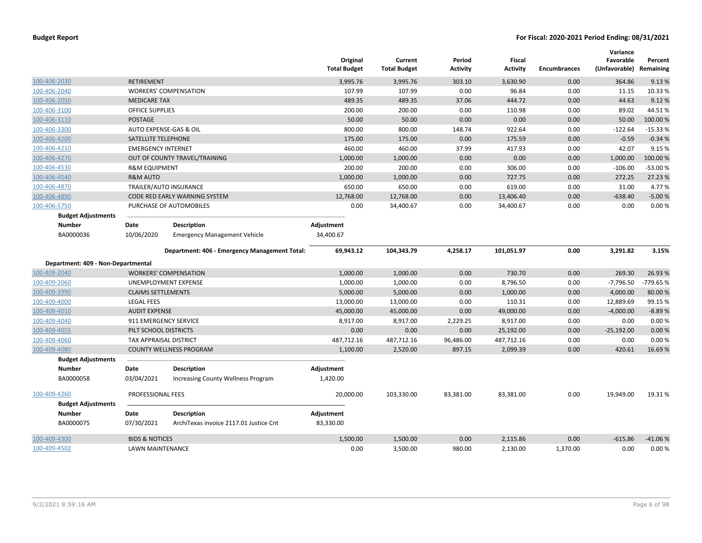|                                    |                               |                                               | Original<br><b>Total Budget</b> | Current<br><b>Total Budget</b> | Period<br><b>Activity</b> | Fiscal<br><b>Activity</b> | <b>Encumbrances</b> | Variance<br>Favorable<br>(Unfavorable) Remaining | Percent   |
|------------------------------------|-------------------------------|-----------------------------------------------|---------------------------------|--------------------------------|---------------------------|---------------------------|---------------------|--------------------------------------------------|-----------|
| 100-406-2030                       | <b>RETIREMENT</b>             |                                               | 3,995.76                        | 3,995.76                       | 303.10                    | 3,630.90                  | 0.00                | 364.86                                           | 9.13 %    |
| 100-406-2040                       |                               | <b>WORKERS' COMPENSATION</b>                  | 107.99                          | 107.99                         | 0.00                      | 96.84                     | 0.00                | 11.15                                            | 10.33 %   |
| 100-406-2050                       | <b>MEDICARE TAX</b>           |                                               | 489.35                          | 489.35                         | 37.06                     | 444.72                    | 0.00                | 44.63                                            | 9.12%     |
| 100-406-3100                       | <b>OFFICE SUPPLIES</b>        |                                               | 200.00                          | 200.00                         | 0.00                      | 110.98                    | 0.00                | 89.02                                            | 44.51%    |
| 100-406-3110                       | <b>POSTAGE</b>                |                                               | 50.00                           | 50.00                          | 0.00                      | 0.00                      | 0.00                | 50.00                                            | 100.00%   |
| 100-406-3300                       | AUTO EXPENSE-GAS & OIL        |                                               | 800.00                          | 800.00                         | 148.74                    | 922.64                    | 0.00                | $-122.64$                                        | $-15.33%$ |
| 100-406-4200                       | SATELLITE TELEPHONE           |                                               | 175.00                          | 175.00                         | 0.00                      | 175.59                    | 0.00                | $-0.59$                                          | $-0.34%$  |
| 100-406-4210                       | <b>EMERGENCY INTERNET</b>     |                                               | 460.00                          | 460.00                         | 37.99                     | 417.93                    | 0.00                | 42.07                                            | 9.15%     |
| 100-406-4270                       |                               | OUT OF COUNTY TRAVEL/TRAINING                 | 1,000.00                        | 1,000.00                       | 0.00                      | 0.00                      | 0.00                | 1,000.00                                         | 100.00%   |
| 100-406-4530                       | <b>R&amp;M EQUIPMENT</b>      |                                               | 200.00                          | 200.00                         | 0.00                      | 306.00                    | 0.00                | $-106.00$                                        | $-53.00%$ |
| 100-406-4540                       | <b>R&amp;M AUTO</b>           |                                               | 1,000.00                        | 1,000.00                       | 0.00                      | 727.75                    | 0.00                | 272.25                                           | 27.23 %   |
| 100-406-4870                       |                               | TRAILER/AUTO INSURANCE                        | 650.00                          | 650.00                         | 0.00                      | 619.00                    | 0.00                | 31.00                                            | 4.77 %    |
| 100-406-4890                       |                               | CODE RED EARLY WARNING SYSTEM                 | 12,768.00                       | 12,768.00                      | 0.00                      | 13,406.40                 | 0.00                | $-638.40$                                        | $-5.00%$  |
| 100-406-5750                       |                               | PURCHASE OF AUTOMOBILES                       | 0.00                            | 34,400.67                      | 0.00                      | 34,400.67                 | 0.00                | 0.00                                             | 0.00%     |
| <b>Budget Adjustments</b>          |                               |                                               |                                 |                                |                           |                           |                     |                                                  |           |
| <b>Number</b>                      | Date                          | <b>Description</b>                            | Adjustment                      |                                |                           |                           |                     |                                                  |           |
| BA0000036                          | 10/06/2020                    | <b>Emergency Management Vehicle</b>           | 34,400.67                       |                                |                           |                           |                     |                                                  |           |
| Department: 409 - Non-Departmental |                               | Department: 406 - Emergency Management Total: | 69,943.12                       | 104,343.79                     | 4,258.17                  | 101,051.97                | 0.00                | 3,291.82                                         | 3.15%     |
| 100-409-2040                       |                               | <b>WORKERS' COMPENSATION</b>                  | 1,000.00                        | 1,000.00                       | 0.00                      | 730.70                    | 0.00                | 269.30                                           | 26.93 %   |
| 100-409-2060                       |                               | UNEMPLOYMENT EXPENSE                          | 1,000.00                        | 1,000.00                       | 0.00                      | 8,796.50                  | 0.00                | $-7,796.50$                                      | -779.65 % |
| 100-409-3990                       | <b>CLAIMS SETTLEMENTS</b>     |                                               | 5,000.00                        | 5,000.00                       | 0.00                      | 1,000.00                  | 0.00                | 4,000.00                                         | 80.00%    |
| 100-409-4000                       | <b>LEGAL FEES</b>             |                                               | 13,000.00                       | 13,000.00                      | 0.00                      | 110.31                    | 0.00                | 12,889.69                                        | 99.15 %   |
| 100-409-4010                       | <b>AUDIT EXPENSE</b>          |                                               | 45,000.00                       | 45,000.00                      | 0.00                      | 49,000.00                 | 0.00                | $-4,000.00$                                      | $-8.89%$  |
| 100-409-4040                       | 911 EMERGENCY SERVICE         |                                               | 8,917.00                        | 8,917.00                       | 2,229.25                  | 8,917.00                  | 0.00                | 0.00                                             | 0.00%     |
| 100-409-4055                       | PILT SCHOOL DISTRICTS         |                                               | 0.00                            | 0.00                           | 0.00                      | 25,192.00                 | 0.00                | $-25,192.00$                                     | 0.00%     |
| 100-409-4060                       | <b>TAX APPRAISAL DISTRICT</b> |                                               | 487,712.16                      | 487,712.16                     | 96,486.00                 | 487,712.16                | 0.00                | 0.00                                             | 0.00%     |
| 100-409-4080                       |                               | <b>COUNTY WELLNESS PROGRAM</b>                | 1,100.00                        | 2,520.00                       | 897.15                    | 2,099.39                  | 0.00                | 420.61                                           | 16.69%    |
| <b>Budget Adjustments</b>          |                               |                                               |                                 |                                |                           |                           |                     |                                                  |           |
| <b>Number</b>                      | Date                          | <b>Description</b>                            | Adjustment                      |                                |                           |                           |                     |                                                  |           |
| BA0000058                          | 03/04/2021                    | <b>Increasing County Wellness Program</b>     | 1,420.00                        |                                |                           |                           |                     |                                                  |           |
| 100-409-4260                       | PROFESSIONAL FEES             |                                               | 20,000.00                       | 103,330.00                     | 83,381.00                 | 83,381.00                 | 0.00                | 19,949.00                                        | 19.31%    |
| <b>Budget Adjustments</b>          |                               |                                               |                                 |                                |                           |                           |                     |                                                  |           |
| <b>Number</b>                      | Date                          | <b>Description</b>                            | Adjustment                      |                                |                           |                           |                     |                                                  |           |
| BA0000075                          | 07/30/2021                    | ArchiTexas invoice 2117.01 Justice Cnt        | 83,330.00                       |                                |                           |                           |                     |                                                  |           |
| 100-409-4300                       | <b>BIDS &amp; NOTICES</b>     |                                               | 1,500.00                        | 1,500.00                       | 0.00                      | 2,115.86                  | 0.00                | $-615.86$                                        | $-41.06%$ |
| 100-409-4502                       | <b>LAWN MAINTENANCE</b>       |                                               | 0.00                            | 3,500.00                       | 980.00                    | 2,130.00                  | 1,370.00            | 0.00                                             | 0.00%     |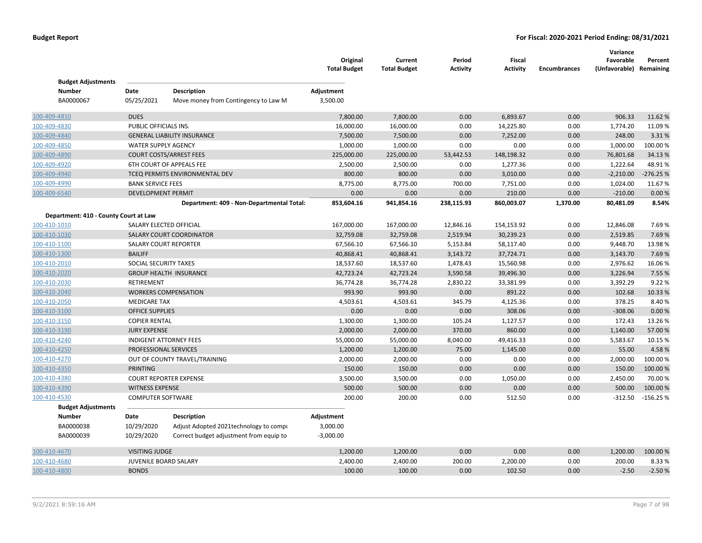|                                            |                              |                                           | Original<br><b>Total Budget</b> | Current<br><b>Total Budget</b> | Period<br>Activity | <b>Fiscal</b><br><b>Activity</b> | <b>Encumbrances</b> | Variance<br>Favorable<br>(Unfavorable) Remaining | Percent    |
|--------------------------------------------|------------------------------|-------------------------------------------|---------------------------------|--------------------------------|--------------------|----------------------------------|---------------------|--------------------------------------------------|------------|
| <b>Budget Adjustments</b><br><b>Number</b> | Date                         | <b>Description</b>                        | Adjustment                      |                                |                    |                                  |                     |                                                  |            |
| BA0000067                                  | 05/25/2021                   | Move money from Contingency to Law M      | 3,500.00                        |                                |                    |                                  |                     |                                                  |            |
| 100-409-4810                               | <b>DUES</b>                  |                                           | 7,800.00                        | 7,800.00                       | 0.00               | 6,893.67                         | 0.00                | 906.33                                           | 11.62%     |
| 100-409-4830                               | PUBLIC OFFICIALS INS.        |                                           | 16,000.00                       | 16,000.00                      | 0.00               | 14,225.80                        | 0.00                | 1,774.20                                         | 11.09%     |
| 100-409-4840                               |                              | <b>GENERAL LIABILITY INSURANCE</b>        | 7,500.00                        | 7,500.00                       | 0.00               | 7,252.00                         | 0.00                | 248.00                                           | 3.31%      |
| 100-409-4850                               | <b>WATER SUPPLY AGENCY</b>   |                                           | 1,000.00                        | 1,000.00                       | 0.00               | 0.00                             | 0.00                | 1,000.00                                         | 100.00%    |
| 100-409-4890                               |                              | <b>COURT COSTS/ARREST FEES</b>            | 225,000.00                      | 225,000.00                     | 53,442.53          | 148,198.32                       | 0.00                | 76,801.68                                        | 34.13%     |
| 100-409-4920                               |                              | 6TH COURT OF APPEALS FEE                  | 2,500.00                        | 2,500.00                       | 0.00               | 1,277.36                         | 0.00                | 1,222.64                                         | 48.91%     |
| 100-409-4940                               |                              | TCEQ PERMITS ENVIRONMENTAL DEV            | 800.00                          | 800.00                         | 0.00               | 3,010.00                         | 0.00                | $-2,210.00$                                      | $-276.25%$ |
| 100-409-4990                               | <b>BANK SERVICE FEES</b>     |                                           | 8,775.00                        | 8,775.00                       | 700.00             | 7,751.00                         | 0.00                | 1,024.00                                         | 11.67%     |
| 100-409-6540                               | <b>DEVELOPMENT PERMIT</b>    |                                           | 0.00                            | 0.00                           | 0.00               | 210.00                           | 0.00                | $-210.00$                                        | 0.00%      |
|                                            |                              | Department: 409 - Non-Departmental Total: | 853,604.16                      | 941,854.16                     | 238,115.93         | 860,003.07                       | 1,370.00            | 80,481.09                                        | 8.54%      |
| Department: 410 - County Court at Law      |                              |                                           |                                 |                                |                    |                                  |                     |                                                  |            |
| 100-410-1010                               |                              | SALARY ELECTED OFFICIAL                   | 167,000.00                      | 167,000.00                     | 12,846.16          | 154,153.92                       | 0.00                | 12,846.08                                        | 7.69%      |
| 100-410-1030                               |                              | SALARY COURT COORDINATOR                  | 32,759.08                       | 32,759.08                      | 2,519.94           | 30,239.23                        | 0.00                | 2,519.85                                         | 7.69%      |
| 100-410-1100                               |                              | <b>SALARY COURT REPORTER</b>              | 67,566.10                       | 67,566.10                      | 5,153.84           | 58,117.40                        | 0.00                | 9,448.70                                         | 13.98%     |
| 100-410-1300                               | <b>BAILIFF</b>               |                                           | 40,868.41                       | 40,868.41                      | 3,143.72           | 37,724.71                        | 0.00                | 3,143.70                                         | 7.69%      |
| 100-410-2010                               | SOCIAL SECURITY TAXES        |                                           | 18,537.60                       | 18,537.60                      | 1,478.43           | 15,560.98                        | 0.00                | 2,976.62                                         | 16.06%     |
| 100-410-2020                               |                              | <b>GROUP HEALTH INSURANCE</b>             | 42,723.24                       | 42,723.24                      | 3,590.58           | 39,496.30                        | 0.00                | 3,226.94                                         | 7.55 %     |
| 100-410-2030                               | RETIREMENT                   |                                           | 36,774.28                       | 36,774.28                      | 2,830.22           | 33,381.99                        | 0.00                | 3,392.29                                         | 9.22 %     |
| 100-410-2040                               |                              | <b>WORKERS COMPENSATION</b>               | 993.90                          | 993.90                         | 0.00               | 891.22                           | 0.00                | 102.68                                           | 10.33 %    |
| 100-410-2050                               | <b>MEDICARE TAX</b>          |                                           | 4,503.61                        | 4,503.61                       | 345.79             | 4,125.36                         | 0.00                | 378.25                                           | 8.40%      |
| 100-410-3100                               | <b>OFFICE SUPPLIES</b>       |                                           | 0.00                            | 0.00                           | 0.00               | 308.06                           | 0.00                | $-308.06$                                        | 0.00 %     |
| 100-410-3150                               | <b>COPIER RENTAL</b>         |                                           | 1,300.00                        | 1,300.00                       | 105.24             | 1,127.57                         | 0.00                | 172.43                                           | 13.26 %    |
| 100-410-3190                               | <b>JURY EXPENSE</b>          |                                           | 2,000.00                        | 2,000.00                       | 370.00             | 860.00                           | 0.00                | 1,140.00                                         | 57.00 %    |
| 100-410-4240                               |                              | <b>INDIGENT ATTORNEY FEES</b>             | 55,000.00                       | 55,000.00                      | 8,040.00           | 49,416.33                        | 0.00                | 5,583.67                                         | 10.15 %    |
| 100-410-4250                               | PROFESSIONAL SERVICES        |                                           | 1,200.00                        | 1,200.00                       | 75.00              | 1,145.00                         | 0.00                | 55.00                                            | 4.58%      |
| 100-410-4270                               |                              | OUT OF COUNTY TRAVEL/TRAINING             | 2,000.00                        | 2,000.00                       | 0.00               | 0.00                             | 0.00                | 2,000.00                                         | 100.00%    |
| 100-410-4350                               | <b>PRINTING</b>              |                                           | 150.00                          | 150.00                         | 0.00               | 0.00                             | 0.00                | 150.00                                           | 100.00 %   |
| 100-410-4380                               |                              | <b>COURT REPORTER EXPENSE</b>             | 3,500.00                        | 3,500.00                       | 0.00               | 1,050.00                         | 0.00                | 2,450.00                                         | 70.00%     |
| 100-410-4390                               | <b>WITNESS EXPENSE</b>       |                                           | 500.00                          | 500.00                         | 0.00               | 0.00                             | 0.00                | 500.00                                           | 100.00 %   |
| 100-410-4530                               | <b>COMPUTER SOFTWARE</b>     |                                           | 200.00                          | 200.00                         | 0.00               | 512.50                           | 0.00                | $-312.50$                                        | $-156.25%$ |
| <b>Budget Adjustments</b>                  |                              |                                           |                                 |                                |                    |                                  |                     |                                                  |            |
| <b>Number</b>                              | Date                         | <b>Description</b>                        | Adjustment                      |                                |                    |                                  |                     |                                                  |            |
| BA0000038                                  | 10/29/2020                   | Adjust Adopted 2021technology to compi    | 3,000.00                        |                                |                    |                                  |                     |                                                  |            |
| BA0000039                                  | 10/29/2020                   | Correct budget adjustment from equip to   | $-3,000.00$                     |                                |                    |                                  |                     |                                                  |            |
| 100-410-4670                               | <b>VISITING JUDGE</b>        |                                           | 1,200.00                        | 1,200.00                       | 0.00               | 0.00                             | 0.00                | 1,200.00                                         | 100.00%    |
| 100-410-4680                               | <b>JUVENILE BOARD SALARY</b> |                                           | 2,400.00                        | 2,400.00                       | 200.00             | 2,200.00                         | 0.00                | 200.00                                           | 8.33%      |
| 100-410-4800                               | <b>BONDS</b>                 |                                           | 100.00                          | 100.00                         | 0.00               | 102.50                           | 0.00                | $-2.50$                                          | $-2.50%$   |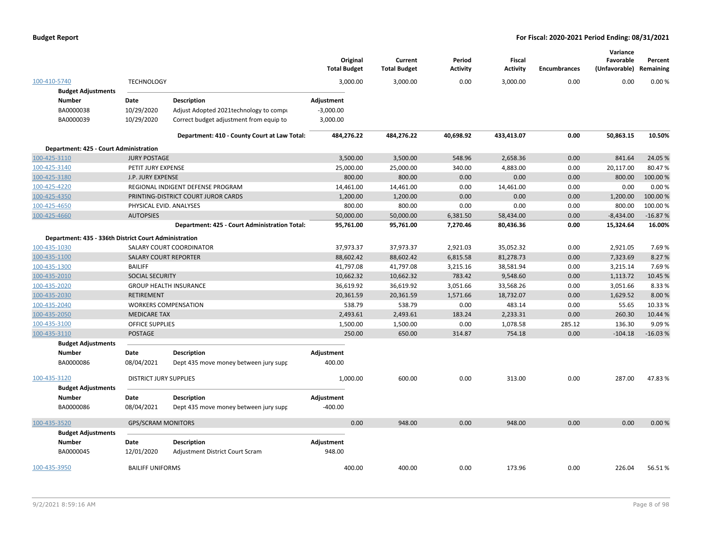|                                                       |                               |                                               | Original<br><b>Total Budget</b> | Current<br><b>Total Budget</b> | Period<br><b>Activity</b> | Fiscal<br><b>Activity</b> | <b>Encumbrances</b> | Variance<br>Favorable<br>(Unfavorable) | Percent<br>Remaining |
|-------------------------------------------------------|-------------------------------|-----------------------------------------------|---------------------------------|--------------------------------|---------------------------|---------------------------|---------------------|----------------------------------------|----------------------|
| 100-410-5740                                          | <b>TECHNOLOGY</b>             |                                               | 3,000.00                        | 3,000.00                       | 0.00                      | 3,000.00                  | 0.00                | 0.00                                   | 0.00%                |
| <b>Budget Adjustments</b>                             |                               |                                               |                                 |                                |                           |                           |                     |                                        |                      |
| <b>Number</b>                                         | Date                          | <b>Description</b>                            | Adjustment                      |                                |                           |                           |                     |                                        |                      |
| BA0000038                                             | 10/29/2020                    | Adjust Adopted 2021technology to compi        | $-3,000.00$                     |                                |                           |                           |                     |                                        |                      |
| BA0000039                                             | 10/29/2020                    | Correct budget adjustment from equip to       | 3,000.00                        |                                |                           |                           |                     |                                        |                      |
|                                                       |                               | Department: 410 - County Court at Law Total:  | 484,276.22                      | 484,276.22                     | 40,698.92                 | 433,413.07                | 0.00                | 50,863.15                              | 10.50%               |
| Department: 425 - Court Administration                |                               |                                               |                                 |                                |                           |                           |                     |                                        |                      |
| 100-425-3110                                          | <b>JURY POSTAGE</b>           |                                               | 3,500.00                        | 3,500.00                       | 548.96                    | 2,658.36                  | 0.00                | 841.64                                 | 24.05 %              |
| 100-425-3140                                          | PETIT JURY EXPENSE            |                                               | 25,000.00                       | 25,000.00                      | 340.00                    | 4,883.00                  | 0.00                | 20,117.00                              | 80.47%               |
| 100-425-3180                                          | J.P. JURY EXPENSE             |                                               |                                 | 800.00<br>800.00               | 0.00                      | 0.00                      | 0.00                | 800.00                                 | 100.00%              |
| 100-425-4220                                          |                               | REGIONAL INDIGENT DEFENSE PROGRAM             | 14,461.00                       | 14,461.00                      | 0.00                      | 14,461.00                 | 0.00                | 0.00                                   | 0.00%                |
| 100-425-4350                                          |                               | PRINTING-DISTRICT COURT JUROR CARDS           | 1,200.00                        | 1,200.00                       | 0.00                      | 0.00                      | 0.00                | 1,200.00                               | 100.00 %             |
| 100-425-4650                                          | PHYSICAL EVID. ANALYSES       |                                               |                                 | 800.00<br>800.00               | 0.00                      | 0.00                      | 0.00                | 800.00                                 | 100.00%              |
| 100-425-4660                                          | <b>AUTOPSIES</b>              |                                               | 50,000.00                       | 50,000.00                      | 6,381.50                  | 58,434.00                 | 0.00                | $-8,434.00$                            | $-16.87%$            |
|                                                       |                               | Department: 425 - Court Administration Total: | 95,761.00                       | 95,761.00                      | 7,270.46                  | 80,436.36                 | 0.00                | 15,324.64                              | 16.00%               |
| Department: 435 - 336th District Court Administration |                               |                                               |                                 |                                |                           |                           |                     |                                        |                      |
| 100-435-1030                                          |                               | SALARY COURT COORDINATOR                      | 37,973.37                       | 37,973.37                      | 2,921.03                  | 35,052.32                 | 0.00                | 2,921.05                               | 7.69%                |
| 100-435-1100                                          | <b>SALARY COURT REPORTER</b>  |                                               | 88,602.42                       | 88,602.42                      | 6,815.58                  | 81,278.73                 | 0.00                | 7,323.69                               | 8.27 %               |
| 100-435-1300                                          | <b>BAILIFF</b>                |                                               | 41,797.08                       | 41,797.08                      | 3,215.16                  | 38,581.94                 | 0.00                | 3,215.14                               | 7.69%                |
| 100-435-2010                                          | SOCIAL SECURITY               |                                               | 10,662.32                       | 10,662.32                      | 783.42                    | 9,548.60                  | 0.00                | 1,113.72                               | 10.45 %              |
| 100-435-2020                                          |                               | <b>GROUP HEALTH INSURANCE</b>                 | 36,619.92                       | 36,619.92                      | 3,051.66                  | 33,568.26                 | 0.00                | 3,051.66                               | 8.33%                |
| 100-435-2030                                          | <b>RETIREMENT</b>             |                                               | 20,361.59                       | 20,361.59                      | 1,571.66                  | 18,732.07                 | 0.00                | 1,629.52                               | 8.00 %               |
| 100-435-2040                                          |                               | <b>WORKERS COMPENSATION</b>                   |                                 | 538.79<br>538.79               | 0.00                      | 483.14                    | 0.00                | 55.65                                  | 10.33%               |
| 100-435-2050                                          | <b>MEDICARE TAX</b>           |                                               | 2,493.61                        | 2,493.61                       | 183.24                    | 2,233.31                  | 0.00                | 260.30                                 | 10.44 %              |
| 100-435-3100                                          | <b>OFFICE SUPPLIES</b>        |                                               | 1,500.00                        | 1,500.00                       | 0.00                      | 1,078.58                  | 285.12              | 136.30                                 | 9.09%                |
| 100-435-3110                                          | <b>POSTAGE</b>                |                                               |                                 | 250.00<br>650.00               | 314.87                    | 754.18                    | 0.00                | $-104.18$                              | $-16.03%$            |
| <b>Budget Adjustments</b>                             |                               |                                               |                                 |                                |                           |                           |                     |                                        |                      |
| <b>Number</b>                                         | Date                          | <b>Description</b>                            | Adjustment                      |                                |                           |                           |                     |                                        |                      |
| BA0000086                                             | 08/04/2021                    | Dept 435 move money between jury supr         | 400.00                          |                                |                           |                           |                     |                                        |                      |
| 100-435-3120                                          | <b>DISTRICT JURY SUPPLIES</b> |                                               | 1,000.00                        | 600.00                         | 0.00                      | 313.00                    | 0.00                | 287.00                                 | 47.83%               |
| <b>Budget Adjustments</b>                             |                               |                                               |                                 |                                |                           |                           |                     |                                        |                      |
| <b>Number</b>                                         | Date                          | <b>Description</b>                            | Adjustment                      |                                |                           |                           |                     |                                        |                      |
| BA0000086                                             | 08/04/2021                    | Dept 435 move money between jury supr         | $-400.00$                       |                                |                           |                           |                     |                                        |                      |
| 100-435-3520                                          | <b>GPS/SCRAM MONITORS</b>     |                                               |                                 | 0.00<br>948.00                 | 0.00                      | 948.00                    | 0.00                | 0.00                                   | 0.00%                |
| <b>Budget Adjustments</b>                             |                               |                                               |                                 |                                |                           |                           |                     |                                        |                      |
| <b>Number</b>                                         | Date                          | <b>Description</b>                            | Adjustment                      |                                |                           |                           |                     |                                        |                      |
| BA0000045                                             | 12/01/2020                    | Adjustment District Court Scram               | 948.00                          |                                |                           |                           |                     |                                        |                      |
| 100-435-3950                                          | <b>BAILIFF UNIFORMS</b>       |                                               |                                 | 400.00<br>400.00               | 0.00                      | 173.96                    | 0.00                | 226.04                                 | 56.51%               |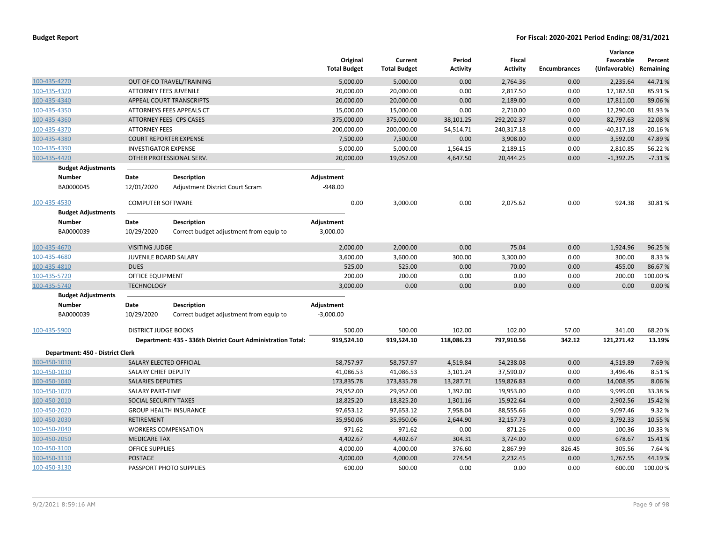|                                  |                               |                                                              | Original<br><b>Total Budget</b> | Current<br><b>Total Budget</b> | Period<br><b>Activity</b> | <b>Fiscal</b><br><b>Activity</b> | <b>Encumbrances</b> | Variance<br>Favorable<br>(Unfavorable) | Percent<br>Remaining |
|----------------------------------|-------------------------------|--------------------------------------------------------------|---------------------------------|--------------------------------|---------------------------|----------------------------------|---------------------|----------------------------------------|----------------------|
| 100-435-4270                     |                               | OUT OF CO TRAVEL/TRAINING                                    | 5,000.00                        | 5,000.00                       | 0.00                      | 2,764.36                         | 0.00                | 2,235.64                               | 44.71%               |
| 100-435-4320                     | <b>ATTORNEY FEES JUVENILE</b> |                                                              | 20,000.00                       | 20,000.00                      | 0.00                      | 2,817.50                         | 0.00                | 17,182.50                              | 85.91%               |
| 100-435-4340                     |                               | APPEAL COURT TRANSCRIPTS                                     | 20,000.00                       | 20,000.00                      | 0.00                      | 2,189.00                         | 0.00                | 17,811.00                              | 89.06%               |
| 100-435-4350                     |                               | ATTORNEYS FEES APPEALS CT                                    | 15,000.00                       | 15,000.00                      | 0.00                      | 2,710.00                         | 0.00                | 12,290.00                              | 81.93%               |
| 100-435-4360                     |                               | <b>ATTORNEY FEES- CPS CASES</b>                              | 375,000.00                      | 375,000.00                     | 38,101.25                 | 292,202.37                       | 0.00                | 82,797.63                              | 22.08%               |
| 100-435-4370                     | <b>ATTORNEY FEES</b>          |                                                              | 200,000.00                      | 200,000.00                     | 54,514.71                 | 240,317.18                       | 0.00                | $-40,317.18$                           | $-20.16%$            |
| 100-435-4380                     |                               | <b>COURT REPORTER EXPENSE</b>                                | 7,500.00                        | 7,500.00                       | 0.00                      | 3,908.00                         | 0.00                | 3,592.00                               | 47.89%               |
| 100-435-4390                     | <b>INVESTIGATOR EXPENSE</b>   |                                                              | 5,000.00                        | 5,000.00                       | 1,564.15                  | 2,189.15                         | 0.00                | 2,810.85                               | 56.22%               |
| 100-435-4420                     |                               | OTHER PROFESSIONAL SERV.                                     | 20,000.00                       | 19,052.00                      | 4,647.50                  | 20,444.25                        | 0.00                | $-1,392.25$                            | $-7.31%$             |
| <b>Budget Adjustments</b>        |                               |                                                              |                                 |                                |                           |                                  |                     |                                        |                      |
| <b>Number</b>                    | Date                          | <b>Description</b>                                           | Adjustment                      |                                |                           |                                  |                     |                                        |                      |
| BA0000045                        | 12/01/2020                    | Adjustment District Court Scram                              | $-948.00$                       |                                |                           |                                  |                     |                                        |                      |
| 100-435-4530                     | <b>COMPUTER SOFTWARE</b>      |                                                              | 0.00                            | 3,000.00                       | 0.00                      | 2,075.62                         | 0.00                | 924.38                                 | 30.81%               |
| <b>Budget Adjustments</b>        |                               |                                                              |                                 |                                |                           |                                  |                     |                                        |                      |
| <b>Number</b>                    | Date                          | <b>Description</b>                                           | Adjustment                      |                                |                           |                                  |                     |                                        |                      |
| BA0000039                        | 10/29/2020                    | Correct budget adjustment from equip to                      | 3,000.00                        |                                |                           |                                  |                     |                                        |                      |
| 100-435-4670                     | <b>VISITING JUDGE</b>         |                                                              | 2,000.00                        | 2,000.00                       | 0.00                      | 75.04                            | 0.00                | 1,924.96                               | 96.25 %              |
| 100-435-4680                     | JUVENILE BOARD SALARY         |                                                              | 3,600.00                        | 3,600.00                       | 300.00                    | 3,300.00                         | 0.00                | 300.00                                 | 8.33%                |
| 100-435-4810                     | <b>DUES</b>                   |                                                              | 525.00                          | 525.00                         | 0.00                      | 70.00                            | 0.00                | 455.00                                 | 86.67%               |
| 100-435-5720                     | <b>OFFICE EQUIPMENT</b>       |                                                              | 200.00                          | 200.00                         | 0.00                      | 0.00                             | 0.00                | 200.00                                 | 100.00%              |
| 100-435-5740                     | <b>TECHNOLOGY</b>             |                                                              | 3,000.00                        | 0.00                           | 0.00                      | 0.00                             | 0.00                | 0.00                                   | 0.00%                |
| <b>Budget Adjustments</b>        |                               |                                                              |                                 |                                |                           |                                  |                     |                                        |                      |
| <b>Number</b>                    | Date                          | <b>Description</b>                                           | Adjustment                      |                                |                           |                                  |                     |                                        |                      |
| BA0000039                        | 10/29/2020                    | Correct budget adjustment from equip to                      | $-3,000.00$                     |                                |                           |                                  |                     |                                        |                      |
| 100-435-5900                     | <b>DISTRICT JUDGE BOOKS</b>   |                                                              | 500.00                          | 500.00                         | 102.00                    | 102.00                           | 57.00               | 341.00                                 | 68.20%               |
|                                  |                               | Department: 435 - 336th District Court Administration Total: | 919,524.10                      | 919,524.10                     | 118,086.23                | 797,910.56                       | 342.12              | 121,271.42                             | 13.19%               |
| Department: 450 - District Clerk |                               |                                                              |                                 |                                |                           |                                  |                     |                                        |                      |
| 100-450-1010                     |                               | SALARY ELECTED OFFICIAL                                      | 58,757.97                       | 58,757.97                      | 4,519.84                  | 54,238.08                        | 0.00                | 4,519.89                               | 7.69%                |
| 100-450-1030                     | SALARY CHIEF DEPUTY           |                                                              | 41,086.53                       | 41,086.53                      | 3,101.24                  | 37,590.07                        | 0.00                | 3,496.46                               | 8.51%                |
| 100-450-1040                     | <b>SALARIES DEPUTIES</b>      |                                                              | 173,835.78                      | 173,835.78                     | 13,287.71                 | 159,826.83                       | 0.00                | 14,008.95                              | 8.06%                |
| 100-450-1070                     | <b>SALARY PART-TIME</b>       |                                                              | 29,952.00                       | 29,952.00                      | 1,392.00                  | 19,953.00                        | 0.00                | 9,999.00                               | 33.38%               |
| 100-450-2010                     | SOCIAL SECURITY TAXES         |                                                              | 18,825.20                       | 18,825.20                      | 1,301.16                  | 15,922.64                        | 0.00                | 2,902.56                               | 15.42 %              |
| 100-450-2020                     |                               | <b>GROUP HEALTH INSURANCE</b>                                | 97,653.12                       | 97,653.12                      | 7,958.04                  | 88,555.66                        | 0.00                | 9,097.46                               | 9.32%                |
| 100-450-2030                     | <b>RETIREMENT</b>             |                                                              | 35,950.06                       | 35,950.06                      | 2,644.90                  | 32,157.73                        | 0.00                | 3,792.33                               | 10.55 %              |
| 100-450-2040                     |                               | <b>WORKERS COMPENSATION</b>                                  | 971.62                          | 971.62                         | 0.00                      | 871.26                           | 0.00                | 100.36                                 | 10.33 %              |
| 100-450-2050                     | <b>MEDICARE TAX</b>           |                                                              | 4,402.67                        | 4,402.67                       | 304.31                    | 3,724.00                         | 0.00                | 678.67                                 | 15.41%               |
| 100-450-3100                     | OFFICE SUPPLIES               |                                                              | 4,000.00                        | 4,000.00                       | 376.60                    | 2,867.99                         | 826.45              | 305.56                                 | 7.64%                |
| 100-450-3110                     | <b>POSTAGE</b>                |                                                              | 4,000.00                        | 4,000.00                       | 274.54                    | 2,232.45                         | 0.00                | 1,767.55                               | 44.19%               |
| 100-450-3130                     |                               | PASSPORT PHOTO SUPPLIES                                      | 600.00                          | 600.00                         | 0.00                      | 0.00                             | 0.00                | 600.00                                 | 100.00 %             |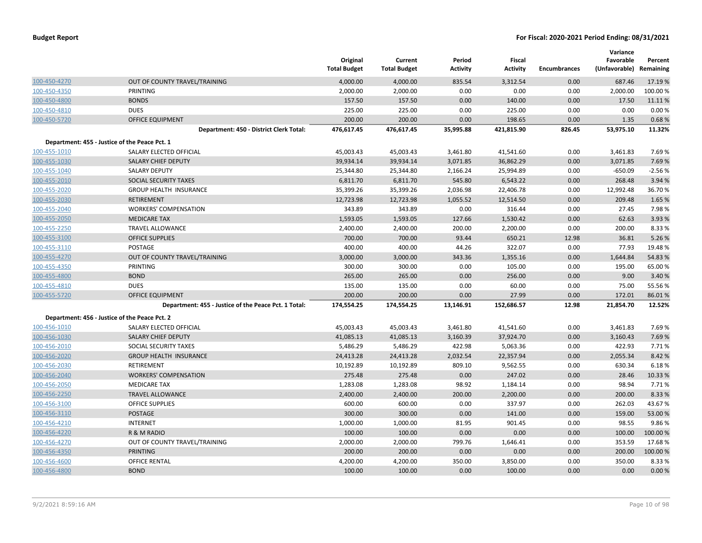|              |                                                      | Original<br><b>Total Budget</b> | Current<br><b>Total Budget</b> | Period<br><b>Activity</b> | Fiscal<br><b>Activity</b> | <b>Encumbrances</b> | Variance<br>Favorable<br>(Unfavorable) | Percent<br>Remaining |
|--------------|------------------------------------------------------|---------------------------------|--------------------------------|---------------------------|---------------------------|---------------------|----------------------------------------|----------------------|
| 100-450-4270 | OUT OF COUNTY TRAVEL/TRAINING                        | 4,000.00                        | 4,000.00                       | 835.54                    | 3,312.54                  | 0.00                | 687.46                                 | 17.19 %              |
| 100-450-4350 | PRINTING                                             | 2,000.00                        | 2,000.00                       | 0.00                      | 0.00                      | 0.00                | 2,000.00                               | 100.00%              |
| 100-450-4800 | <b>BONDS</b>                                         | 157.50                          | 157.50                         | 0.00                      | 140.00                    | 0.00                | 17.50                                  | 11.11%               |
| 100-450-4810 | <b>DUES</b>                                          | 225.00                          | 225.00                         | 0.00                      | 225.00                    | 0.00                | 0.00                                   | 0.00%                |
| 100-450-5720 | <b>OFFICE EQUIPMENT</b>                              | 200.00                          | 200.00                         | 0.00                      | 198.65                    | 0.00                | 1.35                                   | 0.68%                |
|              | Department: 450 - District Clerk Total:              | 476,617.45                      | 476,617.45                     | 35,995.88                 | 421,815.90                | 826.45              | 53,975.10                              | 11.32%               |
|              | Department: 455 - Justice of the Peace Pct. 1        |                                 |                                |                           |                           |                     |                                        |                      |
| 100-455-1010 | SALARY ELECTED OFFICIAL                              | 45,003.43                       | 45,003.43                      | 3,461.80                  | 41,541.60                 | 0.00                | 3,461.83                               | 7.69%                |
| 100-455-1030 | <b>SALARY CHIEF DEPUTY</b>                           | 39,934.14                       | 39,934.14                      | 3,071.85                  | 36,862.29                 | 0.00                | 3,071.85                               | 7.69%                |
| 100-455-1040 | <b>SALARY DEPUTY</b>                                 | 25,344.80                       | 25,344.80                      | 2,166.24                  | 25,994.89                 | 0.00                | $-650.09$                              | $-2.56%$             |
| 100-455-2010 | SOCIAL SECURITY TAXES                                | 6,811.70                        | 6,811.70                       | 545.80                    | 6,543.22                  | 0.00                | 268.48                                 | 3.94 %               |
| 100-455-2020 | <b>GROUP HEALTH INSURANCE</b>                        | 35,399.26                       | 35,399.26                      | 2,036.98                  | 22,406.78                 | 0.00                | 12,992.48                              | 36.70%               |
| 100-455-2030 | <b>RETIREMENT</b>                                    | 12,723.98                       | 12,723.98                      | 1,055.52                  | 12,514.50                 | 0.00                | 209.48                                 | 1.65 %               |
| 100-455-2040 | <b>WORKERS' COMPENSATION</b>                         | 343.89                          | 343.89                         | 0.00                      | 316.44                    | 0.00                | 27.45                                  | 7.98%                |
| 100-455-2050 | <b>MEDICARE TAX</b>                                  | 1,593.05                        | 1,593.05                       | 127.66                    | 1,530.42                  | 0.00                | 62.63                                  | 3.93 %               |
| 100-455-2250 | <b>TRAVEL ALLOWANCE</b>                              | 2,400.00                        | 2,400.00                       | 200.00                    | 2,200.00                  | 0.00                | 200.00                                 | 8.33 %               |
| 100-455-3100 | <b>OFFICE SUPPLIES</b>                               | 700.00                          | 700.00                         | 93.44                     | 650.21                    | 12.98               | 36.81                                  | 5.26 %               |
| 100-455-3110 | POSTAGE                                              | 400.00                          | 400.00                         | 44.26                     | 322.07                    | 0.00                | 77.93                                  | 19.48%               |
| 100-455-4270 | OUT OF COUNTY TRAVEL/TRAINING                        | 3,000.00                        | 3,000.00                       | 343.36                    | 1,355.16                  | 0.00                | 1,644.84                               | 54.83 %              |
| 100-455-4350 | PRINTING                                             | 300.00                          | 300.00                         | 0.00                      | 105.00                    | 0.00                | 195.00                                 | 65.00 %              |
| 100-455-4800 | <b>BOND</b>                                          | 265.00                          | 265.00                         | 0.00                      | 256.00                    | 0.00                | 9.00                                   | 3.40 %               |
| 100-455-4810 | <b>DUES</b>                                          | 135.00                          | 135.00                         | 0.00                      | 60.00                     | 0.00                | 75.00                                  | 55.56 %              |
| 100-455-5720 | <b>OFFICE EQUIPMENT</b>                              | 200.00                          | 200.00                         | 0.00                      | 27.99                     | 0.00                | 172.01                                 | 86.01%               |
|              | Department: 455 - Justice of the Peace Pct. 1 Total: | 174,554.25                      | 174,554.25                     | 13,146.91                 | 152,686.57                | 12.98               | 21,854.70                              | 12.52%               |
|              | Department: 456 - Justice of the Peace Pct. 2        |                                 |                                |                           |                           |                     |                                        |                      |
| 100-456-1010 | SALARY ELECTED OFFICIAL                              | 45,003.43                       | 45,003.43                      | 3,461.80                  | 41,541.60                 | 0.00                | 3,461.83                               | 7.69%                |
| 100-456-1030 | <b>SALARY CHIEF DEPUTY</b>                           | 41,085.13                       | 41,085.13                      | 3,160.39                  | 37,924.70                 | 0.00                | 3,160.43                               | 7.69%                |
| 100-456-2010 | SOCIAL SECURITY TAXES                                | 5,486.29                        | 5,486.29                       | 422.98                    | 5,063.36                  | 0.00                | 422.93                                 | 7.71%                |
| 100-456-2020 | <b>GROUP HEALTH INSURANCE</b>                        | 24,413.28                       | 24,413.28                      | 2,032.54                  | 22,357.94                 | 0.00                | 2,055.34                               | 8.42 %               |
| 100-456-2030 | RETIREMENT                                           | 10,192.89                       | 10,192.89                      | 809.10                    | 9,562.55                  | 0.00                | 630.34                                 | 6.18%                |
| 100-456-2040 | <b>WORKERS' COMPENSATION</b>                         | 275.48                          | 275.48                         | 0.00                      | 247.02                    | 0.00                | 28.46                                  | 10.33 %              |
| 100-456-2050 | <b>MEDICARE TAX</b>                                  | 1,283.08                        | 1,283.08                       | 98.92                     | 1,184.14                  | 0.00                | 98.94                                  | 7.71 %               |
| 100-456-2250 | <b>TRAVEL ALLOWANCE</b>                              | 2,400.00                        | 2,400.00                       | 200.00                    | 2,200.00                  | 0.00                | 200.00                                 | 8.33 %               |
| 100-456-3100 | <b>OFFICE SUPPLIES</b>                               | 600.00                          | 600.00                         | 0.00                      | 337.97                    | 0.00                | 262.03                                 | 43.67%               |
| 100-456-3110 | <b>POSTAGE</b>                                       | 300.00                          | 300.00                         | 0.00                      | 141.00                    | 0.00                | 159.00                                 | 53.00 %              |
| 100-456-4210 | <b>INTERNET</b>                                      | 1,000.00                        | 1,000.00                       | 81.95                     | 901.45                    | 0.00                | 98.55                                  | 9.86%                |
| 100-456-4220 | R & M RADIO                                          | 100.00                          | 100.00                         | 0.00                      | 0.00                      | 0.00                | 100.00                                 | 100.00 %             |
| 100-456-4270 | OUT OF COUNTY TRAVEL/TRAINING                        | 2,000.00                        | 2,000.00                       | 799.76                    | 1,646.41                  | 0.00                | 353.59                                 | 17.68%               |
| 100-456-4350 | <b>PRINTING</b>                                      | 200.00                          | 200.00                         | 0.00                      | 0.00                      | 0.00                | 200.00                                 | 100.00 %             |
| 100-456-4600 | <b>OFFICE RENTAL</b>                                 | 4,200.00                        | 4,200.00                       | 350.00                    | 3,850.00                  | 0.00                | 350.00                                 | 8.33 %               |
| 100-456-4800 | <b>BOND</b>                                          | 100.00                          | 100.00                         | 0.00                      | 100.00                    | 0.00                | 0.00                                   | 0.00%                |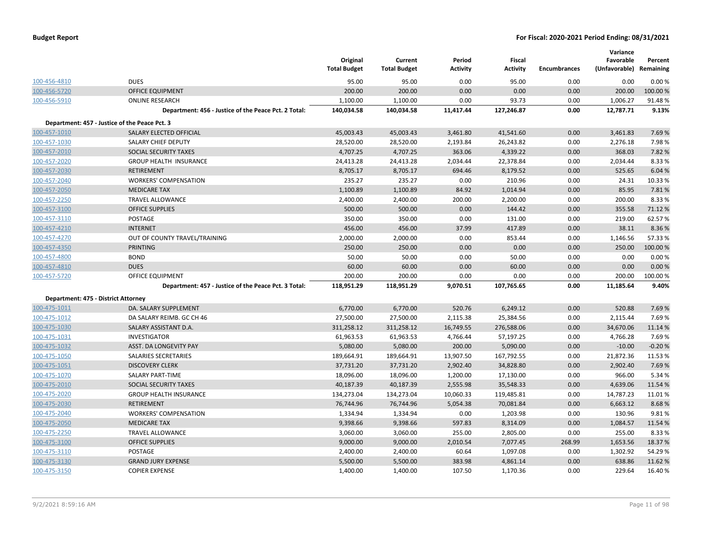| <b>Budget Report</b> |  |
|----------------------|--|
|----------------------|--|

|                                     |                                                      | Original<br><b>Total Budget</b> | Current<br><b>Total Budget</b> | Period<br><b>Activity</b> | <b>Fiscal</b><br><b>Activity</b> | <b>Encumbrances</b> | Variance<br>Favorable<br>(Unfavorable) | Percent<br>Remaining |
|-------------------------------------|------------------------------------------------------|---------------------------------|--------------------------------|---------------------------|----------------------------------|---------------------|----------------------------------------|----------------------|
| 100-456-4810                        | <b>DUES</b>                                          | 95.00                           | 95.00                          | 0.00                      | 95.00                            | 0.00                | 0.00                                   | 0.00%                |
| 100-456-5720                        | <b>OFFICE EQUIPMENT</b>                              | 200.00                          | 200.00                         | 0.00                      | 0.00                             | 0.00                | 200.00                                 | 100.00%              |
| 100-456-5910                        | <b>ONLINE RESEARCH</b>                               | 1,100.00                        | 1,100.00                       | 0.00                      | 93.73                            | 0.00                | 1,006.27                               | 91.48%               |
|                                     | Department: 456 - Justice of the Peace Pct. 2 Total: | 140,034.58                      | 140,034.58                     | 11,417.44                 | 127,246.87                       | 0.00                | 12,787.71                              | 9.13%                |
|                                     | Department: 457 - Justice of the Peace Pct. 3        |                                 |                                |                           |                                  |                     |                                        |                      |
| 100-457-1010                        | SALARY ELECTED OFFICIAL                              | 45,003.43                       | 45,003.43                      | 3,461.80                  | 41,541.60                        | 0.00                | 3,461.83                               | 7.69%                |
| 100-457-1030                        | SALARY CHIEF DEPUTY                                  | 28,520.00                       | 28,520.00                      | 2,193.84                  | 26,243.82                        | 0.00                | 2,276.18                               | 7.98%                |
| 100-457-2010                        | SOCIAL SECURITY TAXES                                | 4,707.25                        | 4,707.25                       | 363.06                    | 4,339.22                         | 0.00                | 368.03                                 | 7.82%                |
| 100-457-2020                        | <b>GROUP HEALTH INSURANCE</b>                        | 24,413.28                       | 24,413.28                      | 2,034.44                  | 22,378.84                        | 0.00                | 2,034.44                               | 8.33%                |
| 100-457-2030                        | <b>RETIREMENT</b>                                    | 8,705.17                        | 8,705.17                       | 694.46                    | 8,179.52                         | 0.00                | 525.65                                 | 6.04%                |
| 100-457-2040                        | <b>WORKERS' COMPENSATION</b>                         | 235.27                          | 235.27                         | 0.00                      | 210.96                           | 0.00                | 24.31                                  | 10.33 %              |
| 100-457-2050                        | <b>MEDICARE TAX</b>                                  | 1,100.89                        | 1,100.89                       | 84.92                     | 1,014.94                         | 0.00                | 85.95                                  | 7.81%                |
| 100-457-2250                        | <b>TRAVEL ALLOWANCE</b>                              | 2,400.00                        | 2,400.00                       | 200.00                    | 2,200.00                         | 0.00                | 200.00                                 | 8.33%                |
| 100-457-3100                        | <b>OFFICE SUPPLIES</b>                               | 500.00                          | 500.00                         | 0.00                      | 144.42                           | 0.00                | 355.58                                 | 71.12%               |
| 100-457-3110                        | POSTAGE                                              | 350.00                          | 350.00                         | 0.00                      | 131.00                           | 0.00                | 219.00                                 | 62.57%               |
| 100-457-4210                        | <b>INTERNET</b>                                      | 456.00                          | 456.00                         | 37.99                     | 417.89                           | 0.00                | 38.11                                  | 8.36%                |
| 100-457-4270                        | OUT OF COUNTY TRAVEL/TRAINING                        | 2,000.00                        | 2,000.00                       | 0.00                      | 853.44                           | 0.00                | 1,146.56                               | 57.33 %              |
| 100-457-4350                        | PRINTING                                             | 250.00                          | 250.00                         | 0.00                      | 0.00                             | 0.00                | 250.00                                 | 100.00%              |
| 100-457-4800                        | <b>BOND</b>                                          | 50.00                           | 50.00                          | 0.00                      | 50.00                            | 0.00                | 0.00                                   | 0.00%                |
| 100-457-4810                        | <b>DUES</b>                                          | 60.00                           | 60.00                          | 0.00                      | 60.00                            | 0.00                | 0.00                                   | 0.00%                |
| 100-457-5720                        | OFFICE EQUIPMENT                                     | 200.00                          | 200.00                         | 0.00                      | 0.00                             | 0.00                | 200.00                                 | 100.00%              |
|                                     | Department: 457 - Justice of the Peace Pct. 3 Total: | 118,951.29                      | 118,951.29                     | 9,070.51                  | 107,765.65                       | 0.00                | 11,185.64                              | 9.40%                |
| Department: 475 - District Attorney |                                                      |                                 |                                |                           |                                  |                     |                                        |                      |
| 100-475-1011                        | DA. SALARY SUPPLEMENT                                | 6,770.00                        | 6,770.00                       | 520.76                    | 6,249.12                         | 0.00                | 520.88                                 | 7.69%                |
| 100-475-1012                        | DA SALARY REIMB. GC CH 46                            | 27,500.00                       | 27,500.00                      | 2,115.38                  | 25,384.56                        | 0.00                | 2,115.44                               | 7.69%                |
| 100-475-1030                        | SALARY ASSISTANT D.A.                                | 311,258.12                      | 311,258.12                     | 16,749.55                 | 276,588.06                       | 0.00                | 34,670.06                              | 11.14 %              |
| 100-475-1031                        | <b>INVESTIGATOR</b>                                  | 61,963.53                       | 61,963.53                      | 4,766.44                  | 57,197.25                        | 0.00                | 4,766.28                               | 7.69%                |
| 100-475-1032                        | ASST. DA LONGEVITY PAY                               | 5,080.00                        | 5,080.00                       | 200.00                    | 5,090.00                         | 0.00                | $-10.00$                               | $-0.20%$             |
| 100-475-1050                        | SALARIES SECRETARIES                                 | 189,664.91                      | 189,664.91                     | 13,907.50                 | 167,792.55                       | 0.00                | 21,872.36                              | 11.53 %              |
| 100-475-1051                        | <b>DISCOVERY CLERK</b>                               | 37,731.20                       | 37,731.20                      | 2,902.40                  | 34,828.80                        | 0.00                | 2,902.40                               | 7.69%                |
| 100-475-1070                        | SALARY PART-TIME                                     | 18,096.00                       | 18,096.00                      | 1,200.00                  | 17,130.00                        | 0.00                | 966.00                                 | 5.34 %               |
| 100-475-2010                        | SOCIAL SECURITY TAXES                                | 40,187.39                       | 40,187.39                      | 2,555.98                  | 35,548.33                        | 0.00                | 4,639.06                               | 11.54 %              |
| 100-475-2020                        | <b>GROUP HEALTH INSURANCE</b>                        | 134,273.04                      | 134,273.04                     | 10,060.33                 | 119,485.81                       | 0.00                | 14,787.23                              | 11.01%               |
| 100-475-2030                        | <b>RETIREMENT</b>                                    | 76,744.96                       | 76,744.96                      | 5,054.38                  | 70,081.84                        | 0.00                | 6,663.12                               | 8.68%                |
| 100-475-2040                        | <b>WORKERS' COMPENSATION</b>                         | 1,334.94                        | 1,334.94                       | 0.00                      | 1,203.98                         | 0.00                | 130.96                                 | 9.81%                |
| 100-475-2050                        | <b>MEDICARE TAX</b>                                  | 9,398.66                        | 9,398.66                       | 597.83                    | 8,314.09                         | 0.00                | 1,084.57                               | 11.54 %              |
| 100-475-2250                        | <b>TRAVEL ALLOWANCE</b>                              | 3,060.00                        | 3,060.00                       | 255.00                    | 2,805.00                         | 0.00                | 255.00                                 | 8.33%                |
| 100-475-3100                        | <b>OFFICE SUPPLIES</b>                               | 9,000.00                        | 9,000.00                       | 2,010.54                  | 7,077.45                         | 268.99              | 1,653.56                               | 18.37%               |
| 100-475-3110                        | POSTAGE                                              | 2,400.00                        | 2,400.00                       | 60.64                     | 1,097.08                         | 0.00                | 1,302.92                               | 54.29%               |
| 100-475-3130                        | <b>GRAND JURY EXPENSE</b>                            | 5,500.00                        | 5,500.00                       | 383.98                    | 4,861.14                         | 0.00                | 638.86                                 | 11.62 %              |
| 100-475-3150                        | <b>COPIER EXPENSE</b>                                | 1,400.00                        | 1,400.00                       | 107.50                    | 1,170.36                         | 0.00                | 229.64                                 | 16.40%               |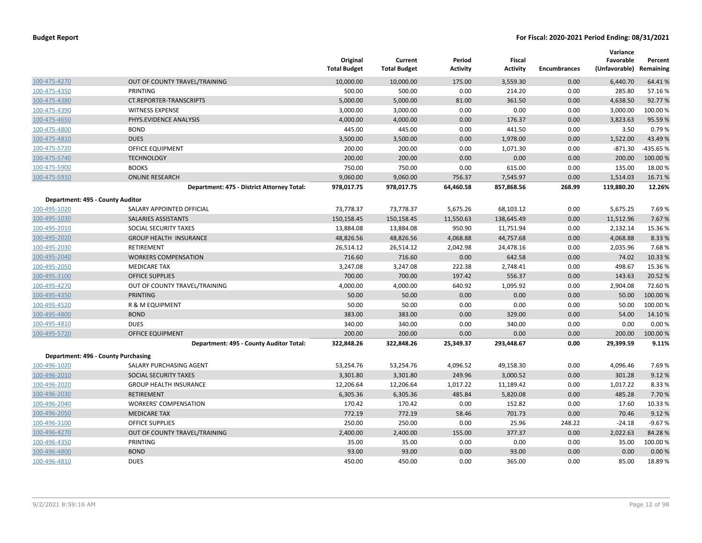|                                  |                                            | Original<br><b>Total Budget</b> | Current<br><b>Total Budget</b> | Period<br><b>Activity</b> | Fiscal<br><b>Activity</b> | <b>Encumbrances</b> | Variance<br>Favorable<br>(Unfavorable) | Percent<br>Remaining |
|----------------------------------|--------------------------------------------|---------------------------------|--------------------------------|---------------------------|---------------------------|---------------------|----------------------------------------|----------------------|
| 100-475-4270                     | OUT OF COUNTY TRAVEL/TRAINING              | 10,000.00                       | 10,000.00                      | 175.00                    | 3,559.30                  | 0.00                | 6,440.70                               | 64.41%               |
| 100-475-4350                     | PRINTING                                   | 500.00                          | 500.00                         | 0.00                      | 214.20                    | 0.00                | 285.80                                 | 57.16%               |
| 100-475-4380                     | <b>CT.REPORTER-TRANSCRIPTS</b>             | 5,000.00                        | 5,000.00                       | 81.00                     | 361.50                    | 0.00                | 4,638.50                               | 92.77%               |
| 100-475-4390                     | <b>WITNESS EXPENSE</b>                     | 3,000.00                        | 3,000.00                       | 0.00                      | 0.00                      | 0.00                | 3,000.00                               | 100.00 %             |
| 100-475-4650                     | PHYS.EVIDENCE ANALYSIS                     | 4,000.00                        | 4,000.00                       | 0.00                      | 176.37                    | 0.00                | 3,823.63                               | 95.59%               |
| 100-475-4800                     | <b>BOND</b>                                | 445.00                          | 445.00                         | 0.00                      | 441.50                    | 0.00                | 3.50                                   | 0.79%                |
| 100-475-4810                     | <b>DUES</b>                                | 3,500.00                        | 3,500.00                       | 0.00                      | 1,978.00                  | 0.00                | 1,522.00                               | 43.49 %              |
| 100-475-5720                     | OFFICE EQUIPMENT                           | 200.00                          | 200.00                         | 0.00                      | 1,071.30                  | 0.00                | $-871.30$                              | -435.65 %            |
| 100-475-5740                     | <b>TECHNOLOGY</b>                          | 200.00                          | 200.00                         | 0.00                      | 0.00                      | 0.00                | 200.00                                 | 100.00%              |
| 100-475-5900                     | <b>BOOKS</b>                               | 750.00                          | 750.00                         | 0.00                      | 615.00                    | 0.00                | 135.00                                 | 18.00%               |
| 100-475-5910                     | <b>ONLINE RESEARCH</b>                     | 9,060.00                        | 9,060.00                       | 756.37                    | 7,545.97                  | 0.00                | 1,514.03                               | 16.71%               |
|                                  | Department: 475 - District Attorney Total: | 978,017.75                      | 978,017.75                     | 64,460.58                 | 857,868.56                | 268.99              | 119,880.20                             | 12.26%               |
| Department: 495 - County Auditor |                                            |                                 |                                |                           |                           |                     |                                        |                      |
| 100-495-1020                     | SALARY APPOINTED OFFICIAL                  | 73,778.37                       | 73,778.37                      | 5,675.26                  | 68,103.12                 | 0.00                | 5,675.25                               | 7.69%                |
| 100-495-1030                     | SALARIES ASSISTANTS                        | 150,158.45                      | 150,158.45                     | 11,550.63                 | 138,645.49                | 0.00                | 11,512.96                              | 7.67%                |
| 100-495-2010                     | SOCIAL SECURITY TAXES                      | 13,884.08                       | 13,884.08                      | 950.90                    | 11,751.94                 | 0.00                | 2,132.14                               | 15.36%               |
| 100-495-2020                     | <b>GROUP HEALTH INSURANCE</b>              | 48,826.56                       | 48,826.56                      | 4,068.88                  | 44,757.68                 | 0.00                | 4,068.88                               | 8.33 %               |
| 100-495-2030                     | RETIREMENT                                 | 26,514.12                       | 26,514.12                      | 2,042.98                  | 24,478.16                 | 0.00                | 2,035.96                               | 7.68%                |
| 100-495-2040                     | <b>WORKERS COMPENSATION</b>                | 716.60                          | 716.60                         | 0.00                      | 642.58                    | 0.00                | 74.02                                  | 10.33 %              |
| 100-495-2050                     | <b>MEDICARE TAX</b>                        | 3,247.08                        | 3,247.08                       | 222.38                    | 2,748.41                  | 0.00                | 498.67                                 | 15.36%               |
| 100-495-3100                     | <b>OFFICE SUPPLIES</b>                     | 700.00                          | 700.00                         | 197.42                    | 556.37                    | 0.00                | 143.63                                 | 20.52 %              |
| 100-495-4270                     | OUT OF COUNTY TRAVEL/TRAINING              | 4,000.00                        | 4,000.00                       | 640.92                    | 1,095.92                  | 0.00                | 2,904.08                               | 72.60%               |
| 100-495-4350                     | PRINTING                                   | 50.00                           | 50.00                          | 0.00                      | 0.00                      | 0.00                | 50.00                                  | 100.00%              |
| 100-495-4520                     | R & M EQUIPMENT                            | 50.00                           | 50.00                          | 0.00                      | 0.00                      | 0.00                | 50.00                                  | 100.00%              |
| 100-495-4800                     | <b>BOND</b>                                | 383.00                          | 383.00                         | 0.00                      | 329.00                    | 0.00                | 54.00                                  | 14.10%               |
| 100-495-4810                     | <b>DUES</b>                                | 340.00                          | 340.00                         | 0.00                      | 340.00                    | 0.00                | 0.00                                   | 0.00%                |
| 100-495-5720                     | <b>OFFICE EQUIPMENT</b>                    | 200.00                          | 200.00                         | 0.00                      | 0.00                      | 0.00                | 200.00                                 | 100.00%              |
|                                  | Department: 495 - County Auditor Total:    | 322,848.26                      | 322,848.26                     | 25,349.37                 | 293,448.67                | 0.00                | 29,399.59                              | 9.11%                |
|                                  | Department: 496 - County Purchasing        |                                 |                                |                           |                           |                     |                                        |                      |
| 100-496-1020                     | SALARY PURCHASING AGENT                    | 53,254.76                       | 53,254.76                      | 4,096.52                  | 49,158.30                 | 0.00                | 4,096.46                               | 7.69%                |
| 100-496-2010                     | <b>SOCIAL SECURITY TAXES</b>               | 3,301.80                        | 3,301.80                       | 249.96                    | 3,000.52                  | 0.00                | 301.28                                 | 9.12%                |
| 100-496-2020                     | <b>GROUP HEALTH INSURANCE</b>              | 12,206.64                       | 12,206.64                      | 1,017.22                  | 11,189.42                 | 0.00                | 1,017.22                               | 8.33%                |
| 100-496-2030                     | <b>RETIREMENT</b>                          | 6,305.36                        | 6,305.36                       | 485.84                    | 5,820.08                  | 0.00                | 485.28                                 | 7.70%                |
| 100-496-2040                     | <b>WORKERS' COMPENSATION</b>               | 170.42                          | 170.42                         | 0.00                      | 152.82                    | 0.00                | 17.60                                  | 10.33 %              |
| 100-496-2050                     | <b>MEDICARE TAX</b>                        | 772.19                          | 772.19                         | 58.46                     | 701.73                    | 0.00                | 70.46                                  | 9.12%                |
| 100-496-3100                     | <b>OFFICE SUPPLIES</b>                     | 250.00                          | 250.00                         | 0.00                      | 25.96                     | 248.22              | $-24.18$                               | $-9.67%$             |
| 100-496-4270                     | OUT OF COUNTY TRAVEL/TRAINING              | 2,400.00                        | 2,400.00                       | 155.00                    | 377.37                    | 0.00                | 2,022.63                               | 84.28%               |
| 100-496-4350                     | PRINTING                                   | 35.00                           | 35.00                          | 0.00                      | 0.00                      | 0.00                | 35.00                                  | 100.00%              |
| 100-496-4800                     | <b>BOND</b>                                | 93.00                           | 93.00                          | 0.00                      | 93.00                     | 0.00                | 0.00                                   | 0.00%                |
| 100-496-4810                     | <b>DUES</b>                                | 450.00                          | 450.00                         | 0.00                      | 365.00                    | 0.00                | 85.00                                  | 18.89%               |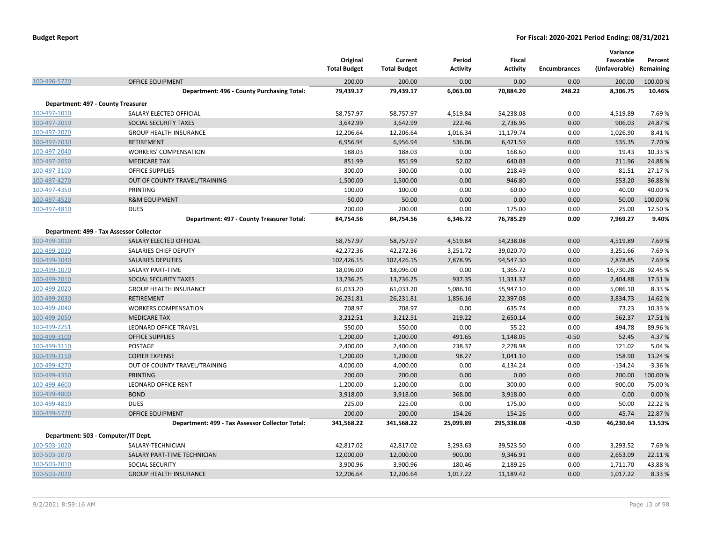|                                    |                                                 | Original<br><b>Total Budget</b> | Current<br><b>Total Budget</b> | Period<br><b>Activity</b> | Fiscal<br><b>Activity</b> | <b>Encumbrances</b> | Variance<br>Favorable<br>(Unfavorable) | Percent<br>Remaining |
|------------------------------------|-------------------------------------------------|---------------------------------|--------------------------------|---------------------------|---------------------------|---------------------|----------------------------------------|----------------------|
| 100-496-5720                       | <b>OFFICE EQUIPMENT</b>                         | 200.00                          | 200.00                         | 0.00                      | 0.00                      | 0.00                | 200.00                                 | 100.00 %             |
|                                    | Department: 496 - County Purchasing Total:      | 79,439.17                       | 79,439.17                      | 6,063.00                  | 70,884.20                 | 248.22              | 8,306.75                               | 10.46%               |
| Department: 497 - County Treasurer |                                                 |                                 |                                |                           |                           |                     |                                        |                      |
| 100-497-1010                       | SALARY ELECTED OFFICIAL                         | 58,757.97                       | 58,757.97                      | 4,519.84                  | 54,238.08                 | 0.00                | 4,519.89                               | 7.69 %               |
| 100-497-2010                       | SOCIAL SECURITY TAXES                           | 3,642.99                        | 3,642.99                       | 222.46                    | 2,736.96                  | 0.00                | 906.03                                 | 24.87%               |
| 100-497-2020                       | <b>GROUP HEALTH INSURANCE</b>                   | 12,206.64                       | 12,206.64                      | 1,016.34                  | 11,179.74                 | 0.00                | 1,026.90                               | 8.41%                |
| 100-497-2030                       | <b>RETIREMENT</b>                               | 6,956.94                        | 6,956.94                       | 536.06                    | 6,421.59                  | 0.00                | 535.35                                 | 7.70 %               |
| 100-497-2040                       | <b>WORKERS' COMPENSATION</b>                    | 188.03                          | 188.03                         | 0.00                      | 168.60                    | 0.00                | 19.43                                  | 10.33 %              |
| 100-497-2050                       | <b>MEDICARE TAX</b>                             | 851.99                          | 851.99                         | 52.02                     | 640.03                    | 0.00                | 211.96                                 | 24.88%               |
| 100-497-3100                       | <b>OFFICE SUPPLIES</b>                          | 300.00                          | 300.00                         | 0.00                      | 218.49                    | 0.00                | 81.51                                  | 27.17%               |
| 100-497-4270                       | OUT OF COUNTY TRAVEL/TRAINING                   | 1,500.00                        | 1,500.00                       | 0.00                      | 946.80                    | 0.00                | 553.20                                 | 36.88%               |
| 100-497-4350                       | PRINTING                                        | 100.00                          | 100.00                         | 0.00                      | 60.00                     | 0.00                | 40.00                                  | 40.00 %              |
| 100-497-4520                       | <b>R&amp;M EQUIPMENT</b>                        | 50.00                           | 50.00                          | 0.00                      | 0.00                      | 0.00                | 50.00                                  | 100.00%              |
| 100-497-4810                       | <b>DUES</b>                                     | 200.00                          | 200.00                         | 0.00                      | 175.00                    | 0.00                | 25.00                                  | 12.50%               |
|                                    | Department: 497 - County Treasurer Total:       | 84,754.56                       | 84,754.56                      | 6,346.72                  | 76,785.29                 | 0.00                | 7,969.27                               | 9.40%                |
|                                    | Department: 499 - Tax Assessor Collector        |                                 |                                |                           |                           |                     |                                        |                      |
| 100-499-1010                       | SALARY ELECTED OFFICIAL                         | 58,757.97                       | 58,757.97                      | 4,519.84                  | 54,238.08                 | 0.00                | 4,519.89                               | 7.69%                |
| 100-499-1030                       | SALARIES CHIEF DEPUTY                           | 42,272.36                       | 42,272.36                      | 3,251.72                  | 39,020.70                 | 0.00                | 3,251.66                               | 7.69 %               |
| 100-499-1040                       | <b>SALARIES DEPUTIES</b>                        | 102,426.15                      | 102,426.15                     | 7,878.95                  | 94,547.30                 | 0.00                | 7,878.85                               | 7.69%                |
| 100-499-1070                       | <b>SALARY PART-TIME</b>                         | 18,096.00                       | 18,096.00                      | 0.00                      | 1,365.72                  | 0.00                | 16,730.28                              | 92.45 %              |
| 100-499-2010                       | SOCIAL SECURITY TAXES                           | 13,736.25                       | 13,736.25                      | 937.35                    | 11,331.37                 | 0.00                | 2,404.88                               | 17.51%               |
| 100-499-2020                       | <b>GROUP HEALTH INSURANCE</b>                   | 61,033.20                       | 61,033.20                      | 5,086.10                  | 55,947.10                 | 0.00                | 5,086.10                               | 8.33 %               |
| 100-499-2030                       | <b>RETIREMENT</b>                               | 26,231.81                       | 26,231.81                      | 1,856.16                  | 22,397.08                 | 0.00                | 3,834.73                               | 14.62%               |
| 100-499-2040                       | <b>WORKERS COMPENSATION</b>                     | 708.97                          | 708.97                         | 0.00                      | 635.74                    | 0.00                | 73.23                                  | 10.33 %              |
| 100-499-2050                       | <b>MEDICARE TAX</b>                             | 3,212.51                        | 3,212.51                       | 219.22                    | 2,650.14                  | 0.00                | 562.37                                 | 17.51%               |
| 100-499-2251                       | LEONARD OFFICE TRAVEL                           | 550.00                          | 550.00                         | 0.00                      | 55.22                     | 0.00                | 494.78                                 | 89.96%               |
| 100-499-3100                       | <b>OFFICE SUPPLIES</b>                          | 1,200.00                        | 1,200.00                       | 491.65                    | 1,148.05                  | $-0.50$             | 52.45                                  | 4.37%                |
| 100-499-3110                       | POSTAGE                                         | 2,400.00                        | 2,400.00                       | 238.37                    | 2,278.98                  | 0.00                | 121.02                                 | 5.04 %               |
| 100-499-3150                       | <b>COPIER EXPENSE</b>                           | 1,200.00                        | 1,200.00                       | 98.27                     | 1,041.10                  | 0.00                | 158.90                                 | 13.24 %              |
| 100-499-4270                       | OUT OF COUNTY TRAVEL/TRAINING                   | 4,000.00                        | 4,000.00                       | 0.00                      | 4,134.24                  | 0.00                | $-134.24$                              | $-3.36%$             |
| 100-499-4350                       | <b>PRINTING</b>                                 | 200.00                          | 200.00                         | 0.00                      | 0.00                      | 0.00                | 200.00                                 | 100.00%              |
| 100-499-4600                       | <b>LEONARD OFFICE RENT</b>                      | 1,200.00                        | 1,200.00                       | 0.00                      | 300.00                    | 0.00                | 900.00                                 | 75.00 %              |
| 100-499-4800                       | <b>BOND</b>                                     | 3,918.00                        | 3,918.00                       | 368.00                    | 3,918.00                  | 0.00                | 0.00                                   | 0.00%                |
| 100-499-4810                       | <b>DUES</b>                                     | 225.00                          | 225.00                         | 0.00                      | 175.00                    | 0.00                | 50.00                                  | 22.22 %              |
| 100-499-5720                       | <b>OFFICE EQUIPMENT</b>                         | 200.00                          | 200.00                         | 154.26                    | 154.26                    | 0.00                | 45.74                                  | 22.87%               |
|                                    | Department: 499 - Tax Assessor Collector Total: | 341,568.22                      | 341,568.22                     | 25,099.89                 | 295,338.08                | $-0.50$             | 46,230.64                              | 13.53%               |
|                                    | Department: 503 - Computer/IT Dept.             |                                 |                                |                           |                           |                     |                                        |                      |
| 100-503-1020                       | SALARY-TECHNICIAN                               | 42,817.02                       | 42,817.02                      | 3,293.63                  | 39,523.50                 | 0.00                | 3,293.52                               | 7.69 %               |
| 100-503-1070                       | SALARY PART-TIME TECHNICIAN                     | 12,000.00                       | 12,000.00                      | 900.00                    | 9,346.91                  | 0.00                | 2,653.09                               | 22.11%               |
| 100-503-2010                       | <b>SOCIAL SECURITY</b>                          | 3,900.96                        | 3,900.96                       | 180.46                    | 2,189.26                  | 0.00                | 1,711.70                               | 43.88%               |
| 100-503-2020                       | <b>GROUP HEALTH INSURANCE</b>                   | 12,206.64                       | 12,206.64                      | 1,017.22                  | 11,189.42                 | 0.00                | 1,017.22                               | 8.33 %               |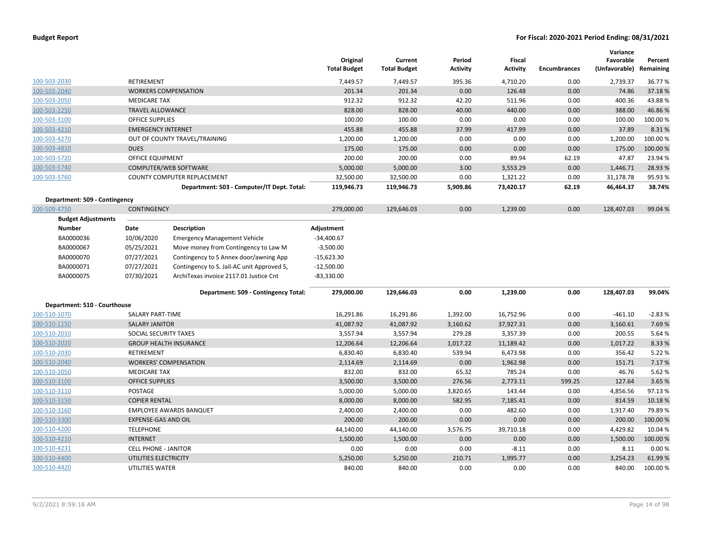|                               |                             |                                            | Original<br><b>Total Budget</b> | Current<br><b>Total Budget</b> | Period<br><b>Activity</b> | <b>Fiscal</b><br><b>Activity</b> | <b>Encumbrances</b> | Variance<br>Favorable<br>(Unfavorable) | Percent<br>Remaining |
|-------------------------------|-----------------------------|--------------------------------------------|---------------------------------|--------------------------------|---------------------------|----------------------------------|---------------------|----------------------------------------|----------------------|
| 100-503-2030                  | <b>RETIREMENT</b>           |                                            | 7,449.57                        | 7,449.57                       | 395.36                    | 4,710.20                         | 0.00                | 2,739.37                               | 36.77%               |
| 100-503-2040                  |                             | <b>WORKERS COMPENSATION</b>                | 201.34                          | 201.34                         | 0.00                      | 126.48                           | 0.00                | 74.86                                  | 37.18%               |
| 100-503-2050                  | <b>MEDICARE TAX</b>         |                                            | 912.32                          | 912.32                         | 42.20                     | 511.96                           | 0.00                | 400.36                                 | 43.88%               |
| 100-503-2250                  | <b>TRAVEL ALLOWANCE</b>     |                                            | 828.00                          | 828.00                         | 40.00                     | 440.00                           | 0.00                | 388.00                                 | 46.86%               |
| 100-503-3100                  | OFFICE SUPPLIES             |                                            | 100.00                          | 100.00                         | 0.00                      | 0.00                             | 0.00                | 100.00                                 | 100.00%              |
| 100-503-4210                  | <b>EMERGENCY INTERNET</b>   |                                            | 455.88                          | 455.88                         | 37.99                     | 417.99                           | 0.00                | 37.89                                  | 8.31%                |
| 100-503-4270                  |                             | OUT OF COUNTY TRAVEL/TRAINING              | 1,200.00                        | 1,200.00                       | 0.00                      | 0.00                             | 0.00                | 1,200.00                               | 100.00 %             |
| 100-503-4810                  | <b>DUES</b>                 |                                            | 175.00                          | 175.00                         | 0.00                      | 0.00                             | 0.00                | 175.00                                 | 100.00 %             |
| 100-503-5720                  | <b>OFFICE EQUIPMENT</b>     |                                            | 200.00                          | 200.00                         | 0.00                      | 89.94                            | 62.19               | 47.87                                  | 23.94 %              |
| 100-503-5740                  |                             | <b>COMPUTER/WEB SOFTWARE</b>               | 5,000.00                        | 5,000.00                       | 3.00                      | 3,553.29                         | 0.00                | 1,446.71                               | 28.93%               |
| 100-503-5760                  |                             | COUNTY COMPUTER REPLACEMENT                | 32,500.00                       | 32,500.00                      | 0.00                      | 1,321.22                         | 0.00                | 31,178.78                              | 95.93%               |
|                               |                             | Department: 503 - Computer/IT Dept. Total: | 119,946.73                      | 119,946.73                     | 5,909.86                  | 73,420.17                        | 62.19               | 46,464.37                              | 38.74%               |
| Department: 509 - Contingency |                             |                                            |                                 |                                |                           |                                  |                     |                                        |                      |
| 100-509-4750                  | <b>CONTINGENCY</b>          |                                            | 279,000.00                      | 129,646.03                     | 0.00                      | 1,239.00                         | 0.00                | 128,407.03                             | 99.04 %              |
| <b>Budget Adjustments</b>     |                             |                                            |                                 |                                |                           |                                  |                     |                                        |                      |
| <b>Number</b>                 | Date                        | <b>Description</b>                         | Adjustment                      |                                |                           |                                  |                     |                                        |                      |
| BA0000036                     | 10/06/2020                  | <b>Emergency Management Vehicle</b>        | $-34,400.67$                    |                                |                           |                                  |                     |                                        |                      |
| BA0000067                     | 05/25/2021                  | Move money from Contingency to Law M       | $-3,500.00$                     |                                |                           |                                  |                     |                                        |                      |
| BA0000070                     | 07/27/2021                  | Contingency to S Annex door/awning App     | $-15,623.30$                    |                                |                           |                                  |                     |                                        |                      |
| BA0000071                     | 07/27/2021                  | Contingency to S. Jail-AC unit Approved 5, | $-12,500.00$                    |                                |                           |                                  |                     |                                        |                      |
| BA0000075                     | 07/30/2021                  | ArchiTexas invoice 2117.01 Justice Cnt     | $-83,330.00$                    |                                |                           |                                  |                     |                                        |                      |
|                               |                             | Department: 509 - Contingency Total:       | 279,000.00                      | 129,646.03                     | 0.00                      | 1,239.00                         | 0.00                | 128,407.03                             | 99.04%               |
| Department: 510 - Courthouse  |                             |                                            |                                 |                                |                           |                                  |                     |                                        |                      |
| 100-510-1070                  | SALARY PART-TIME            |                                            | 16,291.86                       | 16,291.86                      | 1,392.00                  | 16,752.96                        | 0.00                | $-461.10$                              | $-2.83%$             |
| 100-510-1150                  | <b>SALARY JANITOR</b>       |                                            | 41,087.92                       | 41,087.92                      | 3,160.62                  | 37,927.31                        | 0.00                | 3,160.61                               | 7.69%                |
| 100-510-2010                  | SOCIAL SECURITY TAXES       |                                            | 3,557.94                        | 3,557.94                       | 279.28                    | 3,357.39                         | 0.00                | 200.55                                 | 5.64 %               |
| 100-510-2020                  |                             | <b>GROUP HEALTH INSURANCE</b>              | 12,206.64                       | 12,206.64                      | 1,017.22                  | 11,189.42                        | 0.00                | 1,017.22                               | 8.33%                |
| 100-510-2030                  | RETIREMENT                  |                                            | 6,830.40                        | 6,830.40                       | 539.94                    | 6,473.98                         | 0.00                | 356.42                                 | 5.22%                |
| 100-510-2040                  |                             | <b>WORKERS' COMPENSATION</b>               | 2,114.69                        | 2,114.69                       | 0.00                      | 1,962.98                         | 0.00                | 151.71                                 | 7.17%                |
| 100-510-2050                  | <b>MEDICARE TAX</b>         |                                            | 832.00                          | 832.00                         | 65.32                     | 785.24                           | 0.00                | 46.76                                  | 5.62%                |
| 100-510-3100                  | <b>OFFICE SUPPLIES</b>      |                                            | 3,500.00                        | 3,500.00                       | 276.56                    | 2,773.11                         | 599.25              | 127.64                                 | 3.65 %               |
| 100-510-3110                  | POSTAGE                     |                                            | 5,000.00                        | 5,000.00                       | 3,820.65                  | 143.44                           | 0.00                | 4,856.56                               | 97.13%               |
| 100-510-3150                  | <b>COPIER RENTAL</b>        |                                            | 8,000.00                        | 8,000.00                       | 582.95                    | 7,185.41                         | 0.00                | 814.59                                 | 10.18%               |
| 100-510-3160                  |                             | <b>EMPLOYEE AWARDS BANQUET</b>             | 2,400.00                        | 2,400.00                       | 0.00                      | 482.60                           | 0.00                | 1,917.40                               | 79.89%               |
| 100-510-3300                  | <b>EXPENSE-GAS AND OIL</b>  |                                            | 200.00                          | 200.00                         | 0.00                      | 0.00                             | 0.00                | 200.00                                 | 100.00%              |
| 100-510-4200                  | <b>TELEPHONE</b>            |                                            | 44,140.00                       | 44,140.00                      | 3,576.75                  | 39,710.18                        | 0.00                | 4,429.82                               | 10.04%               |
| 100-510-4210                  | <b>INTERNET</b>             |                                            | 1,500.00                        | 1,500.00                       | 0.00                      | 0.00                             | 0.00                | 1,500.00                               | 100.00%              |
| 100-510-4231                  | <b>CELL PHONE - JANITOR</b> |                                            | 0.00                            | 0.00                           | 0.00                      | $-8.11$                          | 0.00                | 8.11                                   | 0.00%                |
| 100-510-4400                  | UTILITIES ELECTRICITY       |                                            | 5,250.00                        | 5,250.00                       | 210.71                    | 1,995.77                         | 0.00                | 3,254.23                               | 61.99%               |
| 100-510-4420                  | UTILITIES WATER             |                                            | 840.00                          | 840.00                         | 0.00                      | 0.00                             | 0.00                | 840.00                                 | 100.00%              |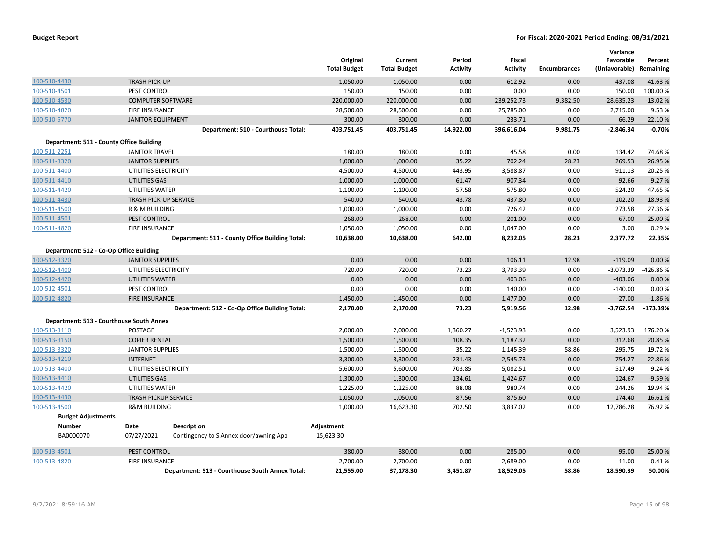| <b>Budget Report</b> |  |
|----------------------|--|
|----------------------|--|

|                                          |                              |                                                 | Original<br><b>Total Budget</b> | Current<br><b>Total Budget</b> | Period<br>Activity | Fiscal<br><b>Activity</b> | <b>Encumbrances</b> | Variance<br>Favorable<br>(Unfavorable) | Percent<br>Remaining |
|------------------------------------------|------------------------------|-------------------------------------------------|---------------------------------|--------------------------------|--------------------|---------------------------|---------------------|----------------------------------------|----------------------|
| 100-510-4430                             | <b>TRASH PICK-UP</b>         |                                                 | 1,050.00                        | 1,050.00                       | 0.00               | 612.92                    | 0.00                | 437.08                                 | 41.63%               |
| 100-510-4501                             | <b>PEST CONTROL</b>          |                                                 | 150.00                          | 150.00                         | 0.00               | 0.00                      | 0.00                | 150.00                                 | 100.00%              |
| 100-510-4530                             | <b>COMPUTER SOFTWARE</b>     |                                                 | 220,000.00                      | 220,000.00                     | 0.00               | 239,252.73                | 9,382.50            | $-28,635.23$                           | $-13.02%$            |
| 100-510-4820                             | <b>FIRE INSURANCE</b>        |                                                 | 28,500.00                       | 28,500.00                      | 0.00               | 25,785.00                 | 0.00                | 2,715.00                               | 9.53%                |
| 100-510-5770                             | <b>JANITOR EQUIPMENT</b>     |                                                 | 300.00                          | 300.00                         | 0.00               | 233.71                    | 0.00                | 66.29                                  | 22.10%               |
|                                          |                              | Department: 510 - Courthouse Total:             | 403,751.45                      | 403,751.45                     | 14,922.00          | 396,616.04                | 9,981.75            | $-2,846.34$                            | $-0.70%$             |
| Department: 511 - County Office Building |                              |                                                 |                                 |                                |                    |                           |                     |                                        |                      |
| 100-511-2251                             | <b>JANITOR TRAVEL</b>        |                                                 | 180.00                          | 180.00                         | 0.00               | 45.58                     | 0.00                | 134.42                                 | 74.68%               |
| 100-511-3320                             | <b>JANITOR SUPPLIES</b>      |                                                 | 1,000.00                        | 1,000.00                       | 35.22              | 702.24                    | 28.23               | 269.53                                 | 26.95 %              |
| 100-511-4400                             | UTILITIES ELECTRICITY        |                                                 | 4,500.00                        | 4,500.00                       | 443.95             | 3,588.87                  | 0.00                | 911.13                                 | 20.25 %              |
| 100-511-4410                             | <b>UTILITIES GAS</b>         |                                                 | 1,000.00                        | 1,000.00                       | 61.47              | 907.34                    | 0.00                | 92.66                                  | 9.27%                |
| 100-511-4420                             | UTILITIES WATER              |                                                 | 1,100.00                        | 1,100.00                       | 57.58              | 575.80                    | 0.00                | 524.20                                 | 47.65 %              |
| 100-511-4430                             | <b>TRASH PICK-UP SERVICE</b> |                                                 | 540.00                          | 540.00                         | 43.78              | 437.80                    | 0.00                | 102.20                                 | 18.93 %              |
| 100-511-4500                             | R & M BUILDING               |                                                 | 1,000.00                        | 1,000.00                       | 0.00               | 726.42                    | 0.00                | 273.58                                 | 27.36 %              |
| 100-511-4501                             | PEST CONTROL                 |                                                 | 268.00                          | 268.00                         | 0.00               | 201.00                    | 0.00                | 67.00                                  | 25.00 %              |
| 100-511-4820                             | <b>FIRE INSURANCE</b>        |                                                 | 1,050.00                        | 1,050.00                       | 0.00               | 1,047.00                  | 0.00                | 3.00                                   | 0.29%                |
|                                          |                              | Department: 511 - County Office Building Total: | 10,638.00                       | 10,638.00                      | 642.00             | 8,232.05                  | 28.23               | 2,377.72                               | 22.35%               |
| Department: 512 - Co-Op Office Building  |                              |                                                 |                                 |                                |                    |                           |                     |                                        |                      |
| 100-512-3320                             | <b>JANITOR SUPPLIES</b>      |                                                 | 0.00                            | 0.00                           | 0.00               | 106.11                    | 12.98               | $-119.09$                              | 0.00%                |
| 100-512-4400                             | UTILITIES ELECTRICITY        |                                                 | 720.00                          | 720.00                         | 73.23              | 3,793.39                  | 0.00                | $-3,073.39$                            | -426.86%             |
| 100-512-4420                             | <b>UTILITIES WATER</b>       |                                                 | 0.00                            | 0.00                           | 0.00               | 403.06                    | 0.00                | $-403.06$                              | 0.00 %               |
| 100-512-4501                             | PEST CONTROL                 |                                                 | 0.00                            | 0.00                           | 0.00               | 140.00                    | 0.00                | $-140.00$                              | 0.00%                |
| 100-512-4820                             | <b>FIRE INSURANCE</b>        |                                                 | 1,450.00                        | 1,450.00                       | 0.00               | 1,477.00                  | 0.00                | $-27.00$                               | $-1.86%$             |
|                                          |                              | Department: 512 - Co-Op Office Building Total:  | 2,170.00                        | 2,170.00                       | 73.23              | 5,919.56                  | 12.98               | $-3,762.54$                            | -173.39%             |
| Department: 513 - Courthouse South Annex |                              |                                                 |                                 |                                |                    |                           |                     |                                        |                      |
| 100-513-3110                             | <b>POSTAGE</b>               |                                                 | 2,000.00                        | 2,000.00                       | 1,360.27           | $-1,523.93$               | 0.00                | 3,523.93                               | 176.20%              |
| 100-513-3150                             | <b>COPIER RENTAL</b>         |                                                 | 1,500.00                        | 1,500.00                       | 108.35             | 1,187.32                  | 0.00                | 312.68                                 | 20.85 %              |
| 100-513-3320                             | <b>JANITOR SUPPLIES</b>      |                                                 | 1,500.00                        | 1,500.00                       | 35.22              | 1,145.39                  | 58.86               | 295.75                                 | 19.72 %              |
| 100-513-4210                             | <b>INTERNET</b>              |                                                 | 3,300.00                        | 3,300.00                       | 231.43             | 2,545.73                  | 0.00                | 754.27                                 | 22.86%               |
| 100-513-4400                             | UTILITIES ELECTRICITY        |                                                 | 5,600.00                        | 5,600.00                       | 703.85             | 5,082.51                  | 0.00                | 517.49                                 | 9.24 %               |
| 100-513-4410                             | UTILITIES GAS                |                                                 | 1,300.00                        | 1,300.00                       | 134.61             | 1,424.67                  | 0.00                | $-124.67$                              | $-9.59%$             |
| 100-513-4420                             | UTILITIES WATER              |                                                 | 1,225.00                        | 1,225.00                       | 88.08              | 980.74                    | 0.00                | 244.26                                 | 19.94 %              |
| 100-513-4430                             | <b>TRASH PICKUP SERVICE</b>  |                                                 | 1,050.00                        | 1,050.00                       | 87.56              | 875.60                    | 0.00                | 174.40                                 | 16.61%               |
| 100-513-4500                             | <b>R&amp;M BUILDING</b>      |                                                 | 1,000.00                        | 16,623.30                      | 702.50             | 3,837.02                  | 0.00                | 12,786.28                              | 76.92%               |
| <b>Budget Adjustments</b>                |                              |                                                 |                                 |                                |                    |                           |                     |                                        |                      |
| <b>Number</b>                            | Date                         | <b>Description</b>                              | Adjustment                      |                                |                    |                           |                     |                                        |                      |
| BA0000070                                | 07/27/2021                   | Contingency to S Annex door/awning App          | 15,623.30                       |                                |                    |                           |                     |                                        |                      |
| 100-513-4501                             | PEST CONTROL                 |                                                 | 380.00                          | 380.00                         | 0.00               | 285.00                    | 0.00                | 95.00                                  | 25.00 %              |
| 100-513-4820                             | <b>FIRE INSURANCE</b>        |                                                 | 2,700.00                        | 2,700.00                       | 0.00               | 2,689.00                  | 0.00                | 11.00                                  | 0.41%                |
|                                          |                              | Department: 513 - Courthouse South Annex Total: | 21,555.00                       | 37,178.30                      | 3,451.87           | 18,529.05                 | 58.86               | 18,590.39                              | 50.00%               |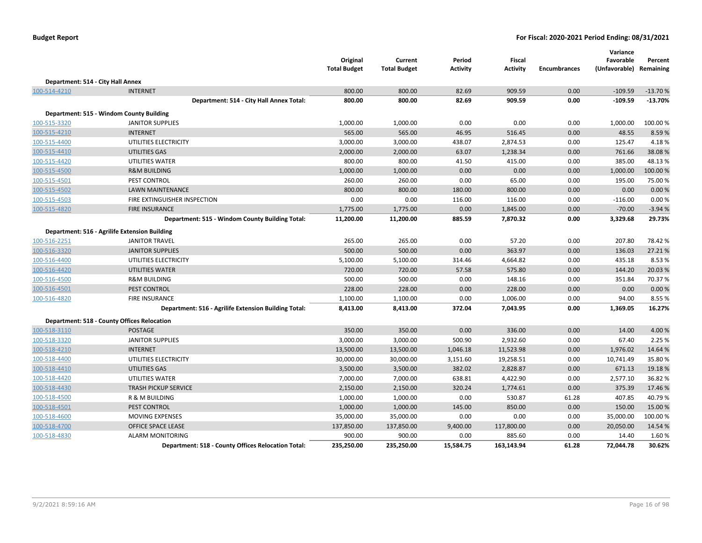|                                   |                                                      | Original<br><b>Total Budget</b> | Current<br><b>Total Budget</b> | Period<br><b>Activity</b> | Fiscal<br>Activity | <b>Encumbrances</b> | Variance<br>Favorable<br>(Unfavorable) Remaining | Percent   |
|-----------------------------------|------------------------------------------------------|---------------------------------|--------------------------------|---------------------------|--------------------|---------------------|--------------------------------------------------|-----------|
| Department: 514 - City Hall Annex |                                                      |                                 |                                |                           |                    |                     |                                                  |           |
| 100-514-4210                      | <b>INTERNET</b>                                      | 800.00                          | 800.00                         | 82.69                     | 909.59             | 0.00                | $-109.59$                                        | $-13.70%$ |
|                                   | Department: 514 - City Hall Annex Total:             | 800.00                          | 800.00                         | 82.69                     | 909.59             | 0.00                | $-109.59$                                        | $-13.70%$ |
|                                   | Department: 515 - Windom County Building             |                                 |                                |                           |                    |                     |                                                  |           |
| 100-515-3320                      | <b>JANITOR SUPPLIES</b>                              | 1,000.00                        | 1,000.00                       | 0.00                      | 0.00               | 0.00                | 1,000.00                                         | 100.00%   |
| 100-515-4210                      | <b>INTERNET</b>                                      | 565.00                          | 565.00                         | 46.95                     | 516.45             | 0.00                | 48.55                                            | 8.59%     |
| 100-515-4400                      | UTILITIES ELECTRICITY                                | 3,000.00                        | 3,000.00                       | 438.07                    | 2,874.53           | 0.00                | 125.47                                           | 4.18%     |
| 100-515-4410                      | UTILITIES GAS                                        | 2,000.00                        | 2,000.00                       | 63.07                     | 1,238.34           | 0.00                | 761.66                                           | 38.08%    |
| 100-515-4420                      | UTILITIES WATER                                      | 800.00                          | 800.00                         | 41.50                     | 415.00             | 0.00                | 385.00                                           | 48.13%    |
| 100-515-4500                      | <b>R&amp;M BUILDING</b>                              | 1,000.00                        | 1,000.00                       | 0.00                      | 0.00               | 0.00                | 1,000.00                                         | 100.00 %  |
| 100-515-4501                      | PEST CONTROL                                         | 260.00                          | 260.00                         | 0.00                      | 65.00              | 0.00                | 195.00                                           | 75.00%    |
| 100-515-4502                      | <b>LAWN MAINTENANCE</b>                              | 800.00                          | 800.00                         | 180.00                    | 800.00             | 0.00                | 0.00                                             | 0.00 %    |
| 100-515-4503                      | FIRE EXTINGUISHER INSPECTION                         | 0.00                            | 0.00                           | 116.00                    | 116.00             | 0.00                | $-116.00$                                        | 0.00%     |
| 100-515-4820                      | <b>FIRE INSURANCE</b>                                | 1,775.00                        | 1,775.00                       | 0.00                      | 1,845.00           | 0.00                | $-70.00$                                         | $-3.94%$  |
|                                   | Department: 515 - Windom County Building Total:      | 11,200.00                       | 11,200.00                      | 885.59                    | 7,870.32           | 0.00                | 3,329.68                                         | 29.73%    |
|                                   | Department: 516 - Agrilife Extension Building        |                                 |                                |                           |                    |                     |                                                  |           |
| 100-516-2251                      | <b>JANITOR TRAVEL</b>                                | 265.00                          | 265.00                         | 0.00                      | 57.20              | 0.00                | 207.80                                           | 78.42%    |
| 100-516-3320                      | <b>JANITOR SUPPLIES</b>                              | 500.00                          | 500.00                         | 0.00                      | 363.97             | 0.00                | 136.03                                           | 27.21%    |
| 100-516-4400                      | UTILITIES ELECTRICITY                                | 5,100.00                        | 5,100.00                       | 314.46                    | 4,664.82           | 0.00                | 435.18                                           | 8.53%     |
| 100-516-4420                      | UTILITIES WATER                                      | 720.00                          | 720.00                         | 57.58                     | 575.80             | 0.00                | 144.20                                           | 20.03 %   |
| 100-516-4500                      | <b>R&amp;M BUILDING</b>                              | 500.00                          | 500.00                         | 0.00                      | 148.16             | 0.00                | 351.84                                           | 70.37%    |
| 100-516-4501                      | <b>PEST CONTROL</b>                                  | 228.00                          | 228.00                         | 0.00                      | 228.00             | 0.00                | 0.00                                             | 0.00 %    |
| 100-516-4820                      | <b>FIRE INSURANCE</b>                                | 1,100.00                        | 1,100.00                       | 0.00                      | 1,006.00           | 0.00                | 94.00                                            | 8.55 %    |
|                                   | Department: 516 - Agrilife Extension Building Total: | 8,413.00                        | 8,413.00                       | 372.04                    | 7,043.95           | 0.00                | 1,369.05                                         | 16.27%    |
|                                   | Department: 518 - County Offices Relocation          |                                 |                                |                           |                    |                     |                                                  |           |
| 100-518-3110                      | <b>POSTAGE</b>                                       | 350.00                          | 350.00                         | 0.00                      | 336.00             | 0.00                | 14.00                                            | 4.00%     |
| 100-518-3320                      | <b>JANITOR SUPPLIES</b>                              | 3,000.00                        | 3,000.00                       | 500.90                    | 2,932.60           | 0.00                | 67.40                                            | 2.25 %    |
| 100-518-4210                      | <b>INTERNET</b>                                      | 13,500.00                       | 13,500.00                      | 1,046.18                  | 11,523.98          | 0.00                | 1,976.02                                         | 14.64 %   |
| 100-518-4400                      | UTILITIES ELECTRICITY                                | 30,000.00                       | 30,000.00                      | 3,151.60                  | 19,258.51          | 0.00                | 10,741.49                                        | 35.80%    |
| 100-518-4410                      | UTILITIES GAS                                        | 3,500.00                        | 3,500.00                       | 382.02                    | 2,828.87           | 0.00                | 671.13                                           | 19.18%    |
| 100-518-4420                      | UTILITIES WATER                                      | 7,000.00                        | 7,000.00                       | 638.81                    | 4,422.90           | 0.00                | 2,577.10                                         | 36.82%    |
| 100-518-4430                      | <b>TRASH PICKUP SERVICE</b>                          | 2,150.00                        | 2,150.00                       | 320.24                    | 1,774.61           | 0.00                | 375.39                                           | 17.46 %   |
| 100-518-4500                      | R & M BUILDING                                       | 1,000.00                        | 1,000.00                       | 0.00                      | 530.87             | 61.28               | 407.85                                           | 40.79%    |
| 100-518-4501                      | PEST CONTROL                                         | 1,000.00                        | 1,000.00                       | 145.00                    | 850.00             | 0.00                | 150.00                                           | 15.00 %   |
| 100-518-4600                      | <b>MOVING EXPENSES</b>                               | 35,000.00                       | 35,000.00                      | 0.00                      | 0.00               | 0.00                | 35,000.00                                        | 100.00%   |
| 100-518-4700                      | <b>OFFICE SPACE LEASE</b>                            | 137,850.00                      | 137,850.00                     | 9,400.00                  | 117,800.00         | 0.00                | 20,050.00                                        | 14.54 %   |
| 100-518-4830                      | <b>ALARM MONITORING</b>                              | 900.00                          | 900.00                         | 0.00                      | 885.60             | 0.00                | 14.40                                            | 1.60%     |
|                                   | Department: 518 - County Offices Relocation Total:   | 235,250.00                      | 235,250.00                     | 15,584.75                 | 163,143.94         | 61.28               | 72.044.78                                        | 30.62%    |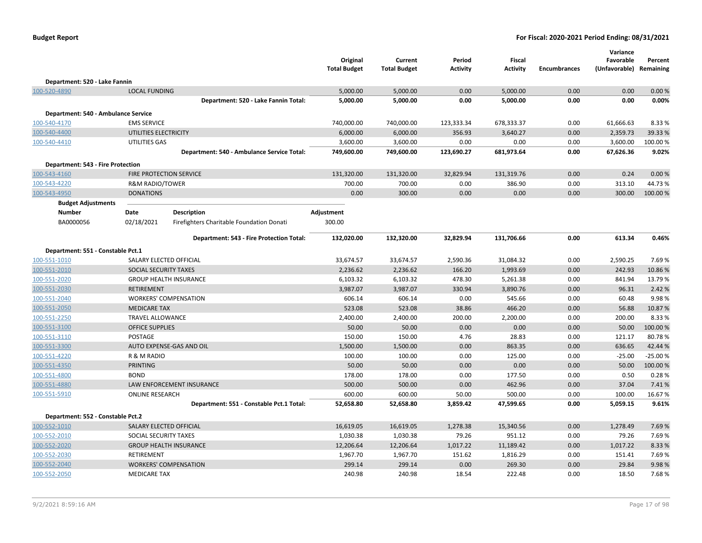|                                     |                                |                                            | Original<br><b>Total Budget</b> | Current<br><b>Total Budget</b> | Period<br><b>Activity</b> | <b>Fiscal</b><br><b>Activity</b> | <b>Encumbrances</b> | Variance<br>Favorable<br>(Unfavorable) Remaining | Percent              |
|-------------------------------------|--------------------------------|--------------------------------------------|---------------------------------|--------------------------------|---------------------------|----------------------------------|---------------------|--------------------------------------------------|----------------------|
| Department: 520 - Lake Fannin       |                                |                                            |                                 |                                |                           |                                  |                     |                                                  |                      |
| 100-520-4890                        | <b>LOCAL FUNDING</b>           |                                            | 5,000.00                        | 5,000.00                       | 0.00                      | 5,000.00                         | 0.00                | 0.00                                             | 0.00%                |
|                                     |                                | Department: 520 - Lake Fannin Total:       | 5,000.00                        | 5,000.00                       | 0.00                      | 5,000.00                         | 0.00                | 0.00                                             | 0.00%                |
| Department: 540 - Ambulance Service |                                |                                            |                                 |                                |                           |                                  |                     |                                                  |                      |
| 100-540-4170                        | <b>EMS SERVICE</b>             |                                            | 740,000.00                      | 740,000.00                     | 123,333.34                | 678,333.37                       | 0.00                | 61,666.63                                        | 8.33 %               |
| 100-540-4400                        | UTILITIES ELECTRICITY          |                                            | 6,000.00                        | 6,000.00                       | 356.93                    | 3,640.27                         | 0.00                | 2,359.73                                         | 39.33 %              |
| 100-540-4410                        | UTILITIES GAS                  |                                            | 3,600.00                        | 3,600.00                       | 0.00                      | 0.00                             | 0.00                | 3,600.00                                         | 100.00%              |
|                                     |                                | Department: 540 - Ambulance Service Total: | 749,600.00                      | 749,600.00                     | 123,690.27                | 681,973.64                       | 0.00                | 67,626.36                                        | 9.02%                |
| Department: 543 - Fire Protection   |                                |                                            |                                 |                                |                           |                                  |                     |                                                  |                      |
| 100-543-4160                        |                                | FIRE PROTECTION SERVICE                    | 131,320.00                      | 131,320.00                     | 32,829.94                 | 131,319.76                       | 0.00                | 0.24                                             | 0.00%                |
| 100-543-4220                        | <b>R&amp;M RADIO/TOWER</b>     |                                            | 700.00                          | 700.00                         | 0.00                      | 386.90                           | 0.00                | 313.10                                           | 44.73%               |
| 100-543-4950                        | <b>DONATIONS</b>               |                                            | 0.00                            | 300.00                         | 0.00                      | 0.00                             | 0.00                | 300.00                                           | 100.00 %             |
| <b>Budget Adjustments</b>           |                                |                                            |                                 |                                |                           |                                  |                     |                                                  |                      |
| <b>Number</b>                       | Date                           | <b>Description</b>                         | Adjustment                      |                                |                           |                                  |                     |                                                  |                      |
| BA0000056                           | 02/18/2021                     | Firefighters Charitable Foundation Donati  | 300.00                          |                                |                           |                                  |                     |                                                  |                      |
|                                     |                                | Department: 543 - Fire Protection Total:   | 132,020.00                      | 132,320.00                     | 32,829.94                 | 131,706.66                       | 0.00                | 613.34                                           | 0.46%                |
|                                     |                                |                                            |                                 |                                |                           |                                  |                     |                                                  |                      |
| Department: 551 - Constable Pct.1   |                                |                                            |                                 |                                |                           |                                  |                     |                                                  |                      |
| 100-551-1010                        |                                | SALARY ELECTED OFFICIAL                    | 33,674.57                       | 33,674.57                      | 2,590.36                  | 31,084.32                        | 0.00                | 2,590.25                                         | 7.69%                |
| 100-551-2010                        | SOCIAL SECURITY TAXES          |                                            | 2,236.62                        | 2,236.62                       | 166.20                    | 1,993.69                         | 0.00                | 242.93                                           | 10.86%               |
| 100-551-2020                        |                                | <b>GROUP HEALTH INSURANCE</b>              | 6,103.32                        | 6,103.32                       | 478.30                    | 5,261.38                         | 0.00                | 841.94                                           | 13.79%               |
| 100-551-2030                        | <b>RETIREMENT</b>              |                                            | 3,987.07                        | 3,987.07                       | 330.94                    | 3,890.76                         | 0.00                | 96.31                                            | 2.42 %               |
| 100-551-2040                        |                                | <b>WORKERS' COMPENSATION</b>               | 606.14                          | 606.14                         | 0.00                      | 545.66                           | 0.00                | 60.48                                            | 9.98%                |
| 100-551-2050                        | <b>MEDICARE TAX</b>            |                                            | 523.08                          | 523.08                         | 38.86                     | 466.20                           | 0.00                | 56.88                                            | 10.87%               |
| 100-551-2250                        | <b>TRAVEL ALLOWANCE</b>        |                                            | 2,400.00                        | 2,400.00                       | 200.00                    | 2,200.00                         | 0.00                | 200.00                                           | 8.33%                |
| 100-551-3100                        | <b>OFFICE SUPPLIES</b>         |                                            | 50.00                           | 50.00                          | 0.00                      | 0.00                             | 0.00                | 50.00                                            | 100.00 %             |
| 100-551-3110                        | POSTAGE                        |                                            | 150.00                          | 150.00                         | 4.76                      | 28.83                            | 0.00                | 121.17                                           | 80.78%               |
| 100-551-3300                        |                                | AUTO EXPENSE-GAS AND OIL                   | 1,500.00                        | 1,500.00                       | 0.00                      | 863.35                           | 0.00                | 636.65                                           | 42.44 %              |
| 100-551-4220                        | R & M RADIO<br><b>PRINTING</b> |                                            | 100.00<br>50.00                 | 100.00<br>50.00                | 0.00<br>0.00              | 125.00<br>0.00                   | 0.00<br>0.00        | $-25.00$<br>50.00                                | $-25.00%$<br>100.00% |
| 100-551-4350                        | <b>BOND</b>                    |                                            | 178.00                          | 178.00                         | 0.00                      | 177.50                           | 0.00                | 0.50                                             | 0.28%                |
| 100-551-4800<br>100-551-4880        |                                | <b>LAW ENFORCEMENT INSURANCE</b>           | 500.00                          | 500.00                         | 0.00                      | 462.96                           | 0.00                | 37.04                                            | 7.41%                |
| 100-551-5910                        | <b>ONLINE RESEARCH</b>         |                                            | 600.00                          | 600.00                         | 50.00                     | 500.00                           | 0.00                | 100.00                                           | 16.67%               |
|                                     |                                | Department: 551 - Constable Pct.1 Total:   | 52,658.80                       | 52,658.80                      | 3,859.42                  | 47,599.65                        | 0.00                | 5,059.15                                         | 9.61%                |
|                                     |                                |                                            |                                 |                                |                           |                                  |                     |                                                  |                      |
| Department: 552 - Constable Pct.2   |                                |                                            |                                 |                                |                           |                                  |                     |                                                  |                      |
| 100-552-1010                        |                                | SALARY ELECTED OFFICIAL                    | 16,619.05                       | 16,619.05                      | 1,278.38                  | 15,340.56                        | 0.00                | 1,278.49                                         | 7.69%                |
| 100-552-2010                        | SOCIAL SECURITY TAXES          |                                            | 1,030.38                        | 1,030.38                       | 79.26                     | 951.12                           | 0.00                | 79.26                                            | 7.69%                |
| 100-552-2020                        |                                | <b>GROUP HEALTH INSURANCE</b>              | 12,206.64                       | 12,206.64                      | 1,017.22                  | 11,189.42                        | 0.00                | 1,017.22                                         | 8.33%                |
| 100-552-2030                        | <b>RETIREMENT</b>              |                                            | 1,967.70                        | 1,967.70                       | 151.62                    | 1,816.29                         | 0.00                | 151.41                                           | 7.69%                |
| 100-552-2040                        |                                | <b>WORKERS' COMPENSATION</b>               | 299.14                          | 299.14                         | 0.00                      | 269.30                           | 0.00                | 29.84                                            | 9.98%                |
| 100-552-2050                        | <b>MEDICARE TAX</b>            |                                            | 240.98                          | 240.98                         | 18.54                     | 222.48                           | 0.00                | 18.50                                            | 7.68%                |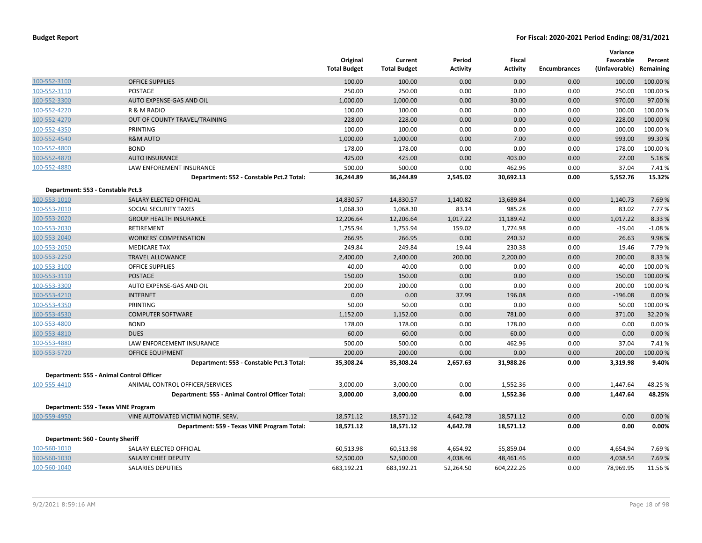|                                   |                                                 | Original<br><b>Total Budget</b> | Current<br><b>Total Budget</b> | Period<br><b>Activity</b> | Fiscal<br><b>Activity</b> | <b>Encumbrances</b> | Variance<br>Favorable<br>(Unfavorable) | Percent<br>Remaining |
|-----------------------------------|-------------------------------------------------|---------------------------------|--------------------------------|---------------------------|---------------------------|---------------------|----------------------------------------|----------------------|
| 100-552-3100                      | <b>OFFICE SUPPLIES</b>                          | 100.00                          | 100.00                         | 0.00                      | 0.00                      | 0.00                | 100.00                                 | 100.00 %             |
| 100-552-3110                      | <b>POSTAGE</b>                                  | 250.00                          | 250.00                         | 0.00                      | 0.00                      | 0.00                | 250.00                                 | 100.00 %             |
| 100-552-3300                      | AUTO EXPENSE-GAS AND OIL                        | 1,000.00                        | 1,000.00                       | 0.00                      | 30.00                     | 0.00                | 970.00                                 | 97.00%               |
| 100-552-4220                      | R & M RADIO                                     | 100.00                          | 100.00                         | 0.00                      | 0.00                      | 0.00                | 100.00                                 | 100.00%              |
| 100-552-4270                      | OUT OF COUNTY TRAVEL/TRAINING                   | 228.00                          | 228.00                         | 0.00                      | 0.00                      | 0.00                | 228.00                                 | 100.00 %             |
| 100-552-4350                      | PRINTING                                        | 100.00                          | 100.00                         | 0.00                      | 0.00                      | 0.00                | 100.00                                 | 100.00 %             |
| 100-552-4540                      | <b>R&amp;M AUTO</b>                             | 1,000.00                        | 1,000.00                       | 0.00                      | 7.00                      | 0.00                | 993.00                                 | 99.30%               |
| 100-552-4800                      | <b>BOND</b>                                     | 178.00                          | 178.00                         | 0.00                      | 0.00                      | 0.00                | 178.00                                 | 100.00%              |
| 100-552-4870                      | <b>AUTO INSURANCE</b>                           | 425.00                          | 425.00                         | 0.00                      | 403.00                    | 0.00                | 22.00                                  | 5.18%                |
| 100-552-4880                      | LAW ENFOREMENT INSURANCE                        | 500.00                          | 500.00                         | 0.00                      | 462.96                    | 0.00                | 37.04                                  | 7.41%                |
|                                   | Department: 552 - Constable Pct.2 Total:        | 36,244.89                       | 36,244.89                      | 2,545.02                  | 30,692.13                 | 0.00                | 5,552.76                               | 15.32%               |
| Department: 553 - Constable Pct.3 |                                                 |                                 |                                |                           |                           |                     |                                        |                      |
| 100-553-1010                      | SALARY ELECTED OFFICIAL                         | 14,830.57                       | 14,830.57                      | 1,140.82                  | 13,689.84                 | 0.00                | 1,140.73                               | 7.69%                |
| 100-553-2010                      | SOCIAL SECURITY TAXES                           | 1,068.30                        | 1,068.30                       | 83.14                     | 985.28                    | 0.00                | 83.02                                  | 7.77%                |
| 100-553-2020                      | <b>GROUP HEALTH INSURANCE</b>                   | 12,206.64                       | 12,206.64                      | 1,017.22                  | 11,189.42                 | 0.00                | 1,017.22                               | 8.33 %               |
| 100-553-2030                      | <b>RETIREMENT</b>                               | 1,755.94                        | 1,755.94                       | 159.02                    | 1,774.98                  | 0.00                | $-19.04$                               | $-1.08%$             |
| 100-553-2040                      | <b>WORKERS' COMPENSATION</b>                    | 266.95                          | 266.95                         | 0.00                      | 240.32                    | 0.00                | 26.63                                  | 9.98%                |
| 100-553-2050                      | <b>MEDICARE TAX</b>                             | 249.84                          | 249.84                         | 19.44                     | 230.38                    | 0.00                | 19.46                                  | 7.79%                |
| 100-553-2250                      | <b>TRAVEL ALLOWANCE</b>                         | 2,400.00                        | 2,400.00                       | 200.00                    | 2,200.00                  | 0.00                | 200.00                                 | 8.33%                |
| 100-553-3100                      | <b>OFFICE SUPPLIES</b>                          | 40.00                           | 40.00                          | 0.00                      | 0.00                      | 0.00                | 40.00                                  | 100.00%              |
| 100-553-3110                      | <b>POSTAGE</b>                                  | 150.00                          | 150.00                         | 0.00                      | 0.00                      | 0.00                | 150.00                                 | 100.00%              |
| 100-553-3300                      | AUTO EXPENSE-GAS AND OIL                        | 200.00                          | 200.00                         | 0.00                      | 0.00                      | 0.00                | 200.00                                 | 100.00 %             |
| 100-553-4210                      | <b>INTERNET</b>                                 | 0.00                            | 0.00                           | 37.99                     | 196.08                    | 0.00                | $-196.08$                              | 0.00%                |
| 100-553-4350                      | PRINTING                                        | 50.00                           | 50.00                          | 0.00                      | 0.00                      | 0.00                | 50.00                                  | 100.00%              |
| 100-553-4530                      | <b>COMPUTER SOFTWARE</b>                        | 1,152.00                        | 1,152.00                       | 0.00                      | 781.00                    | 0.00                | 371.00                                 | 32.20%               |
| 100-553-4800                      | <b>BOND</b>                                     | 178.00                          | 178.00                         | 0.00                      | 178.00                    | 0.00                | 0.00                                   | 0.00%                |
| 100-553-4810                      | <b>DUES</b>                                     | 60.00                           | 60.00                          | 0.00                      | 60.00                     | 0.00                | 0.00                                   | 0.00%                |
| 100-553-4880                      | LAW ENFORCEMENT INSURANCE                       | 500.00                          | 500.00                         | 0.00                      | 462.96                    | 0.00                | 37.04                                  | 7.41%                |
| 100-553-5720                      | <b>OFFICE EQUIPMENT</b>                         | 200.00                          | 200.00                         | 0.00                      | 0.00                      | 0.00                | 200.00                                 | 100.00%              |
|                                   | Department: 553 - Constable Pct.3 Total:        | 35,308.24                       | 35,308.24                      | 2,657.63                  | 31,988.26                 | 0.00                | 3,319.98                               | 9.40%                |
|                                   | Department: 555 - Animal Control Officer        |                                 |                                |                           |                           |                     |                                        |                      |
| 100-555-4410                      | ANIMAL CONTROL OFFICER/SERVICES                 | 3,000.00                        | 3,000.00                       | 0.00                      | 1,552.36                  | 0.00                | 1,447.64                               | 48.25 %              |
|                                   | Department: 555 - Animal Control Officer Total: | 3,000.00                        | 3,000.00                       | 0.00                      | 1,552.36                  | 0.00                | 1,447.64                               | 48.25%               |
|                                   | Department: 559 - Texas VINE Program            |                                 |                                |                           |                           |                     |                                        |                      |
| 100-559-4950                      | VINE AUTOMATED VICTIM NOTIF. SERV.              | 18,571.12                       | 18,571.12                      | 4,642.78                  | 18,571.12                 | 0.00                | 0.00                                   | 0.00%                |
|                                   | Department: 559 - Texas VINE Program Total:     | 18,571.12                       | 18,571.12                      | 4,642.78                  | 18,571.12                 | 0.00                | 0.00                                   | 0.00%                |
| Department: 560 - County Sheriff  |                                                 |                                 |                                |                           |                           |                     |                                        |                      |
| 100-560-1010                      | SALARY ELECTED OFFICIAL                         | 60,513.98                       | 60,513.98                      | 4,654.92                  | 55,859.04                 | 0.00                | 4,654.94                               | 7.69%                |
| 100-560-1030                      | <b>SALARY CHIEF DEPUTY</b>                      | 52,500.00                       | 52,500.00                      | 4,038.46                  | 48,461.46                 | 0.00                | 4,038.54                               | 7.69%                |
| 100-560-1040                      | SALARIES DEPUTIES                               | 683,192.21                      | 683,192.21                     | 52,264.50                 | 604,222.26                | 0.00                | 78,969.95                              | 11.56%               |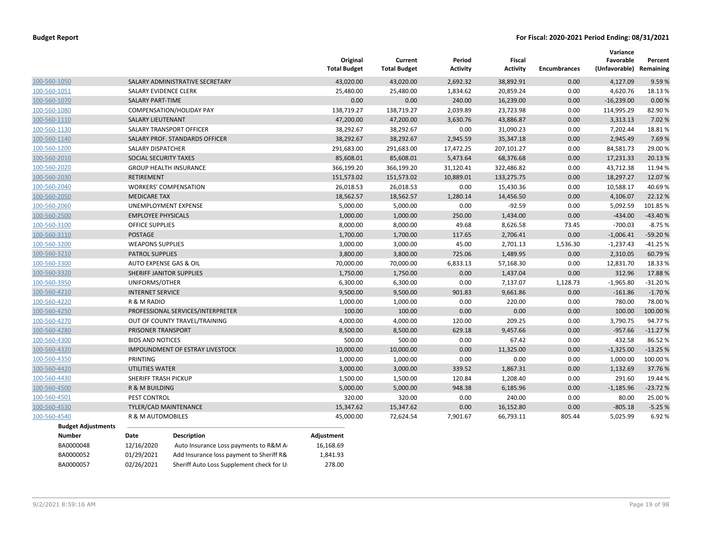|                           |                           |                                          | Original<br><b>Total Budget</b> | Current<br><b>Total Budget</b> | Period<br><b>Activity</b> | Fiscal<br><b>Activity</b> | <b>Encumbrances</b> | Variance<br>Favorable<br>(Unfavorable) Remaining | Percent   |
|---------------------------|---------------------------|------------------------------------------|---------------------------------|--------------------------------|---------------------------|---------------------------|---------------------|--------------------------------------------------|-----------|
| 100-560-1050              |                           | SALARY ADMINISTRATIVE SECRETARY          | 43,020.00                       | 43,020.00                      | 2,692.32                  | 38,892.91                 | 0.00                | 4,127.09                                         | 9.59%     |
| 100-560-1051              | SALARY EVIDENCE CLERK     |                                          | 25,480.00                       | 25,480.00                      | 1,834.62                  | 20,859.24                 | 0.00                | 4,620.76                                         | 18.13%    |
| 100-560-1070              | <b>SALARY PART-TIME</b>   |                                          | 0.00                            | 0.00                           | 240.00                    | 16,239.00                 | 0.00                | $-16,239.00$                                     | 0.00%     |
| 100-560-1080              |                           | COMPENSATION/HOLIDAY PAY                 | 138,719.27                      | 138,719.27                     | 2,039.89                  | 23,723.98                 | 0.00                | 114,995.29                                       | 82.90%    |
| 100-560-1110              | <b>SALARY LIEUTENANT</b>  |                                          | 47,200.00                       | 47,200.00                      | 3,630.76                  | 43,886.87                 | 0.00                | 3,313.13                                         | 7.02%     |
| 100-560-1130              |                           | SALARY TRANSPORT OFFICER                 | 38,292.67                       | 38,292.67                      | 0.00                      | 31,090.23                 | 0.00                | 7,202.44                                         | 18.81%    |
| 100-560-1140              |                           | SALARY PROF. STANDARDS OFFICER           | 38,292.67                       | 38,292.67                      | 2,945.59                  | 35,347.18                 | 0.00                | 2,945.49                                         | 7.69%     |
| 100-560-1200              | <b>SALARY DISPATCHER</b>  |                                          | 291,683.00                      | 291,683.00                     | 17,472.25                 | 207,101.27                | 0.00                | 84,581.73                                        | 29.00 %   |
| 100-560-2010              | SOCIAL SECURITY TAXES     |                                          | 85,608.01                       | 85,608.01                      | 5,473.64                  | 68,376.68                 | 0.00                | 17,231.33                                        | 20.13 %   |
| 100-560-2020              |                           | <b>GROUP HEALTH INSURANCE</b>            | 366,199.20                      | 366,199.20                     | 31,120.41                 | 322,486.82                | 0.00                | 43,712.38                                        | 11.94 %   |
| 100-560-2030              | <b>RETIREMENT</b>         |                                          | 151,573.02                      | 151,573.02                     | 10,889.01                 | 133,275.75                | 0.00                | 18,297.27                                        | 12.07%    |
| 100-560-2040              |                           | <b>WORKERS' COMPENSATION</b>             | 26,018.53                       | 26,018.53                      | 0.00                      | 15,430.36                 | 0.00                | 10,588.17                                        | 40.69%    |
| 100-560-2050              | <b>MEDICARE TAX</b>       |                                          | 18,562.57                       | 18,562.57                      | 1,280.14                  | 14,456.50                 | 0.00                | 4,106.07                                         | 22.12 %   |
| 100-560-2060              |                           | UNEMPLOYMENT EXPENSE                     | 5,000.00                        | 5,000.00                       | 0.00                      | $-92.59$                  | 0.00                | 5,092.59                                         | 101.85%   |
| 100-560-2500              | <b>EMPLOYEE PHYSICALS</b> |                                          | 1,000.00                        | 1,000.00                       | 250.00                    | 1,434.00                  | 0.00                | $-434.00$                                        | $-43.40%$ |
| 100-560-3100              | <b>OFFICE SUPPLIES</b>    |                                          | 8,000.00                        | 8,000.00                       | 49.68                     | 8,626.58                  | 73.45               | $-700.03$                                        | $-8.75%$  |
| 100-560-3110              | <b>POSTAGE</b>            |                                          | 1,700.00                        | 1,700.00                       | 117.65                    | 2,706.41                  | 0.00                | $-1,006.41$                                      | -59.20%   |
| 100-560-3200              | <b>WEAPONS SUPPLIES</b>   |                                          | 3,000.00                        | 3,000.00                       | 45.00                     | 2,701.13                  | 1,536.30            | $-1,237.43$                                      | $-41.25%$ |
| 100-560-3210              | <b>PATROL SUPPLIES</b>    |                                          | 3,800.00                        | 3,800.00                       | 725.06                    | 1,489.95                  | 0.00                | 2,310.05                                         | 60.79%    |
| 100-560-3300              |                           | AUTO EXPENSE GAS & OIL                   | 70,000.00                       | 70,000.00                      | 6,833.13                  | 57,168.30                 | 0.00                | 12,831.70                                        | 18.33 %   |
| 100-560-3320              |                           | SHERIFF JANITOR SUPPLIES                 | 1,750.00                        | 1,750.00                       | 0.00                      | 1,437.04                  | 0.00                | 312.96                                           | 17.88%    |
| 100-560-3950              | UNIFORMS/OTHER            |                                          | 6,300.00                        | 6,300.00                       | 0.00                      | 7,137.07                  | 1,128.73            | $-1,965.80$                                      | $-31.20%$ |
| 100-560-4210              | <b>INTERNET SERVICE</b>   |                                          | 9,500.00                        | 9,500.00                       | 901.83                    | 9,661.86                  | 0.00                | $-161.86$                                        | $-1.70%$  |
| 100-560-4220              | R & M RADIO               |                                          | 1,000.00                        | 1,000.00                       | 0.00                      | 220.00                    | 0.00                | 780.00                                           | 78.00 %   |
| 100-560-4250              |                           | PROFESSIONAL SERVICES/INTERPRETER        | 100.00                          | 100.00                         | 0.00                      | 0.00                      | 0.00                | 100.00                                           | 100.00 %  |
| 100-560-4270              |                           | OUT OF COUNTY TRAVEL/TRAINING            | 4,000.00                        | 4,000.00                       | 120.00                    | 209.25                    | 0.00                | 3,790.75                                         | 94.77%    |
| 100-560-4280              | PRISONER TRANSPORT        |                                          | 8,500.00                        | 8,500.00                       | 629.18                    | 9,457.66                  | 0.00                | $-957.66$                                        | $-11.27%$ |
| 100-560-4300              | <b>BIDS AND NOTICES</b>   |                                          | 500.00                          | 500.00                         | 0.00                      | 67.42                     | 0.00                | 432.58                                           | 86.52%    |
| 100-560-4320              |                           | <b>IMPOUNDMENT OF ESTRAY LIVESTOCK</b>   | 10,000.00                       | 10,000.00                      | 0.00                      | 11,325.00                 | 0.00                | $-1,325.00$                                      | $-13.25%$ |
| 100-560-4350              | PRINTING                  |                                          | 1,000.00                        | 1,000.00                       | 0.00                      | 0.00                      | 0.00                | 1,000.00                                         | 100.00%   |
| 100-560-4420              | UTILITIES WATER           |                                          | 3,000.00                        | 3,000.00                       | 339.52                    | 1,867.31                  | 0.00                | 1,132.69                                         | 37.76%    |
| 100-560-4430              | SHERIFF TRASH PICKUP      |                                          | 1,500.00                        | 1,500.00                       | 120.84                    | 1,208.40                  | 0.00                | 291.60                                           | 19.44 %   |
| 100-560-4500              | R & M BUILDING            |                                          | 5,000.00                        | 5,000.00                       | 948.38                    | 6,185.96                  | 0.00                | $-1,185.96$                                      | $-23.72%$ |
| 100-560-4501              | PEST CONTROL              |                                          | 320.00                          | 320.00                         | 0.00                      | 240.00                    | 0.00                | 80.00                                            | 25.00 %   |
| 100-560-4530              |                           | TYLER/CAD MAINTENANCE                    | 15,347.62                       | 15,347.62                      | 0.00                      | 16,152.80                 | 0.00                | $-805.18$                                        | $-5.25%$  |
| 100-560-4540              | R & M AUTOMOBILES         |                                          | 45,000.00                       | 72,624.54                      | 7,901.67                  | 66,793.11                 | 805.44              | 5,025.99                                         | 6.92%     |
| <b>Budget Adjustments</b> |                           |                                          |                                 |                                |                           |                           |                     |                                                  |           |
| <b>Number</b>             | Date                      | <b>Description</b>                       | Adjustment                      |                                |                           |                           |                     |                                                  |           |
| BA0000048                 | 12/16/2020                | Auto Insurance Loss payments to R&M A    | 16,168.69                       |                                |                           |                           |                     |                                                  |           |
| BA0000052                 | 01/29/2021                | Add Insurance loss payment to Sheriff R& | 1,841.93                        |                                |                           |                           |                     |                                                  |           |
| BA0000057                 | 02/26/2021                | Sheriff Auto Loss Supplement check for U | 278.00                          |                                |                           |                           |                     |                                                  |           |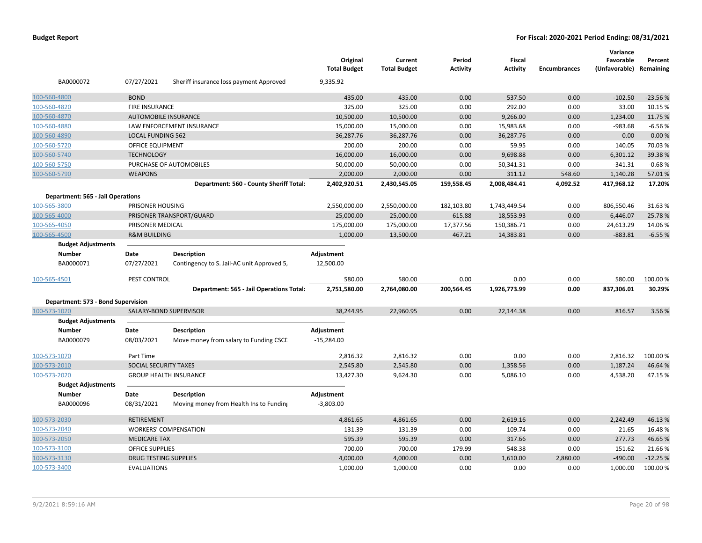| BA0000072                                | 07/27/2021                   | Sheriff insurance loss payment Approved    | Original<br><b>Total Budget</b><br>9,335.92 | Current<br><b>Total Budget</b> | Period<br>Activity | <b>Fiscal</b><br><b>Activity</b> | <b>Encumbrances</b> | Variance<br>Favorable<br>(Unfavorable) Remaining | Percent   |
|------------------------------------------|------------------------------|--------------------------------------------|---------------------------------------------|--------------------------------|--------------------|----------------------------------|---------------------|--------------------------------------------------|-----------|
| 100-560-4800                             | <b>BOND</b>                  |                                            | 435.00                                      | 435.00                         | 0.00               | 537.50                           | 0.00                | $-102.50$                                        | $-23.56%$ |
| 100-560-4820                             | <b>FIRE INSURANCE</b>        |                                            | 325.00                                      | 325.00                         | 0.00               | 292.00                           | 0.00                | 33.00                                            | 10.15 %   |
| 100-560-4870                             |                              | <b>AUTOMOBILE INSURANCE</b>                | 10,500.00                                   | 10,500.00                      | 0.00               | 9,266.00                         | 0.00                | 1,234.00                                         | 11.75 %   |
| 100-560-4880                             |                              | LAW ENFORCEMENT INSURANCE                  | 15,000.00                                   | 15,000.00                      | 0.00               | 15,983.68                        | 0.00                | $-983.68$                                        | $-6.56%$  |
| 100-560-4890                             | <b>LOCAL FUNDING 562</b>     |                                            | 36,287.76                                   | 36,287.76                      | 0.00               | 36,287.76                        | 0.00                | 0.00                                             | 0.00%     |
| 100-560-5720                             | OFFICE EQUIPMENT             |                                            | 200.00                                      | 200.00                         | 0.00               | 59.95                            | 0.00                | 140.05                                           | 70.03%    |
| 100-560-5740                             | <b>TECHNOLOGY</b>            |                                            | 16,000.00                                   | 16,000.00                      | 0.00               | 9,698.88                         | 0.00                | 6,301.12                                         | 39.38%    |
| 100-560-5750                             |                              | PURCHASE OF AUTOMOBILES                    | 50,000.00                                   | 50,000.00                      | 0.00               | 50,341.31                        | 0.00                | $-341.31$                                        | $-0.68%$  |
| 100-560-5790                             | <b>WEAPONS</b>               |                                            | 2,000.00                                    | 2,000.00                       | 0.00               | 311.12                           | 548.60              | 1,140.28                                         | 57.01%    |
|                                          |                              | Department: 560 - County Sheriff Total:    | 2,402,920.51                                | 2,430,545.05                   | 159,558.45         | 2,008,484.41                     | 4,092.52            | 417,968.12                                       | 17.20%    |
| <b>Department: 565 - Jail Operations</b> |                              |                                            |                                             |                                |                    |                                  |                     |                                                  |           |
| 100-565-3800                             | PRISONER HOUSING             |                                            | 2,550,000.00                                | 2,550,000.00                   | 182,103.80         | 1,743,449.54                     | 0.00                | 806,550.46                                       | 31.63%    |
| 100-565-4000                             |                              | PRISONER TRANSPORT/GUARD                   | 25,000.00                                   | 25,000.00                      | 615.88             | 18,553.93                        | 0.00                | 6,446.07                                         | 25.78%    |
| 100-565-4050                             | PRISONER MEDICAL             |                                            | 175,000.00                                  | 175,000.00                     | 17,377.56          | 150,386.71                       | 0.00                | 24,613.29                                        | 14.06%    |
| 100-565-4500                             | <b>R&amp;M BUILDING</b>      |                                            | 1,000.00                                    | 13,500.00                      | 467.21             | 14,383.81                        | 0.00                | $-883.81$                                        | $-6.55%$  |
| <b>Budget Adjustments</b>                |                              |                                            |                                             |                                |                    |                                  |                     |                                                  |           |
| <b>Number</b>                            | Date                         | <b>Description</b>                         | Adjustment                                  |                                |                    |                                  |                     |                                                  |           |
| BA0000071                                | 07/27/2021                   | Contingency to S. Jail-AC unit Approved 5, | 12,500.00                                   |                                |                    |                                  |                     |                                                  |           |
| 100-565-4501                             | PEST CONTROL                 |                                            | 580.00                                      | 580.00                         | 0.00               | 0.00                             | 0.00                | 580.00                                           | 100.00 %  |
|                                          |                              | Department: 565 - Jail Operations Total:   | 2,751,580.00                                | 2,764,080.00                   | 200,564.45         | 1,926,773.99                     | 0.00                | 837,306.01                                       | 30.29%    |
| Department: 573 - Bond Supervision       |                              |                                            |                                             |                                |                    |                                  |                     |                                                  |           |
| 100-573-1020                             |                              | SALARY-BOND SUPERVISOR                     | 38,244.95                                   | 22,960.95                      | 0.00               | 22,144.38                        | 0.00                | 816.57                                           | 3.56%     |
| <b>Budget Adjustments</b>                |                              |                                            |                                             |                                |                    |                                  |                     |                                                  |           |
| <b>Number</b>                            | Date                         | <b>Description</b>                         | Adjustment                                  |                                |                    |                                  |                     |                                                  |           |
| BA0000079                                | 08/03/2021                   | Move money from salary to Funding CSCE     | $-15,284.00$                                |                                |                    |                                  |                     |                                                  |           |
| 100-573-1070                             | Part Time                    |                                            | 2,816.32                                    | 2,816.32                       | 0.00               | 0.00                             | 0.00                | 2,816.32                                         | 100.00 %  |
| 100-573-2010                             | SOCIAL SECURITY TAXES        |                                            | 2,545.80                                    | 2,545.80                       | 0.00               | 1,358.56                         | 0.00                | 1,187.24                                         | 46.64%    |
| 100-573-2020                             |                              | <b>GROUP HEALTH INSURANCE</b>              | 13,427.30                                   | 9,624.30                       | 0.00               | 5,086.10                         | 0.00                | 4,538.20                                         | 47.15%    |
| <b>Budget Adjustments</b>                |                              |                                            |                                             |                                |                    |                                  |                     |                                                  |           |
| <b>Number</b>                            | Date                         | Description                                | Adjustment                                  |                                |                    |                                  |                     |                                                  |           |
| BA0000096                                | 08/31/2021                   | Moving money from Health Ins to Funding    | $-3,803.00$                                 |                                |                    |                                  |                     |                                                  |           |
| 100-573-2030                             | <b>RETIREMENT</b>            |                                            | 4,861.65                                    | 4,861.65                       | 0.00               | 2,619.16                         | 0.00                | 2,242.49                                         | 46.13%    |
| 100-573-2040                             |                              | <b>WORKERS' COMPENSATION</b>               | 131.39                                      | 131.39                         | 0.00               | 109.74                           | 0.00                | 21.65                                            | 16.48%    |
| 100-573-2050                             | <b>MEDICARE TAX</b>          |                                            | 595.39                                      | 595.39                         | 0.00               | 317.66                           | 0.00                | 277.73                                           | 46.65%    |
| 100-573-3100                             | <b>OFFICE SUPPLIES</b>       |                                            | 700.00                                      | 700.00                         | 179.99             | 548.38                           | 0.00                | 151.62                                           | 21.66%    |
| 100-573-3130                             | <b>DRUG TESTING SUPPLIES</b> |                                            | 4,000.00                                    | 4,000.00                       | 0.00               | 1,610.00                         | 2,880.00            | $-490.00$                                        | $-12.25%$ |
| 100-573-3400                             | <b>EVALUATIONS</b>           |                                            | 1,000.00                                    | 1,000.00                       | 0.00               | 0.00                             | 0.00                | 1,000.00                                         | 100.00 %  |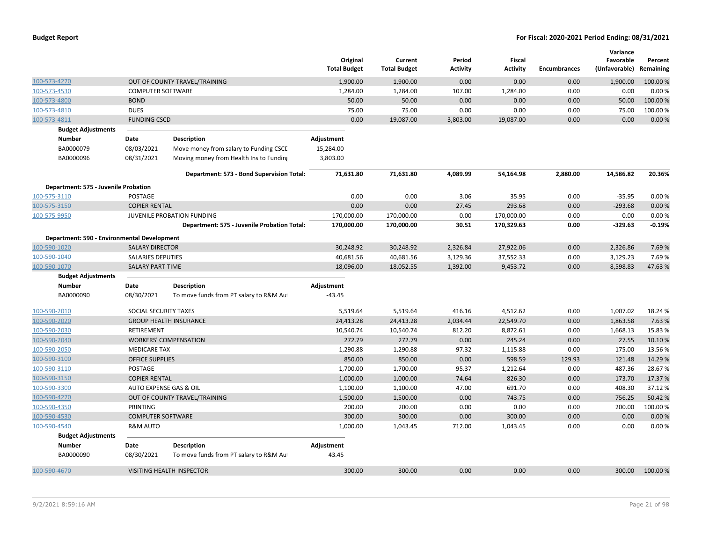|              |                                             |                          |                                             | Original<br><b>Total Budget</b> | Current<br><b>Total Budget</b> | Period<br>Activity | <b>Fiscal</b><br><b>Activity</b> | <b>Encumbrances</b> | Variance<br>Favorable<br>(Unfavorable) | Percent<br>Remaining |
|--------------|---------------------------------------------|--------------------------|---------------------------------------------|---------------------------------|--------------------------------|--------------------|----------------------------------|---------------------|----------------------------------------|----------------------|
| 100-573-4270 |                                             |                          | OUT OF COUNTY TRAVEL/TRAINING               | 1,900.00                        | 1,900.00                       | 0.00               | 0.00                             | 0.00                | 1,900.00                               | 100.00 %             |
| 100-573-4530 |                                             | <b>COMPUTER SOFTWARE</b> |                                             | 1,284.00                        | 1,284.00                       | 107.00             | 1,284.00                         | 0.00                | 0.00                                   | 0.00%                |
| 100-573-4800 |                                             | <b>BOND</b>              |                                             | 50.00                           | 50.00                          | 0.00               | 0.00                             | 0.00                | 50.00                                  | 100.00 %             |
| 100-573-4810 |                                             | <b>DUES</b>              |                                             | 75.00                           | 75.00                          | 0.00               | 0.00                             | 0.00                | 75.00                                  | 100.00 %             |
| 100-573-4811 |                                             | <b>FUNDING CSCD</b>      |                                             | 0.00                            | 19,087.00                      | 3,803.00           | 19,087.00                        | 0.00                | 0.00                                   | 0.00%                |
|              | <b>Budget Adjustments</b>                   |                          |                                             |                                 |                                |                    |                                  |                     |                                        |                      |
|              | <b>Number</b>                               | Date                     | <b>Description</b>                          | Adjustment                      |                                |                    |                                  |                     |                                        |                      |
|              | BA0000079                                   | 08/03/2021               | Move money from salary to Funding CSCL      | 15,284.00                       |                                |                    |                                  |                     |                                        |                      |
|              | BA0000096                                   | 08/31/2021               | Moving money from Health Ins to Funding     | 3,803.00                        |                                |                    |                                  |                     |                                        |                      |
|              |                                             |                          | Department: 573 - Bond Supervision Total:   | 71,631.80                       | 71,631.80                      | 4,089.99           | 54,164.98                        | 2,880.00            | 14,586.82                              | 20.36%               |
|              | Department: 575 - Juvenile Probation        |                          |                                             |                                 |                                |                    |                                  |                     |                                        |                      |
| 100-575-3110 |                                             | <b>POSTAGE</b>           |                                             | 0.00                            | 0.00                           | 3.06               | 35.95                            | 0.00                | $-35.95$                               | 0.00%                |
| 100-575-3150 |                                             | <b>COPIER RENTAL</b>     |                                             | 0.00                            | 0.00                           | 27.45              | 293.68                           | 0.00                | $-293.68$                              | 0.00%                |
| 100-575-9950 |                                             |                          | JUVENILE PROBATION FUNDING                  | 170,000.00                      | 170,000.00                     | 0.00               | 170,000.00                       | 0.00                | 0.00                                   | 0.00%                |
|              |                                             |                          | Department: 575 - Juvenile Probation Total: | 170,000.00                      | 170,000.00                     | 30.51              | 170,329.63                       | 0.00                | $-329.63$                              | $-0.19%$             |
|              | Department: 590 - Environmental Development |                          |                                             |                                 |                                |                    |                                  |                     |                                        |                      |
| 100-590-1020 |                                             | <b>SALARY DIRECTOR</b>   |                                             | 30,248.92                       | 30,248.92                      | 2,326.84           | 27,922.06                        | 0.00                | 2,326.86                               | 7.69%                |
| 100-590-1040 |                                             | <b>SALARIES DEPUTIES</b> |                                             | 40,681.56                       | 40,681.56                      | 3,129.36           | 37,552.33                        | 0.00                | 3,129.23                               | 7.69%                |
| 100-590-1070 |                                             | <b>SALARY PART-TIME</b>  |                                             | 18,096.00                       | 18,052.55                      | 1,392.00           | 9,453.72                         | 0.00                | 8,598.83                               | 47.63%               |
|              | <b>Budget Adjustments</b>                   |                          |                                             |                                 |                                |                    |                                  |                     |                                        |                      |
|              | <b>Number</b>                               | Date                     | <b>Description</b>                          | Adjustment                      |                                |                    |                                  |                     |                                        |                      |
|              | BA0000090                                   | 08/30/2021               | To move funds from PT salary to R&M Au      | $-43.45$                        |                                |                    |                                  |                     |                                        |                      |
| 100-590-2010 |                                             | SOCIAL SECURITY TAXES    |                                             | 5,519.64                        | 5,519.64                       | 416.16             | 4,512.62                         | 0.00                | 1,007.02                               | 18.24 %              |
| 100-590-2020 |                                             |                          | <b>GROUP HEALTH INSURANCE</b>               | 24,413.28                       | 24,413.28                      | 2,034.44           | 22,549.70                        | 0.00                | 1,863.58                               | 7.63%                |
| 100-590-2030 |                                             | <b>RETIREMENT</b>        |                                             | 10,540.74                       | 10,540.74                      | 812.20             | 8,872.61                         | 0.00                | 1,668.13                               | 15.83 %              |
| 100-590-2040 |                                             |                          | <b>WORKERS' COMPENSATION</b>                | 272.79                          | 272.79                         | 0.00               | 245.24                           | 0.00                | 27.55                                  | 10.10%               |
| 100-590-2050 |                                             | <b>MEDICARE TAX</b>      |                                             | 1,290.88                        | 1,290.88                       | 97.32              | 1,115.88                         | 0.00                | 175.00                                 | 13.56%               |
| 100-590-3100 |                                             | <b>OFFICE SUPPLIES</b>   |                                             | 850.00                          | 850.00                         | 0.00               | 598.59                           | 129.93              | 121.48                                 | 14.29%               |
| 100-590-3110 |                                             | POSTAGE                  |                                             | 1,700.00                        | 1,700.00                       | 95.37              | 1,212.64                         | 0.00                | 487.36                                 | 28.67%               |
| 100-590-3150 |                                             | <b>COPIER RENTAL</b>     |                                             | 1,000.00                        | 1,000.00                       | 74.64              | 826.30                           | 0.00                | 173.70                                 | 17.37%               |
| 100-590-3300 |                                             | AUTO EXPENSE GAS & OIL   |                                             | 1,100.00                        | 1,100.00                       | 47.00              | 691.70                           | 0.00                | 408.30                                 | 37.12%               |
| 100-590-4270 |                                             |                          | OUT OF COUNTY TRAVEL/TRAINING               | 1,500.00                        | 1,500.00                       | 0.00               | 743.75                           | 0.00                | 756.25                                 | 50.42%               |
| 100-590-4350 |                                             | PRINTING                 |                                             | 200.00                          | 200.00                         | 0.00               | 0.00                             | 0.00                | 200.00                                 | 100.00%              |
| 100-590-4530 |                                             | <b>COMPUTER SOFTWARE</b> |                                             | 300.00                          | 300.00                         | 0.00               | 300.00                           | 0.00                | 0.00                                   | 0.00%                |
| 100-590-4540 |                                             | <b>R&amp;M AUTO</b>      |                                             | 1,000.00                        | 1,043.45                       | 712.00             | 1,043.45                         | 0.00                | 0.00                                   | 0.00%                |
|              | <b>Budget Adjustments</b>                   |                          |                                             |                                 |                                |                    |                                  |                     |                                        |                      |
|              | <b>Number</b>                               | Date                     | <b>Description</b>                          | Adjustment                      |                                |                    |                                  |                     |                                        |                      |
|              | BA0000090                                   | 08/30/2021               | To move funds from PT salary to R&M Au      | 43.45                           |                                |                    |                                  |                     |                                        |                      |
| 100-590-4670 |                                             |                          | VISITING HEALTH INSPECTOR                   | 300.00                          | 300.00                         | 0.00               | 0.00                             | 0.00                | 300.00                                 | 100.00%              |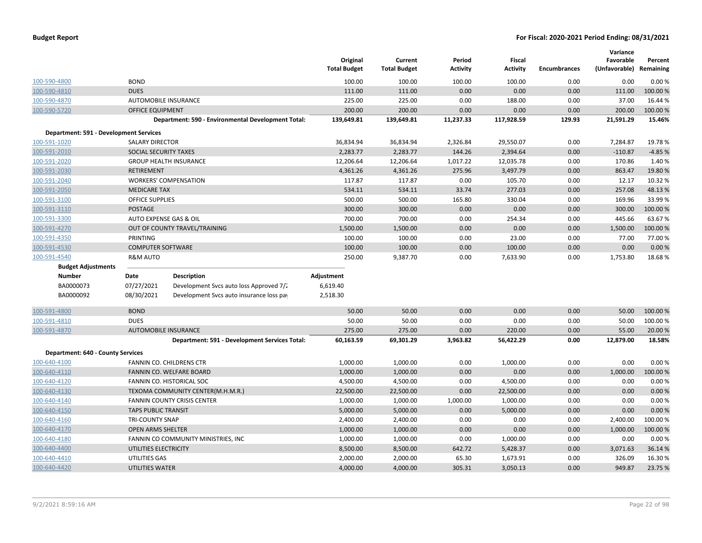|                                               |                              |                                                    | Original<br><b>Total Budget</b> | Current<br><b>Total Budget</b> | Period<br><b>Activity</b> | <b>Fiscal</b><br><b>Activity</b> | <b>Encumbrances</b> | Variance<br>Favorable<br>(Unfavorable) Remaining | Percent  |
|-----------------------------------------------|------------------------------|----------------------------------------------------|---------------------------------|--------------------------------|---------------------------|----------------------------------|---------------------|--------------------------------------------------|----------|
| 100-590-4800                                  | <b>BOND</b>                  |                                                    | 100.00                          | 100.00                         | 100.00                    | 100.00                           | 0.00                | 0.00                                             | 0.00%    |
| 100-590-4810                                  | <b>DUES</b>                  |                                                    | 111.00                          | 111.00                         | 0.00                      | 0.00                             | 0.00                | 111.00                                           | 100.00%  |
| 100-590-4870                                  | AUTOMOBILE INSURANCE         |                                                    | 225.00                          | 225.00                         | 0.00                      | 188.00                           | 0.00                | 37.00                                            | 16.44 %  |
| 100-590-5720                                  | <b>OFFICE EQUIPMENT</b>      |                                                    | 200.00                          | 200.00                         | 0.00                      | 0.00                             | 0.00                | 200.00                                           | 100.00 % |
|                                               |                              | Department: 590 - Environmental Development Total: | 139,649.81                      | 139,649.81                     | 11,237.33                 | 117,928.59                       | 129.93              | 21,591.29                                        | 15.46%   |
| <b>Department: 591 - Development Services</b> |                              |                                                    |                                 |                                |                           |                                  |                     |                                                  |          |
| 100-591-1020                                  | SALARY DIRECTOR              |                                                    | 36,834.94                       | 36,834.94                      | 2,326.84                  | 29,550.07                        | 0.00                | 7,284.87                                         | 19.78%   |
| 100-591-2010                                  | SOCIAL SECURITY TAXES        |                                                    | 2,283.77                        | 2,283.77                       | 144.26                    | 2,394.64                         | 0.00                | $-110.87$                                        | $-4.85%$ |
| 100-591-2020                                  |                              | <b>GROUP HEALTH INSURANCE</b>                      | 12,206.64                       | 12,206.64                      | 1,017.22                  | 12,035.78                        | 0.00                | 170.86                                           | 1.40%    |
| 100-591-2030                                  | RETIREMENT                   |                                                    | 4,361.26                        | 4,361.26                       | 275.96                    | 3,497.79                         | 0.00                | 863.47                                           | 19.80%   |
| 100-591-2040                                  | <b>WORKERS' COMPENSATION</b> |                                                    | 117.87                          | 117.87                         | 0.00                      | 105.70                           | 0.00                | 12.17                                            | 10.32%   |
| 100-591-2050                                  | <b>MEDICARE TAX</b>          |                                                    | 534.11                          | 534.11                         | 33.74                     | 277.03                           | 0.00                | 257.08                                           | 48.13%   |
| 100-591-3100                                  | <b>OFFICE SUPPLIES</b>       |                                                    | 500.00                          | 500.00                         | 165.80                    | 330.04                           | 0.00                | 169.96                                           | 33.99%   |
| 100-591-3110                                  | <b>POSTAGE</b>               |                                                    | 300.00                          | 300.00                         | 0.00                      | 0.00                             | 0.00                | 300.00                                           | 100.00%  |
| 100-591-3300                                  | AUTO EXPENSE GAS & OIL       |                                                    | 700.00                          | 700.00                         | 0.00                      | 254.34                           | 0.00                | 445.66                                           | 63.67%   |
| 100-591-4270                                  |                              | OUT OF COUNTY TRAVEL/TRAINING                      | 1,500.00                        | 1,500.00                       | 0.00                      | 0.00                             | 0.00                | 1,500.00                                         | 100.00 % |
| 100-591-4350                                  | PRINTING                     |                                                    | 100.00                          | 100.00                         | 0.00                      | 23.00                            | 0.00                | 77.00                                            | 77.00 %  |
| 100-591-4530                                  | <b>COMPUTER SOFTWARE</b>     |                                                    | 100.00                          | 100.00                         | 0.00                      | 100.00                           | 0.00                | 0.00                                             | 0.00%    |
| 100-591-4540                                  | <b>R&amp;M AUTO</b>          |                                                    | 250.00                          | 9,387.70                       | 0.00                      | 7,633.90                         | 0.00                | 1,753.80                                         | 18.68%   |
| <b>Budget Adjustments</b>                     |                              |                                                    |                                 |                                |                           |                                  |                     |                                                  |          |
| <b>Number</b>                                 | Date                         | <b>Description</b>                                 | Adjustment                      |                                |                           |                                  |                     |                                                  |          |
| BA0000073                                     | 07/27/2021                   | Development Svcs auto loss Approved 7/2            | 6,619.40                        |                                |                           |                                  |                     |                                                  |          |
| BA0000092                                     | 08/30/2021                   | Development Svcs auto insurance loss pay           | 2,518.30                        |                                |                           |                                  |                     |                                                  |          |
| 100-591-4800                                  | <b>BOND</b>                  |                                                    | 50.00                           | 50.00                          | 0.00                      | 0.00                             | 0.00                | 50.00                                            | 100.00 % |
| 100-591-4810                                  | <b>DUES</b>                  |                                                    | 50.00                           | 50.00                          | 0.00                      | 0.00                             | 0.00                | 50.00                                            | 100.00 % |
| 100-591-4870                                  | <b>AUTOMOBILE INSURANCE</b>  |                                                    | 275.00                          | 275.00                         | 0.00                      | 220.00                           | 0.00                | 55.00                                            | 20.00 %  |
|                                               |                              | Department: 591 - Development Services Total:      | 60,163.59                       | 69,301.29                      | 3,963.82                  | 56,422.29                        | 0.00                | 12,879.00                                        | 18.58%   |
| <b>Department: 640 - County Services</b>      |                              |                                                    |                                 |                                |                           |                                  |                     |                                                  |          |
| 100-640-4100                                  |                              | FANNIN CO. CHILDRENS CTR                           | 1,000.00                        | 1,000.00                       | 0.00                      | 1,000.00                         | 0.00                | 0.00                                             | 0.00%    |
| 100-640-4110                                  |                              | <b>FANNIN CO. WELFARE BOARD</b>                    | 1,000.00                        | 1,000.00                       | 0.00                      | 0.00                             | 0.00                | 1,000.00                                         | 100.00%  |
| 100-640-4120                                  |                              | FANNIN CO. HISTORICAL SOC                          | 4,500.00                        | 4,500.00                       | 0.00                      | 4,500.00                         | 0.00                | 0.00                                             | 0.00%    |
| 100-640-4130                                  |                              | TEXOMA COMMUNITY CENTER(M.H.M.R.)                  | 22,500.00                       | 22,500.00                      | 0.00                      | 22,500.00                        | 0.00                | 0.00                                             | 0.00%    |
| 100-640-4140                                  |                              | <b>FANNIN COUNTY CRISIS CENTER</b>                 | 1,000.00                        | 1,000.00                       | 1,000.00                  | 1,000.00                         | 0.00                | 0.00                                             | 0.00%    |
| 100-640-4150                                  | <b>TAPS PUBLIC TRANSIT</b>   |                                                    | 5,000.00                        | 5,000.00                       | 0.00                      | 5,000.00                         | 0.00                | 0.00                                             | 0.00 %   |
| 100-640-4160                                  | <b>TRI-COUNTY SNAP</b>       |                                                    | 2,400.00                        | 2,400.00                       | 0.00                      | 0.00                             | 0.00                | 2,400.00                                         | 100.00%  |
| 100-640-4170                                  | <b>OPEN ARMS SHELTER</b>     |                                                    | 1,000.00                        | 1,000.00                       | 0.00                      | 0.00                             | 0.00                | 1,000.00                                         | 100.00%  |
| 100-640-4180                                  |                              | FANNIN CO COMMUNITY MINISTRIES, INC                | 1,000.00                        | 1,000.00                       | 0.00                      | 1,000.00                         | 0.00                | 0.00                                             | 0.00%    |
| 100-640-4400                                  | UTILITIES ELECTRICITY        |                                                    | 8,500.00                        | 8,500.00                       | 642.72                    | 5,428.37                         | 0.00                | 3,071.63                                         | 36.14%   |
| 100-640-4410                                  | UTILITIES GAS                |                                                    | 2,000.00                        | 2,000.00                       | 65.30                     | 1,673.91                         | 0.00                | 326.09                                           | 16.30%   |
| 100-640-4420                                  | <b>UTILITIES WATER</b>       |                                                    | 4,000.00                        | 4,000.00                       | 305.31                    | 3,050.13                         | 0.00                | 949.87                                           | 23.75%   |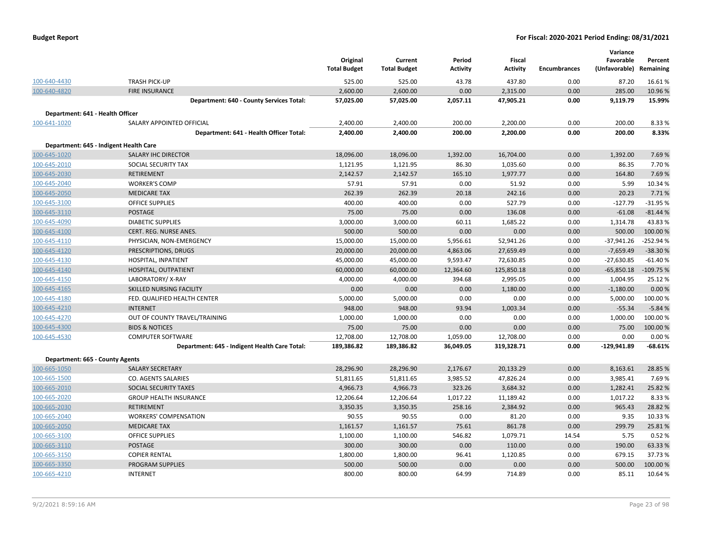|  | <b>Budget Report</b> |
|--|----------------------|
|--|----------------------|

|                                  |                                               |                     |                     |                 |                 |                     | Variance      |            |
|----------------------------------|-----------------------------------------------|---------------------|---------------------|-----------------|-----------------|---------------------|---------------|------------|
|                                  |                                               | Original            | Current             | Period          | <b>Fiscal</b>   |                     | Favorable     | Percent    |
|                                  |                                               | <b>Total Budget</b> | <b>Total Budget</b> | <b>Activity</b> | <b>Activity</b> | <b>Encumbrances</b> | (Unfavorable) | Remaining  |
| 100-640-4430                     | <b>TRASH PICK-UP</b>                          | 525.00              | 525.00              | 43.78           | 437.80          | 0.00                | 87.20         | 16.61%     |
| 100-640-4820                     | <b>FIRE INSURANCE</b>                         | 2,600.00            | 2,600.00            | 0.00            | 2,315.00        | 0.00                | 285.00        | 10.96%     |
|                                  | Department: 640 - County Services Total:      | 57,025.00           | 57,025.00           | 2,057.11        | 47,905.21       | 0.00                | 9,119.79      | 15.99%     |
| Department: 641 - Health Officer |                                               |                     |                     |                 |                 |                     |               |            |
| 100-641-1020                     | SALARY APPOINTED OFFICIAL                     | 2,400.00            | 2,400.00            | 200.00          | 2,200.00        | 0.00                | 200.00        | 8.33 %     |
|                                  | Department: 641 - Health Officer Total:       | 2,400.00            | 2,400.00            | 200.00          | 2,200.00        | 0.00                | 200.00        | 8.33%      |
|                                  | Department: 645 - Indigent Health Care        |                     |                     |                 |                 |                     |               |            |
| 100-645-1020                     | <b>SALARY IHC DIRECTOR</b>                    | 18,096.00           | 18,096.00           | 1,392.00        | 16,704.00       | 0.00                | 1,392.00      | 7.69%      |
| 100-645-2010                     | SOCIAL SECURITY TAX                           | 1,121.95            | 1,121.95            | 86.30           | 1,035.60        | 0.00                | 86.35         | 7.70%      |
| 100-645-2030                     | RETIREMENT                                    | 2,142.57            | 2,142.57            | 165.10          | 1,977.77        | 0.00                | 164.80        | 7.69%      |
| 100-645-2040                     | <b>WORKER'S COMP</b>                          | 57.91               | 57.91               | 0.00            | 51.92           | 0.00                | 5.99          | 10.34 %    |
| 100-645-2050                     | <b>MEDICARE TAX</b>                           | 262.39              | 262.39              | 20.18           | 242.16          | 0.00                | 20.23         | 7.71%      |
| 100-645-3100                     | <b>OFFICE SUPPLIES</b>                        | 400.00              | 400.00              | 0.00            | 527.79          | 0.00                | $-127.79$     | $-31.95%$  |
| 100-645-3110                     | <b>POSTAGE</b>                                | 75.00               | 75.00               | 0.00            | 136.08          | 0.00                | $-61.08$      | $-81.44%$  |
| 100-645-4090                     | <b>DIABETIC SUPPLIES</b>                      | 3,000.00            | 3,000.00            | 60.11           | 1,685.22        | 0.00                | 1,314.78      | 43.83%     |
| 100-645-4100                     | CERT. REG. NURSE ANES.                        | 500.00              | 500.00              | 0.00            | 0.00            | 0.00                | 500.00        | 100.00%    |
| 100-645-4110                     | PHYSICIAN, NON-EMERGENCY                      | 15,000.00           | 15,000.00           | 5,956.61        | 52,941.26       | 0.00                | $-37,941.26$  | $-252.94%$ |
| 100-645-4120                     | PRESCRIPTIONS, DRUGS                          | 20,000.00           | 20,000.00           | 4,863.06        | 27,659.49       | 0.00                | $-7,659.49$   | $-38.30%$  |
| 100-645-4130                     | HOSPITAL, INPATIENT                           | 45,000.00           | 45,000.00           | 9,593.47        | 72,630.85       | 0.00                | $-27,630.85$  | $-61.40%$  |
| 100-645-4140                     | HOSPITAL, OUTPATIENT                          | 60,000.00           | 60,000.00           | 12,364.60       | 125,850.18      | 0.00                | $-65,850.18$  | $-109.75%$ |
| 100-645-4150                     | LABORATORY/X-RAY                              | 4,000.00            | 4,000.00            | 394.68          | 2,995.05        | 0.00                | 1,004.95      | 25.12%     |
| 100-645-4165                     | SKILLED NURSING FACILITY                      | 0.00                | 0.00                | 0.00            | 1,180.00        | 0.00                | $-1,180.00$   | 0.00%      |
| 100-645-4180                     | FED. QUALIFIED HEALTH CENTER                  | 5,000.00            | 5,000.00            | 0.00            | 0.00            | 0.00                | 5,000.00      | 100.00%    |
| 100-645-4210                     | <b>INTERNET</b>                               | 948.00              | 948.00              | 93.94           | 1,003.34        | 0.00                | $-55.34$      | $-5.84%$   |
| 100-645-4270                     | OUT OF COUNTY TRAVEL/TRAINING                 | 1,000.00            | 1,000.00            | 0.00            | 0.00            | 0.00                | 1,000.00      | 100.00 %   |
| 100-645-4300                     | <b>BIDS &amp; NOTICES</b>                     | 75.00               | 75.00               | 0.00            | 0.00            | 0.00                | 75.00         | 100.00%    |
| 100-645-4530                     | <b>COMPUTER SOFTWARE</b>                      | 12,708.00           | 12,708.00           | 1,059.00        | 12,708.00       | 0.00                | 0.00          | 0.00%      |
|                                  | Department: 645 - Indigent Health Care Total: | 189,386.82          | 189,386.82          | 36,049.05       | 319,328.71      | 0.00                | $-129,941.89$ | $-68.61%$  |
| Department: 665 - County Agents  |                                               |                     |                     |                 |                 |                     |               |            |
| 100-665-1050                     | <b>SALARY SECRETARY</b>                       | 28,296.90           | 28,296.90           | 2,176.67        | 20,133.29       | 0.00                | 8,163.61      | 28.85%     |
| 100-665-1500                     | CO. AGENTS SALARIES                           | 51,811.65           | 51,811.65           | 3,985.52        | 47,826.24       | 0.00                | 3,985.41      | 7.69%      |
| 100-665-2010                     | SOCIAL SECURITY TAXES                         | 4,966.73            | 4,966.73            | 323.26          | 3,684.32        | 0.00                | 1,282.41      | 25.82 %    |
| 100-665-2020                     | <b>GROUP HEALTH INSURANCE</b>                 | 12,206.64           | 12,206.64           | 1,017.22        | 11,189.42       | 0.00                | 1,017.22      | 8.33 %     |
| 100-665-2030                     | <b>RETIREMENT</b>                             | 3,350.35            | 3,350.35            | 258.16          | 2,384.92        | 0.00                | 965.43        | 28.82%     |
| 100-665-2040                     | <b>WORKERS' COMPENSATION</b>                  | 90.55               | 90.55               | 0.00            | 81.20           | 0.00                | 9.35          | 10.33 %    |
| 100-665-2050                     | <b>MEDICARE TAX</b>                           | 1,161.57            | 1,161.57            | 75.61           | 861.78          | 0.00                | 299.79        | 25.81%     |
| 100-665-3100                     | OFFICE SUPPLIES                               | 1,100.00            | 1,100.00            | 546.82          | 1,079.71        | 14.54               | 5.75          | 0.52%      |
| 100-665-3110                     | POSTAGE                                       | 300.00              | 300.00              | 0.00            | 110.00          | 0.00                | 190.00        | 63.33%     |
| 100-665-3150                     | <b>COPIER RENTAL</b>                          | 1,800.00            | 1,800.00            | 96.41           | 1,120.85        | 0.00                | 679.15        | 37.73%     |
| 100-665-3350                     | PROGRAM SUPPLIES                              | 500.00              | 500.00              | 0.00            | 0.00            | 0.00                | 500.00        | 100.00%    |
| 100-665-4210                     | <b>INTERNET</b>                               | 800.00              | 800.00              | 64.99           | 714.89          | 0.00                | 85.11         | 10.64%     |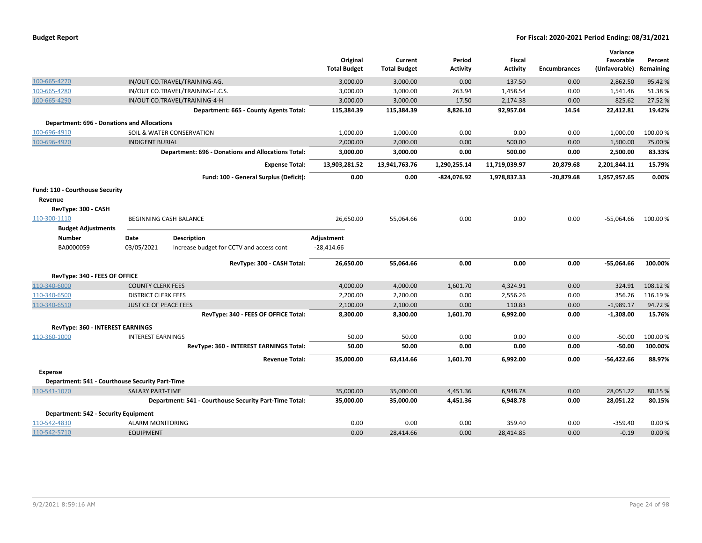| <b>Budget Report</b> |
|----------------------|
|----------------------|

|                                                    |                              |                                                           | Original<br><b>Total Budget</b> | Current<br><b>Total Budget</b> | Period<br><b>Activity</b> | <b>Fiscal</b><br><b>Activity</b> | <b>Encumbrances</b> | Variance<br>Favorable<br>(Unfavorable) | Percent<br>Remaining |
|----------------------------------------------------|------------------------------|-----------------------------------------------------------|---------------------------------|--------------------------------|---------------------------|----------------------------------|---------------------|----------------------------------------|----------------------|
| 100-665-4270                                       |                              | IN/OUT CO.TRAVEL/TRAINING-AG.                             | 3,000.00                        | 3,000.00                       | 0.00                      | 137.50                           | 0.00                | 2,862.50                               | 95.42 %              |
| 100-665-4280                                       |                              | IN/OUT CO.TRAVEL/TRAINING-F.C.S.                          | 3,000.00                        | 3,000.00                       | 263.94                    | 1,458.54                         | 0.00                | 1,541.46                               | 51.38%               |
| 100-665-4290                                       |                              | IN/OUT CO.TRAVEL/TRAINING-4-H                             | 3,000.00                        | 3,000.00                       | 17.50                     | 2,174.38                         | 0.00                | 825.62                                 | 27.52 %              |
|                                                    |                              | Department: 665 - County Agents Total:                    | 115,384.39                      | 115,384.39                     | 8,826.10                  | 92,957.04                        | 14.54               | 22,412.81                              | 19.42%               |
| <b>Department: 696 - Donations and Allocations</b> |                              |                                                           |                                 |                                |                           |                                  |                     |                                        |                      |
| 100-696-4910                                       |                              | SOIL & WATER CONSERVATION                                 | 1,000.00                        | 1,000.00                       | 0.00                      | 0.00                             | 0.00                | 1,000.00                               | 100.00%              |
| 100-696-4920                                       | <b>INDIGENT BURIAL</b>       |                                                           | 2,000.00                        | 2,000.00                       | 0.00                      | 500.00                           | 0.00                | 1,500.00                               | 75.00 %              |
|                                                    |                              | <b>Department: 696 - Donations and Allocations Total:</b> | 3,000.00                        | 3,000.00                       | 0.00                      | 500.00                           | 0.00                | 2,500.00                               | 83.33%               |
|                                                    |                              | <b>Expense Total:</b>                                     | 13,903,281.52                   | 13,941,763.76                  | 1,290,255.14              | 11,719,039.97                    | 20,879.68           | 2,201,844.11                           | 15.79%               |
|                                                    |                              | Fund: 100 - General Surplus (Deficit):                    | 0.00                            | 0.00                           | $-824,076.92$             | 1,978,837.33                     | $-20,879.68$        | 1,957,957.65                           | 0.00%                |
|                                                    |                              |                                                           |                                 |                                |                           |                                  |                     |                                        |                      |
| Fund: 110 - Courthouse Security                    |                              |                                                           |                                 |                                |                           |                                  |                     |                                        |                      |
| Revenue                                            |                              |                                                           |                                 |                                |                           |                                  |                     |                                        |                      |
| RevType: 300 - CASH                                |                              |                                                           |                                 |                                |                           |                                  |                     |                                        |                      |
| 110-300-1110                                       |                              | BEGINNING CASH BALANCE                                    | 26,650.00                       | 55,064.66                      | 0.00                      | 0.00                             | 0.00                | $-55,064.66$                           | 100.00%              |
| <b>Budget Adjustments</b><br><b>Number</b>         | Date                         | <b>Description</b>                                        | Adjustment                      |                                |                           |                                  |                     |                                        |                      |
| BA0000059                                          | 03/05/2021                   | Increase budget for CCTV and access cont                  | $-28,414.66$                    |                                |                           |                                  |                     |                                        |                      |
|                                                    |                              |                                                           |                                 |                                |                           |                                  |                     |                                        |                      |
|                                                    |                              | RevType: 300 - CASH Total:                                | 26,650.00                       | 55,064.66                      | 0.00                      | 0.00                             | 0.00                | $-55,064.66$                           | 100.00%              |
| RevType: 340 - FEES OF OFFICE                      |                              |                                                           |                                 |                                |                           |                                  |                     |                                        |                      |
| 110-340-6000                                       | <b>COUNTY CLERK FEES</b>     |                                                           | 4,000.00                        | 4,000.00                       | 1,601.70                  | 4,324.91                         | 0.00                | 324.91                                 | 108.12%              |
| 110-340-6500                                       | <b>DISTRICT CLERK FEES</b>   |                                                           | 2,200.00                        | 2,200.00                       | 0.00                      | 2,556.26                         | 0.00                | 356.26                                 | 116.19%              |
| 110-340-6510                                       | <b>JUSTICE OF PEACE FEES</b> |                                                           | 2,100.00                        | 2,100.00                       | 0.00                      | 110.83                           | 0.00                | $-1,989.17$                            | 94.72%               |
|                                                    |                              | RevType: 340 - FEES OF OFFICE Total:                      | 8,300.00                        | 8,300.00                       | 1,601.70                  | 6,992.00                         | 0.00                | $-1,308.00$                            | 15.76%               |
| RevType: 360 - INTEREST EARNINGS                   |                              |                                                           |                                 |                                |                           |                                  |                     |                                        |                      |
| 110-360-1000                                       | <b>INTEREST EARNINGS</b>     |                                                           | 50.00                           | 50.00                          | 0.00                      | 0.00                             | 0.00                | $-50.00$                               | 100.00%              |
|                                                    |                              | RevType: 360 - INTEREST EARNINGS Total:                   | 50.00                           | 50.00                          | 0.00                      | 0.00                             | 0.00                | $-50.00$                               | 100.00%              |
|                                                    |                              | <b>Revenue Total:</b>                                     | 35,000.00                       | 63,414.66                      | 1,601.70                  | 6,992.00                         | 0.00                | $-56,422.66$                           | 88.97%               |
| <b>Expense</b>                                     |                              |                                                           |                                 |                                |                           |                                  |                     |                                        |                      |
| Department: 541 - Courthouse Security Part-Time    |                              |                                                           |                                 |                                |                           |                                  |                     |                                        |                      |
| 110-541-1070                                       | <b>SALARY PART-TIME</b>      |                                                           | 35,000.00                       | 35,000.00                      | 4,451.36                  | 6,948.78                         | 0.00                | 28,051.22                              | 80.15 %              |
|                                                    |                              | Department: 541 - Courthouse Security Part-Time Total:    | 35,000.00                       | 35,000.00                      | 4,451.36                  | 6,948.78                         | 0.00                | 28,051.22                              | 80.15%               |
| Department: 542 - Security Equipment               |                              |                                                           |                                 |                                |                           |                                  |                     |                                        |                      |
| 110-542-4830                                       | <b>ALARM MONITORING</b>      |                                                           | 0.00                            | 0.00                           | 0.00                      | 359.40                           | 0.00                | $-359.40$                              | 0.00%                |
| 110-542-5710                                       | <b>EQUIPMENT</b>             |                                                           | 0.00                            | 28,414.66                      | 0.00                      | 28,414.85                        | 0.00                | $-0.19$                                | 0.00%                |
|                                                    |                              |                                                           |                                 |                                |                           |                                  |                     |                                        |                      |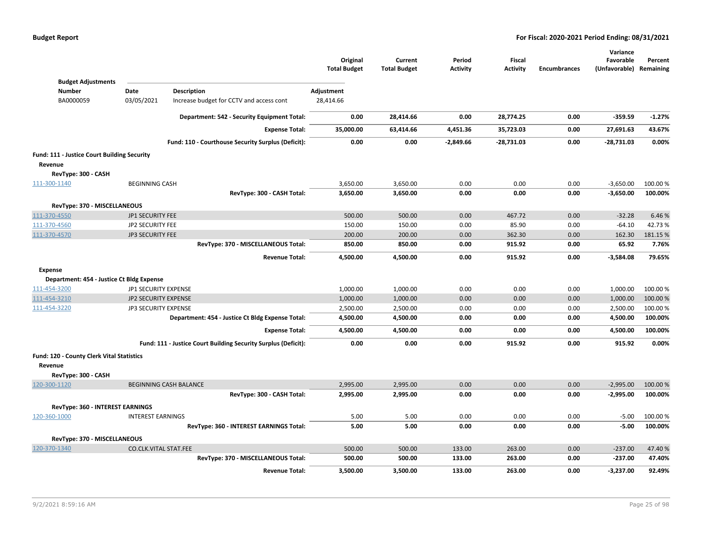|                                             |                             |                                                                | Original<br><b>Total Budget</b> | Current<br><b>Total Budget</b> | Period<br><b>Activity</b> | Fiscal<br><b>Activity</b> | <b>Encumbrances</b> | Variance<br>Favorable<br>(Unfavorable) Remaining | Percent  |
|---------------------------------------------|-----------------------------|----------------------------------------------------------------|---------------------------------|--------------------------------|---------------------------|---------------------------|---------------------|--------------------------------------------------|----------|
| <b>Budget Adjustments</b><br><b>Number</b>  | Date                        |                                                                |                                 |                                |                           |                           |                     |                                                  |          |
| BA0000059                                   | 03/05/2021                  | Description<br>Increase budget for CCTV and access cont        | Adjustment<br>28,414.66         |                                |                           |                           |                     |                                                  |          |
|                                             |                             |                                                                |                                 |                                |                           |                           |                     |                                                  |          |
|                                             |                             | Department: 542 - Security Equipment Total:                    | 0.00                            | 28,414.66                      | 0.00                      | 28,774.25                 | 0.00                | $-359.59$                                        | $-1.27%$ |
|                                             |                             | <b>Expense Total:</b>                                          | 35,000.00                       | 63,414.66                      | 4,451.36                  | 35,723.03                 | 0.00                | 27,691.63                                        | 43.67%   |
|                                             |                             | Fund: 110 - Courthouse Security Surplus (Deficit):             | 0.00                            | 0.00                           | $-2,849.66$               | -28,731.03                | 0.00                | -28,731.03                                       | 0.00%    |
| Fund: 111 - Justice Court Building Security |                             |                                                                |                                 |                                |                           |                           |                     |                                                  |          |
| Revenue                                     |                             |                                                                |                                 |                                |                           |                           |                     |                                                  |          |
| RevType: 300 - CASH                         |                             |                                                                |                                 |                                |                           |                           |                     |                                                  |          |
| 111-300-1140                                | <b>BEGINNING CASH</b>       |                                                                | 3,650.00                        | 3,650.00                       | 0.00                      | 0.00                      | 0.00                | $-3,650.00$                                      | 100.00 % |
|                                             |                             | RevType: 300 - CASH Total:                                     | 3,650.00                        | 3,650.00                       | 0.00                      | 0.00                      | 0.00                | $-3,650.00$                                      | 100.00%  |
| RevType: 370 - MISCELLANEOUS                |                             |                                                                |                                 |                                |                           |                           |                     |                                                  |          |
| 111-370-4550                                | <b>JP1 SECURITY FEE</b>     |                                                                | 500.00                          | 500.00                         | 0.00                      | 467.72                    | 0.00                | $-32.28$                                         | 6.46%    |
| 111-370-4560                                | <b>JP2 SECURITY FEE</b>     |                                                                | 150.00                          | 150.00                         | 0.00                      | 85.90                     | 0.00                | $-64.10$                                         | 42.73%   |
| 111-370-4570                                | <b>JP3 SECURITY FEE</b>     |                                                                | 200.00                          | 200.00                         | 0.00                      | 362.30                    | 0.00                | 162.30                                           | 181.15 % |
|                                             |                             | RevType: 370 - MISCELLANEOUS Total:                            | 850.00                          | 850.00                         | 0.00                      | 915.92                    | 0.00                | 65.92                                            | 7.76%    |
|                                             |                             | <b>Revenue Total:</b>                                          | 4,500.00                        | 4,500.00                       | 0.00                      | 915.92                    | 0.00                | $-3,584.08$                                      | 79.65%   |
| <b>Expense</b>                              |                             |                                                                |                                 |                                |                           |                           |                     |                                                  |          |
| Department: 454 - Justice Ct Bldg Expense   |                             |                                                                |                                 |                                |                           |                           |                     |                                                  |          |
| 111-454-3200                                | JP1 SECURITY EXPENSE        |                                                                | 1,000.00                        | 1,000.00                       | 0.00                      | 0.00                      | 0.00                | 1,000.00                                         | 100.00 % |
| 111-454-3210                                | JP2 SECURITY EXPENSE        |                                                                | 1,000.00                        | 1,000.00                       | 0.00                      | 0.00                      | 0.00                | 1,000.00                                         | 100.00 % |
| 111-454-3220                                | <b>JP3 SECURITY EXPENSE</b> |                                                                | 2,500.00                        | 2,500.00                       | 0.00                      | 0.00                      | 0.00                | 2,500.00                                         | 100.00 % |
|                                             |                             | Department: 454 - Justice Ct Bldg Expense Total:               | 4,500.00                        | 4,500.00                       | 0.00                      | 0.00                      | 0.00                | 4,500.00                                         | 100.00%  |
|                                             |                             | <b>Expense Total:</b>                                          | 4,500.00                        | 4,500.00                       | 0.00                      | 0.00                      | 0.00                | 4,500.00                                         | 100.00%  |
|                                             |                             | Fund: 111 - Justice Court Building Security Surplus (Deficit): | 0.00                            | 0.00                           | 0.00                      | 915.92                    | 0.00                | 915.92                                           | 0.00%    |
| Fund: 120 - County Clerk Vital Statistics   |                             |                                                                |                                 |                                |                           |                           |                     |                                                  |          |
| Revenue                                     |                             |                                                                |                                 |                                |                           |                           |                     |                                                  |          |
| RevType: 300 - CASH                         |                             |                                                                |                                 |                                |                           |                           |                     |                                                  |          |
| 120-300-1120                                |                             | <b>BEGINNING CASH BALANCE</b>                                  | 2,995.00                        | 2,995.00                       | 0.00                      | 0.00                      | 0.00                | $-2,995.00$                                      | 100.00 % |
|                                             |                             | RevType: 300 - CASH Total:                                     | 2,995.00                        | 2,995.00                       | 0.00                      | 0.00                      | 0.00                | $-2,995.00$                                      | 100.00%  |
| RevType: 360 - INTEREST EARNINGS            |                             |                                                                |                                 |                                |                           |                           |                     |                                                  |          |
| 120-360-1000                                | <b>INTEREST EARNINGS</b>    |                                                                | 5.00                            | 5.00                           | 0.00                      | 0.00                      | 0.00                | $-5.00$                                          | 100.00 % |
|                                             |                             | RevType: 360 - INTEREST EARNINGS Total:                        | 5.00                            | 5.00                           | 0.00                      | 0.00                      | 0.00                | $-5.00$                                          | 100.00%  |
| RevType: 370 - MISCELLANEOUS                |                             |                                                                |                                 |                                |                           |                           |                     |                                                  |          |
| 120-370-1340                                | CO.CLK.VITAL STAT.FEE       |                                                                | 500.00                          | 500.00                         | 133.00                    | 263.00                    | 0.00                | $-237.00$                                        | 47.40%   |
|                                             |                             | RevType: 370 - MISCELLANEOUS Total:                            | 500.00                          | 500.00                         | 133.00                    | 263.00                    | 0.00                | $-237.00$                                        | 47.40%   |
|                                             |                             | <b>Revenue Total:</b>                                          | 3,500.00                        | 3,500.00                       | 133.00                    | 263.00                    | 0.00                | $-3,237.00$                                      | 92.49%   |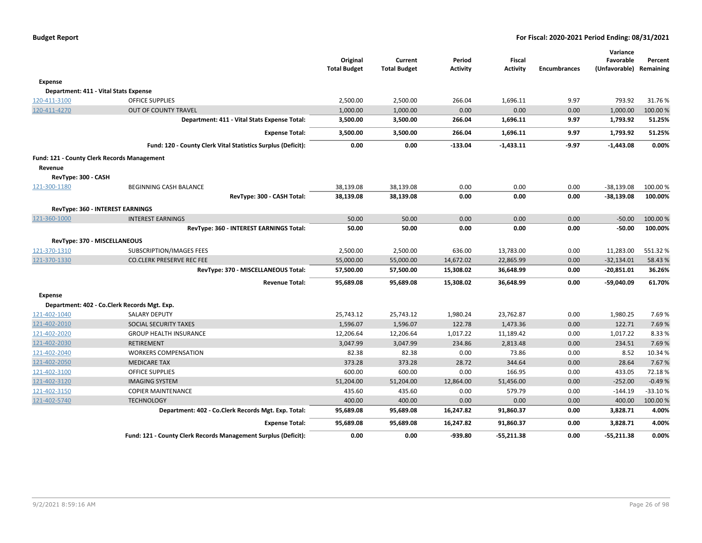|                                                    | Fund: 121 - County Clerk Records Management Surplus (Deficit):        | 0.00                   | 0.00                   | -939.80                | $-55,211.38$           | 0.00                | $-55,211.38$                 | 0.00%            |
|----------------------------------------------------|-----------------------------------------------------------------------|------------------------|------------------------|------------------------|------------------------|---------------------|------------------------------|------------------|
|                                                    | <b>Expense Total:</b>                                                 | 95,689.08              | 95,689.08              | 16,247.82              | 91,860.37              | 0.00                | 3,828.71                     | 4.00%            |
|                                                    | Department: 402 - Co.Clerk Records Mgt. Exp. Total:                   | 95,689.08              | 95,689.08              | 16,247.82              | 91,860.37              | 0.00                | 3,828.71                     | 4.00%            |
| 121-402-5740                                       | <b>TECHNOLOGY</b>                                                     | 400.00                 | 400.00                 | 0.00                   | 0.00                   | 0.00                | 400.00                       | 100.00%          |
| 121-402-3150                                       | <b>COPIER MAINTENANCE</b>                                             | 435.60                 | 435.60                 | 0.00                   | 579.79                 | 0.00                | $-144.19$                    | $-33.10%$        |
| 121-402-3120                                       | <b>IMAGING SYSTEM</b>                                                 | 51,204.00              | 51,204.00              | 12,864.00              | 51,456.00              | 0.00                | $-252.00$                    | $-0.49%$         |
| 121-402-3100                                       | <b>OFFICE SUPPLIES</b>                                                | 600.00                 | 600.00                 | 0.00                   | 166.95                 | 0.00                | 433.05                       | 72.18%           |
| 121-402-2050                                       | <b>MEDICARE TAX</b>                                                   | 373.28                 | 373.28                 | 28.72                  | 344.64                 | 0.00                | 28.64                        | 7.67%            |
| 121-402-2040                                       | <b>WORKERS COMPENSATION</b>                                           | 82.38                  | 82.38                  | 0.00                   | 73.86                  | 0.00                | 8.52                         | 10.34 %          |
| 121-402-2030                                       | <b>RETIREMENT</b>                                                     | 3,047.99               | 3,047.99               | 234.86                 | 2,813.48               | 0.00                | 234.51                       | 7.69%            |
| 121-402-2020                                       | <b>GROUP HEALTH INSURANCE</b>                                         | 12,206.64              | 12,206.64              | 1,017.22               | 11,189.42              | 0.00                | 1,017.22                     | 8.33%            |
| 121-402-2010                                       | SOCIAL SECURITY TAXES                                                 | 1,596.07               | 1,596.07               | 122.78                 | 1,473.36               | 0.00                | 122.71                       | 7.69%            |
| 121-402-1040                                       | Department: 402 - Co.Clerk Records Mgt. Exp.<br><b>SALARY DEPUTY</b>  | 25,743.12              | 25,743.12              | 1,980.24               | 23,762.87              | 0.00                | 1,980.25                     | 7.69%            |
| <b>Expense</b>                                     |                                                                       |                        |                        |                        |                        |                     |                              |                  |
|                                                    | RevType: 370 - MISCELLANEOUS Total:<br><b>Revenue Total:</b>          | 57,500.00<br>95,689.08 | 57,500.00<br>95,689.08 | 15,308.02<br>15,308.02 | 36,648.99<br>36,648.99 | 0.00<br>0.00        | $-20,851.01$<br>$-59,040.09$ | 36.26%<br>61.70% |
| 121-370-1330                                       | <b>CO.CLERK PRESERVE REC FEE</b>                                      | 55,000.00              | 55,000.00              | 14,672.02              | 22,865.99              | 0.00                | $-32,134.01$                 | 58.43%           |
| 121-370-1310                                       | SUBSCRIPTION/IMAGES FEES                                              | 2,500.00               | 2,500.00               | 636.00                 | 13,783.00              | 0.00                | 11,283.00                    | 551.32%          |
| RevType: 370 - MISCELLANEOUS                       |                                                                       |                        |                        |                        |                        |                     |                              |                  |
|                                                    | RevType: 360 - INTEREST EARNINGS Total:                               | 50.00                  | 50.00                  | 0.00                   | 0.00                   | 0.00                | $-50.00$                     | 100.00%          |
| 121-360-1000                                       | <b>INTEREST EARNINGS</b>                                              | 50.00                  | 50.00                  | 0.00                   | 0.00                   | 0.00                | $-50.00$                     | 100.00 %         |
|                                                    | <b>RevType: 360 - INTEREST EARNINGS</b>                               |                        |                        |                        |                        |                     |                              |                  |
|                                                    | RevType: 300 - CASH Total:                                            | 38,139.08              | 38,139.08              | 0.00                   | 0.00                   | 0.00                | $-38,139.08$                 | 100.00%          |
| 121-300-1180                                       | BEGINNING CASH BALANCE                                                | 38,139.08              | 38,139.08              | 0.00                   | 0.00                   | 0.00                | $-38,139.08$                 | 100.00 %         |
| RevType: 300 - CASH                                |                                                                       |                        |                        |                        |                        |                     |                              |                  |
| Revenue                                            |                                                                       |                        |                        |                        |                        |                     |                              |                  |
| <b>Fund: 121 - County Clerk Records Management</b> |                                                                       |                        |                        |                        |                        |                     |                              |                  |
|                                                    | Fund: 120 - County Clerk Vital Statistics Surplus (Deficit):          | 0.00                   | 0.00                   | $-133.04$              | $-1,433.11$            | $-9.97$             | $-1,443.08$                  | 0.00%            |
|                                                    | Department: 411 - Vital Stats Expense Total:<br><b>Expense Total:</b> | 3,500.00<br>3,500.00   | 3,500.00<br>3,500.00   | 266.04<br>266.04       | 1,696.11<br>1,696.11   | 9.97<br>9.97        | 1,793.92<br>1,793.92         | 51.25%<br>51.25% |
| 120-411-4270                                       | <b>OUT OF COUNTY TRAVEL</b>                                           | 1,000.00               | 1,000.00               | 0.00                   | 0.00                   | 0.00                | 1,000.00                     | 100.00%          |
| 120-411-3100                                       | <b>OFFICE SUPPLIES</b>                                                | 2,500.00               | 2,500.00               | 266.04                 | 1,696.11               | 9.97                | 793.92                       | 31.76%           |
| Department: 411 - Vital Stats Expense              |                                                                       |                        |                        |                        |                        |                     |                              |                  |
| Expense                                            |                                                                       |                        |                        |                        |                        |                     |                              |                  |
|                                                    |                                                                       | <b>Total Budget</b>    | <b>Total Budget</b>    | <b>Activity</b>        | <b>Activity</b>        | <b>Encumbrances</b> | (Unfavorable) Remaining      |                  |
|                                                    |                                                                       | Original               | Current                | Period                 | <b>Fiscal</b>          |                     | Favorable                    | Percent          |
|                                                    |                                                                       |                        |                        |                        |                        |                     | Variance                     |                  |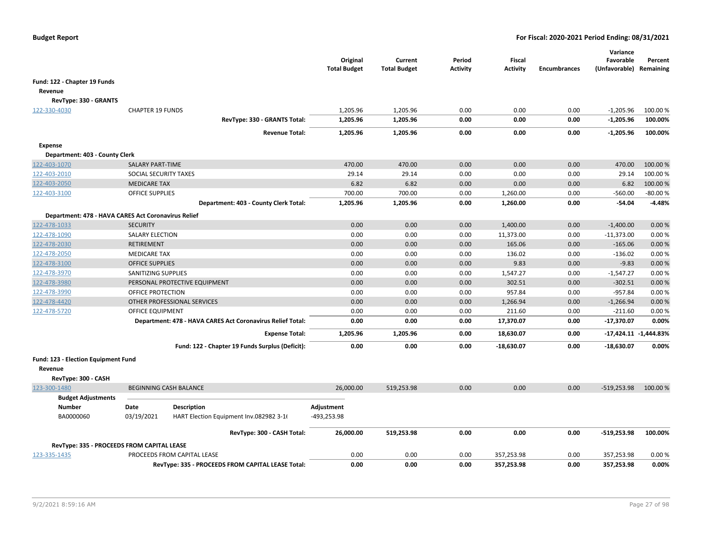|                                                     |                         |                                                            | Original<br><b>Total Budget</b> | Current<br><b>Total Budget</b> | Period<br>Activity | <b>Fiscal</b><br><b>Activity</b> | <b>Encumbrances</b> | Variance<br>Favorable<br>(Unfavorable) | Percent<br>Remaining      |
|-----------------------------------------------------|-------------------------|------------------------------------------------------------|---------------------------------|--------------------------------|--------------------|----------------------------------|---------------------|----------------------------------------|---------------------------|
| Fund: 122 - Chapter 19 Funds                        |                         |                                                            |                                 |                                |                    |                                  |                     |                                        |                           |
| Revenue                                             |                         |                                                            |                                 |                                |                    |                                  |                     |                                        |                           |
| RevType: 330 - GRANTS                               |                         |                                                            |                                 |                                |                    |                                  |                     |                                        |                           |
| 122-330-4030                                        | <b>CHAPTER 19 FUNDS</b> |                                                            | 1,205.96                        | 1,205.96                       | 0.00               | 0.00                             | 0.00                | $-1,205.96$                            | 100.00 %                  |
|                                                     |                         | RevType: 330 - GRANTS Total:                               | 1,205.96                        | 1,205.96                       | 0.00               | 0.00                             | 0.00                | $-1,205.96$                            | 100.00%                   |
|                                                     |                         | <b>Revenue Total:</b>                                      | 1,205.96                        | 1,205.96                       | 0.00               | 0.00                             | 0.00                | $-1,205.96$                            | 100.00%                   |
| <b>Expense</b>                                      |                         |                                                            |                                 |                                |                    |                                  |                     |                                        |                           |
| Department: 403 - County Clerk                      |                         |                                                            |                                 |                                |                    |                                  |                     |                                        |                           |
| 122-403-1070                                        | <b>SALARY PART-TIME</b> |                                                            | 470.00                          | 470.00                         | 0.00               | 0.00                             | 0.00                | 470.00                                 | 100.00 %                  |
| 122-403-2010                                        | SOCIAL SECURITY TAXES   |                                                            | 29.14                           | 29.14                          | 0.00               | 0.00                             | 0.00                | 29.14                                  | 100.00%                   |
| 122-403-2050                                        | <b>MEDICARE TAX</b>     |                                                            | 6.82                            | 6.82                           | 0.00               | 0.00                             | 0.00                | 6.82                                   | 100.00 %                  |
| 122-403-3100                                        | <b>OFFICE SUPPLIES</b>  |                                                            | 700.00                          | 700.00                         | 0.00               | 1,260.00                         | 0.00                | $-560.00$                              | $-80.00%$                 |
|                                                     |                         | Department: 403 - County Clerk Total:                      | 1,205.96                        | 1,205.96                       | 0.00               | 1,260.00                         | 0.00                | $-54.04$                               | $-4.48%$                  |
| Department: 478 - HAVA CARES Act Coronavirus Relief |                         |                                                            |                                 |                                |                    |                                  |                     |                                        |                           |
| 122-478-1033                                        | <b>SECURITY</b>         |                                                            | 0.00                            | 0.00                           | 0.00               | 1,400.00                         | 0.00                | $-1,400.00$                            | 0.00%                     |
| 122-478-1090                                        | <b>SALARY ELECTION</b>  |                                                            | 0.00                            | 0.00                           | 0.00               | 11,373.00                        | 0.00                | $-11,373.00$                           | 0.00%                     |
| 122-478-2030                                        | <b>RETIREMENT</b>       |                                                            | 0.00                            | 0.00                           | 0.00               | 165.06                           | 0.00                | $-165.06$                              | 0.00%                     |
| 122-478-2050                                        | <b>MEDICARE TAX</b>     |                                                            | 0.00                            | 0.00                           | 0.00               | 136.02                           | 0.00                | $-136.02$                              | 0.00%                     |
| 122-478-3100                                        | <b>OFFICE SUPPLIES</b>  |                                                            | 0.00                            | 0.00                           | 0.00               | 9.83                             | 0.00                | $-9.83$                                | 0.00%                     |
| 122-478-3970                                        | SANITIZING SUPPLIES     |                                                            | 0.00                            | 0.00                           | 0.00               | 1,547.27                         | 0.00                | $-1,547.27$                            | 0.00%                     |
| 122-478-3980                                        |                         | PERSONAL PROTECTIVE EQUIPMENT                              | 0.00                            | 0.00                           | 0.00               | 302.51                           | 0.00                | $-302.51$                              | 0.00%                     |
| 122-478-3990                                        | OFFICE PROTECTION       |                                                            | 0.00                            | 0.00                           | 0.00               | 957.84                           | 0.00                | $-957.84$                              | 0.00%                     |
| 122-478-4420                                        |                         | OTHER PROFESSIONAL SERVICES                                | 0.00                            | 0.00                           | 0.00               | 1,266.94                         | 0.00                | $-1,266.94$                            | 0.00 %                    |
| 122-478-5720                                        | OFFICE EQUIPMENT        |                                                            | 0.00                            | 0.00                           | 0.00               | 211.60                           | 0.00                | $-211.60$                              | 0.00%                     |
|                                                     |                         | Department: 478 - HAVA CARES Act Coronavirus Relief Total: | 0.00                            | 0.00                           | 0.00               | 17,370.07                        | 0.00                | $-17,370.07$                           | 0.00%                     |
|                                                     |                         | <b>Expense Total:</b>                                      | 1,205.96                        | 1,205.96                       | 0.00               | 18,630.07                        | 0.00                |                                        | $-17,424.11$ $-1,444.83%$ |
|                                                     |                         | Fund: 122 - Chapter 19 Funds Surplus (Deficit):            | 0.00                            | 0.00                           | 0.00               | $-18,630.07$                     | 0.00                | $-18,630.07$                           | 0.00%                     |
| Fund: 123 - Election Equipment Fund                 |                         |                                                            |                                 |                                |                    |                                  |                     |                                        |                           |
| Revenue                                             |                         |                                                            |                                 |                                |                    |                                  |                     |                                        |                           |
| RevType: 300 - CASH                                 |                         |                                                            |                                 |                                |                    |                                  |                     |                                        |                           |
| 123-300-1480                                        |                         | <b>BEGINNING CASH BALANCE</b>                              | 26,000.00                       | 519,253.98                     | 0.00               | 0.00                             | 0.00                | $-519,253.98$                          | 100.00 %                  |
| <b>Budget Adjustments</b>                           |                         |                                                            |                                 |                                |                    |                                  |                     |                                        |                           |
| <b>Number</b>                                       | Date                    | Description                                                | Adjustment                      |                                |                    |                                  |                     |                                        |                           |
| BA0000060                                           | 03/19/2021              | HART Election Equipment Inv.082982 3-16                    | -493,253.98                     |                                |                    |                                  |                     |                                        |                           |
|                                                     |                         |                                                            |                                 |                                | 0.00               |                                  |                     |                                        | 100.00%                   |
|                                                     |                         | RevType: 300 - CASH Total:                                 | 26,000.00                       | 519,253.98                     |                    | 0.00                             | 0.00                | $-519,253.98$                          |                           |
| RevType: 335 - PROCEEDS FROM CAPITAL LEASE          |                         |                                                            |                                 |                                |                    |                                  |                     |                                        |                           |
| 123-335-1435                                        |                         | PROCEEDS FROM CAPITAL LEASE                                | 0.00                            | 0.00                           | 0.00               | 357,253.98                       | 0.00                | 357,253.98                             | 0.00%                     |
|                                                     |                         | RevType: 335 - PROCEEDS FROM CAPITAL LEASE Total:          | 0.00                            | 0.00                           | 0.00               | 357,253.98                       | 0.00                | 357,253.98                             | 0.00%                     |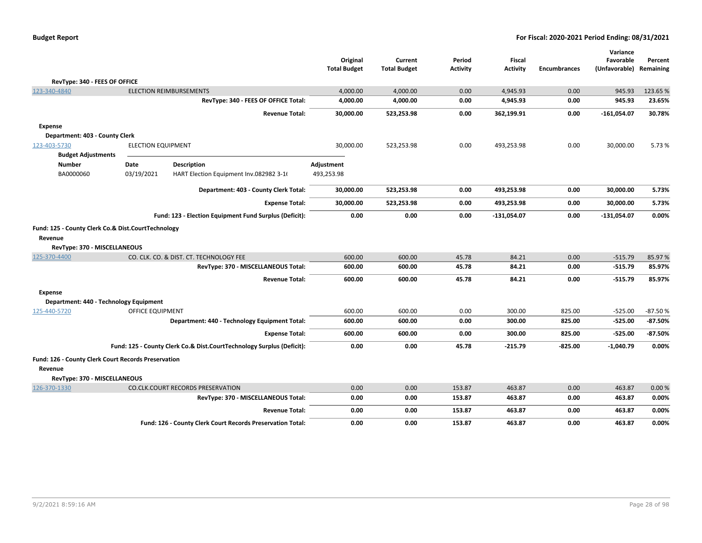|  | <b>Budget Report</b> |
|--|----------------------|
|--|----------------------|

|                                                     |                           |                                                                       |                     |                     |                 |                 |                     | Variance      |           |
|-----------------------------------------------------|---------------------------|-----------------------------------------------------------------------|---------------------|---------------------|-----------------|-----------------|---------------------|---------------|-----------|
|                                                     |                           |                                                                       | Original            | Current             | Period          | <b>Fiscal</b>   |                     | Favorable     | Percent   |
|                                                     |                           |                                                                       | <b>Total Budget</b> | <b>Total Budget</b> | <b>Activity</b> | <b>Activity</b> | <b>Encumbrances</b> | (Unfavorable) | Remaining |
| RevType: 340 - FEES OF OFFICE                       |                           |                                                                       |                     |                     |                 |                 |                     |               |           |
| 123-340-4840                                        |                           | <b>ELECTION REIMBURSEMENTS</b>                                        | 4,000.00            | 4,000.00            | 0.00            | 4,945.93        | 0.00                | 945.93        | 123.65%   |
|                                                     |                           | RevType: 340 - FEES OF OFFICE Total:                                  | 4,000.00            | 4,000.00            | 0.00            | 4,945.93        | 0.00                | 945.93        | 23.65%    |
|                                                     |                           | <b>Revenue Total:</b>                                                 | 30,000.00           | 523,253.98          | 0.00            | 362,199.91      | 0.00                | $-161,054.07$ | 30.78%    |
| <b>Expense</b>                                      |                           |                                                                       |                     |                     |                 |                 |                     |               |           |
| Department: 403 - County Clerk                      |                           |                                                                       |                     |                     |                 |                 |                     |               |           |
| 123-403-5730                                        | <b>ELECTION EQUIPMENT</b> |                                                                       | 30,000.00           | 523,253.98          | 0.00            | 493,253.98      | 0.00                | 30,000.00     | 5.73 %    |
| <b>Budget Adjustments</b>                           |                           |                                                                       |                     |                     |                 |                 |                     |               |           |
| <b>Number</b>                                       | Date                      | <b>Description</b>                                                    | Adjustment          |                     |                 |                 |                     |               |           |
| BA0000060                                           | 03/19/2021                | HART Election Equipment Inv.082982 3-16                               | 493,253.98          |                     |                 |                 |                     |               |           |
|                                                     |                           | Department: 403 - County Clerk Total:                                 | 30,000.00           | 523,253.98          | 0.00            | 493,253.98      | 0.00                | 30,000.00     | 5.73%     |
|                                                     |                           | <b>Expense Total:</b>                                                 | 30,000.00           | 523,253.98          | 0.00            | 493,253.98      | 0.00                | 30,000.00     | 5.73%     |
|                                                     |                           | Fund: 123 - Election Equipment Fund Surplus (Deficit):                | 0.00                | 0.00                | 0.00            | $-131,054.07$   | 0.00                | $-131,054.07$ | 0.00%     |
| Fund: 125 - County Clerk Co.& Dist.CourtTechnology  |                           |                                                                       |                     |                     |                 |                 |                     |               |           |
| Revenue                                             |                           |                                                                       |                     |                     |                 |                 |                     |               |           |
| RevType: 370 - MISCELLANEOUS                        |                           |                                                                       |                     |                     |                 |                 |                     |               |           |
| 125-370-4400                                        |                           | CO. CLK. CO. & DIST. CT. TECHNOLOGY FEE                               | 600.00              | 600.00              | 45.78           | 84.21           | 0.00                | $-515.79$     | 85.97%    |
|                                                     |                           | RevType: 370 - MISCELLANEOUS Total:                                   | 600.00              | 600.00              | 45.78           | 84.21           | 0.00                | $-515.79$     | 85.97%    |
|                                                     |                           | <b>Revenue Total:</b>                                                 | 600.00              | 600.00              | 45.78           | 84.21           | 0.00                | $-515.79$     | 85.97%    |
| <b>Expense</b>                                      |                           |                                                                       |                     |                     |                 |                 |                     |               |           |
| Department: 440 - Technology Equipment              |                           |                                                                       |                     |                     |                 |                 |                     |               |           |
| 125-440-5720                                        | OFFICE EQUIPMENT          |                                                                       | 600.00              | 600.00              | 0.00            | 300.00          | 825.00              | $-525.00$     | $-87.50%$ |
|                                                     |                           | Department: 440 - Technology Equipment Total:                         | 600.00              | 600.00              | 0.00            | 300.00          | 825.00              | $-525.00$     | $-87.50%$ |
|                                                     |                           | <b>Expense Total:</b>                                                 | 600.00              | 600.00              | 0.00            | 300.00          | 825.00              | $-525.00$     | $-87.50%$ |
|                                                     |                           | Fund: 125 - County Clerk Co.& Dist.CourtTechnology Surplus (Deficit): | 0.00                | 0.00                | 45.78           | $-215.79$       | $-825.00$           | $-1,040.79$   | 0.00%     |
| Fund: 126 - County Clerk Court Records Preservation |                           |                                                                       |                     |                     |                 |                 |                     |               |           |
| Revenue                                             |                           |                                                                       |                     |                     |                 |                 |                     |               |           |
| RevType: 370 - MISCELLANEOUS                        |                           |                                                                       |                     |                     |                 |                 |                     |               |           |
| 126-370-1330                                        |                           | <b>CO.CLK.COURT RECORDS PRESERVATION</b>                              | 0.00                | 0.00                | 153.87          | 463.87          | 0.00                | 463.87        | 0.00%     |
|                                                     |                           | RevType: 370 - MISCELLANEOUS Total:                                   | 0.00                | 0.00                | 153.87          | 463.87          | 0.00                | 463.87        | 0.00%     |
|                                                     |                           | <b>Revenue Total:</b>                                                 | 0.00                | 0.00                | 153.87          | 463.87          | 0.00                | 463.87        | 0.00%     |
|                                                     |                           | Fund: 126 - County Clerk Court Records Preservation Total:            | 0.00                | 0.00                | 153.87          | 463.87          | 0.00                | 463.87        | 0.00%     |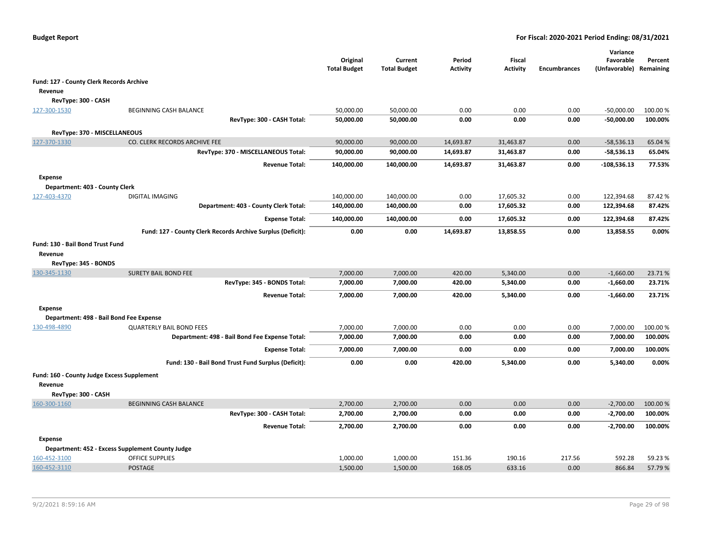|                                                                     |                                                             | Original<br><b>Total Budget</b> | Current<br><b>Total Budget</b> | Period<br>Activity | Fiscal<br><b>Activity</b> | <b>Encumbrances</b> | Variance<br>Favorable<br>(Unfavorable) | Percent<br>Remaining |
|---------------------------------------------------------------------|-------------------------------------------------------------|---------------------------------|--------------------------------|--------------------|---------------------------|---------------------|----------------------------------------|----------------------|
| Fund: 127 - County Clerk Records Archive                            |                                                             |                                 |                                |                    |                           |                     |                                        |                      |
| Revenue                                                             |                                                             |                                 |                                |                    |                           |                     |                                        |                      |
| RevType: 300 - CASH                                                 |                                                             |                                 |                                |                    |                           |                     |                                        |                      |
| 127-300-1530                                                        | BEGINNING CASH BALANCE                                      | 50,000.00                       | 50,000.00                      | 0.00               | 0.00                      | 0.00                | $-50,000.00$                           | 100.00 %             |
|                                                                     | RevType: 300 - CASH Total:                                  | 50,000.00                       | 50,000.00                      | 0.00               | 0.00                      | 0.00                | $-50,000.00$                           | 100.00%              |
| RevType: 370 - MISCELLANEOUS                                        |                                                             |                                 |                                |                    |                           |                     |                                        |                      |
| 127-370-1330                                                        | CO. CLERK RECORDS ARCHIVE FEE                               | 90,000.00                       | 90,000.00                      | 14,693.87          | 31,463.87                 | 0.00                | $-58,536.13$                           | 65.04 %              |
|                                                                     | RevType: 370 - MISCELLANEOUS Total:                         | 90,000.00                       | 90,000.00                      | 14,693.87          | 31,463.87                 | 0.00                | $-58,536.13$                           | 65.04%               |
|                                                                     | <b>Revenue Total:</b>                                       | 140,000.00                      | 140,000.00                     | 14,693.87          | 31,463.87                 | 0.00                | $-108,536.13$                          | 77.53%               |
| <b>Expense</b>                                                      |                                                             |                                 |                                |                    |                           |                     |                                        |                      |
| Department: 403 - County Clerk                                      |                                                             |                                 |                                |                    |                           |                     |                                        |                      |
| 127-403-4370                                                        | <b>DIGITAL IMAGING</b>                                      | 140,000.00                      | 140,000.00                     | 0.00               | 17,605.32                 | 0.00                | 122,394.68                             | 87.42%               |
|                                                                     | Department: 403 - County Clerk Total:                       | 140,000.00                      | 140,000.00                     | 0.00               | 17,605.32                 | 0.00                | 122,394.68                             | 87.42%               |
|                                                                     | <b>Expense Total:</b>                                       | 140,000.00                      | 140,000.00                     | 0.00               | 17,605.32                 | 0.00                | 122,394.68                             | 87.42%               |
|                                                                     | Fund: 127 - County Clerk Records Archive Surplus (Deficit): | 0.00                            | 0.00                           | 14,693.87          | 13,858.55                 | 0.00                | 13,858.55                              | 0.00%                |
| Fund: 130 - Bail Bond Trust Fund<br>Revenue<br>RevType: 345 - BONDS |                                                             |                                 |                                |                    |                           |                     |                                        |                      |
| 130-345-1130                                                        | <b>SURETY BAIL BOND FEE</b>                                 | 7,000.00                        | 7,000.00                       | 420.00             | 5,340.00                  | 0.00                | $-1,660.00$                            | 23.71%               |
|                                                                     | RevType: 345 - BONDS Total:                                 | 7,000.00                        | 7,000.00                       | 420.00             | 5,340.00                  | 0.00                | $-1,660.00$                            | 23.71%               |
|                                                                     | <b>Revenue Total:</b>                                       | 7,000.00                        | 7,000.00                       | 420.00             | 5,340.00                  | 0.00                | $-1,660.00$                            | 23.71%               |
| <b>Expense</b>                                                      |                                                             |                                 |                                |                    |                           |                     |                                        |                      |
|                                                                     | Department: 498 - Bail Bond Fee Expense                     |                                 |                                |                    |                           |                     |                                        |                      |
| 130-498-4890                                                        | <b>QUARTERLY BAIL BOND FEES</b>                             | 7,000.00                        | 7,000.00                       | 0.00               | 0.00                      | 0.00                | 7,000.00                               | 100.00%              |
|                                                                     | Department: 498 - Bail Bond Fee Expense Total:              | 7,000.00                        | 7,000.00                       | 0.00               | 0.00                      | 0.00                | 7,000.00                               | 100.00%              |
|                                                                     | <b>Expense Total:</b>                                       | 7,000.00                        | 7,000.00                       | 0.00               | 0.00                      | 0.00                | 7,000.00                               | 100.00%              |
|                                                                     | Fund: 130 - Bail Bond Trust Fund Surplus (Deficit):         | 0.00                            | 0.00                           | 420.00             | 5,340.00                  | 0.00                | 5,340.00                               | 0.00%                |
| Fund: 160 - County Judge Excess Supplement                          |                                                             |                                 |                                |                    |                           |                     |                                        |                      |
| Revenue                                                             |                                                             |                                 |                                |                    |                           |                     |                                        |                      |
| RevType: 300 - CASH                                                 |                                                             |                                 |                                |                    |                           |                     |                                        |                      |
| 160-300-1160                                                        | <b>BEGINNING CASH BALANCE</b>                               | 2,700.00                        | 2,700.00                       | 0.00               | 0.00                      | 0.00                | $-2,700.00$                            | 100.00 %             |
|                                                                     | RevType: 300 - CASH Total:                                  | 2,700.00                        | 2,700.00                       | 0.00               | 0.00                      | 0.00                | $-2,700.00$                            | 100.00%              |
|                                                                     | <b>Revenue Total:</b>                                       | 2,700.00                        | 2,700.00                       | 0.00               | 0.00                      | 0.00                | $-2,700.00$                            | 100.00%              |
| <b>Expense</b>                                                      |                                                             |                                 |                                |                    |                           |                     |                                        |                      |
|                                                                     | Department: 452 - Excess Supplement County Judge            |                                 |                                |                    |                           |                     |                                        |                      |
| 160-452-3100                                                        | OFFICE SUPPLIES                                             | 1,000.00                        | 1,000.00                       | 151.36             | 190.16                    | 217.56              | 592.28                                 | 59.23 %              |
| 160-452-3110                                                        | <b>POSTAGE</b>                                              | 1,500.00                        | 1,500.00                       | 168.05             | 633.16                    | 0.00                | 866.84                                 | 57.79%               |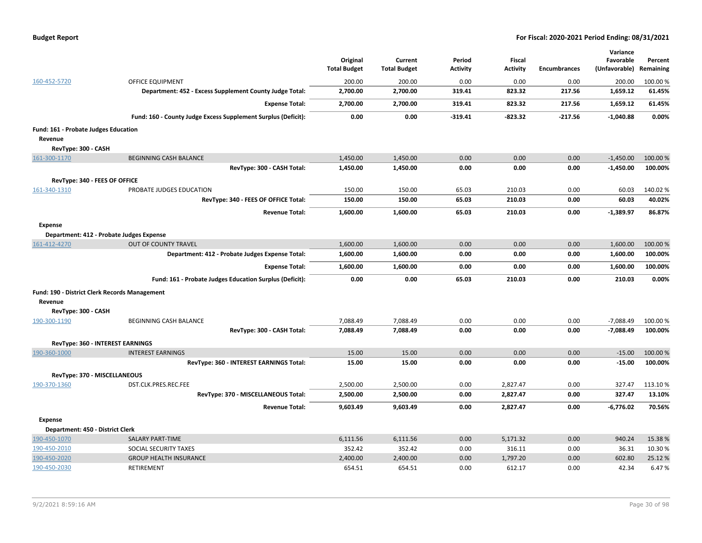|  | <b>Budget Report</b> |
|--|----------------------|
|--|----------------------|

|                                               |                                                               |                     |                     |                 |                 |                     | Variance      |           |
|-----------------------------------------------|---------------------------------------------------------------|---------------------|---------------------|-----------------|-----------------|---------------------|---------------|-----------|
|                                               |                                                               | Original            | Current             | Period          | <b>Fiscal</b>   |                     | Favorable     | Percent   |
|                                               |                                                               | <b>Total Budget</b> | <b>Total Budget</b> | <b>Activity</b> | <b>Activity</b> | <b>Encumbrances</b> | (Unfavorable) | Remaining |
| 160-452-5720                                  | <b>OFFICE EQUIPMENT</b>                                       | 200.00              | 200.00              | 0.00            | 0.00            | 0.00                | 200.00        | 100.00 %  |
|                                               | Department: 452 - Excess Supplement County Judge Total:       | 2,700.00            | 2,700.00            | 319.41          | 823.32          | 217.56              | 1,659.12      | 61.45%    |
|                                               | <b>Expense Total:</b>                                         | 2,700.00            | 2,700.00            | 319.41          | 823.32          | 217.56              | 1,659.12      | 61.45%    |
|                                               | Fund: 160 - County Judge Excess Supplement Surplus (Deficit): | 0.00                | 0.00                | $-319.41$       | $-823.32$       | $-217.56$           | $-1,040.88$   | 0.00%     |
| Fund: 161 - Probate Judges Education          |                                                               |                     |                     |                 |                 |                     |               |           |
| Revenue                                       |                                                               |                     |                     |                 |                 |                     |               |           |
| RevType: 300 - CASH                           |                                                               |                     |                     |                 |                 |                     |               |           |
| 161-300-1170                                  | <b>BEGINNING CASH BALANCE</b>                                 | 1,450.00            | 1,450.00            | 0.00            | 0.00            | 0.00                | $-1,450.00$   | 100.00 %  |
|                                               | RevType: 300 - CASH Total:                                    | 1,450.00            | 1,450.00            | 0.00            | 0.00            | 0.00                | $-1,450.00$   | 100.00%   |
| RevType: 340 - FEES OF OFFICE                 |                                                               |                     |                     |                 |                 |                     |               |           |
| 161-340-1310                                  | PROBATE JUDGES EDUCATION                                      | 150.00              | 150.00              | 65.03           | 210.03          | 0.00                | 60.03         | 140.02%   |
|                                               | RevType: 340 - FEES OF OFFICE Total:                          | 150.00              | 150.00              | 65.03           | 210.03          | 0.00                | 60.03         | 40.02%    |
|                                               | <b>Revenue Total:</b>                                         | 1,600.00            | 1,600.00            | 65.03           | 210.03          | 0.00                | $-1,389.97$   | 86.87%    |
| <b>Expense</b>                                |                                                               |                     |                     |                 |                 |                     |               |           |
|                                               | Department: 412 - Probate Judges Expense                      |                     |                     |                 |                 |                     |               |           |
| 161-412-4270                                  | <b>OUT OF COUNTY TRAVEL</b>                                   | 1,600.00            | 1,600.00            | 0.00            | 0.00            | 0.00                | 1,600.00      | 100.00 %  |
|                                               | Department: 412 - Probate Judges Expense Total:               | 1,600.00            | 1,600.00            | 0.00            | 0.00            | 0.00                | 1,600.00      | 100.00%   |
|                                               | <b>Expense Total:</b>                                         | 1,600.00            | 1,600.00            | 0.00            | 0.00            | 0.00                | 1,600.00      | 100.00%   |
|                                               | Fund: 161 - Probate Judges Education Surplus (Deficit):       | 0.00                | 0.00                | 65.03           | 210.03          | 0.00                | 210.03        | 0.00%     |
| Fund: 190 - District Clerk Records Management |                                                               |                     |                     |                 |                 |                     |               |           |
| Revenue                                       |                                                               |                     |                     |                 |                 |                     |               |           |
| RevType: 300 - CASH                           |                                                               |                     |                     |                 |                 |                     |               |           |
| 190-300-1190                                  | <b>BEGINNING CASH BALANCE</b>                                 | 7,088.49            | 7,088.49            | 0.00            | 0.00            | 0.00                | $-7,088.49$   | 100.00 %  |
|                                               | RevType: 300 - CASH Total:                                    | 7,088.49            | 7,088.49            | 0.00            | 0.00            | 0.00                | $-7,088.49$   | 100.00%   |
|                                               | RevType: 360 - INTEREST EARNINGS                              |                     |                     |                 |                 |                     |               |           |
| 190-360-1000                                  | <b>INTEREST EARNINGS</b>                                      | 15.00               | 15.00               | 0.00            | 0.00            | 0.00                | $-15.00$      | 100.00 %  |
|                                               | RevType: 360 - INTEREST EARNINGS Total:                       | 15.00               | 15.00               | 0.00            | 0.00            | 0.00                | $-15.00$      | 100.00%   |
| RevType: 370 - MISCELLANEOUS                  |                                                               |                     |                     |                 |                 |                     |               |           |
| 190-370-1360                                  | DST.CLK.PRES.REC.FEE                                          | 2,500.00            | 2,500.00            | 0.00            | 2,827.47        | 0.00                | 327.47        | 113.10%   |
|                                               | RevType: 370 - MISCELLANEOUS Total:                           | 2,500.00            | 2,500.00            | 0.00            | 2,827.47        | 0.00                | 327.47        | 13.10%    |
|                                               | <b>Revenue Total:</b>                                         | 9,603.49            | 9,603.49            | 0.00            | 2,827.47        | 0.00                | -6,776.02     | 70.56%    |
|                                               |                                                               |                     |                     |                 |                 |                     |               |           |
| Expense<br>Department: 450 - District Clerk   |                                                               |                     |                     |                 |                 |                     |               |           |
| 190-450-1070                                  | <b>SALARY PART-TIME</b>                                       | 6,111.56            | 6,111.56            | 0.00            | 5,171.32        | 0.00                | 940.24        | 15.38%    |
| 190-450-2010                                  | SOCIAL SECURITY TAXES                                         | 352.42              | 352.42              | 0.00            | 316.11          | 0.00                | 36.31         | 10.30%    |
| 190-450-2020                                  | <b>GROUP HEALTH INSURANCE</b>                                 | 2,400.00            | 2,400.00            | 0.00            | 1,797.20        | 0.00                | 602.80        | 25.12%    |
| 190-450-2030                                  | <b>RETIREMENT</b>                                             | 654.51              | 654.51              | 0.00            | 612.17          | 0.00                | 42.34         | 6.47%     |
|                                               |                                                               |                     |                     |                 |                 |                     |               |           |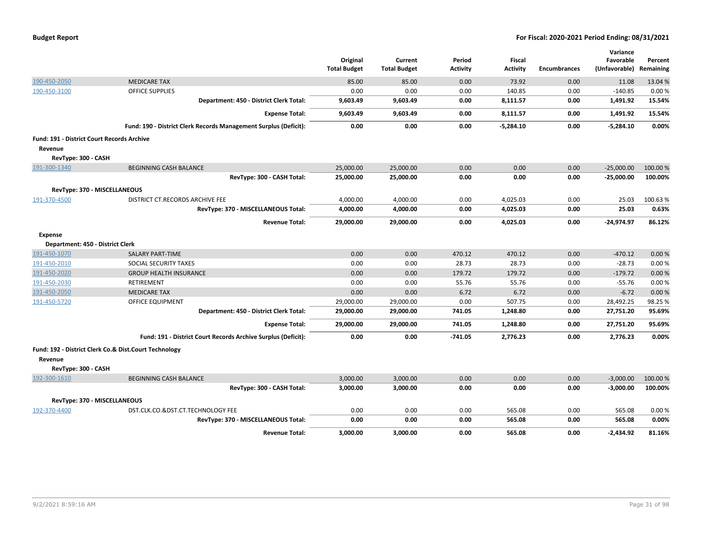|  |  |  | <b>Budget Report</b> |
|--|--|--|----------------------|
|--|--|--|----------------------|

|                                                   |                                                                  |                     |                     |                 |                 |                     | Variance      |           |
|---------------------------------------------------|------------------------------------------------------------------|---------------------|---------------------|-----------------|-----------------|---------------------|---------------|-----------|
|                                                   |                                                                  | Original            | Current             | Period          | Fiscal          |                     | Favorable     | Percent   |
|                                                   |                                                                  | <b>Total Budget</b> | <b>Total Budget</b> | <b>Activity</b> | <b>Activity</b> | <b>Encumbrances</b> | (Unfavorable) | Remaining |
| 190-450-2050                                      | <b>MEDICARE TAX</b>                                              | 85.00               | 85.00               | 0.00            | 73.92           | 0.00                | 11.08         | 13.04 %   |
| 190-450-3100                                      | <b>OFFICE SUPPLIES</b>                                           | 0.00                | 0.00                | 0.00            | 140.85          | 0.00                | $-140.85$     | 0.00%     |
|                                                   | Department: 450 - District Clerk Total:                          | 9,603.49            | 9,603.49            | 0.00            | 8,111.57        | 0.00                | 1,491.92      | 15.54%    |
|                                                   | <b>Expense Total:</b>                                            | 9,603.49            | 9,603.49            | 0.00            | 8,111.57        | 0.00                | 1,491.92      | 15.54%    |
|                                                   | Fund: 190 - District Clerk Records Management Surplus (Deficit): | 0.00                | 0.00                | 0.00            | $-5,284.10$     | 0.00                | $-5,284.10$   | 0.00%     |
| <b>Fund: 191 - District Court Records Archive</b> |                                                                  |                     |                     |                 |                 |                     |               |           |
| Revenue                                           |                                                                  |                     |                     |                 |                 |                     |               |           |
| RevType: 300 - CASH                               |                                                                  |                     |                     |                 |                 |                     |               |           |
| 191-300-1340                                      | <b>BEGINNING CASH BALANCE</b>                                    | 25,000.00           | 25,000.00           | 0.00            | 0.00            | 0.00                | $-25,000.00$  | 100.00 %  |
|                                                   | RevType: 300 - CASH Total:                                       | 25,000.00           | 25,000.00           | 0.00            | 0.00            | 0.00                | $-25,000.00$  | 100.00%   |
| RevType: 370 - MISCELLANEOUS                      |                                                                  |                     |                     |                 |                 |                     |               |           |
| 191-370-4500                                      | DISTRICT CT.RECORDS ARCHIVE FEE                                  | 4,000.00            | 4,000.00            | 0.00            | 4,025.03        | 0.00                | 25.03         | 100.63%   |
|                                                   | RevType: 370 - MISCELLANEOUS Total:                              | 4,000.00            | 4,000.00            | 0.00            | 4,025.03        | 0.00                | 25.03         | 0.63%     |
|                                                   | <b>Revenue Total:</b>                                            | 29,000.00           | 29,000.00           | 0.00            | 4,025.03        | 0.00                | $-24,974.97$  | 86.12%    |
| Expense                                           |                                                                  |                     |                     |                 |                 |                     |               |           |
| Department: 450 - District Clerk                  |                                                                  |                     |                     |                 |                 |                     |               |           |
| 191-450-1070                                      | SALARY PART-TIME                                                 | 0.00                | 0.00                | 470.12          | 470.12          | 0.00                | $-470.12$     | 0.00%     |
| 191-450-2010                                      | SOCIAL SECURITY TAXES                                            | 0.00                | 0.00                | 28.73           | 28.73           | 0.00                | $-28.73$      | 0.00%     |
| 191-450-2020                                      | <b>GROUP HEALTH INSURANCE</b>                                    | 0.00                | 0.00                | 179.72          | 179.72          | 0.00                | $-179.72$     | 0.00%     |
| 191-450-2030                                      | RETIREMENT                                                       | 0.00                | 0.00                | 55.76           | 55.76           | 0.00                | $-55.76$      | 0.00%     |
| 191-450-2050                                      | <b>MEDICARE TAX</b>                                              | 0.00                | 0.00                | 6.72            | 6.72            | 0.00                | $-6.72$       | 0.00%     |
| 191-450-5720                                      | OFFICE EQUIPMENT                                                 | 29,000.00           | 29,000.00           | 0.00            | 507.75          | 0.00                | 28,492.25     | 98.25 %   |
|                                                   | Department: 450 - District Clerk Total:                          | 29,000.00           | 29,000.00           | 741.05          | 1,248.80        | 0.00                | 27,751.20     | 95.69%    |
|                                                   | <b>Expense Total:</b>                                            | 29,000.00           | 29,000.00           | 741.05          | 1,248.80        | 0.00                | 27,751.20     | 95.69%    |
|                                                   | Fund: 191 - District Court Records Archive Surplus (Deficit):    | 0.00                | 0.00                | $-741.05$       | 2,776.23        | 0.00                | 2,776.23      | 0.00%     |
|                                                   | Fund: 192 - District Clerk Co.& Dist.Court Technology            |                     |                     |                 |                 |                     |               |           |
| Revenue                                           |                                                                  |                     |                     |                 |                 |                     |               |           |
| RevType: 300 - CASH                               |                                                                  |                     |                     |                 |                 |                     |               |           |
| 192-300-1610                                      | <b>BEGINNING CASH BALANCE</b>                                    | 3,000.00            | 3,000.00            | 0.00            | 0.00            | 0.00                | $-3,000.00$   | 100.00%   |
|                                                   | RevType: 300 - CASH Total:                                       | 3,000.00            | 3,000.00            | 0.00            | 0.00            | 0.00                | $-3,000.00$   | 100.00%   |
| RevType: 370 - MISCELLANEOUS                      |                                                                  |                     |                     |                 |                 |                     |               |           |
| 192-370-4400                                      | DST.CLK.CO.&DST.CT.TECHNOLOGY FEE                                | 0.00                | 0.00                | 0.00            | 565.08          | 0.00                | 565.08        | 0.00%     |
|                                                   | RevType: 370 - MISCELLANEOUS Total:                              | 0.00                | 0.00                | 0.00            | 565.08          | 0.00                | 565.08        | 0.00%     |
|                                                   | <b>Revenue Total:</b>                                            | 3,000.00            | 3,000.00            | 0.00            | 565.08          | 0.00                | $-2,434.92$   | 81.16%    |
|                                                   |                                                                  |                     |                     |                 |                 |                     |               |           |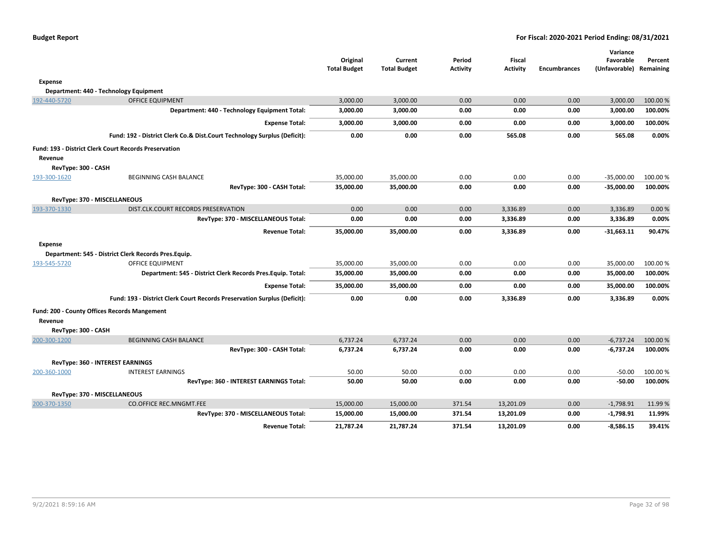| <b>Budget Report</b> |  |  |
|----------------------|--|--|
|----------------------|--|--|

|                     |                                                                          |                     |                     |                 |                 |                     | Variance      |           |
|---------------------|--------------------------------------------------------------------------|---------------------|---------------------|-----------------|-----------------|---------------------|---------------|-----------|
|                     |                                                                          | Original            | Current             | Period          | <b>Fiscal</b>   |                     | Favorable     | Percent   |
|                     |                                                                          | <b>Total Budget</b> | <b>Total Budget</b> | <b>Activity</b> | <b>Activity</b> | <b>Encumbrances</b> | (Unfavorable) | Remaining |
| <b>Expense</b>      |                                                                          |                     |                     |                 |                 |                     |               |           |
|                     | Department: 440 - Technology Equipment                                   |                     |                     |                 |                 |                     |               |           |
| 192-440-5720        | <b>OFFICE EQUIPMENT</b>                                                  | 3,000.00            | 3,000.00            | 0.00            | 0.00            | 0.00                | 3,000.00      | 100.00 %  |
|                     | Department: 440 - Technology Equipment Total:                            | 3,000.00            | 3,000.00            | 0.00            | 0.00            | 0.00                | 3,000.00      | 100.00%   |
|                     | <b>Expense Total:</b>                                                    | 3,000.00            | 3,000.00            | 0.00            | 0.00            | 0.00                | 3,000.00      | 100.00%   |
|                     | Fund: 192 - District Clerk Co.& Dist.Court Technology Surplus (Deficit): | 0.00                | 0.00                | 0.00            | 565.08          | 0.00                | 565.08        | 0.00%     |
| Revenue             | <b>Fund: 193 - District Clerk Court Records Preservation</b>             |                     |                     |                 |                 |                     |               |           |
| RevType: 300 - CASH |                                                                          |                     |                     |                 |                 |                     |               |           |
| 193-300-1620        | <b>BEGINNING CASH BALANCE</b>                                            | 35,000.00           | 35,000.00           | 0.00            | 0.00            | 0.00                | $-35,000.00$  | 100.00%   |
|                     | RevType: 300 - CASH Total:                                               | 35,000.00           | 35,000.00           | 0.00            | 0.00            | 0.00                | $-35,000.00$  | 100.00%   |
|                     | RevType: 370 - MISCELLANEOUS                                             |                     |                     |                 |                 |                     |               |           |
| 193-370-1330        | DIST.CLK.COURT RECORDS PRESERVATION                                      | 0.00                | 0.00                | 0.00            | 3,336.89        | 0.00                | 3,336.89      | 0.00%     |
|                     | RevType: 370 - MISCELLANEOUS Total:                                      | 0.00                | 0.00                | 0.00            | 3,336.89        | 0.00                | 3,336.89      | 0.00%     |
|                     | <b>Revenue Total:</b>                                                    | 35,000.00           | 35,000.00           | 0.00            | 3,336.89        | 0.00                | $-31,663.11$  | 90.47%    |
| <b>Expense</b>      |                                                                          |                     |                     |                 |                 |                     |               |           |
|                     | Department: 545 - District Clerk Records Pres.Equip.                     |                     |                     |                 |                 |                     |               |           |
| 193-545-5720        | <b>OFFICE EQUIPMENT</b>                                                  | 35,000.00           | 35,000.00           | 0.00            | 0.00            | 0.00                | 35,000.00     | 100.00%   |
|                     | Department: 545 - District Clerk Records Pres. Equip. Total:             | 35,000.00           | 35,000.00           | 0.00            | 0.00            | 0.00                | 35,000.00     | 100.00%   |
|                     | <b>Expense Total:</b>                                                    | 35,000.00           | 35,000.00           | 0.00            | 0.00            | 0.00                | 35,000.00     | 100.00%   |
|                     | Fund: 193 - District Clerk Court Records Preservation Surplus (Deficit): | 0.00                | 0.00                | 0.00            | 3,336.89        | 0.00                | 3,336.89      | $0.00\%$  |
|                     | Fund: 200 - County Offices Records Mangement                             |                     |                     |                 |                 |                     |               |           |
| Revenue             |                                                                          |                     |                     |                 |                 |                     |               |           |
| RevType: 300 - CASH |                                                                          |                     |                     |                 |                 |                     |               |           |
| 200-300-1200        | <b>BEGINNING CASH BALANCE</b>                                            | 6,737.24            | 6,737.24            | 0.00            | 0.00            | 0.00                | $-6,737.24$   | 100.00%   |
|                     | RevType: 300 - CASH Total:                                               | 6,737.24            | 6,737.24            | 0.00            | 0.00            | 0.00                | -6,737.24     | 100.00%   |
|                     | RevType: 360 - INTEREST EARNINGS                                         |                     |                     |                 |                 |                     |               |           |
| 200-360-1000        | <b>INTEREST EARNINGS</b>                                                 | 50.00               | 50.00               | 0.00            | 0.00            | 0.00                | $-50.00$      | 100.00%   |
|                     | RevType: 360 - INTEREST EARNINGS Total:                                  | 50.00               | 50.00               | 0.00            | 0.00            | 0.00                | $-50.00$      | 100.00%   |
|                     | RevType: 370 - MISCELLANEOUS                                             |                     |                     |                 |                 |                     |               |           |
| 200-370-1350        | <b>CO.OFFICE REC.MNGMT.FEE</b>                                           | 15,000.00           | 15,000.00           | 371.54          | 13,201.09       | 0.00                | $-1,798.91$   | 11.99 %   |
|                     | RevType: 370 - MISCELLANEOUS Total:                                      | 15,000.00           | 15,000.00           | 371.54          | 13,201.09       | 0.00                | $-1,798.91$   | 11.99%    |
|                     | <b>Revenue Total:</b>                                                    | 21,787.24           | 21,787.24           | 371.54          | 13,201.09       | 0.00                | $-8,586.15$   | 39.41%    |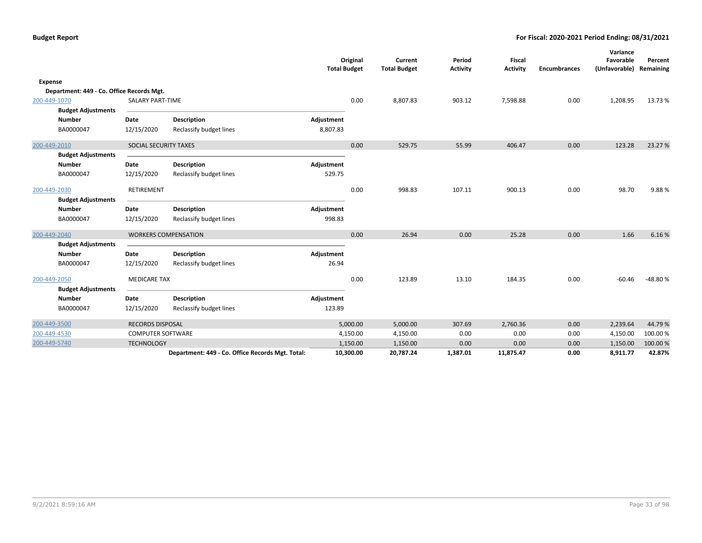|                |                                           |                          |                                                  | <b>Total Budget</b> | Original  | Current<br><b>Total Budget</b> | Period<br><b>Activity</b> | Fiscal<br><b>Activity</b> | <b>Encumbrances</b> | Variance<br>Favorable<br>(Unfavorable) | Percent<br>Remaining |
|----------------|-------------------------------------------|--------------------------|--------------------------------------------------|---------------------|-----------|--------------------------------|---------------------------|---------------------------|---------------------|----------------------------------------|----------------------|
| <b>Expense</b> |                                           |                          |                                                  |                     |           |                                |                           |                           |                     |                                        |                      |
|                | Department: 449 - Co. Office Records Mgt. |                          |                                                  |                     |           |                                |                           |                           |                     |                                        |                      |
| 200-449-1070   |                                           | <b>SALARY PART-TIME</b>  |                                                  |                     | 0.00      | 8,807.83                       | 903.12                    | 7,598.88                  | 0.00                | 1,208.95                               | 13.73%               |
|                | <b>Budget Adjustments</b>                 |                          |                                                  |                     |           |                                |                           |                           |                     |                                        |                      |
|                | <b>Number</b>                             | Date                     | <b>Description</b>                               | Adjustment          |           |                                |                           |                           |                     |                                        |                      |
|                | BA0000047                                 | 12/15/2020               | Reclassify budget lines                          | 8,807.83            |           |                                |                           |                           |                     |                                        |                      |
| 200-449-2010   |                                           | SOCIAL SECURITY TAXES    |                                                  |                     | 0.00      | 529.75                         | 55.99                     | 406.47                    | 0.00                | 123.28                                 | 23.27 %              |
|                | <b>Budget Adjustments</b>                 |                          |                                                  |                     |           |                                |                           |                           |                     |                                        |                      |
|                | <b>Number</b>                             | Date                     | <b>Description</b>                               | Adjustment          |           |                                |                           |                           |                     |                                        |                      |
|                | BA0000047                                 | 12/15/2020               | Reclassify budget lines                          | 529.75              |           |                                |                           |                           |                     |                                        |                      |
| 200-449-2030   |                                           | RETIREMENT               |                                                  |                     | 0.00      | 998.83                         | 107.11                    | 900.13                    | 0.00                | 98.70                                  | 9.88%                |
|                | <b>Budget Adjustments</b>                 |                          |                                                  |                     |           |                                |                           |                           |                     |                                        |                      |
|                | <b>Number</b>                             | Date                     | <b>Description</b>                               | Adjustment          |           |                                |                           |                           |                     |                                        |                      |
|                | BA0000047                                 | 12/15/2020               | Reclassify budget lines                          | 998.83              |           |                                |                           |                           |                     |                                        |                      |
| 200-449-2040   |                                           |                          | <b>WORKERS COMPENSATION</b>                      |                     | 0.00      | 26.94                          | 0.00                      | 25.28                     | 0.00                | 1.66                                   | 6.16%                |
|                | <b>Budget Adjustments</b>                 |                          |                                                  |                     |           |                                |                           |                           |                     |                                        |                      |
|                | <b>Number</b>                             | Date                     | <b>Description</b>                               | Adjustment          |           |                                |                           |                           |                     |                                        |                      |
|                | BA0000047                                 | 12/15/2020               | Reclassify budget lines                          | 26.94               |           |                                |                           |                           |                     |                                        |                      |
| 200-449-2050   |                                           | <b>MEDICARE TAX</b>      |                                                  |                     | 0.00      | 123.89                         | 13.10                     | 184.35                    | 0.00                | $-60.46$                               | -48.80%              |
|                | <b>Budget Adjustments</b>                 |                          |                                                  |                     |           |                                |                           |                           |                     |                                        |                      |
|                | <b>Number</b>                             | Date                     | <b>Description</b>                               | Adjustment          |           |                                |                           |                           |                     |                                        |                      |
|                | BA0000047                                 | 12/15/2020               | Reclassify budget lines                          | 123.89              |           |                                |                           |                           |                     |                                        |                      |
| 200-449-3500   |                                           | <b>RECORDS DISPOSAL</b>  |                                                  |                     | 5,000.00  | 5,000.00                       | 307.69                    | 2,760.36                  | 0.00                | 2,239.64                               | 44.79%               |
| 200-449-4530   |                                           | <b>COMPUTER SOFTWARE</b> |                                                  |                     | 4,150.00  | 4,150.00                       | 0.00                      | 0.00                      | 0.00                | 4,150.00                               | 100.00%              |
| 200-449-5740   |                                           | <b>TECHNOLOGY</b>        |                                                  |                     | 1,150.00  | 1,150.00                       | 0.00                      | 0.00                      | 0.00                | 1,150.00                               | 100.00%              |
|                |                                           |                          | Department: 449 - Co. Office Records Mgt. Total: |                     | 10,300.00 | 20,787.24                      | 1,387.01                  | 11,875.47                 | 0.00                | 8,911.77                               | 42.87%               |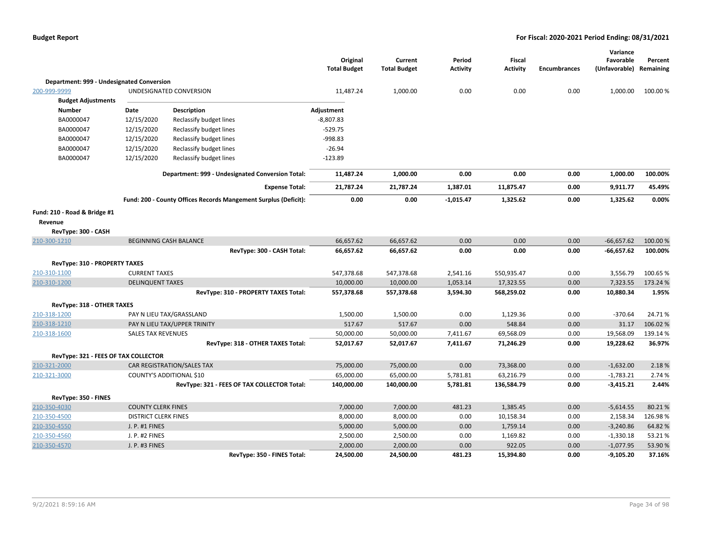|                                           |                             |                                                                 | Original<br><b>Total Budget</b> | Current<br><b>Total Budget</b> | Period<br><b>Activity</b> | <b>Fiscal</b><br><b>Activity</b> | <b>Encumbrances</b> | Variance<br>Favorable<br>(Unfavorable) | Percent<br>Remaining |
|-------------------------------------------|-----------------------------|-----------------------------------------------------------------|---------------------------------|--------------------------------|---------------------------|----------------------------------|---------------------|----------------------------------------|----------------------|
| Department: 999 - Undesignated Conversion |                             |                                                                 |                                 |                                |                           |                                  |                     |                                        |                      |
| 200-999-9999                              |                             | UNDESIGNATED CONVERSION                                         | 11,487.24                       | 1,000.00                       | 0.00                      | 0.00                             | 0.00                | 1,000.00                               | 100.00 %             |
| <b>Budget Adjustments</b>                 |                             |                                                                 |                                 |                                |                           |                                  |                     |                                        |                      |
| <b>Number</b>                             | Date                        | <b>Description</b>                                              | Adjustment                      |                                |                           |                                  |                     |                                        |                      |
| BA0000047                                 | 12/15/2020                  | Reclassify budget lines                                         | $-8,807.83$                     |                                |                           |                                  |                     |                                        |                      |
| BA0000047                                 | 12/15/2020                  | Reclassify budget lines                                         | $-529.75$                       |                                |                           |                                  |                     |                                        |                      |
| BA0000047                                 | 12/15/2020                  | Reclassify budget lines                                         | $-998.83$                       |                                |                           |                                  |                     |                                        |                      |
| BA0000047                                 | 12/15/2020                  | Reclassify budget lines                                         | $-26.94$                        |                                |                           |                                  |                     |                                        |                      |
| BA0000047                                 | 12/15/2020                  | Reclassify budget lines                                         | $-123.89$                       |                                |                           |                                  |                     |                                        |                      |
|                                           |                             | Department: 999 - Undesignated Conversion Total:                | 11,487.24                       | 1,000.00                       | 0.00                      | 0.00                             | 0.00                | 1,000.00                               | 100.00%              |
|                                           |                             | <b>Expense Total:</b>                                           | 21,787.24                       | 21,787.24                      | 1,387.01                  | 11,875.47                        | 0.00                | 9,911.77                               | 45.49%               |
|                                           |                             | Fund: 200 - County Offices Records Mangement Surplus (Deficit): | 0.00                            | 0.00                           | $-1,015.47$               | 1,325.62                         | 0.00                | 1,325.62                               | 0.00%                |
| Fund: 210 - Road & Bridge #1              |                             |                                                                 |                                 |                                |                           |                                  |                     |                                        |                      |
| Revenue                                   |                             |                                                                 |                                 |                                |                           |                                  |                     |                                        |                      |
| RevType: 300 - CASH                       |                             |                                                                 |                                 |                                |                           |                                  |                     |                                        |                      |
| 210-300-1210                              |                             | <b>BEGINNING CASH BALANCE</b>                                   | 66,657.62                       | 66,657.62                      | 0.00                      | 0.00                             | 0.00                | $-66,657.62$                           | 100.00%              |
|                                           |                             | RevType: 300 - CASH Total:                                      | 66,657.62                       | 66,657.62                      | 0.00                      | 0.00                             | 0.00                | $-66,657.62$                           | 100.00%              |
| <b>RevType: 310 - PROPERTY TAXES</b>      |                             |                                                                 |                                 |                                |                           |                                  |                     |                                        |                      |
| 210-310-1100                              | <b>CURRENT TAXES</b>        |                                                                 | 547,378.68                      | 547,378.68                     | 2,541.16                  | 550,935.47                       | 0.00                | 3,556.79                               | 100.65 %             |
| 210-310-1200                              | <b>DELINQUENT TAXES</b>     |                                                                 | 10,000.00                       | 10,000.00                      | 1,053.14                  | 17,323.55                        | 0.00                | 7,323.55                               | 173.24 %             |
|                                           |                             | RevType: 310 - PROPERTY TAXES Total:                            | 557,378.68                      | 557,378.68                     | 3,594.30                  | 568,259.02                       | 0.00                | 10,880.34                              | 1.95%                |
| RevType: 318 - OTHER TAXES                |                             |                                                                 |                                 |                                |                           |                                  |                     |                                        |                      |
| 210-318-1200                              |                             | PAY N LIEU TAX/GRASSLAND                                        | 1,500.00                        | 1,500.00                       | 0.00                      | 1,129.36                         | 0.00                | $-370.64$                              | 24.71%               |
| 210-318-1210                              |                             | PAY N LIEU TAX/UPPER TRINITY                                    | 517.67                          | 517.67                         | 0.00                      | 548.84                           | 0.00                | 31.17                                  | 106.02%              |
| 210-318-1600                              | <b>SALES TAX REVENUES</b>   |                                                                 | 50,000.00                       | 50,000.00                      | 7,411.67                  | 69,568.09                        | 0.00                | 19,568.09                              | 139.14 %             |
|                                           |                             | RevType: 318 - OTHER TAXES Total:                               | 52,017.67                       | 52,017.67                      | 7,411.67                  | 71,246.29                        | 0.00                | 19,228.62                              | 36.97%               |
| RevType: 321 - FEES OF TAX COLLECTOR      |                             |                                                                 |                                 |                                |                           |                                  |                     |                                        |                      |
| 210-321-2000                              |                             | CAR REGISTRATION/SALES TAX                                      | 75,000.00                       | 75,000.00                      | 0.00                      | 73,368.00                        | 0.00                | $-1,632.00$                            | 2.18%                |
| 210-321-3000                              |                             | <b>COUNTY'S ADDITIONAL \$10</b>                                 | 65,000.00                       | 65,000.00                      | 5,781.81                  | 63,216.79                        | 0.00                | $-1,783.21$                            | 2.74 %               |
|                                           |                             | RevType: 321 - FEES OF TAX COLLECTOR Total:                     | 140,000.00                      | 140,000.00                     | 5,781.81                  | 136,584.79                       | 0.00                | $-3,415.21$                            | 2.44%                |
| RevType: 350 - FINES                      |                             |                                                                 |                                 |                                |                           |                                  |                     |                                        |                      |
| 210-350-4030                              | <b>COUNTY CLERK FINES</b>   |                                                                 | 7,000.00                        | 7,000.00                       | 481.23                    | 1,385.45                         | 0.00                | $-5,614.55$                            | 80.21%               |
| 210-350-4500                              | <b>DISTRICT CLERK FINES</b> |                                                                 | 8,000.00                        | 8,000.00                       | 0.00                      | 10,158.34                        | 0.00                | 2,158.34                               | 126.98%              |
| 210-350-4550                              | J. P. #1 FINES              |                                                                 | 5,000.00                        | 5,000.00                       | 0.00                      | 1,759.14                         | 0.00                | $-3,240.86$                            | 64.82%               |
| 210-350-4560                              | J. P. #2 FINES              |                                                                 | 2,500.00                        | 2,500.00                       | 0.00                      | 1,169.82                         | 0.00                | $-1,330.18$                            | 53.21%               |
| 210-350-4570                              | J. P. #3 FINES              |                                                                 | 2,000.00                        | 2,000.00                       | 0.00                      | 922.05                           | 0.00                | $-1,077.95$                            | 53.90%               |
|                                           |                             | RevType: 350 - FINES Total:                                     | 24,500.00                       | 24,500.00                      | 481.23                    | 15,394.80                        | 0.00                | $-9,105.20$                            | 37.16%               |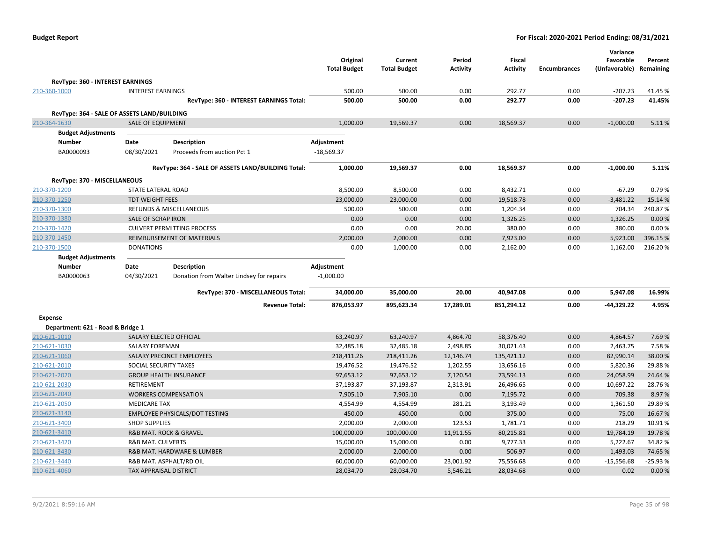|                                             |                               |                                                    | Original<br><b>Total Budget</b> | Current<br><b>Total Budget</b> | Period<br><b>Activity</b> | <b>Fiscal</b><br><b>Activity</b> | <b>Encumbrances</b> | Variance<br>Favorable<br>(Unfavorable) Remaining | Percent           |
|---------------------------------------------|-------------------------------|----------------------------------------------------|---------------------------------|--------------------------------|---------------------------|----------------------------------|---------------------|--------------------------------------------------|-------------------|
| RevType: 360 - INTEREST EARNINGS            |                               |                                                    |                                 |                                |                           |                                  |                     |                                                  |                   |
| 210-360-1000                                | <b>INTEREST EARNINGS</b>      |                                                    | 500.00                          | 500.00                         | 0.00                      | 292.77                           | 0.00                | $-207.23$                                        | 41.45%            |
|                                             |                               | RevType: 360 - INTEREST EARNINGS Total:            | 500.00                          | 500.00                         | 0.00                      | 292.77                           | 0.00                | $-207.23$                                        | 41.45%            |
| RevType: 364 - SALE OF ASSETS LAND/BUILDING |                               |                                                    |                                 |                                |                           |                                  |                     |                                                  |                   |
| 210-364-1630                                | <b>SALE OF EQUIPMENT</b>      |                                                    | 1,000.00                        | 19,569.37                      | 0.00                      | 18,569.37                        | 0.00                | $-1,000.00$                                      | 5.11%             |
| <b>Budget Adjustments</b>                   |                               |                                                    |                                 |                                |                           |                                  |                     |                                                  |                   |
| Number                                      | Date                          | <b>Description</b>                                 | Adjustment                      |                                |                           |                                  |                     |                                                  |                   |
| BA0000093                                   | 08/30/2021                    | Proceeds from auction Pct 1                        | $-18,569.37$                    |                                |                           |                                  |                     |                                                  |                   |
|                                             |                               | RevType: 364 - SALE OF ASSETS LAND/BUILDING Total: | 1,000.00                        | 19,569.37                      | 0.00                      | 18,569.37                        | 0.00                | $-1,000.00$                                      | 5.11%             |
| RevType: 370 - MISCELLANEOUS                |                               |                                                    |                                 |                                |                           |                                  |                     |                                                  |                   |
| 210-370-1200                                | STATE LATERAL ROAD            |                                                    | 8,500.00                        | 8,500.00                       | 0.00                      | 8,432.71                         | 0.00                | $-67.29$                                         | 0.79%             |
| 210-370-1250                                | <b>TDT WEIGHT FEES</b>        |                                                    | 23,000.00                       | 23,000.00                      | 0.00                      | 19,518.78                        | 0.00                | $-3,481.22$                                      | 15.14 %           |
| 210-370-1300                                |                               | REFUNDS & MISCELLANEOUS                            | 500.00                          | 500.00                         | 0.00                      | 1,204.34                         | 0.00                | 704.34                                           | 240.87%           |
| 210-370-1380                                | <b>SALE OF SCRAP IRON</b>     |                                                    | 0.00                            | 0.00                           | 0.00                      | 1,326.25                         | 0.00                | 1,326.25                                         | 0.00%             |
| 210-370-1420                                |                               | <b>CULVERT PERMITTING PROCESS</b>                  | 0.00                            | 0.00                           | 20.00                     | 380.00                           | 0.00                | 380.00                                           | 0.00%             |
| 210-370-1450                                |                               | REIMBURSEMENT OF MATERIALS                         | 2,000.00                        | 2,000.00                       | 0.00                      | 7,923.00                         | 0.00                | 5,923.00                                         | 396.15%           |
| 210-370-1500                                | <b>DONATIONS</b>              |                                                    | 0.00                            | 1,000.00                       | 0.00                      | 2,162.00                         | 0.00                | 1,162.00                                         | 216.20%           |
| <b>Budget Adjustments</b>                   |                               |                                                    |                                 |                                |                           |                                  |                     |                                                  |                   |
| <b>Number</b>                               | Date                          | <b>Description</b>                                 | Adjustment                      |                                |                           |                                  |                     |                                                  |                   |
| BA0000063                                   | 04/30/2021                    | Donation from Walter Lindsey for repairs           | $-1,000.00$                     |                                |                           |                                  |                     |                                                  |                   |
|                                             |                               | RevType: 370 - MISCELLANEOUS Total:                | 34,000.00                       | 35,000.00                      | 20.00                     | 40,947.08                        | 0.00                | 5,947.08                                         | 16.99%            |
|                                             |                               | <b>Revenue Total:</b>                              | 876,053.97                      | 895,623.34                     | 17,289.01                 | 851,294.12                       | 0.00                | $-44,329.22$                                     | 4.95%             |
| <b>Expense</b>                              |                               |                                                    |                                 |                                |                           |                                  |                     |                                                  |                   |
| Department: 621 - Road & Bridge 1           |                               |                                                    |                                 |                                |                           |                                  |                     |                                                  |                   |
| 210-621-1010                                | SALARY ELECTED OFFICIAL       |                                                    | 63,240.97                       | 63,240.97                      | 4,864.70                  | 58,376.40                        | 0.00                | 4,864.57                                         | 7.69%             |
| 210-621-1030                                | <b>SALARY FOREMAN</b>         |                                                    | 32,485.18                       | 32,485.18                      | 2,498.85                  | 30,021.43                        | 0.00                | 2,463.75                                         | 7.58%             |
| 210-621-1060                                |                               | SALARY PRECINCT EMPLOYEES                          | 218,411.26                      | 218,411.26                     | 12,146.74                 | 135,421.12                       | 0.00                | 82,990.14                                        | 38.00%            |
| 210-621-2010                                | SOCIAL SECURITY TAXES         | <b>GROUP HEALTH INSURANCE</b>                      | 19,476.52                       | 19,476.52                      | 1,202.55                  | 13,656.16                        | 0.00                | 5,820.36                                         | 29.88%            |
| 210-621-2020<br>210-621-2030                | RETIREMENT                    |                                                    | 97,653.12<br>37,193.87          | 97,653.12<br>37,193.87         | 7,120.54<br>2,313.91      | 73,594.13                        | 0.00<br>0.00        | 24,058.99<br>10,697.22                           | 24.64 %<br>28.76% |
| 210-621-2040                                |                               | <b>WORKERS COMPENSATION</b>                        | 7,905.10                        | 7,905.10                       | 0.00                      | 26,496.65<br>7,195.72            | 0.00                | 709.38                                           | 8.97%             |
| 210-621-2050                                | <b>MEDICARE TAX</b>           |                                                    | 4,554.99                        | 4,554.99                       | 281.21                    | 3,193.49                         | 0.00                | 1,361.50                                         | 29.89%            |
| 210-621-3140                                |                               | <b>EMPLOYEE PHYSICALS/DOT TESTING</b>              | 450.00                          | 450.00                         | 0.00                      | 375.00                           | 0.00                | 75.00                                            | 16.67%            |
| 210-621-3400                                | <b>SHOP SUPPLIES</b>          |                                                    | 2,000.00                        | 2,000.00                       | 123.53                    | 1,781.71                         | 0.00                | 218.29                                           | 10.91%            |
| 210-621-3410                                |                               | R&B MAT. ROCK & GRAVEL                             | 100,000.00                      | 100,000.00                     | 11,911.55                 | 80,215.81                        | 0.00                | 19,784.19                                        | 19.78%            |
| 210-621-3420                                | <b>R&amp;B MAT. CULVERTS</b>  |                                                    | 15,000.00                       | 15,000.00                      | 0.00                      | 9,777.33                         | 0.00                | 5,222.67                                         | 34.82 %           |
| 210-621-3430                                |                               | R&B MAT. HARDWARE & LUMBER                         | 2,000.00                        | 2,000.00                       | 0.00                      | 506.97                           | 0.00                | 1,493.03                                         | 74.65%            |
| 210-621-3440                                |                               | R&B MAT. ASPHALT/RD OIL                            | 60,000.00                       | 60,000.00                      | 23,001.92                 | 75,556.68                        | 0.00                | $-15,556.68$                                     | $-25.93%$         |
| 210-621-4060                                | <b>TAX APPRAISAL DISTRICT</b> |                                                    | 28,034.70                       | 28,034.70                      | 5,546.21                  | 28,034.68                        | 0.00                | 0.02                                             | 0.00%             |
|                                             |                               |                                                    |                                 |                                |                           |                                  |                     |                                                  |                   |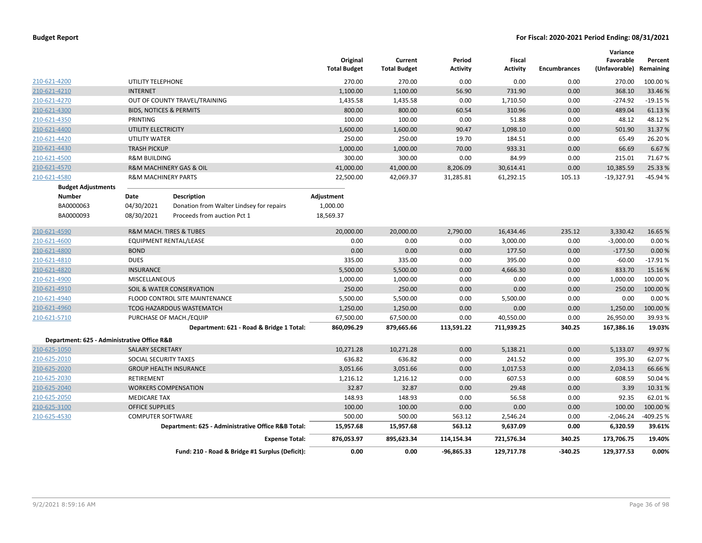|                                             |                                |                                                    | Original<br><b>Total Budget</b> | Current<br><b>Total Budget</b> | Period<br><b>Activity</b> | <b>Fiscal</b><br><b>Activity</b> | Encumbrances | Variance<br>Favorable<br>(Unfavorable) Remaining | Percent   |
|---------------------------------------------|--------------------------------|----------------------------------------------------|---------------------------------|--------------------------------|---------------------------|----------------------------------|--------------|--------------------------------------------------|-----------|
| 210-621-4200                                | UTILITY TELEPHONE              |                                                    | 270.00                          | 270.00                         | 0.00                      | 0.00                             | 0.00         | 270.00                                           | 100.00 %  |
| 210-621-4210                                | <b>INTERNET</b>                |                                                    | 1,100.00                        | 1,100.00                       | 56.90                     | 731.90                           | 0.00         | 368.10                                           | 33.46%    |
| 210-621-4270                                |                                | OUT OF COUNTY TRAVEL/TRAINING                      | 1,435.58                        | 1,435.58                       | 0.00                      | 1,710.50                         | 0.00         | $-274.92$                                        | $-19.15%$ |
| 210-621-4300                                |                                | <b>BIDS, NOTICES &amp; PERMITS</b>                 | 800.00                          | 800.00                         | 60.54                     | 310.96                           | 0.00         | 489.04                                           | 61.13%    |
| 210-621-4350                                | PRINTING                       |                                                    | 100.00                          | 100.00                         | 0.00                      | 51.88                            | 0.00         | 48.12                                            | 48.12%    |
| 210-621-4400                                | UTILITY ELECTRICITY            |                                                    | 1,600.00                        | 1,600.00                       | 90.47                     | 1,098.10                         | 0.00         | 501.90                                           | 31.37%    |
| 210-621-4420                                | UTILITY WATER                  |                                                    | 250.00                          | 250.00                         | 19.70                     | 184.51                           | 0.00         | 65.49                                            | 26.20%    |
| 210-621-4430                                | <b>TRASH PICKUP</b>            |                                                    | 1,000.00                        | 1,000.00                       | 70.00                     | 933.31                           | 0.00         | 66.69                                            | 6.67%     |
| 210-621-4500                                | <b>R&amp;M BUILDING</b>        |                                                    | 300.00                          | 300.00                         | 0.00                      | 84.99                            | 0.00         | 215.01                                           | 71.67%    |
| 210-621-4570                                |                                | R&M MACHINERY GAS & OIL                            | 41,000.00                       | 41,000.00                      | 8,206.09                  | 30,614.41                        | 0.00         | 10,385.59                                        | 25.33 %   |
| 210-621-4580                                | <b>R&amp;M MACHINERY PARTS</b> |                                                    | 22,500.00                       | 42,069.37                      | 31,285.81                 | 61,292.15                        | 105.13       | $-19,327.91$                                     | -45.94 %  |
| <b>Budget Adjustments</b>                   |                                |                                                    |                                 |                                |                           |                                  |              |                                                  |           |
| <b>Number</b>                               | Date                           | <b>Description</b>                                 | Adjustment                      |                                |                           |                                  |              |                                                  |           |
| BA0000063                                   | 04/30/2021                     | Donation from Walter Lindsey for repairs           | 1,000.00                        |                                |                           |                                  |              |                                                  |           |
| BA0000093                                   | 08/30/2021                     | Proceeds from auction Pct 1                        | 18,569.37                       |                                |                           |                                  |              |                                                  |           |
| 210-621-4590                                |                                | R&M MACH. TIRES & TUBES                            | 20,000.00                       | 20,000.00                      | 2,790.00                  | 16,434.46                        | 235.12       | 3,330.42                                         | 16.65 %   |
| 210-621-4600                                |                                | <b>EQUIPMENT RENTAL/LEASE</b>                      | 0.00                            | 0.00                           | 0.00                      | 3,000.00                         | 0.00         | $-3,000.00$                                      | 0.00%     |
| 210-621-4800                                | <b>BOND</b>                    |                                                    | 0.00                            | 0.00                           | 0.00                      | 177.50                           | 0.00         | $-177.50$                                        | 0.00%     |
| 210-621-4810                                | <b>DUES</b>                    |                                                    | 335.00                          | 335.00                         | 0.00                      | 395.00                           | 0.00         | $-60.00$                                         | $-17.91%$ |
| 210-621-4820                                | <b>INSURANCE</b>               |                                                    | 5,500.00                        | 5,500.00                       | 0.00                      | 4,666.30                         | 0.00         | 833.70                                           | 15.16%    |
| 210-621-4900                                | <b>MISCELLANEOUS</b>           |                                                    | 1,000.00                        | 1,000.00                       | 0.00                      | 0.00                             | 0.00         | 1,000.00                                         | 100.00 %  |
| 210-621-4910                                |                                | <b>SOIL &amp; WATER CONSERVATION</b>               | 250.00                          | 250.00                         | 0.00                      | 0.00                             | 0.00         | 250.00                                           | 100.00%   |
| 210-621-4940                                |                                | FLOOD CONTROL SITE MAINTENANCE                     | 5,500.00                        | 5,500.00                       | 0.00                      | 5,500.00                         | 0.00         | 0.00                                             | 0.00%     |
| 210-621-4960                                |                                | <b>TCOG HAZARDOUS WASTEMATCH</b>                   | 1,250.00                        | 1,250.00                       | 0.00                      | 0.00                             | 0.00         | 1,250.00                                         | 100.00%   |
| 210-621-5710                                |                                | PURCHASE OF MACH./EQUIP                            | 67,500.00                       | 67,500.00                      | 0.00                      | 40,550.00                        | 0.00         | 26,950.00                                        | 39.93 %   |
|                                             |                                | Department: 621 - Road & Bridge 1 Total:           | 860,096.29                      | 879,665.66                     | 113,591.22                | 711,939.25                       | 340.25       | 167,386.16                                       | 19.03%    |
| Department: 625 - Administrative Office R&B |                                |                                                    |                                 |                                |                           |                                  |              |                                                  |           |
| 210-625-1050                                | <b>SALARY SECRETARY</b>        |                                                    | 10,271.28                       | 10,271.28                      | 0.00                      | 5,138.21                         | 0.00         | 5,133.07                                         | 49.97%    |
| 210-625-2010                                | SOCIAL SECURITY TAXES          |                                                    | 636.82                          | 636.82                         | 0.00                      | 241.52                           | 0.00         | 395.30                                           | 62.07%    |
| 210-625-2020                                |                                | <b>GROUP HEALTH INSURANCE</b>                      | 3,051.66                        | 3,051.66                       | 0.00                      | 1,017.53                         | 0.00         | 2,034.13                                         | 66.66%    |
| 210-625-2030                                | <b>RETIREMENT</b>              |                                                    | 1,216.12                        | 1,216.12                       | 0.00                      | 607.53                           | 0.00         | 608.59                                           | 50.04%    |
| 210-625-2040                                |                                | <b>WORKERS COMPENSATION</b>                        | 32.87                           | 32.87                          | 0.00                      | 29.48                            | 0.00         | 3.39                                             | 10.31%    |
| 210-625-2050                                | <b>MEDICARE TAX</b>            |                                                    | 148.93                          | 148.93                         | 0.00                      | 56.58                            | 0.00         | 92.35                                            | 62.01%    |
| 210-625-3100                                | <b>OFFICE SUPPLIES</b>         |                                                    | 100.00                          | 100.00                         | 0.00                      | 0.00                             | 0.00         | 100.00                                           | 100.00 %  |
| 210-625-4530                                | <b>COMPUTER SOFTWARE</b>       |                                                    | 500.00                          | 500.00                         | 563.12                    | 2,546.24                         | 0.00         | $-2,046.24$                                      | -409.25 % |
|                                             |                                | Department: 625 - Administrative Office R&B Total: | 15,957.68                       | 15,957.68                      | 563.12                    | 9,637.09                         | 0.00         | 6,320.59                                         | 39.61%    |
|                                             |                                | <b>Expense Total:</b>                              | 876,053.97                      | 895,623.34                     | 114,154.34                | 721,576.34                       | 340.25       | 173,706.75                                       | 19.40%    |
|                                             |                                | Fund: 210 - Road & Bridge #1 Surplus (Deficit):    | 0.00                            | 0.00                           | $-96,865.33$              | 129,717.78                       | $-340.25$    | 129,377.53                                       | 0.00%     |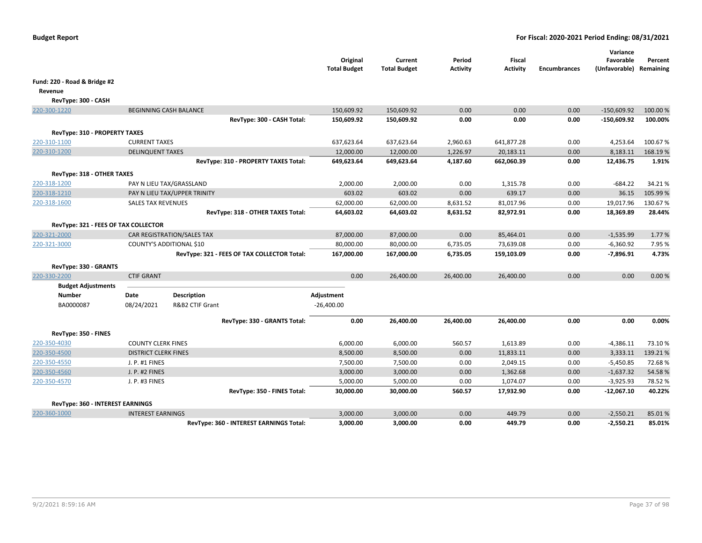|                                      |                             |                                                        |                                             | Original<br><b>Total Budget</b> | Current<br><b>Total Budget</b> | Period<br><b>Activity</b> | Fiscal<br><b>Activity</b> | <b>Encumbrances</b> | Variance<br>Favorable<br>(Unfavorable) | Percent<br>Remaining |
|--------------------------------------|-----------------------------|--------------------------------------------------------|---------------------------------------------|---------------------------------|--------------------------------|---------------------------|---------------------------|---------------------|----------------------------------------|----------------------|
| Fund: 220 - Road & Bridge #2         |                             |                                                        |                                             |                                 |                                |                           |                           |                     |                                        |                      |
| Revenue                              |                             |                                                        |                                             |                                 |                                |                           |                           |                     |                                        |                      |
| RevType: 300 - CASH                  |                             |                                                        |                                             |                                 |                                |                           |                           |                     |                                        |                      |
| 220-300-1220                         |                             | <b>BEGINNING CASH BALANCE</b>                          |                                             | 150,609.92                      | 150,609.92                     | 0.00                      | 0.00                      | 0.00                | $-150,609.92$                          | 100.00 %             |
|                                      |                             |                                                        | RevType: 300 - CASH Total:                  | 150,609.92                      | 150,609.92                     | 0.00                      | 0.00                      | 0.00                | $-150,609.92$                          | 100.00%              |
| RevType: 310 - PROPERTY TAXES        |                             |                                                        |                                             |                                 |                                |                           |                           |                     |                                        |                      |
| 220-310-1100                         | <b>CURRENT TAXES</b>        |                                                        |                                             | 637,623.64                      | 637,623.64                     | 2,960.63                  | 641,877.28                | 0.00                | 4,253.64                               | 100.67%              |
| 220-310-1200                         | <b>DELINQUENT TAXES</b>     |                                                        |                                             | 12,000.00                       | 12,000.00                      | 1,226.97                  | 20,183.11                 | 0.00                | 8,183.11                               | 168.19%              |
|                                      |                             |                                                        | RevType: 310 - PROPERTY TAXES Total:        | 649,623.64                      | 649,623.64                     | 4,187.60                  | 662,060.39                | 0.00                | 12,436.75                              | 1.91%                |
| RevType: 318 - OTHER TAXES           |                             |                                                        |                                             |                                 |                                |                           |                           |                     |                                        |                      |
| 220-318-1200                         |                             | PAY N LIEU TAX/GRASSLAND                               |                                             | 2,000.00                        | 2,000.00                       | 0.00                      | 1,315.78                  | 0.00                | $-684.22$                              | 34.21%               |
| 220-318-1210                         |                             | PAY N LIEU TAX/UPPER TRINITY                           |                                             | 603.02                          | 603.02                         | 0.00                      | 639.17                    | 0.00                | 36.15                                  | 105.99%              |
| 220-318-1600                         | <b>SALES TAX REVENUES</b>   |                                                        |                                             | 62,000.00                       | 62,000.00                      | 8,631.52                  | 81,017.96                 | 0.00                | 19,017.96                              | 130.67%              |
|                                      |                             |                                                        | RevType: 318 - OTHER TAXES Total:           | 64,603.02                       | 64,603.02                      | 8,631.52                  | 82,972.91                 | 0.00                | 18,369.89                              | 28.44%               |
|                                      |                             |                                                        |                                             |                                 |                                |                           |                           |                     |                                        |                      |
| RevType: 321 - FEES OF TAX COLLECTOR |                             |                                                        |                                             |                                 |                                |                           |                           |                     |                                        |                      |
| 220-321-2000<br>220-321-3000         |                             | CAR REGISTRATION/SALES TAX<br>COUNTY'S ADDITIONAL \$10 |                                             | 87,000.00<br>80,000.00          | 87,000.00<br>80,000.00         | 0.00<br>6,735.05          | 85,464.01<br>73,639.08    | 0.00<br>0.00        | $-1,535.99$<br>$-6,360.92$             | 1.77%<br>7.95 %      |
|                                      |                             |                                                        | RevType: 321 - FEES OF TAX COLLECTOR Total: | 167,000.00                      | 167,000.00                     | 6,735.05                  | 159,103.09                | 0.00                | -7,896.91                              | 4.73%                |
|                                      |                             |                                                        |                                             |                                 |                                |                           |                           |                     |                                        |                      |
| RevType: 330 - GRANTS                |                             |                                                        |                                             |                                 |                                |                           |                           |                     |                                        |                      |
| 220-330-2200                         | <b>CTIF GRANT</b>           |                                                        |                                             | 0.00                            | 26,400.00                      | 26,400.00                 | 26,400.00                 | 0.00                | 0.00                                   | 0.00%                |
| <b>Budget Adjustments</b>            |                             |                                                        |                                             |                                 |                                |                           |                           |                     |                                        |                      |
| Number<br>BA0000087                  | Date<br>08/24/2021          | <b>Description</b><br>R&B2 CTIF Grant                  |                                             | Adjustment<br>$-26,400.00$      |                                |                           |                           |                     |                                        |                      |
|                                      |                             |                                                        |                                             |                                 |                                |                           |                           |                     |                                        |                      |
|                                      |                             |                                                        | RevType: 330 - GRANTS Total:                | 0.00                            | 26,400.00                      | 26,400.00                 | 26,400.00                 | 0.00                | 0.00                                   | 0.00%                |
| RevType: 350 - FINES                 |                             |                                                        |                                             |                                 |                                |                           |                           |                     |                                        |                      |
| 220-350-4030                         | <b>COUNTY CLERK FINES</b>   |                                                        |                                             | 6,000.00                        | 6,000.00                       | 560.57                    | 1,613.89                  | 0.00                | $-4,386.11$                            | 73.10%               |
| 220-350-4500                         | <b>DISTRICT CLERK FINES</b> |                                                        |                                             | 8,500.00                        | 8,500.00                       | 0.00                      | 11,833.11                 | 0.00                | 3,333.11                               | 139.21%              |
| 220-350-4550                         | J. P. #1 FINES              |                                                        |                                             | 7,500.00                        | 7,500.00                       | 0.00                      | 2,049.15                  | 0.00                | $-5,450.85$                            | 72.68%               |
| 220-350-4560                         | J. P. #2 FINES              |                                                        |                                             | 3,000.00                        | 3,000.00                       | 0.00                      | 1,362.68                  | 0.00                | $-1,637.32$                            | 54.58%               |
| 220-350-4570                         | J. P. #3 FINES              |                                                        |                                             | 5,000.00                        | 5,000.00                       | 0.00                      | 1,074.07                  | 0.00                | $-3,925.93$                            | 78.52%               |
|                                      |                             |                                                        | RevType: 350 - FINES Total:                 | 30,000.00                       | 30,000.00                      | 560.57                    | 17,932.90                 | 0.00                | $-12,067.10$                           | 40.22%               |
| RevType: 360 - INTEREST EARNINGS     |                             |                                                        |                                             |                                 |                                |                           |                           |                     |                                        |                      |
| 220-360-1000                         | <b>INTEREST EARNINGS</b>    |                                                        |                                             | 3,000.00                        | 3,000.00                       | 0.00                      | 449.79                    | 0.00                | $-2,550.21$                            | 85.01%               |
|                                      |                             |                                                        | RevType: 360 - INTEREST EARNINGS Total:     | 3,000.00                        | 3,000.00                       | 0.00                      | 449.79                    | 0.00                | $-2,550.21$                            | 85.01%               |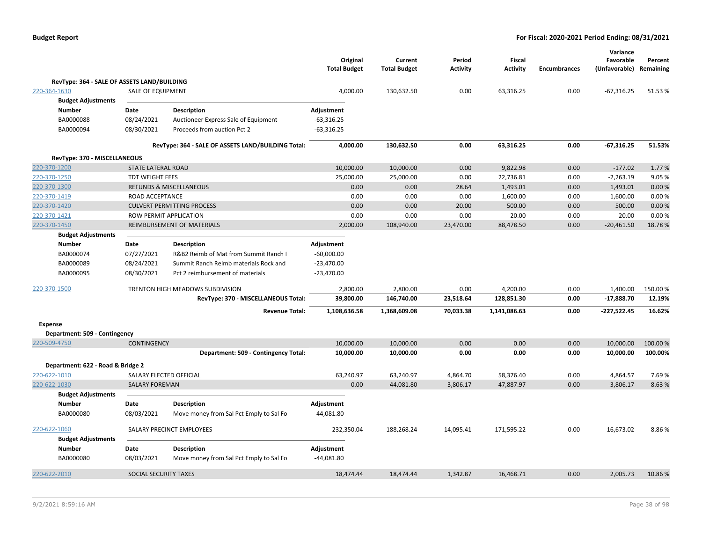|                                             |                         |                                                    | Original<br><b>Total Budget</b> | Current<br><b>Total Budget</b> | Period<br>Activity | <b>Fiscal</b><br><b>Activity</b> | <b>Encumbrances</b> | Variance<br>Favorable<br>(Unfavorable) | Percent<br>Remaining |
|---------------------------------------------|-------------------------|----------------------------------------------------|---------------------------------|--------------------------------|--------------------|----------------------------------|---------------------|----------------------------------------|----------------------|
| RevType: 364 - SALE OF ASSETS LAND/BUILDING |                         |                                                    |                                 |                                |                    |                                  |                     |                                        |                      |
| 220-364-1630                                | SALE OF EQUIPMENT       |                                                    | 4,000.00                        | 130,632.50                     | 0.00               | 63,316.25                        | 0.00                | $-67,316.25$                           | 51.53%               |
| <b>Budget Adjustments</b>                   |                         |                                                    |                                 |                                |                    |                                  |                     |                                        |                      |
| <b>Number</b>                               | Date                    | <b>Description</b>                                 | Adjustment                      |                                |                    |                                  |                     |                                        |                      |
| BA0000088                                   | 08/24/2021              | Auctioneer Express Sale of Equipment               | $-63,316.25$                    |                                |                    |                                  |                     |                                        |                      |
| BA0000094                                   | 08/30/2021              | Proceeds from auction Pct 2                        | $-63,316.25$                    |                                |                    |                                  |                     |                                        |                      |
|                                             |                         | RevType: 364 - SALE OF ASSETS LAND/BUILDING Total: | 4,000.00                        | 130,632.50                     | 0.00               | 63,316.25                        | 0.00                | $-67,316.25$                           | 51.53%               |
| RevType: 370 - MISCELLANEOUS                |                         |                                                    |                                 |                                |                    |                                  |                     |                                        |                      |
| 220-370-1200                                | STATE LATERAL ROAD      |                                                    | 10,000.00                       | 10,000.00                      | 0.00               | 9,822.98                         | 0.00                | $-177.02$                              | 1.77 %               |
| 220-370-1250                                | <b>TDT WEIGHT FEES</b>  |                                                    | 25,000.00                       | 25,000.00                      | 0.00               | 22,736.81                        | 0.00                | $-2,263.19$                            | 9.05 %               |
| 220-370-1300                                |                         | <b>REFUNDS &amp; MISCELLANEOUS</b>                 | 0.00                            | 0.00                           | 28.64              | 1,493.01                         | 0.00                | 1,493.01                               | 0.00%                |
| 220-370-1419                                | ROAD ACCEPTANCE         |                                                    | 0.00                            | 0.00                           | 0.00               | 1,600.00                         | 0.00                | 1,600.00                               | 0.00%                |
| 220-370-1420                                |                         | <b>CULVERT PERMITTING PROCESS</b>                  | 0.00                            | 0.00                           | 20.00              | 500.00                           | 0.00                | 500.00                                 | 0.00%                |
| 220-370-1421                                |                         | ROW PERMIT APPLICATION                             | 0.00                            | 0.00                           | 0.00               | 20.00                            | 0.00                | 20.00                                  | 0.00%                |
| 220-370-1450                                |                         | REIMBURSEMENT OF MATERIALS                         | 2,000.00                        | 108,940.00                     | 23,470.00          | 88,478.50                        | 0.00                | $-20,461.50$                           | 18.78 %              |
| <b>Budget Adjustments</b>                   |                         |                                                    |                                 |                                |                    |                                  |                     |                                        |                      |
| Number                                      | Date                    | Description                                        | Adjustment                      |                                |                    |                                  |                     |                                        |                      |
| BA0000074                                   | 07/27/2021              | R&B2 Reimb of Mat from Summit Ranch I              | $-60,000.00$                    |                                |                    |                                  |                     |                                        |                      |
| BA0000089                                   | 08/24/2021              | Summit Ranch Reimb materials Rock and              | $-23,470.00$                    |                                |                    |                                  |                     |                                        |                      |
| BA0000095                                   | 08/30/2021              | Pct 2 reimbursement of materials                   | $-23,470.00$                    |                                |                    |                                  |                     |                                        |                      |
| 220-370-1500                                |                         | TRENTON HIGH MEADOWS SUBDIVISION                   | 2,800.00                        | 2,800.00                       | 0.00               | 4,200.00                         | 0.00                | 1,400.00                               | 150.00%              |
|                                             |                         | RevType: 370 - MISCELLANEOUS Total:                | 39,800.00                       | 146,740.00                     | 23,518.64          | 128,851.30                       | 0.00                | $-17,888.70$                           | 12.19%               |
|                                             |                         | <b>Revenue Total:</b>                              | 1,108,636.58                    | 1,368,609.08                   | 70,033.38          | 1,141,086.63                     | 0.00                | $-227,522.45$                          | 16.62%               |
| <b>Expense</b>                              |                         |                                                    |                                 |                                |                    |                                  |                     |                                        |                      |
| Department: 509 - Contingency               |                         |                                                    |                                 |                                |                    |                                  |                     |                                        |                      |
| 220-509-4750                                | <b>CONTINGENCY</b>      |                                                    | 10,000.00                       | 10,000.00                      | 0.00               | 0.00                             | 0.00                | 10,000.00                              | 100.00 %             |
|                                             |                         | Department: 509 - Contingency Total:               | 10,000.00                       | 10,000.00                      | 0.00               | 0.00                             | 0.00                | 10,000.00                              | 100.00%              |
| Department: 622 - Road & Bridge 2           |                         |                                                    |                                 |                                |                    |                                  |                     |                                        |                      |
| 220-622-1010                                | SALARY ELECTED OFFICIAL |                                                    | 63,240.97                       | 63,240.97                      | 4,864.70           | 58,376.40                        | 0.00                | 4,864.57                               | 7.69%                |
| 220-622-1030                                | <b>SALARY FOREMAN</b>   |                                                    | 0.00                            | 44,081.80                      | 3,806.17           | 47,887.97                        | 0.00                | $-3,806.17$                            | $-8.63%$             |
| <b>Budget Adjustments</b>                   |                         |                                                    |                                 |                                |                    |                                  |                     |                                        |                      |
| Number                                      | Date                    | Description                                        | Adjustment                      |                                |                    |                                  |                     |                                        |                      |
| BA0000080                                   | 08/03/2021              | Move money from Sal Pct Emply to Sal Fo            | 44,081.80                       |                                |                    |                                  |                     |                                        |                      |
| 220-622-1060                                |                         | SALARY PRECINCT EMPLOYEES                          | 232,350.04                      | 188,268.24                     | 14,095.41          | 171,595.22                       | 0.00                | 16,673.02                              | 8.86%                |
| <b>Budget Adjustments</b>                   |                         |                                                    |                                 |                                |                    |                                  |                     |                                        |                      |
| <b>Number</b>                               | Date                    | <b>Description</b>                                 | Adjustment                      |                                |                    |                                  |                     |                                        |                      |
| BA0000080                                   | 08/03/2021              | Move money from Sal Pct Emply to Sal Fo            | $-44,081.80$                    |                                |                    |                                  |                     |                                        |                      |
| 220-622-2010                                | SOCIAL SECURITY TAXES   |                                                    | 18,474.44                       | 18,474.44                      | 1,342.87           | 16,468.71                        | 0.00                | 2,005.73                               | 10.86%               |
|                                             |                         |                                                    |                                 |                                |                    |                                  |                     |                                        |                      |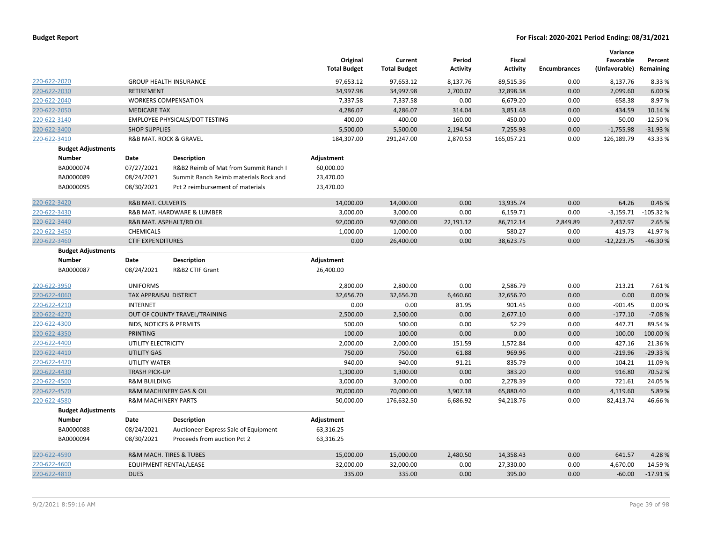|                           |                                |                                        | Original<br><b>Total Budget</b> | Current<br><b>Total Budget</b> | Period<br><b>Activity</b> | Fiscal<br><b>Activity</b> | <b>Encumbrances</b> | Variance<br>Favorable<br>(Unfavorable) Remaining | Percent    |
|---------------------------|--------------------------------|----------------------------------------|---------------------------------|--------------------------------|---------------------------|---------------------------|---------------------|--------------------------------------------------|------------|
| 220-622-2020              |                                | <b>GROUP HEALTH INSURANCE</b>          | 97,653.12                       | 97,653.12                      | 8,137.76                  | 89,515.36                 | 0.00                | 8,137.76                                         | 8.33 %     |
| 220-622-2030              | <b>RETIREMENT</b>              |                                        | 34,997.98                       | 34,997.98                      | 2,700.07                  | 32,898.38                 | 0.00                | 2,099.60                                         | 6.00 %     |
| 220-622-2040              |                                | <b>WORKERS COMPENSATION</b>            | 7,337.58                        | 7,337.58                       | 0.00                      | 6,679.20                  | 0.00                | 658.38                                           | 8.97%      |
| 220-622-2050              | <b>MEDICARE TAX</b>            |                                        | 4,286.07                        | 4,286.07                       | 314.04                    | 3,851.48                  | 0.00                | 434.59                                           | 10.14 %    |
| 220-622-3140              |                                | EMPLOYEE PHYSICALS/DOT TESTING         | 400.00                          | 400.00                         | 160.00                    | 450.00                    | 0.00                | $-50.00$                                         | $-12.50%$  |
| 220-622-3400              | <b>SHOP SUPPLIES</b>           |                                        | 5,500.00                        | 5,500.00                       | 2,194.54                  | 7,255.98                  | 0.00                | $-1,755.98$                                      | $-31.93%$  |
| 220-622-3410              |                                | <b>R&amp;B MAT. ROCK &amp; GRAVEL</b>  | 184,307.00                      | 291,247.00                     | 2,870.53                  | 165,057.21                | 0.00                | 126,189.79                                       | 43.33%     |
| <b>Budget Adjustments</b> |                                |                                        |                                 |                                |                           |                           |                     |                                                  |            |
| <b>Number</b>             | Date                           | <b>Description</b>                     | Adjustment                      |                                |                           |                           |                     |                                                  |            |
| BA0000074                 | 07/27/2021                     | R&B2 Reimb of Mat from Summit Ranch I  | 60,000.00                       |                                |                           |                           |                     |                                                  |            |
| BA0000089                 | 08/24/2021                     | Summit Ranch Reimb materials Rock and  | 23,470.00                       |                                |                           |                           |                     |                                                  |            |
| BA0000095                 | 08/30/2021                     | Pct 2 reimbursement of materials       | 23,470.00                       |                                |                           |                           |                     |                                                  |            |
| 220-622-3420              | <b>R&amp;B MAT. CULVERTS</b>   |                                        | 14,000.00                       | 14,000.00                      | 0.00                      | 13,935.74                 | 0.00                | 64.26                                            | 0.46%      |
| 220-622-3430              |                                | R&B MAT. HARDWARE & LUMBER             | 3,000.00                        | 3,000.00                       | 0.00                      | 6,159.71                  | 0.00                | $-3,159.71$                                      | $-105.32%$ |
| 220-622-3440              |                                | R&B MAT. ASPHALT/RD OIL                | 92,000.00                       | 92,000.00                      | 22,191.12                 | 86,712.14                 | 2,849.89            | 2,437.97                                         | 2.65 %     |
| 220-622-3450              | CHEMICALS                      |                                        | 1,000.00                        | 1,000.00                       | 0.00                      | 580.27                    | 0.00                | 419.73                                           | 41.97%     |
| 220-622-3460              | <b>CTIF EXPENDITURES</b>       |                                        | 0.00                            | 26,400.00                      | 0.00                      | 38,623.75                 | 0.00                | $-12,223.75$                                     | $-46.30%$  |
| <b>Budget Adjustments</b> |                                |                                        |                                 |                                |                           |                           |                     |                                                  |            |
| <b>Number</b>             | Date                           | <b>Description</b>                     | Adjustment                      |                                |                           |                           |                     |                                                  |            |
| BA0000087                 | 08/24/2021                     | R&B2 CTIF Grant                        | 26,400.00                       |                                |                           |                           |                     |                                                  |            |
| 220-622-3950              | <b>UNIFORMS</b>                |                                        | 2,800.00                        | 2,800.00                       | 0.00                      | 2,586.79                  | 0.00                | 213.21                                           | 7.61%      |
| 220-622-4060              | TAX APPRAISAL DISTRICT         |                                        | 32,656.70                       | 32,656.70                      | 6,460.60                  | 32,656.70                 | 0.00                | 0.00                                             | 0.00%      |
| 220-622-4210              | <b>INTERNET</b>                |                                        | 0.00                            | 0.00                           | 81.95                     | 901.45                    | 0.00                | $-901.45$                                        | 0.00%      |
| 220-622-4270              |                                | OUT OF COUNTY TRAVEL/TRAINING          | 2,500.00                        | 2,500.00                       | 0.00                      | 2,677.10                  | 0.00                | $-177.10$                                        | $-7.08%$   |
| 220-622-4300              |                                | <b>BIDS, NOTICES &amp; PERMITS</b>     | 500.00                          | 500.00                         | 0.00                      | 52.29                     | 0.00                | 447.71                                           | 89.54 %    |
| 220-622-4350              | <b>PRINTING</b>                |                                        | 100.00                          | 100.00                         | 0.00                      | 0.00                      | 0.00                | 100.00                                           | 100.00%    |
| 220-622-4400              | UTILITY ELECTRICITY            |                                        | 2,000.00                        | 2,000.00                       | 151.59                    | 1,572.84                  | 0.00                | 427.16                                           | 21.36%     |
| 220-622-4410              | <b>UTILITY GAS</b>             |                                        | 750.00                          | 750.00                         | 61.88                     | 969.96                    | 0.00                | $-219.96$                                        | $-29.33%$  |
| 220-622-4420              | UTILITY WATER                  |                                        | 940.00                          | 940.00                         | 91.21                     | 835.79                    | 0.00                | 104.21                                           | 11.09%     |
| 220-622-4430              | <b>TRASH PICK-UP</b>           |                                        | 1,300.00                        | 1,300.00                       | 0.00                      | 383.20                    | 0.00                | 916.80                                           | 70.52 %    |
| 220-622-4500              | <b>R&amp;M BUILDING</b>        |                                        | 3,000.00                        | 3,000.00                       | 0.00                      | 2,278.39                  | 0.00                | 721.61                                           | 24.05 %    |
| 220-622-4570              |                                | R&M MACHINERY GAS & OIL                | 70,000.00                       | 70,000.00                      | 3,907.18                  | 65,880.40                 | 0.00                | 4,119.60                                         | 5.89%      |
| 220-622-4580              | <b>R&amp;M MACHINERY PARTS</b> |                                        | 50,000.00                       | 176,632.50                     | 6,686.92                  | 94,218.76                 | 0.00                | 82,413.74                                        | 46.66%     |
| <b>Budget Adjustments</b> |                                |                                        |                                 |                                |                           |                           |                     |                                                  |            |
| <b>Number</b>             | Date                           | <b>Description</b>                     | Adjustment                      |                                |                           |                           |                     |                                                  |            |
| BA0000088                 | 08/24/2021                     | Auctioneer Express Sale of Equipment   | 63,316.25                       |                                |                           |                           |                     |                                                  |            |
| BA0000094                 | 08/30/2021                     | Proceeds from auction Pct 2            | 63,316.25                       |                                |                           |                           |                     |                                                  |            |
| 220-622-4590              |                                | <b>R&amp;M MACH. TIRES &amp; TUBES</b> | 15,000.00                       | 15,000.00                      | 2,480.50                  | 14,358.43                 | 0.00                | 641.57                                           | 4.28%      |
| 220-622-4600              |                                | <b>EQUIPMENT RENTAL/LEASE</b>          | 32,000.00                       | 32,000.00                      | 0.00                      | 27,330.00                 | 0.00                | 4,670.00                                         | 14.59 %    |
| 220-622-4810              | <b>DUES</b>                    |                                        | 335.00                          | 335.00                         | 0.00                      | 395.00                    | 0.00                | $-60.00$                                         | $-17.91%$  |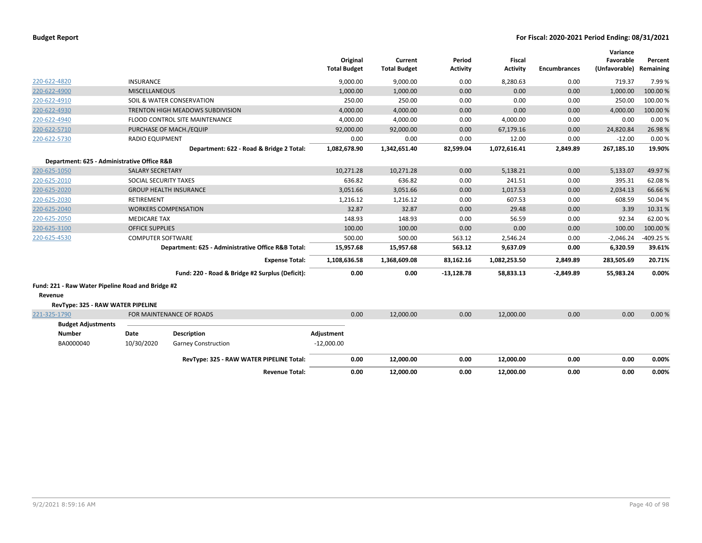| <b>Budget Report</b> |  |
|----------------------|--|
|----------------------|--|

| 220-622-4820                                      | <b>INSURANCE</b>         |                                                    | <b>Total Budget</b> | Original<br>9,000.00 | Current<br><b>Total Budget</b><br>9,000.00 | Period<br><b>Activity</b><br>0.00 | Fiscal<br><b>Activity</b><br>8,280.63 | Encumbrances<br>0.00 | Variance<br>Favorable<br>(Unfavorable)<br>719.37 | Percent<br>Remaining<br>7.99% |
|---------------------------------------------------|--------------------------|----------------------------------------------------|---------------------|----------------------|--------------------------------------------|-----------------------------------|---------------------------------------|----------------------|--------------------------------------------------|-------------------------------|
| 220-622-4900                                      | <b>MISCELLANEOUS</b>     |                                                    |                     | 1,000.00             | 1,000.00                                   | 0.00                              | 0.00                                  | 0.00                 | 1,000.00                                         | 100.00%                       |
| 220-622-4910                                      |                          | SOIL & WATER CONSERVATION                          |                     | 250.00               | 250.00                                     | 0.00                              | 0.00                                  | 0.00                 | 250.00                                           | 100.00%                       |
| 220-622-4930                                      |                          | TRENTON HIGH MEADOWS SUBDIVISION                   |                     | 4,000.00             | 4,000.00                                   | 0.00                              | 0.00                                  | 0.00                 | 4,000.00                                         | 100.00%                       |
| 220-622-4940                                      |                          | FLOOD CONTROL SITE MAINTENANCE                     |                     | 4,000.00             | 4,000.00                                   | 0.00                              | 4,000.00                              | 0.00                 | 0.00                                             | 0.00%                         |
| 220-622-5710                                      |                          | PURCHASE OF MACH./EQUIP                            |                     | 92,000.00            | 92,000.00                                  | 0.00                              | 67,179.16                             | 0.00                 | 24,820.84                                        | 26.98%                        |
| 220-622-5730                                      | <b>RADIO EQUIPMENT</b>   |                                                    |                     | 0.00                 | 0.00                                       | 0.00                              | 12.00                                 | 0.00                 | $-12.00$                                         | 0.00%                         |
|                                                   |                          | Department: 622 - Road & Bridge 2 Total:           | 1,082,678.90        |                      | 1,342,651.40                               | 82,599.04                         | 1,072,616.41                          | 2,849.89             | 267,185.10                                       | 19.90%                        |
| Department: 625 - Administrative Office R&B       |                          |                                                    |                     |                      |                                            |                                   |                                       |                      |                                                  |                               |
| 220-625-1050                                      | <b>SALARY SECRETARY</b>  |                                                    |                     | 10,271.28            | 10,271.28                                  | 0.00                              | 5,138.21                              | 0.00                 | 5,133.07                                         | 49.97%                        |
| 220-625-2010                                      | SOCIAL SECURITY TAXES    |                                                    |                     | 636.82               | 636.82                                     | 0.00                              | 241.51                                | 0.00                 | 395.31                                           | 62.08%                        |
| 220-625-2020                                      |                          | <b>GROUP HEALTH INSURANCE</b>                      |                     | 3,051.66             | 3,051.66                                   | 0.00                              | 1,017.53                              | 0.00                 | 2,034.13                                         | 66.66%                        |
| 220-625-2030                                      | <b>RETIREMENT</b>        |                                                    |                     | 1,216.12             | 1,216.12                                   | 0.00                              | 607.53                                | 0.00                 | 608.59                                           | 50.04%                        |
| 220-625-2040                                      |                          | <b>WORKERS COMPENSATION</b>                        |                     | 32.87                | 32.87                                      | 0.00                              | 29.48                                 | 0.00                 | 3.39                                             | 10.31%                        |
| 220-625-2050                                      | <b>MEDICARE TAX</b>      |                                                    |                     | 148.93               | 148.93                                     | 0.00                              | 56.59                                 | 0.00                 | 92.34                                            | 62.00%                        |
| 220-625-3100                                      | <b>OFFICE SUPPLIES</b>   |                                                    |                     | 100.00               | 100.00                                     | 0.00                              | 0.00                                  | 0.00                 | 100.00                                           | 100.00%                       |
| 220-625-4530                                      | <b>COMPUTER SOFTWARE</b> |                                                    |                     | 500.00               | 500.00                                     | 563.12                            | 2,546.24                              | 0.00                 | $-2,046.24$                                      | $-409.25%$                    |
|                                                   |                          | Department: 625 - Administrative Office R&B Total: |                     | 15,957.68            | 15,957.68                                  | 563.12                            | 9,637.09                              | 0.00                 | 6,320.59                                         | 39.61%                        |
|                                                   |                          | <b>Expense Total:</b>                              | 1,108,636.58        |                      | 1,368,609.08                               | 83,162.16                         | 1,082,253.50                          | 2,849.89             | 283,505.69                                       | 20.71%                        |
|                                                   |                          | Fund: 220 - Road & Bridge #2 Surplus (Deficit):    |                     | 0.00                 | 0.00                                       | $-13,128.78$                      | 58,833.13                             | $-2,849.89$          | 55,983.24                                        | 0.00%                         |
| Fund: 221 - Raw Water Pipeline Road and Bridge #2 |                          |                                                    |                     |                      |                                            |                                   |                                       |                      |                                                  |                               |
| Revenue                                           |                          |                                                    |                     |                      |                                            |                                   |                                       |                      |                                                  |                               |
| RevType: 325 - RAW WATER PIPELINE                 |                          |                                                    |                     |                      |                                            |                                   |                                       |                      |                                                  |                               |
| 221-325-1790                                      |                          | FOR MAINTENANCE OF ROADS                           |                     | 0.00                 | 12,000.00                                  | 0.00                              | 12,000.00                             | 0.00                 | 0.00                                             | 0.00%                         |
| <b>Budget Adjustments</b>                         |                          |                                                    |                     |                      |                                            |                                   |                                       |                      |                                                  |                               |
| <b>Number</b>                                     | Date                     | <b>Description</b>                                 | Adjustment          |                      |                                            |                                   |                                       |                      |                                                  |                               |
| BA0000040                                         | 10/30/2020               | <b>Garney Construction</b>                         | $-12,000.00$        |                      |                                            |                                   |                                       |                      |                                                  |                               |
|                                                   |                          | RevType: 325 - RAW WATER PIPELINE Total:           |                     | 0.00                 | 12,000.00                                  | 0.00                              | 12,000.00                             | 0.00                 | 0.00                                             | 0.00%                         |
|                                                   |                          | <b>Revenue Total:</b>                              |                     | 0.00                 | 12,000.00                                  | 0.00                              | 12,000.00                             | 0.00                 | 0.00                                             | 0.00%                         |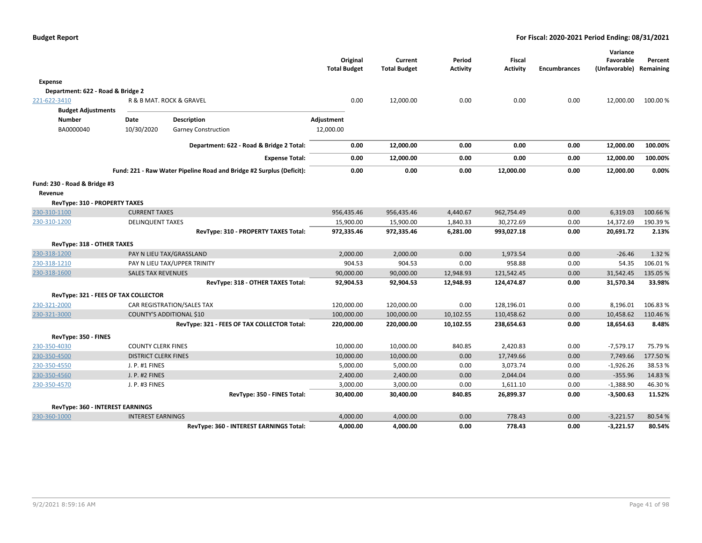|                                         |                             |                                                                      | Original<br><b>Total Budget</b> | Current<br><b>Total Budget</b> | Period<br><b>Activity</b> | <b>Fiscal</b><br><b>Activity</b> | <b>Encumbrances</b> | Variance<br>Favorable<br>(Unfavorable) Remaining | Percent  |
|-----------------------------------------|-----------------------------|----------------------------------------------------------------------|---------------------------------|--------------------------------|---------------------------|----------------------------------|---------------------|--------------------------------------------------|----------|
| <b>Expense</b>                          |                             |                                                                      |                                 |                                |                           |                                  |                     |                                                  |          |
| Department: 622 - Road & Bridge 2       |                             |                                                                      |                                 |                                |                           |                                  |                     |                                                  |          |
| 221-622-3410                            |                             | R & B MAT. ROCK & GRAVEL                                             | 0.00                            | 12,000.00                      | 0.00                      | 0.00                             | 0.00                | 12,000.00                                        | 100.00 % |
| <b>Budget Adjustments</b>               |                             |                                                                      |                                 |                                |                           |                                  |                     |                                                  |          |
| <b>Number</b>                           | Date                        | <b>Description</b>                                                   | Adjustment                      |                                |                           |                                  |                     |                                                  |          |
| BA0000040                               | 10/30/2020                  | <b>Garney Construction</b>                                           | 12,000.00                       |                                |                           |                                  |                     |                                                  |          |
|                                         |                             | Department: 622 - Road & Bridge 2 Total:                             | 0.00                            | 12,000.00                      | 0.00                      | 0.00                             | 0.00                | 12,000.00                                        | 100.00%  |
|                                         |                             | <b>Expense Total:</b>                                                | 0.00                            | 12,000.00                      | 0.00                      | 0.00                             | 0.00                | 12,000.00                                        | 100.00%  |
|                                         |                             | Fund: 221 - Raw Water Pipeline Road and Bridge #2 Surplus (Deficit): | 0.00                            | 0.00                           | 0.00                      | 12,000.00                        | 0.00                | 12,000.00                                        | 0.00%    |
| Fund: 230 - Road & Bridge #3<br>Revenue |                             |                                                                      |                                 |                                |                           |                                  |                     |                                                  |          |
| RevType: 310 - PROPERTY TAXES           |                             |                                                                      |                                 |                                |                           |                                  |                     |                                                  |          |
| 230-310-1100                            | <b>CURRENT TAXES</b>        |                                                                      | 956,435.46                      | 956,435.46                     | 4,440.67                  | 962,754.49                       | 0.00                | 6,319.03                                         | 100.66%  |
| 230-310-1200                            | <b>DELINQUENT TAXES</b>     |                                                                      | 15,900.00                       | 15,900.00                      | 1,840.33                  | 30,272.69                        | 0.00                | 14,372.69                                        | 190.39%  |
|                                         |                             | RevType: 310 - PROPERTY TAXES Total:                                 | 972,335.46                      | 972,335.46                     | 6,281.00                  | 993,027.18                       | 0.00                | 20,691.72                                        | 2.13%    |
| RevType: 318 - OTHER TAXES              |                             |                                                                      |                                 |                                |                           |                                  |                     |                                                  |          |
| 230-318-1200                            |                             | PAY N LIEU TAX/GRASSLAND                                             | 2,000.00                        | 2,000.00                       | 0.00                      | 1,973.54                         | 0.00                | $-26.46$                                         | 1.32 %   |
| 230-318-1210                            |                             | PAY N LIEU TAX/UPPER TRINITY                                         | 904.53                          | 904.53                         | 0.00                      | 958.88                           | 0.00                | 54.35                                            | 106.01%  |
| 230-318-1600                            | <b>SALES TAX REVENUES</b>   |                                                                      | 90,000.00                       | 90,000.00                      | 12,948.93                 | 121,542.45                       | 0.00                | 31,542.45                                        | 135.05 % |
|                                         |                             | RevType: 318 - OTHER TAXES Total:                                    | 92,904.53                       | 92,904.53                      | 12,948.93                 | 124,474.87                       | 0.00                | 31,570.34                                        | 33.98%   |
| RevType: 321 - FEES OF TAX COLLECTOR    |                             |                                                                      |                                 |                                |                           |                                  |                     |                                                  |          |
| 230-321-2000                            |                             | CAR REGISTRATION/SALES TAX                                           | 120,000.00                      | 120,000.00                     | 0.00                      | 128,196.01                       | 0.00                | 8,196.01                                         | 106.83%  |
| 230-321-3000                            |                             | <b>COUNTY'S ADDITIONAL \$10</b>                                      | 100,000.00                      | 100,000.00                     | 10,102.55                 | 110,458.62                       | 0.00                | 10,458.62                                        | 110.46%  |
|                                         |                             | RevType: 321 - FEES OF TAX COLLECTOR Total:                          | 220,000.00                      | 220,000.00                     | 10,102.55                 | 238,654.63                       | 0.00                | 18,654.63                                        | 8.48%    |
| RevType: 350 - FINES                    |                             |                                                                      |                                 |                                |                           |                                  |                     |                                                  |          |
| 230-350-4030                            | <b>COUNTY CLERK FINES</b>   |                                                                      | 10,000.00                       | 10,000.00                      | 840.85                    | 2,420.83                         | 0.00                | $-7,579.17$                                      | 75.79 %  |
| 230-350-4500                            | <b>DISTRICT CLERK FINES</b> |                                                                      | 10,000.00                       | 10,000.00                      | 0.00                      | 17,749.66                        | 0.00                | 7,749.66                                         | 177.50%  |
| 230-350-4550                            | J. P. #1 FINES              |                                                                      | 5,000.00                        | 5,000.00                       | 0.00                      | 3,073.74                         | 0.00                | $-1,926.26$                                      | 38.53%   |
| 230-350-4560                            | J. P. #2 FINES              |                                                                      | 2,400.00                        | 2,400.00                       | 0.00                      | 2,044.04                         | 0.00                | $-355.96$                                        | 14.83%   |
| 230-350-4570                            | J. P. #3 FINES              |                                                                      | 3,000.00                        | 3,000.00                       | 0.00                      | 1,611.10                         | 0.00                | $-1,388.90$                                      | 46.30%   |
|                                         |                             | RevType: 350 - FINES Total:                                          | 30,400.00                       | 30,400.00                      | 840.85                    | 26,899.37                        | 0.00                | $-3,500.63$                                      | 11.52%   |
| RevType: 360 - INTEREST EARNINGS        |                             |                                                                      |                                 |                                |                           |                                  |                     |                                                  |          |
| 230-360-1000                            | <b>INTEREST EARNINGS</b>    |                                                                      | 4,000.00                        | 4,000.00                       | 0.00                      | 778.43                           | 0.00                | $-3,221.57$                                      | 80.54 %  |
|                                         |                             | RevType: 360 - INTEREST EARNINGS Total:                              | 4,000.00                        | 4,000.00                       | 0.00                      | 778.43                           | 0.00                | $-3,221.57$                                      | 80.54%   |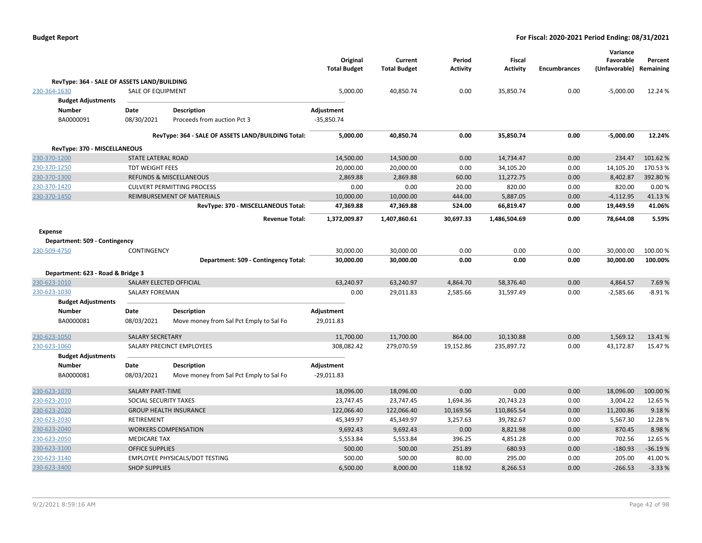|                                             |                           |                                                        | Original<br><b>Total Budget</b> | Current<br><b>Total Budget</b> | Period<br><b>Activity</b> | <b>Fiscal</b><br><b>Activity</b> | <b>Encumbrances</b> | Variance<br>Favorable<br>(Unfavorable) | Percent<br>Remaining |
|---------------------------------------------|---------------------------|--------------------------------------------------------|---------------------------------|--------------------------------|---------------------------|----------------------------------|---------------------|----------------------------------------|----------------------|
| RevType: 364 - SALE OF ASSETS LAND/BUILDING |                           |                                                        |                                 |                                |                           |                                  |                     |                                        |                      |
| 230-364-1630                                | <b>SALE OF EQUIPMENT</b>  |                                                        | 5,000.00                        | 40,850.74                      | 0.00                      | 35,850.74                        | 0.00                | $-5,000.00$                            | 12.24 %              |
| <b>Budget Adjustments</b>                   |                           |                                                        |                                 |                                |                           |                                  |                     |                                        |                      |
| <b>Number</b>                               | Date                      | <b>Description</b>                                     | Adjustment                      |                                |                           |                                  |                     |                                        |                      |
| BA0000091                                   | 08/30/2021                | Proceeds from auction Pct 3                            | $-35,850.74$                    |                                |                           |                                  |                     |                                        |                      |
|                                             |                           |                                                        |                                 |                                |                           |                                  |                     |                                        |                      |
|                                             |                           | RevType: 364 - SALE OF ASSETS LAND/BUILDING Total:     | 5,000.00                        | 40,850.74                      | 0.00                      | 35,850.74                        | 0.00                | $-5,000.00$                            | 12.24%               |
| RevType: 370 - MISCELLANEOUS                |                           |                                                        |                                 |                                |                           |                                  |                     |                                        |                      |
| 230-370-1200                                | <b>STATE LATERAL ROAD</b> |                                                        | 14,500.00                       | 14,500.00                      | 0.00                      | 14,734.47                        | 0.00                | 234.47                                 | 101.62%              |
| 230-370-1250                                | <b>TDT WEIGHT FEES</b>    |                                                        | 20,000.00                       | 20,000.00                      | 0.00                      | 34,105.20                        | 0.00                | 14,105.20                              | 170.53%              |
| 230-370-1300                                |                           | <b>REFUNDS &amp; MISCELLANEOUS</b>                     | 2,869.88                        | 2,869.88                       | 60.00                     | 11,272.75                        | 0.00                | 8,402.87                               | 392.80%              |
| 230-370-1420                                |                           | <b>CULVERT PERMITTING PROCESS</b>                      | 0.00                            | 0.00                           | 20.00                     | 820.00                           | 0.00                | 820.00                                 | 0.00%                |
| 230-370-1450                                |                           | REIMBURSEMENT OF MATERIALS                             | 10,000.00                       | 10,000.00                      | 444.00                    | 5,887.05                         | 0.00                | $-4,112.95$                            | 41.13%               |
|                                             |                           | RevType: 370 - MISCELLANEOUS Total:                    | 47,369.88                       | 47,369.88                      | 524.00                    | 66,819.47                        | 0.00                | 19,449.59                              | 41.06%               |
|                                             |                           | <b>Revenue Total:</b>                                  | 1,372,009.87                    | 1,407,860.61                   | 30,697.33                 | 1,486,504.69                     | 0.00                | 78,644.08                              | 5.59%                |
| Expense                                     |                           |                                                        |                                 |                                |                           |                                  |                     |                                        |                      |
| Department: 509 - Contingency               |                           |                                                        |                                 |                                |                           |                                  |                     |                                        |                      |
| 230-509-4750                                | CONTINGENCY               |                                                        | 30,000.00                       | 30,000.00                      | 0.00                      | 0.00                             | 0.00                | 30,000.00                              | 100.00%              |
|                                             |                           | Department: 509 - Contingency Total:                   | 30,000.00                       | 30,000.00                      | 0.00                      | 0.00                             | 0.00                | 30,000.00                              | 100.00%              |
| Department: 623 - Road & Bridge 3           |                           |                                                        |                                 |                                |                           |                                  |                     |                                        |                      |
| 230-623-1010                                |                           | SALARY ELECTED OFFICIAL                                | 63,240.97                       | 63,240.97                      | 4,864.70                  | 58,376.40                        | 0.00                | 4,864.57                               | 7.69 %               |
| 230-623-1030                                | <b>SALARY FOREMAN</b>     |                                                        | 0.00                            | 29,011.83                      | 2,585.66                  | 31,597.49                        | 0.00                | $-2,585.66$                            | $-8.91%$             |
| <b>Budget Adjustments</b>                   |                           |                                                        |                                 |                                |                           |                                  |                     |                                        |                      |
| <b>Number</b>                               | Date                      | <b>Description</b>                                     | Adjustment                      |                                |                           |                                  |                     |                                        |                      |
| BA0000081                                   | 08/03/2021                | Move money from Sal Pct Emply to Sal Fo                | 29,011.83                       |                                |                           |                                  |                     |                                        |                      |
|                                             |                           |                                                        |                                 |                                |                           |                                  |                     |                                        |                      |
| 230-623-1050                                | <b>SALARY SECRETARY</b>   |                                                        | 11,700.00                       | 11,700.00                      | 864.00                    | 10,130.88                        | 0.00                | 1,569.12                               | 13.41%               |
| 230-623-1060                                |                           | SALARY PRECINCT EMPLOYEES                              | 308,082.42                      | 279,070.59                     | 19,152.86                 | 235,897.72                       | 0.00                | 43,172.87                              | 15.47%               |
| <b>Budget Adjustments</b>                   |                           |                                                        |                                 |                                |                           |                                  |                     |                                        |                      |
| Number<br>BA0000081                         | Date<br>08/03/2021        | Description<br>Move money from Sal Pct Emply to Sal Fo | Adjustment<br>$-29,011.83$      |                                |                           |                                  |                     |                                        |                      |
|                                             |                           |                                                        |                                 |                                |                           |                                  |                     |                                        |                      |
| 230-623-1070                                | <b>SALARY PART-TIME</b>   |                                                        | 18,096.00                       | 18,096.00                      | 0.00                      | 0.00                             | 0.00                | 18,096.00                              | 100.00 %             |
| 230-623-2010                                | SOCIAL SECURITY TAXES     |                                                        | 23,747.45                       | 23,747.45                      | 1,694.36                  | 20,743.23                        | 0.00                | 3,004.22                               | 12.65 %              |
| 230-623-2020                                |                           | <b>GROUP HEALTH INSURANCE</b>                          | 122,066.40                      | 122,066.40                     | 10,169.56                 | 110,865.54                       | 0.00                | 11,200.86                              | 9.18%                |
| 230-623-2030                                | RETIREMENT                |                                                        | 45,349.97                       | 45,349.97                      | 3,257.63                  | 39,782.67                        | 0.00                | 5,567.30                               | 12.28 %              |
| 230-623-2040                                |                           | <b>WORKERS COMPENSATION</b>                            | 9,692.43                        | 9,692.43                       | 0.00                      | 8,821.98                         | 0.00                | 870.45                                 | 8.98%                |
| 230-623-2050                                | <b>MEDICARE TAX</b>       |                                                        | 5,553.84                        | 5,553.84                       | 396.25                    | 4,851.28                         | 0.00                | 702.56                                 | 12.65 %              |
| 230-623-3100                                | <b>OFFICE SUPPLIES</b>    |                                                        | 500.00                          | 500.00                         | 251.89                    | 680.93                           | 0.00                | $-180.93$                              | $-36.19%$            |
| 230-623-3140                                |                           | EMPLOYEE PHYSICALS/DOT TESTING                         | 500.00                          | 500.00                         | 80.00                     | 295.00                           | 0.00                | 205.00                                 | 41.00%               |
| 230-623-3400                                | <b>SHOP SUPPLIES</b>      |                                                        | 6,500.00                        | 8,000.00                       | 118.92                    | 8,266.53                         | 0.00                | $-266.53$                              | $-3.33%$             |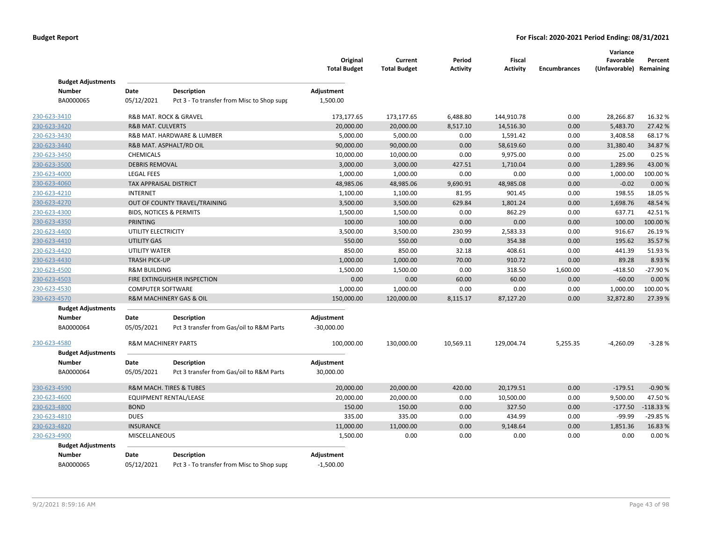|                                           |                                    |                                                                  | Original<br><b>Total Budget</b> | Current<br><b>Total Budget</b> | Period<br><b>Activity</b> | Fiscal<br><b>Activity</b> | <b>Encumbrances</b> | Variance<br>Favorable<br>(Unfavorable) Remaining | Percent    |
|-------------------------------------------|------------------------------------|------------------------------------------------------------------|---------------------------------|--------------------------------|---------------------------|---------------------------|---------------------|--------------------------------------------------|------------|
| <b>Budget Adjustments</b>                 |                                    |                                                                  |                                 |                                |                           |                           |                     |                                                  |            |
| <b>Number</b><br>BA0000065                | Date<br>05/12/2021                 | <b>Description</b><br>Pct 3 - To transfer from Misc to Shop supp | Adjustment<br>1,500.00          |                                |                           |                           |                     |                                                  |            |
| 230-623-3410                              |                                    | R&B MAT. ROCK & GRAVEL                                           | 173,177.65                      | 173,177.65                     | 6,488.80                  | 144,910.78                | 0.00                | 28,266.87                                        | 16.32 %    |
| 230-623-3420                              | <b>R&amp;B MAT. CULVERTS</b>       |                                                                  | 20,000.00                       | 20,000.00                      | 8,517.10                  | 14,516.30                 | 0.00                | 5,483.70                                         | 27.42%     |
| 230-623-3430                              |                                    | R&B MAT. HARDWARE & LUMBER                                       | 5,000.00                        | 5,000.00                       | 0.00                      | 1,591.42                  | 0.00                | 3,408.58                                         | 68.17%     |
| 230-623-3440                              |                                    | R&B MAT. ASPHALT/RD OIL                                          | 90,000.00                       | 90,000.00                      | 0.00                      | 58,619.60                 | 0.00                | 31,380.40                                        | 34.87%     |
| 230-623-3450                              | CHEMICALS                          |                                                                  | 10,000.00                       | 10,000.00                      | 0.00                      | 9,975.00                  | 0.00                | 25.00                                            | 0.25%      |
| 230-623-3500                              | <b>DEBRIS REMOVAL</b>              |                                                                  | 3,000.00                        | 3,000.00                       | 427.51                    | 1,710.04                  | 0.00                | 1,289.96                                         | 43.00%     |
| 230-623-4000                              | <b>LEGAL FEES</b>                  |                                                                  | 1,000.00                        | 1,000.00                       | 0.00                      | 0.00                      | 0.00                | 1,000.00                                         | 100.00%    |
| 230-623-4060                              | TAX APPRAISAL DISTRICT             |                                                                  | 48,985.06                       | 48,985.06                      | 9,690.91                  | 48,985.08                 | 0.00                | $-0.02$                                          | 0.00%      |
| 230-623-4210                              | <b>INTERNET</b>                    |                                                                  | 1,100.00                        | 1,100.00                       | 81.95                     | 901.45                    | 0.00                | 198.55                                           | 18.05 %    |
| 230-623-4270                              |                                    | OUT OF COUNTY TRAVEL/TRAINING                                    | 3,500.00                        | 3,500.00                       | 629.84                    | 1,801.24                  | 0.00                | 1,698.76                                         | 48.54%     |
| 230-623-4300                              | <b>BIDS, NOTICES &amp; PERMITS</b> |                                                                  | 1,500.00                        | 1,500.00                       | 0.00                      | 862.29                    | 0.00                | 637.71                                           | 42.51%     |
| 230-623-4350                              | PRINTING                           |                                                                  | 100.00                          | 100.00                         | 0.00                      | 0.00                      | 0.00                | 100.00                                           | 100.00%    |
| 230-623-4400                              | UTILITY ELECTRICITY                |                                                                  | 3,500.00                        | 3,500.00                       | 230.99                    | 2,583.33                  | 0.00                | 916.67                                           | 26.19%     |
| 230-623-4410                              | <b>UTILITY GAS</b>                 |                                                                  | 550.00                          | 550.00                         | 0.00                      | 354.38                    | 0.00                | 195.62                                           | 35.57%     |
| 230-623-4420                              | <b>UTILITY WATER</b>               |                                                                  | 850.00                          | 850.00                         | 32.18                     | 408.61                    | 0.00                | 441.39                                           | 51.93%     |
| 230-623-4430                              | <b>TRASH PICK-UP</b>               |                                                                  | 1,000.00                        | 1,000.00                       | 70.00                     | 910.72                    | 0.00                | 89.28                                            | 8.93%      |
| 230-623-4500                              | <b>R&amp;M BUILDING</b>            |                                                                  | 1,500.00                        | 1,500.00                       | 0.00                      | 318.50                    | 1,600.00            | -418.50                                          | -27.90%    |
| 230-623-4503                              |                                    | FIRE EXTINGUISHER INSPECTION                                     | 0.00                            | 0.00                           | 60.00                     | 60.00                     | 0.00                | $-60.00$                                         | 0.00%      |
| 230-623-4530                              | <b>COMPUTER SOFTWARE</b>           |                                                                  | 1,000.00                        | 1,000.00                       | 0.00                      | 0.00                      | 0.00                | 1,000.00                                         | 100.00%    |
| 230-623-4570                              |                                    | R&M MACHINERY GAS & OIL                                          | 150,000.00                      | 120,000.00                     | 8,115.17                  | 87,127.20                 | 0.00                | 32,872.80                                        | 27.39 %    |
| <b>Budget Adjustments</b>                 |                                    |                                                                  |                                 |                                |                           |                           |                     |                                                  |            |
| <b>Number</b><br>BA0000064                | Date<br>05/05/2021                 | <b>Description</b><br>Pct 3 transfer from Gas/oil to R&M Parts   | Adjustment<br>$-30,000.00$      |                                |                           |                           |                     |                                                  |            |
| 230-623-4580<br><b>Budget Adjustments</b> | <b>R&amp;M MACHINERY PARTS</b>     |                                                                  | 100,000.00                      | 130,000.00                     | 10,569.11                 | 129,004.74                | 5,255.35            | $-4,260.09$                                      | $-3.28%$   |
| <b>Number</b>                             | Date                               | <b>Description</b>                                               | Adjustment                      |                                |                           |                           |                     |                                                  |            |
| BA0000064                                 | 05/05/2021                         | Pct 3 transfer from Gas/oil to R&M Parts                         | 30,000.00                       |                                |                           |                           |                     |                                                  |            |
| 230-623-4590                              |                                    | <b>R&amp;M MACH. TIRES &amp; TUBES</b>                           | 20,000.00                       | 20,000.00                      | 420.00                    | 20,179.51                 | 0.00                | $-179.51$                                        | $-0.90%$   |
| 230-623-4600                              |                                    | <b>EQUIPMENT RENTAL/LEASE</b>                                    | 20,000.00                       | 20,000.00                      | 0.00                      | 10,500.00                 | 0.00                | 9,500.00                                         | 47.50%     |
| 230-623-4800                              | <b>BOND</b>                        |                                                                  | 150.00                          | 150.00                         | 0.00                      | 327.50                    | 0.00                | $-177.50$                                        | $-118.33%$ |
| 230-623-4810                              | <b>DUES</b>                        |                                                                  | 335.00                          | 335.00                         | 0.00                      | 434.99                    | 0.00                | $-99.99$                                         | -29.85%    |
| 230-623-4820                              | <b>INSURANCE</b>                   |                                                                  | 11,000.00                       | 11,000.00                      | 0.00                      | 9,148.64                  | 0.00                | 1,851.36                                         | 16.83%     |
| 230-623-4900                              | MISCELLANEOUS                      |                                                                  | 1,500.00                        | 0.00                           | 0.00                      | 0.00                      | 0.00                | 0.00                                             | 0.00%      |
| <b>Budget Adjustments</b>                 |                                    |                                                                  |                                 |                                |                           |                           |                     |                                                  |            |
| Number                                    | Date                               | <b>Description</b>                                               | Adjustment                      |                                |                           |                           |                     |                                                  |            |
| BA0000065                                 | 05/12/2021                         | Pct 3 - To transfer from Misc to Shop supp                       | $-1,500.00$                     |                                |                           |                           |                     |                                                  |            |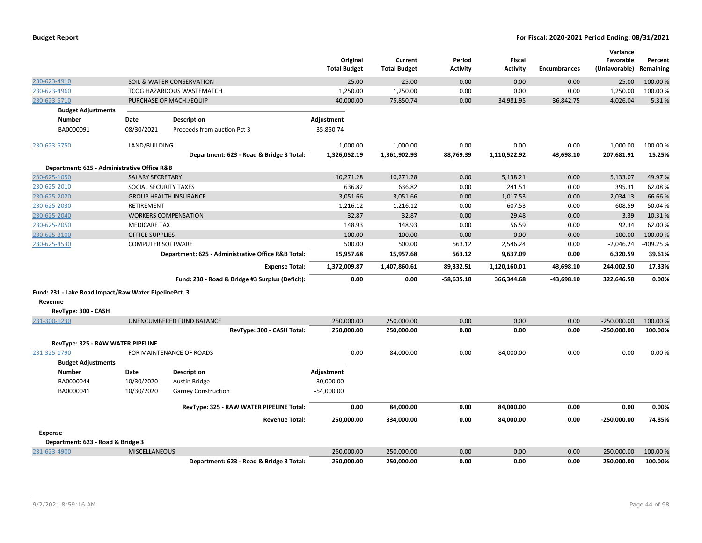|                                                       |                              |                                                    | Original<br><b>Total Budget</b> | Current<br><b>Total Budget</b> | Period<br><b>Activity</b> | <b>Fiscal</b><br><b>Activity</b> | <b>Encumbrances</b> | Variance<br>Favorable<br>(Unfavorable) | Percent<br>Remaining |
|-------------------------------------------------------|------------------------------|----------------------------------------------------|---------------------------------|--------------------------------|---------------------------|----------------------------------|---------------------|----------------------------------------|----------------------|
| 230-623-4910                                          |                              | SOIL & WATER CONSERVATION                          | 25.00                           | 25.00                          | 0.00                      | 0.00                             | 0.00                | 25.00                                  | 100.00 %             |
| 230-623-4960                                          |                              | TCOG HAZARDOUS WASTEMATCH                          | 1,250.00                        | 1,250.00                       | 0.00                      | 0.00                             | 0.00                | 1,250.00                               | 100.00%              |
| 230-623-5710                                          |                              | PURCHASE OF MACH./EQUIP                            | 40,000.00                       | 75,850.74                      | 0.00                      | 34,981.95                        | 36,842.75           | 4,026.04                               | 5.31%                |
| <b>Budget Adjustments</b>                             |                              |                                                    |                                 |                                |                           |                                  |                     |                                        |                      |
| <b>Number</b>                                         | Date                         | <b>Description</b>                                 | Adjustment                      |                                |                           |                                  |                     |                                        |                      |
| BA0000091                                             | 08/30/2021                   | Proceeds from auction Pct 3                        | 35,850.74                       |                                |                           |                                  |                     |                                        |                      |
| 230-623-5750                                          | LAND/BUILDING                |                                                    | 1,000.00                        | 1,000.00                       | 0.00                      | 0.00                             | 0.00                | 1,000.00                               | 100.00%              |
|                                                       |                              | Department: 623 - Road & Bridge 3 Total:           | 1,326,052.19                    | 1,361,902.93                   | 88,769.39                 | 1,110,522.92                     | 43,698.10           | 207,681.91                             | 15.25%               |
| Department: 625 - Administrative Office R&B           |                              |                                                    |                                 |                                |                           |                                  |                     |                                        |                      |
| 230-625-1050                                          | <b>SALARY SECRETARY</b>      |                                                    | 10,271.28                       | 10,271.28                      | 0.00                      | 5,138.21                         | 0.00                | 5,133.07                               | 49.97%               |
| 230-625-2010                                          | <b>SOCIAL SECURITY TAXES</b> |                                                    | 636.82                          | 636.82                         | 0.00                      | 241.51                           | 0.00                | 395.31                                 | 62.08%               |
| 230-625-2020                                          |                              | <b>GROUP HEALTH INSURANCE</b>                      | 3,051.66                        | 3,051.66                       | 0.00                      | 1,017.53                         | 0.00                | 2,034.13                               | 66.66%               |
| 230-625-2030                                          | RETIREMENT                   |                                                    | 1,216.12                        | 1,216.12                       | 0.00                      | 607.53                           | 0.00                | 608.59                                 | 50.04 %              |
| 230-625-2040                                          |                              | <b>WORKERS COMPENSATION</b>                        | 32.87                           | 32.87                          | 0.00                      | 29.48                            | 0.00                | 3.39                                   | 10.31%               |
| 230-625-2050                                          | <b>MEDICARE TAX</b>          |                                                    | 148.93                          | 148.93                         | 0.00                      | 56.59                            | 0.00                | 92.34                                  | 62.00%               |
| 230-625-3100                                          | <b>OFFICE SUPPLIES</b>       |                                                    | 100.00                          | 100.00                         | 0.00                      | 0.00                             | 0.00                | 100.00                                 | 100.00 %             |
| 230-625-4530                                          | <b>COMPUTER SOFTWARE</b>     |                                                    | 500.00                          | 500.00                         | 563.12                    | 2,546.24                         | 0.00                | $-2,046.24$                            | -409.25 %            |
|                                                       |                              | Department: 625 - Administrative Office R&B Total: | 15,957.68                       | 15,957.68                      | 563.12                    | 9,637.09                         | 0.00                | 6,320.59                               | 39.61%               |
|                                                       |                              | <b>Expense Total:</b>                              | 1,372,009.87                    | 1,407,860.61                   | 89,332.51                 | 1,120,160.01                     | 43,698.10           | 244,002.50                             | 17.33%               |
|                                                       |                              | Fund: 230 - Road & Bridge #3 Surplus (Deficit):    | 0.00                            | 0.00                           | $-58,635.18$              | 366,344.68                       | -43.698.10          | 322,646.58                             | 0.00%                |
| Fund: 231 - Lake Road Impact/Raw Water PipelinePct. 3 |                              |                                                    |                                 |                                |                           |                                  |                     |                                        |                      |
| Revenue                                               |                              |                                                    |                                 |                                |                           |                                  |                     |                                        |                      |
| RevType: 300 - CASH                                   |                              |                                                    |                                 |                                |                           |                                  |                     |                                        |                      |
| 231-300-1230                                          |                              | UNENCUMBERED FUND BALANCE                          | 250,000.00                      | 250,000.00                     | 0.00                      | 0.00                             | 0.00                | $-250,000.00$                          | 100.00 %             |
|                                                       |                              | RevType: 300 - CASH Total:                         | 250,000.00                      | 250,000.00                     | 0.00                      | 0.00                             | 0.00                | $-250,000.00$                          | 100.00%              |
| RevType: 325 - RAW WATER PIPELINE                     |                              |                                                    |                                 |                                |                           |                                  |                     |                                        |                      |
| 231-325-1790<br><b>Budget Adjustments</b>             |                              | FOR MAINTENANCE OF ROADS                           | 0.00                            | 84,000.00                      | 0.00                      | 84,000.00                        | 0.00                | 0.00                                   | 0.00%                |
| <b>Number</b>                                         | Date                         | Description                                        | Adjustment                      |                                |                           |                                  |                     |                                        |                      |
| BA0000044                                             | 10/30/2020                   | Austin Bridge                                      | $-30,000.00$                    |                                |                           |                                  |                     |                                        |                      |
| BA0000041                                             | 10/30/2020                   | <b>Garney Construction</b>                         | $-54,000.00$                    |                                |                           |                                  |                     |                                        |                      |
|                                                       |                              | RevType: 325 - RAW WATER PIPELINE Total:           | 0.00                            | 84,000.00                      | 0.00                      | 84,000.00                        | 0.00                | 0.00                                   | 0.00%                |
|                                                       |                              | <b>Revenue Total:</b>                              | 250,000.00                      | 334,000.00                     | 0.00                      | 84,000.00                        | 0.00                | $-250,000.00$                          | 74.85%               |
| <b>Expense</b>                                        |                              |                                                    |                                 |                                |                           |                                  |                     |                                        |                      |
| Department: 623 - Road & Bridge 3                     |                              |                                                    |                                 |                                |                           |                                  |                     |                                        |                      |
| 231-623-4900                                          | <b>MISCELLANEOUS</b>         |                                                    | 250,000.00                      | 250,000.00                     | 0.00                      | 0.00                             | 0.00                | 250,000.00                             | 100.00 %             |
|                                                       |                              | Department: 623 - Road & Bridge 3 Total:           | 250,000.00                      | 250,000.00                     | 0.00                      | 0.00                             | 0.00                | 250,000.00                             | 100.00%              |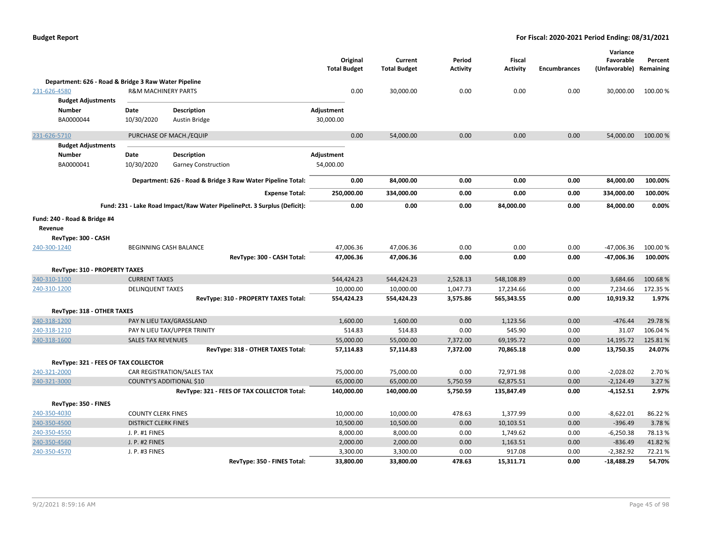|                                                      |                                |                                                                          | Original<br><b>Total Budget</b> | Current<br><b>Total Budget</b> | Period<br><b>Activity</b> | Fiscal<br><b>Activity</b> | <b>Encumbrances</b> | Variance<br>Favorable<br>(Unfavorable) Remaining | Percent  |
|------------------------------------------------------|--------------------------------|--------------------------------------------------------------------------|---------------------------------|--------------------------------|---------------------------|---------------------------|---------------------|--------------------------------------------------|----------|
| Department: 626 - Road & Bridge 3 Raw Water Pipeline |                                |                                                                          |                                 |                                |                           |                           |                     |                                                  |          |
| 231-626-4580                                         | <b>R&amp;M MACHINERY PARTS</b> |                                                                          | 0.00                            | 30,000.00                      | 0.00                      | 0.00                      | 0.00                | 30,000.00                                        | 100.00%  |
| <b>Budget Adjustments</b>                            |                                |                                                                          |                                 |                                |                           |                           |                     |                                                  |          |
| Number                                               | Date                           | <b>Description</b>                                                       | Adjustment                      |                                |                           |                           |                     |                                                  |          |
| BA0000044                                            | 10/30/2020                     | Austin Bridge                                                            | 30,000.00                       |                                |                           |                           |                     |                                                  |          |
| 231-626-5710                                         |                                | PURCHASE OF MACH./EQUIP                                                  | 0.00                            | 54,000.00                      | 0.00                      | 0.00                      | 0.00                | 54,000.00                                        | 100.00 % |
| <b>Budget Adjustments</b>                            |                                |                                                                          |                                 |                                |                           |                           |                     |                                                  |          |
| Number                                               | Date                           | <b>Description</b>                                                       | Adjustment                      |                                |                           |                           |                     |                                                  |          |
| BA0000041                                            | 10/30/2020                     | <b>Garney Construction</b>                                               | 54,000.00                       |                                |                           |                           |                     |                                                  |          |
|                                                      |                                | Department: 626 - Road & Bridge 3 Raw Water Pipeline Total:              | 0.00                            | 84,000.00                      | 0.00                      | 0.00                      | 0.00                | 84,000.00                                        | 100.00%  |
|                                                      |                                | <b>Expense Total:</b>                                                    | 250,000.00                      | 334,000.00                     | 0.00                      | 0.00                      | 0.00                | 334,000.00                                       | 100.00%  |
|                                                      |                                | Fund: 231 - Lake Road Impact/Raw Water PipelinePct. 3 Surplus (Deficit): | 0.00                            | 0.00                           | 0.00                      | 84,000.00                 | 0.00                | 84,000.00                                        | 0.00%    |
| Fund: 240 - Road & Bridge #4                         |                                |                                                                          |                                 |                                |                           |                           |                     |                                                  |          |
| Revenue                                              |                                |                                                                          |                                 |                                |                           |                           |                     |                                                  |          |
| RevType: 300 - CASH                                  |                                |                                                                          |                                 |                                |                           |                           |                     |                                                  |          |
| 240-300-1240                                         |                                | <b>BEGINNING CASH BALANCE</b>                                            | 47,006.36                       | 47,006.36                      | 0.00                      | 0.00                      | 0.00                | -47,006.36                                       | 100.00%  |
|                                                      |                                | RevType: 300 - CASH Total:                                               | 47,006.36                       | 47,006.36                      | 0.00                      | 0.00                      | 0.00                | $-47,006.36$                                     | 100.00%  |
| RevType: 310 - PROPERTY TAXES                        |                                |                                                                          |                                 |                                |                           |                           |                     |                                                  |          |
| 240-310-1100                                         | <b>CURRENT TAXES</b>           |                                                                          | 544,424.23                      | 544,424.23                     | 2,528.13                  | 548,108.89                | 0.00                | 3,684.66                                         | 100.68%  |
| 240-310-1200                                         | <b>DELINQUENT TAXES</b>        |                                                                          | 10,000.00                       | 10,000.00                      | 1,047.73                  | 17,234.66                 | 0.00                | 7,234.66                                         | 172.35 % |
|                                                      |                                | RevType: 310 - PROPERTY TAXES Total:                                     | 554,424.23                      | 554,424.23                     | 3,575.86                  | 565,343.55                | 0.00                | 10,919.32                                        | 1.97%    |
| RevType: 318 - OTHER TAXES                           |                                |                                                                          |                                 |                                |                           |                           |                     |                                                  |          |
| 240-318-1200                                         |                                | PAY N LIEU TAX/GRASSLAND                                                 | 1,600.00                        | 1,600.00                       | 0.00                      | 1,123.56                  | 0.00                | $-476.44$                                        | 29.78%   |
| 240-318-1210                                         |                                | PAY N LIEU TAX/UPPER TRINITY                                             | 514.83                          | 514.83                         | 0.00                      | 545.90                    | 0.00                | 31.07                                            | 106.04%  |
| 240-318-1600                                         | <b>SALES TAX REVENUES</b>      |                                                                          | 55,000.00                       | 55,000.00                      | 7,372.00                  | 69,195.72                 | 0.00                | 14,195.72                                        | 125.81%  |
|                                                      |                                | RevType: 318 - OTHER TAXES Total:                                        | 57,114.83                       | 57,114.83                      | 7,372.00                  | 70,865.18                 | 0.00                | 13,750.35                                        | 24.07%   |
| RevType: 321 - FEES OF TAX COLLECTOR                 |                                |                                                                          |                                 |                                |                           |                           |                     |                                                  |          |
| 240-321-2000                                         |                                | CAR REGISTRATION/SALES TAX                                               | 75,000.00                       | 75,000.00                      | 0.00                      | 72,971.98                 | 0.00                | $-2,028.02$                                      | 2.70%    |
| 240-321-3000                                         |                                | COUNTY'S ADDITIONAL \$10                                                 | 65,000.00                       | 65,000.00                      | 5,750.59                  | 62,875.51                 | 0.00                | $-2,124.49$                                      | 3.27 %   |
|                                                      |                                | RevType: 321 - FEES OF TAX COLLECTOR Total:                              | 140,000.00                      | 140,000.00                     | 5,750.59                  | 135,847.49                | 0.00                | $-4,152.51$                                      | 2.97%    |
| RevType: 350 - FINES                                 |                                |                                                                          |                                 |                                |                           |                           |                     |                                                  |          |
| 240-350-4030                                         | <b>COUNTY CLERK FINES</b>      |                                                                          | 10,000.00                       | 10,000.00                      | 478.63                    | 1,377.99                  | 0.00                | $-8,622.01$                                      | 86.22%   |
| 240-350-4500                                         | <b>DISTRICT CLERK FINES</b>    |                                                                          | 10,500.00                       | 10,500.00                      | 0.00                      | 10,103.51                 | 0.00                | $-396.49$                                        | 3.78%    |
| 240-350-4550                                         | J. P. #1 FINES                 |                                                                          | 8,000.00                        | 8,000.00                       | 0.00                      | 1,749.62                  | 0.00                | $-6,250.38$                                      | 78.13%   |
| 240-350-4560                                         | J. P. #2 FINES                 |                                                                          | 2,000.00                        | 2,000.00                       | 0.00                      | 1,163.51                  | 0.00                | $-836.49$                                        | 41.82%   |
| 240-350-4570                                         | J. P. #3 FINES                 |                                                                          | 3,300.00                        | 3,300.00                       | 0.00                      | 917.08                    | 0.00                | $-2,382.92$                                      | 72.21%   |
|                                                      |                                | RevType: 350 - FINES Total:                                              | 33,800.00                       | 33.800.00                      | 478.63                    | 15,311.71                 | 0.00                | $-18.488.29$                                     | 54.70%   |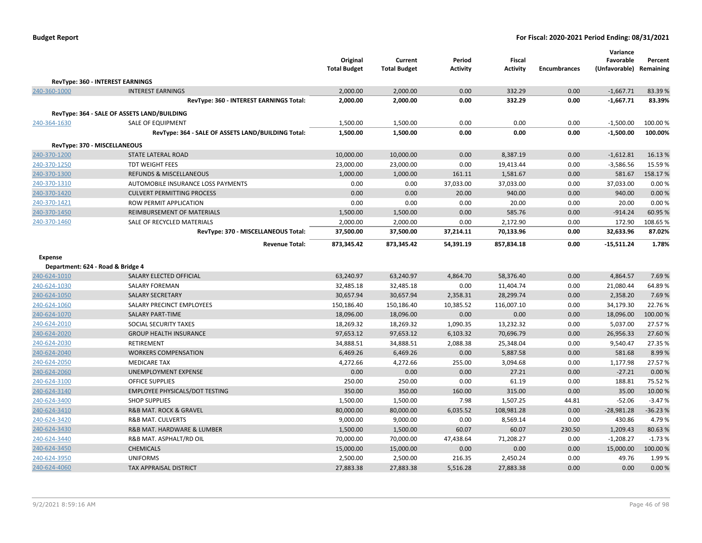| <b>Budget Report</b> |  |
|----------------------|--|
|----------------------|--|

|                                   |                                                    | Original<br><b>Total Budget</b> | Current<br><b>Total Budget</b> | Period<br><b>Activity</b> | <b>Fiscal</b><br><b>Activity</b> | <b>Encumbrances</b> | Variance<br>Favorable<br>(Unfavorable) Remaining | Percent   |
|-----------------------------------|----------------------------------------------------|---------------------------------|--------------------------------|---------------------------|----------------------------------|---------------------|--------------------------------------------------|-----------|
|                                   | RevType: 360 - INTEREST EARNINGS                   |                                 |                                |                           |                                  |                     |                                                  |           |
| 240-360-1000                      | <b>INTEREST EARNINGS</b>                           | 2,000.00                        | 2,000.00                       | 0.00                      | 332.29                           | 0.00                | $-1,667.71$                                      | 83.39%    |
|                                   | RevType: 360 - INTEREST EARNINGS Total:            | 2,000.00                        | 2,000.00                       | 0.00                      | 332.29                           | 0.00                | $-1,667.71$                                      | 83.39%    |
|                                   | RevType: 364 - SALE OF ASSETS LAND/BUILDING        |                                 |                                |                           |                                  |                     |                                                  |           |
| 240-364-1630                      | <b>SALE OF EQUIPMENT</b>                           | 1,500.00                        | 1,500.00                       | 0.00                      | 0.00                             | 0.00                | $-1,500.00$                                      | 100.00%   |
|                                   | RevType: 364 - SALE OF ASSETS LAND/BUILDING Total: | 1,500.00                        | 1,500.00                       | 0.00                      | 0.00                             | 0.00                | $-1,500.00$                                      | 100.00%   |
| RevType: 370 - MISCELLANEOUS      |                                                    |                                 |                                |                           |                                  |                     |                                                  |           |
| 240-370-1200                      | <b>STATE LATERAL ROAD</b>                          | 10,000.00                       | 10,000.00                      | 0.00                      | 8,387.19                         | 0.00                | $-1,612.81$                                      | 16.13%    |
| 240-370-1250                      | <b>TDT WEIGHT FEES</b>                             | 23,000.00                       | 23,000.00                      | 0.00                      | 19,413.44                        | 0.00                | $-3,586.56$                                      | 15.59%    |
| 240-370-1300                      | <b>REFUNDS &amp; MISCELLANEOUS</b>                 | 1,000.00                        | 1,000.00                       | 161.11                    | 1,581.67                         | 0.00                | 581.67                                           | 158.17%   |
| 240-370-1310                      | AUTOMOBILE INSURANCE LOSS PAYMENTS                 | 0.00                            | 0.00                           | 37,033.00                 | 37,033.00                        | 0.00                | 37,033.00                                        | 0.00%     |
| 240-370-1420                      | <b>CULVERT PERMITTING PROCESS</b>                  | 0.00                            | 0.00                           | 20.00                     | 940.00                           | 0.00                | 940.00                                           | 0.00%     |
| 240-370-1421                      | <b>ROW PERMIT APPLICATION</b>                      | 0.00                            | 0.00                           | 0.00                      | 20.00                            | 0.00                | 20.00                                            | 0.00%     |
| 240-370-1450                      | <b>REIMBURSEMENT OF MATERIALS</b>                  | 1,500.00                        | 1,500.00                       | 0.00                      | 585.76                           | 0.00                | $-914.24$                                        | 60.95%    |
| 240-370-1460                      | SALE OF RECYCLED MATERIALS                         | 2,000.00                        | 2,000.00                       | 0.00                      | 2,172.90                         | 0.00                | 172.90                                           | 108.65 %  |
|                                   | RevType: 370 - MISCELLANEOUS Total:                | 37,500.00                       | 37,500.00                      | 37,214.11                 | 70,133.96                        | 0.00                | 32,633.96                                        | 87.02%    |
|                                   | <b>Revenue Total:</b>                              | 873,345.42                      | 873,345.42                     | 54,391.19                 | 857,834.18                       | 0.00                | $-15,511.24$                                     | 1.78%     |
| <b>Expense</b>                    |                                                    |                                 |                                |                           |                                  |                     |                                                  |           |
| Department: 624 - Road & Bridge 4 |                                                    |                                 |                                |                           |                                  |                     |                                                  |           |
| 240-624-1010                      | SALARY ELECTED OFFICIAL                            | 63,240.97                       | 63,240.97                      | 4,864.70                  | 58,376.40                        | 0.00                | 4,864.57                                         | 7.69%     |
| 240-624-1030                      | <b>SALARY FOREMAN</b>                              | 32,485.18                       | 32,485.18                      | 0.00                      | 11,404.74                        | 0.00                | 21,080.44                                        | 64.89%    |
| 240-624-1050                      | <b>SALARY SECRETARY</b>                            | 30,657.94                       | 30,657.94                      | 2,358.31                  | 28,299.74                        | 0.00                | 2,358.20                                         | 7.69%     |
| 240-624-1060                      | SALARY PRECINCT EMPLOYEES                          | 150,186.40                      | 150,186.40                     | 10,385.52                 | 116,007.10                       | 0.00                | 34,179.30                                        | 22.76%    |
| 240-624-1070                      | <b>SALARY PART-TIME</b>                            | 18,096.00                       | 18,096.00                      | 0.00                      | 0.00                             | 0.00                | 18,096.00                                        | 100.00%   |
| 240-624-2010                      | SOCIAL SECURITY TAXES                              | 18,269.32                       | 18,269.32                      | 1,090.35                  | 13,232.32                        | 0.00                | 5,037.00                                         | 27.57%    |
| 240-624-2020                      | <b>GROUP HEALTH INSURANCE</b>                      | 97,653.12                       | 97,653.12                      | 6,103.32                  | 70,696.79                        | 0.00                | 26,956.33                                        | 27.60%    |
| 240-624-2030                      | RETIREMENT                                         | 34,888.51                       | 34,888.51                      | 2,088.38                  | 25,348.04                        | 0.00                | 9,540.47                                         | 27.35 %   |
| 240-624-2040                      | <b>WORKERS COMPENSATION</b>                        | 6,469.26                        | 6,469.26                       | 0.00                      | 5,887.58                         | 0.00                | 581.68                                           | 8.99%     |
| 240-624-2050                      | <b>MEDICARE TAX</b>                                | 4,272.66                        | 4,272.66                       | 255.00                    | 3,094.68                         | 0.00                | 1,177.98                                         | 27.57%    |
| 240-624-2060                      | UNEMPLOYMENT EXPENSE                               | 0.00                            | 0.00                           | 0.00                      | 27.21                            | 0.00                | $-27.21$                                         | 0.00%     |
| 240-624-3100                      | <b>OFFICE SUPPLIES</b>                             | 250.00                          | 250.00                         | 0.00                      | 61.19                            | 0.00                | 188.81                                           | 75.52%    |
| 240-624-3140                      | <b>EMPLOYEE PHYSICALS/DOT TESTING</b>              | 350.00                          | 350.00                         | 160.00                    | 315.00                           | 0.00                | 35.00                                            | 10.00 %   |
| 240-624-3400                      | <b>SHOP SUPPLIES</b>                               | 1,500.00                        | 1,500.00                       | 7.98                      | 1,507.25                         | 44.81               | $-52.06$                                         | $-3.47%$  |
| 240-624-3410                      | <b>R&amp;B MAT. ROCK &amp; GRAVEL</b>              | 80,000.00                       | 80,000.00                      | 6,035.52                  | 108,981.28                       | 0.00                | $-28,981.28$                                     | $-36.23%$ |
| 240-624-3420                      | <b>R&amp;B MAT. CULVERTS</b>                       | 9,000.00                        | 9,000.00                       | 0.00                      | 8,569.14                         | 0.00                | 430.86                                           | 4.79%     |
| 240-624-3430                      | R&B MAT. HARDWARE & LUMBER                         | 1,500.00                        | 1,500.00                       | 60.07                     | 60.07                            | 230.50              | 1,209.43                                         | 80.63%    |
| 240-624-3440                      | R&B MAT. ASPHALT/RD OIL                            | 70,000.00                       | 70,000.00                      | 47,438.64                 | 71,208.27                        | 0.00                | $-1,208.27$                                      | $-1.73%$  |
| 240-624-3450                      | <b>CHEMICALS</b>                                   | 15,000.00                       | 15,000.00                      | 0.00                      | 0.00                             | 0.00                | 15,000.00                                        | 100.00%   |
| 240-624-3950                      | <b>UNIFORMS</b>                                    | 2,500.00                        | 2,500.00                       | 216.35                    | 2,450.24                         | 0.00                | 49.76                                            | 1.99%     |
| 240-624-4060                      | <b>TAX APPRAISAL DISTRICT</b>                      | 27,883.38                       | 27,883.38                      | 5,516.28                  | 27,883.38                        | 0.00                | 0.00                                             | 0.00%     |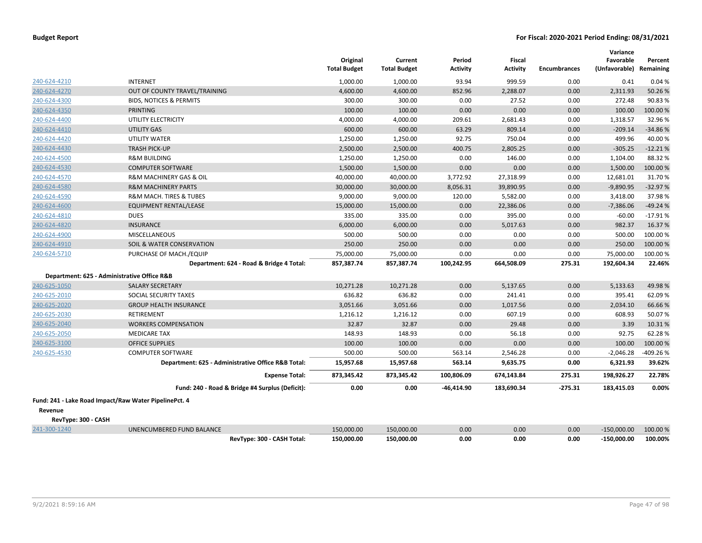|                     |                                                       | Original<br><b>Total Budget</b> | Current<br><b>Total Budget</b> | Period<br>Activity | <b>Fiscal</b><br><b>Activity</b> | <b>Encumbrances</b> | Variance<br>Favorable<br>(Unfavorable) | Percent<br>Remaining |
|---------------------|-------------------------------------------------------|---------------------------------|--------------------------------|--------------------|----------------------------------|---------------------|----------------------------------------|----------------------|
| 240-624-4210        | <b>INTERNET</b>                                       | 1,000.00                        | 1,000.00                       | 93.94              | 999.59                           | 0.00                | 0.41                                   | 0.04%                |
| 240-624-4270        | OUT OF COUNTY TRAVEL/TRAINING                         | 4,600.00                        | 4,600.00                       | 852.96             | 2,288.07                         | 0.00                | 2,311.93                               | 50.26%               |
| 240-624-4300        | <b>BIDS, NOTICES &amp; PERMITS</b>                    | 300.00                          | 300.00                         | 0.00               | 27.52                            | 0.00                | 272.48                                 | 90.83%               |
| 240-624-4350        | <b>PRINTING</b>                                       | 100.00                          | 100.00                         | 0.00               | 0.00                             | 0.00                | 100.00                                 | 100.00 %             |
| 240-624-4400        | UTILITY ELECTRICITY                                   | 4,000.00                        | 4,000.00                       | 209.61             | 2,681.43                         | 0.00                | 1,318.57                               | 32.96%               |
| 240-624-4410        | UTILITY GAS                                           | 600.00                          | 600.00                         | 63.29              | 809.14                           | 0.00                | $-209.14$                              | -34.86%              |
| 240-624-4420        | UTILITY WATER                                         | 1,250.00                        | 1,250.00                       | 92.75              | 750.04                           | 0.00                | 499.96                                 | 40.00%               |
| 240-624-4430        | <b>TRASH PICK-UP</b>                                  | 2,500.00                        | 2,500.00                       | 400.75             | 2,805.25                         | 0.00                | $-305.25$                              | $-12.21%$            |
| 240-624-4500        | <b>R&amp;M BUILDING</b>                               | 1,250.00                        | 1,250.00                       | 0.00               | 146.00                           | 0.00                | 1,104.00                               | 88.32%               |
| 240-624-4530        | <b>COMPUTER SOFTWARE</b>                              | 1,500.00                        | 1,500.00                       | 0.00               | 0.00                             | 0.00                | 1,500.00                               | 100.00 %             |
| 240-624-4570        | <b>R&amp;M MACHINERY GAS &amp; OIL</b>                | 40,000.00                       | 40,000.00                      | 3,772.92           | 27,318.99                        | 0.00                | 12,681.01                              | 31.70%               |
| 240-624-4580        | <b>R&amp;M MACHINERY PARTS</b>                        | 30,000.00                       | 30,000.00                      | 8,056.31           | 39,890.95                        | 0.00                | $-9,890.95$                            | $-32.97%$            |
| 240-624-4590        | R&M MACH. TIRES & TUBES                               | 9,000.00                        | 9,000.00                       | 120.00             | 5,582.00                         | 0.00                | 3,418.00                               | 37.98%               |
| 240-624-4600        | EQUIPMENT RENTAL/LEASE                                | 15,000.00                       | 15,000.00                      | 0.00               | 22,386.06                        | 0.00                | $-7,386.06$                            | $-49.24%$            |
| 240-624-4810        | <b>DUES</b>                                           | 335.00                          | 335.00                         | 0.00               | 395.00                           | 0.00                | $-60.00$                               | $-17.91%$            |
| 240-624-4820        | <b>INSURANCE</b>                                      | 6,000.00                        | 6,000.00                       | 0.00               | 5,017.63                         | 0.00                | 982.37                                 | 16.37%               |
| 240-624-4900        | <b>MISCELLANEOUS</b>                                  | 500.00                          | 500.00                         | 0.00               | 0.00                             | 0.00                | 500.00                                 | 100.00 %             |
| 240-624-4910        | SOIL & WATER CONSERVATION                             | 250.00                          | 250.00                         | 0.00               | 0.00                             | 0.00                | 250.00                                 | 100.00 %             |
| 240-624-5710        | PURCHASE OF MACH./EQUIP                               | 75,000.00                       | 75,000.00                      | 0.00               | 0.00                             | 0.00                | 75,000.00                              | 100.00%              |
|                     | Department: 624 - Road & Bridge 4 Total:              | 857,387.74                      | 857,387.74                     | 100,242.95         | 664,508.09                       | 275.31              | 192,604.34                             | 22.46%               |
|                     | Department: 625 - Administrative Office R&B           |                                 |                                |                    |                                  |                     |                                        |                      |
| 240-625-1050        | <b>SALARY SECRETARY</b>                               | 10,271.28                       | 10,271.28                      | 0.00               | 5,137.65                         | 0.00                | 5,133.63                               | 49.98%               |
| 240-625-2010        | SOCIAL SECURITY TAXES                                 | 636.82                          | 636.82                         | 0.00               | 241.41                           | 0.00                | 395.41                                 | 62.09%               |
| 240-625-2020        | <b>GROUP HEALTH INSURANCE</b>                         | 3,051.66                        | 3,051.66                       | 0.00               | 1,017.56                         | 0.00                | 2,034.10                               | 66.66%               |
| 240-625-2030        | RETIREMENT                                            | 1,216.12                        | 1,216.12                       | 0.00               | 607.19                           | 0.00                | 608.93                                 | 50.07%               |
| 240-625-2040        | <b>WORKERS COMPENSATION</b>                           | 32.87                           | 32.87                          | 0.00               | 29.48                            | 0.00                | 3.39                                   | 10.31%               |
| 240-625-2050        | <b>MEDICARE TAX</b>                                   | 148.93                          | 148.93                         | 0.00               | 56.18                            | 0.00                | 92.75                                  | 62.28%               |
| 240-625-3100        | <b>OFFICE SUPPLIES</b>                                | 100.00                          | 100.00                         | 0.00               | 0.00                             | 0.00                | 100.00                                 | 100.00%              |
| 240-625-4530        | <b>COMPUTER SOFTWARE</b>                              | 500.00                          | 500.00                         | 563.14             | 2,546.28                         | 0.00                | $-2,046.28$                            | 409.26%              |
|                     | Department: 625 - Administrative Office R&B Total:    | 15,957.68                       | 15,957.68                      | 563.14             | 9,635.75                         | 0.00                | 6,321.93                               | 39.62%               |
|                     | <b>Expense Total:</b>                                 | 873,345.42                      | 873,345.42                     | 100,806.09         | 674,143.84                       | 275.31              | 198,926.27                             | 22.78%               |
|                     | Fund: 240 - Road & Bridge #4 Surplus (Deficit):       | 0.00                            | 0.00                           | -46,414.90         | 183,690.34                       | $-275.31$           | 183,415.03                             | 0.00%                |
|                     | Fund: 241 - Lake Road Impact/Raw Water PipelinePct. 4 |                                 |                                |                    |                                  |                     |                                        |                      |
| Revenue             |                                                       |                                 |                                |                    |                                  |                     |                                        |                      |
| RevType: 300 - CASH |                                                       |                                 |                                |                    |                                  |                     |                                        |                      |
| 241-300-1240        | UNENCUMBERED FUND BALANCE                             | 150,000.00                      | 150,000.00                     | 0.00               | 0.00                             | 0.00                | $-150,000.00$                          | 100.00 %             |
|                     | RevType: 300 - CASH Total:                            | 150,000.00                      | 150,000.00                     | 0.00               | 0.00                             | 0.00                | $-150,000.00$                          | 100.00%              |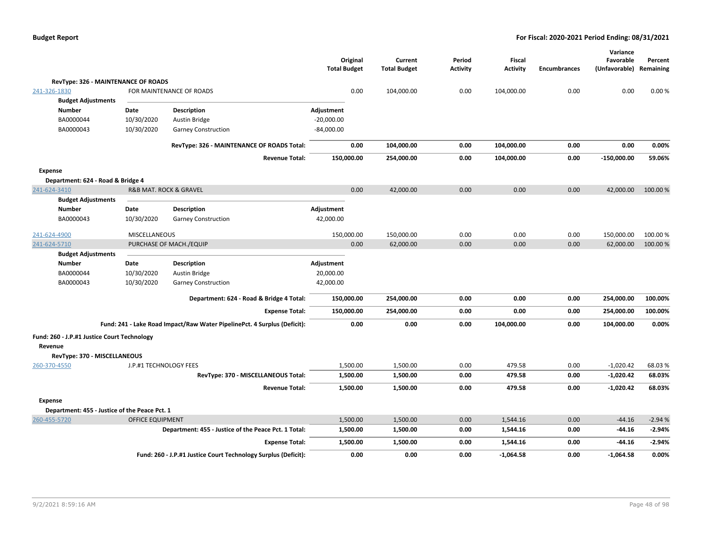|                                               |                         |                                                                          | Original<br><b>Total Budget</b> | Current<br><b>Total Budget</b> | Period<br><b>Activity</b> | <b>Fiscal</b><br><b>Activity</b> | <b>Encumbrances</b> | Variance<br>Favorable<br>(Unfavorable) Remaining | Percent  |
|-----------------------------------------------|-------------------------|--------------------------------------------------------------------------|---------------------------------|--------------------------------|---------------------------|----------------------------------|---------------------|--------------------------------------------------|----------|
| RevType: 326 - MAINTENANCE OF ROADS           |                         |                                                                          |                                 |                                |                           |                                  |                     |                                                  |          |
| 241-326-1830                                  |                         | FOR MAINTENANCE OF ROADS                                                 | 0.00                            | 104,000.00                     | 0.00                      | 104,000.00                       | 0.00                | 0.00                                             | 0.00%    |
| <b>Budget Adjustments</b>                     |                         |                                                                          |                                 |                                |                           |                                  |                     |                                                  |          |
| <b>Number</b>                                 | Date                    | <b>Description</b>                                                       | Adjustment                      |                                |                           |                                  |                     |                                                  |          |
| BA0000044                                     | 10/30/2020              | Austin Bridge                                                            | $-20,000.00$                    |                                |                           |                                  |                     |                                                  |          |
| BA0000043                                     | 10/30/2020              | <b>Garney Construction</b>                                               | $-84,000.00$                    |                                |                           |                                  |                     |                                                  |          |
|                                               |                         | RevType: 326 - MAINTENANCE OF ROADS Total:                               | 0.00                            | 104,000.00                     | 0.00                      | 104,000.00                       | 0.00                | 0.00                                             | 0.00%    |
|                                               |                         | <b>Revenue Total:</b>                                                    | 150,000.00                      | 254,000.00                     | 0.00                      | 104,000.00                       | 0.00                | $-150,000.00$                                    | 59.06%   |
| Expense                                       |                         |                                                                          |                                 |                                |                           |                                  |                     |                                                  |          |
| Department: 624 - Road & Bridge 4             |                         |                                                                          |                                 |                                |                           |                                  |                     |                                                  |          |
| 241-624-3410                                  |                         | R&B MAT. ROCK & GRAVEL                                                   | 0.00                            | 42,000.00                      | 0.00                      | 0.00                             | 0.00                | 42,000.00                                        | 100.00%  |
| <b>Budget Adjustments</b>                     |                         |                                                                          |                                 |                                |                           |                                  |                     |                                                  |          |
| <b>Number</b>                                 | Date                    | <b>Description</b>                                                       | Adjustment                      |                                |                           |                                  |                     |                                                  |          |
| BA0000043                                     | 10/30/2020              | <b>Garney Construction</b>                                               | 42,000.00                       |                                |                           |                                  |                     |                                                  |          |
| 241-624-4900                                  | <b>MISCELLANEOUS</b>    |                                                                          | 150,000.00                      | 150,000.00                     | 0.00                      | 0.00                             | 0.00                | 150,000.00                                       | 100.00%  |
| 241-624-5710                                  |                         | PURCHASE OF MACH./EQUIP                                                  | 0.00                            | 62,000.00                      | 0.00                      | 0.00                             | 0.00                | 62,000.00                                        | 100.00 % |
| <b>Budget Adjustments</b>                     |                         |                                                                          |                                 |                                |                           |                                  |                     |                                                  |          |
| <b>Number</b>                                 | Date                    | <b>Description</b>                                                       | Adjustment                      |                                |                           |                                  |                     |                                                  |          |
| BA0000044                                     | 10/30/2020              | Austin Bridge                                                            | 20,000.00                       |                                |                           |                                  |                     |                                                  |          |
| BA0000043                                     | 10/30/2020              | <b>Garney Construction</b>                                               | 42,000.00                       |                                |                           |                                  |                     |                                                  |          |
|                                               |                         | Department: 624 - Road & Bridge 4 Total:                                 | 150,000.00                      | 254,000.00                     | 0.00                      | 0.00                             | 0.00                | 254,000.00                                       | 100.00%  |
|                                               |                         | <b>Expense Total:</b>                                                    | 150,000.00                      | 254,000.00                     | 0.00                      | 0.00                             | 0.00                | 254,000.00                                       | 100.00%  |
|                                               |                         | Fund: 241 - Lake Road Impact/Raw Water PipelinePct. 4 Surplus (Deficit): | 0.00                            | 0.00                           | 0.00                      | 104,000.00                       | 0.00                | 104,000.00                                       | 0.00%    |
| Fund: 260 - J.P.#1 Justice Court Technology   |                         |                                                                          |                                 |                                |                           |                                  |                     |                                                  |          |
| Revenue                                       |                         |                                                                          |                                 |                                |                           |                                  |                     |                                                  |          |
| RevType: 370 - MISCELLANEOUS                  |                         |                                                                          |                                 |                                |                           |                                  |                     |                                                  |          |
| 260-370-4550                                  | J.P.#1 TECHNOLOGY FEES  |                                                                          | 1,500.00                        | 1,500.00                       | 0.00                      | 479.58                           | 0.00                | $-1,020.42$                                      | 68.03%   |
|                                               |                         | RevType: 370 - MISCELLANEOUS Total:                                      | 1,500.00                        | 1,500.00                       | 0.00                      | 479.58                           | 0.00                | $-1,020.42$                                      | 68.03%   |
|                                               |                         | <b>Revenue Total:</b>                                                    | 1,500.00                        | 1,500.00                       | 0.00                      | 479.58                           | 0.00                | $-1,020.42$                                      | 68.03%   |
| Expense                                       |                         |                                                                          |                                 |                                |                           |                                  |                     |                                                  |          |
| Department: 455 - Justice of the Peace Pct. 1 |                         |                                                                          |                                 |                                |                           |                                  |                     |                                                  |          |
| 260-455-5720                                  | <b>OFFICE EQUIPMENT</b> |                                                                          | 1,500.00                        | 1,500.00                       | 0.00                      | 1,544.16                         | 0.00                | $-44.16$                                         | $-2.94%$ |
|                                               |                         | Department: 455 - Justice of the Peace Pct. 1 Total:                     | 1,500.00                        | 1,500.00                       | 0.00                      | 1,544.16                         | 0.00                | $-44.16$                                         | $-2.94%$ |
|                                               |                         | <b>Expense Total:</b>                                                    | 1,500.00                        | 1,500.00                       | 0.00                      | 1,544.16                         | 0.00                | $-44.16$                                         | $-2.94%$ |
|                                               |                         | Fund: 260 - J.P.#1 Justice Court Technology Surplus (Deficit):           | 0.00                            | 0.00                           | 0.00                      | $-1,064.58$                      | 0.00                | $-1,064.58$                                      | 0.00%    |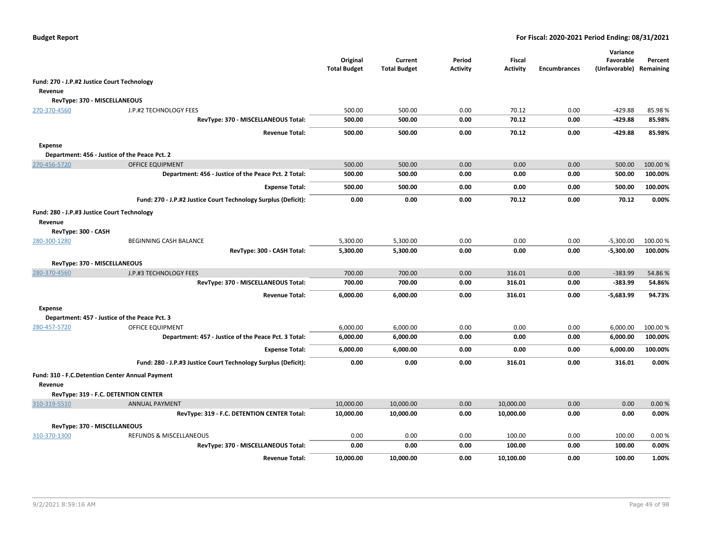|                                                        |                                                                      | Original<br><b>Total Budget</b> | Current<br><b>Total Budget</b> | Period<br>Activity | <b>Fiscal</b><br><b>Activity</b> | <b>Encumbrances</b> | Variance<br>Favorable<br>(Unfavorable) | Percent<br>Remaining |
|--------------------------------------------------------|----------------------------------------------------------------------|---------------------------------|--------------------------------|--------------------|----------------------------------|---------------------|----------------------------------------|----------------------|
| Fund: 270 - J.P.#2 Justice Court Technology            |                                                                      |                                 |                                |                    |                                  |                     |                                        |                      |
| Revenue                                                |                                                                      |                                 |                                |                    |                                  |                     |                                        |                      |
| RevType: 370 - MISCELLANEOUS                           |                                                                      |                                 |                                |                    |                                  |                     |                                        |                      |
| 270-370-4560                                           | J.P.#2 TECHNOLOGY FEES                                               | 500.00                          | 500.00                         | 0.00               | 70.12                            | 0.00                | $-429.88$                              | 85.98%               |
|                                                        | RevType: 370 - MISCELLANEOUS Total:                                  | 500.00                          | 500.00                         | 0.00               | 70.12                            | 0.00                | $-429.88$                              | 85.98%               |
|                                                        | <b>Revenue Total:</b>                                                | 500.00                          | 500.00                         | 0.00               | 70.12                            | 0.00                | $-429.88$                              | 85.98%               |
| <b>Expense</b>                                         |                                                                      |                                 |                                |                    |                                  |                     |                                        |                      |
|                                                        | Department: 456 - Justice of the Peace Pct. 2                        |                                 |                                |                    |                                  |                     |                                        |                      |
| 270-456-5720                                           | <b>OFFICE EQUIPMENT</b>                                              | 500.00                          | 500.00                         | 0.00               | 0.00                             | 0.00                | 500.00                                 | 100.00%              |
|                                                        | Department: 456 - Justice of the Peace Pct. 2 Total:                 | 500.00                          | 500.00                         | 0.00               | 0.00                             | 0.00                | 500.00                                 | 100.00%              |
|                                                        | <b>Expense Total:</b>                                                | 500.00                          | 500.00                         | 0.00               | 0.00                             | 0.00                | 500.00                                 | 100.00%              |
|                                                        | Fund: 270 - J.P.#2 Justice Court Technology Surplus (Deficit):       | 0.00                            | 0.00                           | 0.00               | 70.12                            | 0.00                | 70.12                                  | 0.00%                |
| Fund: 280 - J.P.#3 Justice Court Technology<br>Revenue |                                                                      |                                 |                                |                    |                                  |                     |                                        |                      |
| RevType: 300 - CASH                                    |                                                                      |                                 |                                |                    |                                  |                     |                                        |                      |
| 280-300-1280                                           | BEGINNING CASH BALANCE<br>RevType: 300 - CASH Total:                 | 5,300.00<br>5,300.00            | 5,300.00<br>5,300.00           | 0.00<br>0.00       | 0.00<br>0.00                     | 0.00<br>0.00        | $-5,300.00$<br>$-5,300.00$             | 100.00%<br>100.00%   |
| RevType: 370 - MISCELLANEOUS                           |                                                                      |                                 |                                |                    |                                  |                     |                                        |                      |
| 280-370-4560                                           | J.P.#3 TECHNOLOGY FEES                                               | 700.00                          | 700.00                         | 0.00               | 316.01                           | 0.00                | $-383.99$                              | 54.86%               |
|                                                        | RevType: 370 - MISCELLANEOUS Total:                                  | 700.00                          | 700.00                         | 0.00               | 316.01                           | 0.00                | $-383.99$                              | 54.86%               |
|                                                        | <b>Revenue Total:</b>                                                | 6,000.00                        | 6,000.00                       | 0.00               | 316.01                           | 0.00                | $-5,683.99$                            | 94.73%               |
| Expense                                                | Department: 457 - Justice of the Peace Pct. 3                        |                                 |                                |                    |                                  |                     |                                        |                      |
| 280-457-5720                                           | OFFICE EQUIPMENT                                                     | 6,000.00                        | 6,000.00                       | 0.00               | 0.00                             | 0.00                | 6,000.00                               | 100.00%              |
|                                                        | Department: 457 - Justice of the Peace Pct. 3 Total:                 | 6,000.00                        | 6,000.00                       | 0.00               | 0.00                             | 0.00                | 6,000.00                               | 100.00%              |
|                                                        | <b>Expense Total:</b>                                                | 6,000.00                        | 6,000.00                       | 0.00               | 0.00                             | 0.00                | 6,000.00                               | 100.00%              |
|                                                        | Fund: 280 - J.P.#3 Justice Court Technology Surplus (Deficit):       | 0.00                            | 0.00                           | 0.00               | 316.01                           | 0.00                | 316.01                                 | 0.00%                |
| Fund: 310 - F.C. Detention Center Annual Payment       |                                                                      |                                 |                                |                    |                                  |                     |                                        |                      |
| Revenue                                                |                                                                      |                                 |                                |                    |                                  |                     |                                        |                      |
|                                                        | RevType: 319 - F.C. DETENTION CENTER                                 |                                 |                                |                    |                                  |                     |                                        |                      |
| 310-319-5510                                           | <b>ANNUAL PAYMENT</b><br>RevType: 319 - F.C. DETENTION CENTER Total: | 10,000.00<br>10,000.00          | 10,000.00<br>10,000.00         | 0.00<br>0.00       | 10,000.00<br>10,000.00           | 0.00<br>0.00        | 0.00<br>0.00                           | 0.00%<br>0.00%       |
|                                                        |                                                                      |                                 |                                |                    |                                  |                     |                                        |                      |
| RevType: 370 - MISCELLANEOUS                           |                                                                      |                                 |                                |                    |                                  |                     |                                        |                      |
| 310-370-1300                                           | REFUNDS & MISCELLANEOUS<br>RevType: 370 - MISCELLANEOUS Total:       | 0.00<br>0.00                    | 0.00<br>0.00                   | 0.00<br>0.00       | 100.00<br>100.00                 | 0.00<br>0.00        | 100.00<br>100.00                       | 0.00%<br>0.00%       |
|                                                        | <b>Revenue Total:</b>                                                | 10,000.00                       | 10,000.00                      | 0.00               | 10,100.00                        | 0.00                | 100.00                                 | 1.00%                |
|                                                        |                                                                      |                                 |                                |                    |                                  |                     |                                        |                      |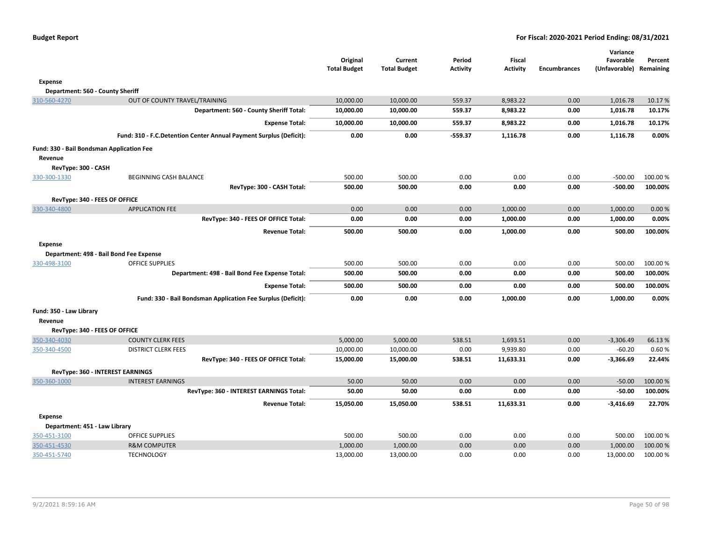|                                           |                                                                    | Original<br><b>Total Budget</b> | Current<br><b>Total Budget</b> | Period<br><b>Activity</b> | <b>Fiscal</b><br><b>Activity</b> | <b>Encumbrances</b> | Variance<br>Favorable<br>(Unfavorable) | Percent<br>Remaining |
|-------------------------------------------|--------------------------------------------------------------------|---------------------------------|--------------------------------|---------------------------|----------------------------------|---------------------|----------------------------------------|----------------------|
| <b>Expense</b>                            |                                                                    |                                 |                                |                           |                                  |                     |                                        |                      |
| Department: 560 - County Sheriff          |                                                                    |                                 |                                |                           |                                  |                     |                                        |                      |
| 310-560-4270                              | OUT OF COUNTY TRAVEL/TRAINING                                      | 10,000.00                       | 10,000.00                      | 559.37                    | 8,983.22                         | 0.00                | 1,016.78                               | 10.17%               |
|                                           | Department: 560 - County Sheriff Total:                            | 10,000.00                       | 10,000.00                      | 559.37                    | 8,983.22                         | 0.00                | 1,016.78                               | 10.17%               |
|                                           | <b>Expense Total:</b>                                              | 10,000.00                       | 10,000.00                      | 559.37                    | 8,983.22                         | 0.00                | 1,016.78                               | 10.17%               |
|                                           | Fund: 310 - F.C.Detention Center Annual Payment Surplus (Deficit): | 0.00                            | 0.00                           | -559.37                   | 1,116.78                         | 0.00                | 1,116.78                               | 0.00%                |
| Fund: 330 - Bail Bondsman Application Fee |                                                                    |                                 |                                |                           |                                  |                     |                                        |                      |
| Revenue                                   |                                                                    |                                 |                                |                           |                                  |                     |                                        |                      |
| RevType: 300 - CASH                       |                                                                    |                                 |                                |                           |                                  |                     |                                        |                      |
| 330-300-1330                              | BEGINNING CASH BALANCE                                             | 500.00                          | 500.00                         | 0.00                      | 0.00                             | 0.00                | $-500.00$                              | 100.00 %             |
|                                           | RevType: 300 - CASH Total:                                         | 500.00                          | 500.00                         | 0.00                      | 0.00                             | 0.00                | $-500.00$                              | 100.00%              |
| RevType: 340 - FEES OF OFFICE             |                                                                    |                                 |                                |                           |                                  |                     |                                        |                      |
| 330-340-4800                              | <b>APPLICATION FEE</b>                                             | 0.00                            | 0.00                           | 0.00                      | 1,000.00                         | 0.00                | 1,000.00                               | 0.00%                |
|                                           | RevType: 340 - FEES OF OFFICE Total:                               | 0.00                            | 0.00                           | 0.00                      | 1,000.00                         | 0.00                | 1,000.00                               | 0.00%                |
|                                           | <b>Revenue Total:</b>                                              | 500.00                          | 500.00                         | 0.00                      | 1,000.00                         | 0.00                | 500.00                                 | 100.00%              |
| <b>Expense</b>                            |                                                                    |                                 |                                |                           |                                  |                     |                                        |                      |
|                                           | Department: 498 - Bail Bond Fee Expense                            |                                 |                                |                           |                                  |                     |                                        |                      |
| 330-498-3100                              | <b>OFFICE SUPPLIES</b>                                             | 500.00                          | 500.00                         | 0.00                      | 0.00                             | 0.00                | 500.00                                 | 100.00%              |
|                                           | Department: 498 - Bail Bond Fee Expense Total:                     | 500.00                          | 500.00                         | 0.00                      | 0.00                             | 0.00                | 500.00                                 | 100.00%              |
|                                           | <b>Expense Total:</b>                                              | 500.00                          | 500.00                         | 0.00                      | 0.00                             | 0.00                | 500.00                                 | 100.00%              |
|                                           | Fund: 330 - Bail Bondsman Application Fee Surplus (Deficit):       | 0.00                            | 0.00                           | 0.00                      | 1,000.00                         | 0.00                | 1,000.00                               | 0.00%                |
| Fund: 350 - Law Library                   |                                                                    |                                 |                                |                           |                                  |                     |                                        |                      |
| Revenue<br>RevType: 340 - FEES OF OFFICE  |                                                                    |                                 |                                |                           |                                  |                     |                                        |                      |
| 350-340-4030                              | <b>COUNTY CLERK FEES</b>                                           | 5,000.00                        | 5,000.00                       | 538.51                    | 1,693.51                         | 0.00                | $-3,306.49$                            | 66.13%               |
| 350-340-4500                              | <b>DISTRICT CLERK FEES</b>                                         | 10,000.00                       | 10,000.00                      | 0.00                      | 9,939.80                         | 0.00                | $-60.20$                               | 0.60%                |
|                                           | RevType: 340 - FEES OF OFFICE Total:                               | 15,000.00                       | 15,000.00                      | 538.51                    | 11,633.31                        | 0.00                | $-3,366.69$                            | 22.44%               |
|                                           | RevType: 360 - INTEREST EARNINGS                                   |                                 |                                |                           |                                  |                     |                                        |                      |
| 350-360-1000                              | <b>INTEREST EARNINGS</b>                                           | 50.00                           | 50.00                          | 0.00                      | 0.00                             | 0.00                | $-50.00$                               | 100.00 %             |
|                                           | RevType: 360 - INTEREST EARNINGS Total:                            | 50.00                           | 50.00                          | 0.00                      | 0.00                             | 0.00                | $-50.00$                               | 100.00%              |
|                                           | <b>Revenue Total:</b>                                              | 15,050.00                       | 15,050.00                      | 538.51                    | 11,633.31                        | 0.00                | $-3,416.69$                            | 22.70%               |
| <b>Expense</b>                            |                                                                    |                                 |                                |                           |                                  |                     |                                        |                      |
| Department: 451 - Law Library             |                                                                    |                                 |                                |                           |                                  |                     |                                        |                      |
| 350-451-3100                              | <b>OFFICE SUPPLIES</b>                                             | 500.00                          | 500.00                         | 0.00                      | 0.00                             | 0.00                | 500.00                                 | 100.00 %             |
| 350-451-4530                              | <b>R&amp;M COMPUTER</b>                                            | 1,000.00                        | 1,000.00                       | 0.00                      | 0.00                             | 0.00                | 1,000.00                               | 100.00 %             |
| 350-451-5740                              | <b>TECHNOLOGY</b>                                                  | 13,000.00                       | 13,000.00                      | 0.00                      | 0.00                             | 0.00                | 13,000.00                              | 100.00 %             |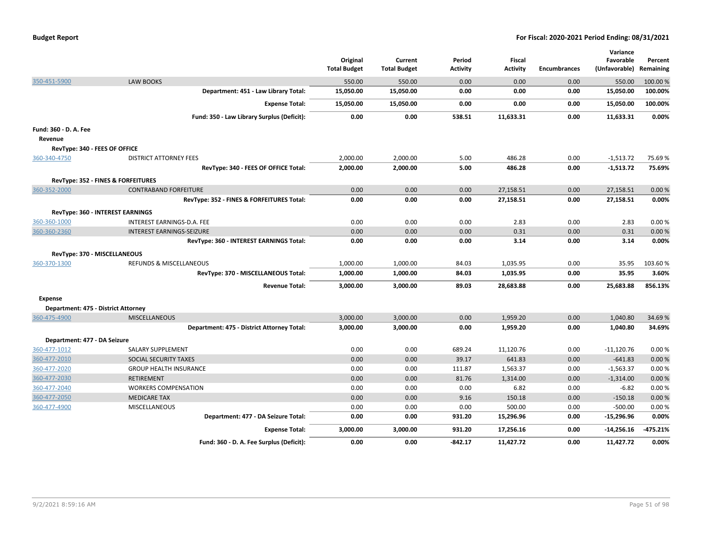|                                     |                                            | Original<br><b>Total Budget</b> | Current<br><b>Total Budget</b> | Period<br><b>Activity</b> | <b>Fiscal</b><br><b>Activity</b> | <b>Encumbrances</b> | Variance<br>Favorable<br>(Unfavorable) | Percent<br>Remaining |
|-------------------------------------|--------------------------------------------|---------------------------------|--------------------------------|---------------------------|----------------------------------|---------------------|----------------------------------------|----------------------|
| 350-451-5900                        | <b>LAW BOOKS</b>                           | 550.00                          | 550.00                         | 0.00                      | 0.00                             | 0.00                | 550.00                                 | 100.00 %             |
|                                     | Department: 451 - Law Library Total:       | 15,050.00                       | 15,050.00                      | 0.00                      | 0.00                             | 0.00                | 15,050.00                              | 100.00%              |
|                                     | <b>Expense Total:</b>                      | 15,050.00                       | 15,050.00                      | 0.00                      | 0.00                             | 0.00                | 15,050.00                              | 100.00%              |
|                                     | Fund: 350 - Law Library Surplus (Deficit): | 0.00                            | 0.00                           | 538.51                    | 11,633.31                        | 0.00                | 11,633.31                              | 0.00%                |
| Fund: 360 - D. A. Fee               |                                            |                                 |                                |                           |                                  |                     |                                        |                      |
| Revenue                             |                                            |                                 |                                |                           |                                  |                     |                                        |                      |
| RevType: 340 - FEES OF OFFICE       |                                            |                                 |                                |                           |                                  |                     |                                        |                      |
| 360-340-4750                        | <b>DISTRICT ATTORNEY FEES</b>              | 2,000.00                        | 2,000.00                       | 5.00                      | 486.28                           | 0.00                | $-1,513.72$                            | 75.69%               |
|                                     | RevType: 340 - FEES OF OFFICE Total:       | 2,000.00                        | 2,000.00                       | 5.00                      | 486.28                           | 0.00                | $-1,513.72$                            | 75.69%               |
|                                     | RevType: 352 - FINES & FORFEITURES         |                                 |                                |                           |                                  |                     |                                        |                      |
| 360-352-2000                        | <b>CONTRABAND FORFEITURE</b>               | 0.00                            | 0.00                           | 0.00                      | 27,158.51                        | 0.00                | 27,158.51                              | 0.00%                |
|                                     | RevType: 352 - FINES & FORFEITURES Total:  | 0.00                            | 0.00                           | 0.00                      | 27,158.51                        | 0.00                | 27,158.51                              | 0.00%                |
|                                     | RevType: 360 - INTEREST EARNINGS           |                                 |                                |                           |                                  |                     |                                        |                      |
| 360-360-1000                        | INTEREST EARNINGS-D.A. FEE                 | 0.00                            | 0.00                           | 0.00                      | 2.83                             | 0.00                | 2.83                                   | 0.00%                |
| 360-360-2360                        | <b>INTEREST EARNINGS-SEIZURE</b>           | 0.00                            | 0.00                           | 0.00                      | 0.31                             | 0.00                | 0.31                                   | 0.00%                |
|                                     | RevType: 360 - INTEREST EARNINGS Total:    | 0.00                            | 0.00                           | 0.00                      | 3.14                             | 0.00                | 3.14                                   | 0.00%                |
| RevType: 370 - MISCELLANEOUS        |                                            |                                 |                                |                           |                                  |                     |                                        |                      |
| 360-370-1300                        | REFUNDS & MISCELLANEOUS                    | 1,000.00                        | 1,000.00                       | 84.03                     | 1,035.95                         | 0.00                | 35.95                                  | 103.60%              |
|                                     | RevType: 370 - MISCELLANEOUS Total:        | 1,000.00                        | 1,000.00                       | 84.03                     | 1,035.95                         | 0.00                | 35.95                                  | 3.60%                |
|                                     | <b>Revenue Total:</b>                      | 3,000.00                        | 3,000.00                       | 89.03                     | 28,683.88                        | 0.00                | 25,683.88                              | 856.13%              |
| <b>Expense</b>                      |                                            |                                 |                                |                           |                                  |                     |                                        |                      |
| Department: 475 - District Attorney |                                            |                                 |                                |                           |                                  |                     |                                        |                      |
| 360-475-4900                        | <b>MISCELLANEOUS</b>                       | 3,000.00                        | 3,000.00                       | 0.00                      | 1,959.20                         | 0.00                | 1,040.80                               | 34.69%               |
|                                     | Department: 475 - District Attorney Total: | 3,000.00                        | 3,000.00                       | 0.00                      | 1,959.20                         | 0.00                | 1,040.80                               | 34.69%               |
| Department: 477 - DA Seizure        |                                            |                                 |                                |                           |                                  |                     |                                        |                      |
| 360-477-1012                        | SALARY SUPPLEMENT                          | 0.00                            | 0.00                           | 689.24                    | 11,120.76                        | 0.00                | $-11,120.76$                           | 0.00%                |
| 360-477-2010                        | SOCIAL SECURITY TAXES                      | 0.00                            | 0.00                           | 39.17                     | 641.83                           | 0.00                | $-641.83$                              | 0.00%                |
| 360-477-2020                        | <b>GROUP HEALTH INSURANCE</b>              | 0.00                            | 0.00                           | 111.87                    | 1,563.37                         | 0.00                | $-1,563.37$                            | 0.00%                |
| 360-477-2030                        | <b>RETIREMENT</b>                          | 0.00                            | 0.00                           | 81.76                     | 1,314.00                         | 0.00                | $-1,314.00$                            | 0.00%                |
| 360-477-2040                        | <b>WORKERS COMPENSATION</b>                | 0.00                            | 0.00                           | 0.00                      | 6.82                             | 0.00                | $-6.82$                                | 0.00%                |
| 360-477-2050                        | <b>MEDICARE TAX</b>                        | 0.00                            | 0.00                           | 9.16                      | 150.18                           | 0.00                | $-150.18$                              | 0.00%                |
| 360-477-4900                        | MISCELLANEOUS                              | 0.00                            | 0.00                           | 0.00                      | 500.00                           | 0.00                | $-500.00$                              | 0.00%                |
|                                     | Department: 477 - DA Seizure Total:        | 0.00                            | 0.00                           | 931.20                    | 15,296.96                        | 0.00                | $-15,296.96$                           | 0.00%                |
|                                     | <b>Expense Total:</b>                      | 3,000.00                        | 3,000.00                       | 931.20                    | 17,256.16                        | 0.00                | -14,256.16                             | $-475.21%$           |
|                                     | Fund: 360 - D. A. Fee Surplus (Deficit):   | 0.00                            | 0.00                           | -842.17                   | 11,427.72                        | 0.00                | 11,427.72                              | 0.00%                |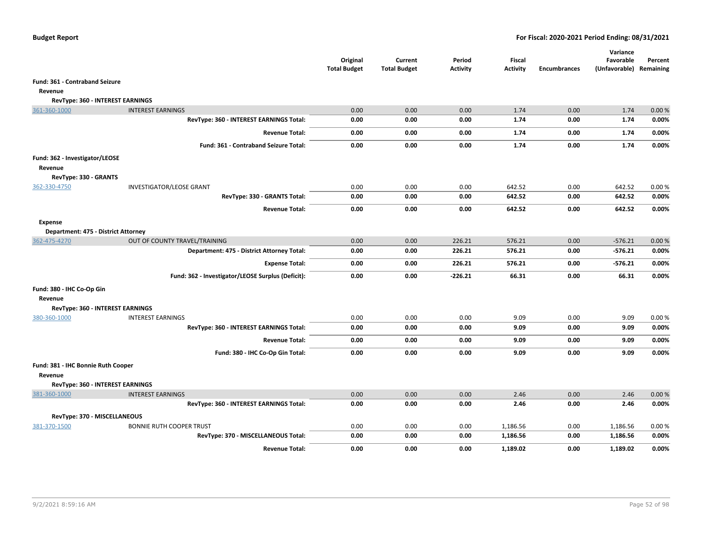|                                               |                                                                     | Original<br><b>Total Budget</b> | Current<br><b>Total Budget</b> | Period<br><b>Activity</b> | <b>Fiscal</b><br><b>Activity</b> | <b>Encumbrances</b> | Variance<br>Favorable<br>(Unfavorable) | Percent<br>Remaining |
|-----------------------------------------------|---------------------------------------------------------------------|---------------------------------|--------------------------------|---------------------------|----------------------------------|---------------------|----------------------------------------|----------------------|
| Fund: 361 - Contraband Seizure                |                                                                     |                                 |                                |                           |                                  |                     |                                        |                      |
| Revenue                                       |                                                                     |                                 |                                |                           |                                  |                     |                                        |                      |
| RevType: 360 - INTEREST EARNINGS              |                                                                     |                                 |                                |                           |                                  |                     |                                        |                      |
| 361-360-1000                                  | <b>INTEREST EARNINGS</b>                                            | 0.00                            | 0.00                           | 0.00                      | 1.74                             | 0.00                | 1.74                                   | 0.00%                |
|                                               | RevType: 360 - INTEREST EARNINGS Total:                             | 0.00                            | 0.00                           | 0.00                      | 1.74                             | 0.00                | 1.74                                   | 0.00%                |
|                                               | <b>Revenue Total:</b>                                               | 0.00                            | 0.00                           | 0.00                      | 1.74                             | 0.00                | 1.74                                   | 0.00%                |
|                                               | Fund: 361 - Contraband Seizure Total:                               | 0.00                            | 0.00                           | 0.00                      | 1.74                             | 0.00                | 1.74                                   | 0.00%                |
| Fund: 362 - Investigator/LEOSE<br>Revenue     |                                                                     |                                 |                                |                           |                                  |                     |                                        |                      |
| RevType: 330 - GRANTS                         |                                                                     |                                 |                                |                           |                                  |                     |                                        |                      |
| 362-330-4750                                  | INVESTIGATOR/LEOSE GRANT                                            | 0.00                            | 0.00                           | 0.00                      | 642.52                           | 0.00                | 642.52                                 | 0.00%                |
|                                               | RevType: 330 - GRANTS Total:                                        | 0.00                            | 0.00                           | 0.00                      | 642.52                           | 0.00                | 642.52                                 | 0.00%                |
|                                               | <b>Revenue Total:</b>                                               | 0.00                            | 0.00                           | 0.00                      | 642.52                           | 0.00                | 642.52                                 | 0.00%                |
| <b>Expense</b>                                |                                                                     |                                 |                                |                           |                                  |                     |                                        |                      |
| Department: 475 - District Attorney           |                                                                     |                                 |                                |                           |                                  |                     |                                        |                      |
| 362-475-4270                                  | OUT OF COUNTY TRAVEL/TRAINING                                       | 0.00                            | 0.00                           | 226.21                    | 576.21                           | 0.00                | $-576.21$                              | 0.00%                |
|                                               | Department: 475 - District Attorney Total:                          | 0.00                            | 0.00                           | 226.21                    | 576.21                           | 0.00                | $-576.21$                              | 0.00%                |
|                                               | <b>Expense Total:</b>                                               | 0.00                            | 0.00                           | 226.21                    | 576.21                           | 0.00                | $-576.21$                              | 0.00%                |
|                                               | Fund: 362 - Investigator/LEOSE Surplus (Deficit):                   | 0.00                            | 0.00                           | $-226.21$                 | 66.31                            | 0.00                | 66.31                                  | 0.00%                |
| Fund: 380 - IHC Co-Op Gin                     |                                                                     |                                 |                                |                           |                                  |                     |                                        |                      |
| Revenue                                       |                                                                     |                                 |                                |                           |                                  |                     |                                        |                      |
| RevType: 360 - INTEREST EARNINGS              |                                                                     |                                 |                                |                           |                                  |                     |                                        |                      |
| 380-360-1000                                  | <b>INTEREST EARNINGS</b><br>RevType: 360 - INTEREST EARNINGS Total: | 0.00                            | 0.00                           | 0.00                      | 9.09                             | 0.00                | 9.09<br>9.09                           | 0.00%                |
|                                               |                                                                     | 0.00                            | 0.00                           | 0.00                      | 9.09                             | 0.00                |                                        | 0.00%                |
|                                               | <b>Revenue Total:</b>                                               | 0.00                            | 0.00                           | 0.00                      | 9.09                             | 0.00                | 9.09                                   | 0.00%                |
|                                               | Fund: 380 - IHC Co-Op Gin Total:                                    | 0.00                            | 0.00                           | 0.00                      | 9.09                             | 0.00                | 9.09                                   | 0.00%                |
| Fund: 381 - IHC Bonnie Ruth Cooper<br>Revenue |                                                                     |                                 |                                |                           |                                  |                     |                                        |                      |
| RevType: 360 - INTEREST EARNINGS              |                                                                     |                                 |                                |                           |                                  |                     |                                        |                      |
| 381-360-1000                                  | <b>INTEREST EARNINGS</b>                                            | 0.00                            | 0.00                           | 0.00                      | 2.46                             | 0.00                | 2.46                                   | 0.00%                |
|                                               | RevType: 360 - INTEREST EARNINGS Total:                             | 0.00                            | 0.00                           | 0.00                      | 2.46                             | 0.00                | 2.46                                   | 0.00%                |
| RevType: 370 - MISCELLANEOUS                  |                                                                     |                                 |                                |                           |                                  |                     |                                        |                      |
| 381-370-1500                                  | <b>BONNIE RUTH COOPER TRUST</b>                                     | 0.00                            | 0.00                           | 0.00                      | 1,186.56                         | 0.00                | 1,186.56                               | 0.00%                |
|                                               | RevType: 370 - MISCELLANEOUS Total:                                 | 0.00                            | 0.00                           | 0.00                      | 1,186.56                         | 0.00                | 1,186.56                               | 0.00%                |
|                                               | <b>Revenue Total:</b>                                               | 0.00                            | 0.00                           | 0.00                      | 1.189.02                         | 0.00                | 1,189.02                               | 0.00%                |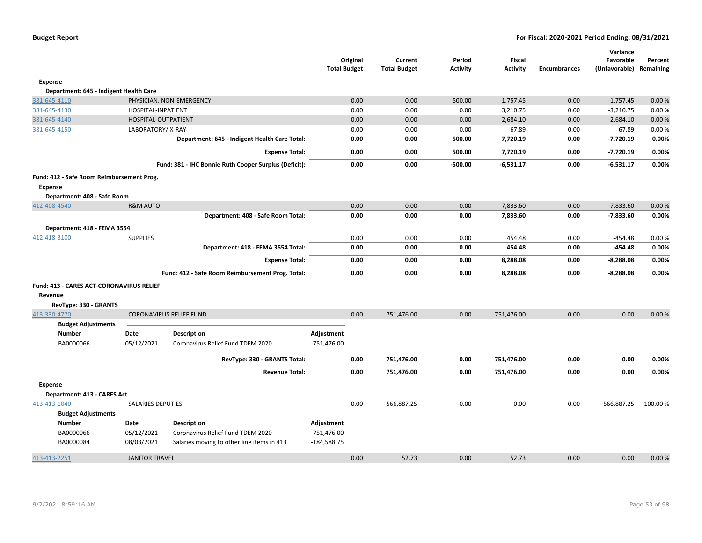|                                           |                          |                                                       | <b>Total Budget</b> | Original | Current<br><b>Total Budget</b> | Period<br><b>Activity</b> | <b>Fiscal</b><br><b>Activity</b> | <b>Encumbrances</b> | Variance<br>Favorable<br>(Unfavorable) | Percent<br>Remaining |
|-------------------------------------------|--------------------------|-------------------------------------------------------|---------------------|----------|--------------------------------|---------------------------|----------------------------------|---------------------|----------------------------------------|----------------------|
| <b>Expense</b>                            |                          |                                                       |                     |          |                                |                           |                                  |                     |                                        |                      |
| Department: 645 - Indigent Health Care    |                          |                                                       |                     |          |                                |                           |                                  |                     |                                        |                      |
| 381-645-4110                              |                          | PHYSICIAN, NON-EMERGENCY                              |                     | 0.00     | 0.00                           | 500.00                    | 1,757.45                         | 0.00                | $-1,757.45$                            | 0.00%                |
| 381-645-4130                              | HOSPITAL-INPATIENT       |                                                       |                     | 0.00     | 0.00                           | 0.00                      | 3,210.75                         | 0.00                | $-3,210.75$                            | 0.00%                |
| 381-645-4140                              | HOSPITAL-OUTPATIENT      |                                                       |                     | 0.00     | 0.00                           | 0.00                      | 2,684.10                         | 0.00                | $-2,684.10$                            | 0.00%                |
| 381-645-4150                              | LABORATORY/X-RAY         |                                                       |                     | 0.00     | 0.00                           | 0.00                      | 67.89                            | 0.00                | $-67.89$                               | 0.00%                |
|                                           |                          | Department: 645 - Indigent Health Care Total:         |                     | 0.00     | 0.00                           | 500.00                    | 7,720.19                         | 0.00                | $-7,720.19$                            | 0.00%                |
|                                           |                          | <b>Expense Total:</b>                                 |                     | 0.00     | 0.00                           | 500.00                    | 7,720.19                         | 0.00                | $-7,720.19$                            | 0.00%                |
|                                           |                          | Fund: 381 - IHC Bonnie Ruth Cooper Surplus (Deficit): |                     | 0.00     | 0.00                           | $-500.00$                 | $-6,531.17$                      | 0.00                | $-6,531.17$                            | 0.00%                |
| Fund: 412 - Safe Room Reimbursement Prog. |                          |                                                       |                     |          |                                |                           |                                  |                     |                                        |                      |
| <b>Expense</b>                            |                          |                                                       |                     |          |                                |                           |                                  |                     |                                        |                      |
| Department: 408 - Safe Room               |                          |                                                       |                     |          |                                |                           |                                  |                     |                                        |                      |
| 412-408-4540                              | <b>R&amp;M AUTO</b>      |                                                       |                     | 0.00     | 0.00                           | 0.00                      | 7,833.60                         | 0.00                | $-7,833.60$                            | 0.00%                |
|                                           |                          | Department: 408 - Safe Room Total:                    |                     | 0.00     | 0.00                           | 0.00                      | 7,833.60                         | 0.00                | $-7,833.60$                            | 0.00%                |
| Department: 418 - FEMA 3554               |                          |                                                       |                     |          |                                |                           |                                  |                     |                                        |                      |
| 412-418-3100                              | <b>SUPPLIES</b>          |                                                       |                     | 0.00     | 0.00                           | 0.00                      | 454.48                           | 0.00                | $-454.48$                              | 0.00%                |
|                                           |                          | Department: 418 - FEMA 3554 Total:                    |                     | 0.00     | 0.00                           | 0.00                      | 454.48                           | 0.00                | $-454.48$                              | 0.00%                |
|                                           |                          | <b>Expense Total:</b>                                 |                     | 0.00     | 0.00                           | 0.00                      | 8,288.08                         | 0.00                | $-8,288.08$                            | 0.00%                |
|                                           |                          | Fund: 412 - Safe Room Reimbursement Prog. Total:      |                     | 0.00     | 0.00                           | 0.00                      | 8,288.08                         | 0.00                | $-8,288.08$                            | 0.00%                |
| Fund: 413 - CARES ACT-CORONAVIRUS RELIEF  |                          |                                                       |                     |          |                                |                           |                                  |                     |                                        |                      |
| Revenue                                   |                          |                                                       |                     |          |                                |                           |                                  |                     |                                        |                      |
| RevType: 330 - GRANTS                     |                          |                                                       |                     |          |                                |                           |                                  |                     |                                        |                      |
| 413-330-4770                              |                          | <b>CORONAVIRUS RELIEF FUND</b>                        |                     | 0.00     | 751,476.00                     | 0.00                      | 751,476.00                       | 0.00                | 0.00                                   | 0.00%                |
| <b>Budget Adjustments</b>                 |                          |                                                       |                     |          |                                |                           |                                  |                     |                                        |                      |
| <b>Number</b>                             | Date                     | <b>Description</b>                                    | Adjustment          |          |                                |                           |                                  |                     |                                        |                      |
| BA0000066                                 | 05/12/2021               | Coronavirus Relief Fund TDEM 2020                     | $-751,476.00$       |          |                                |                           |                                  |                     |                                        |                      |
|                                           |                          | RevType: 330 - GRANTS Total:                          |                     | 0.00     | 751,476.00                     | 0.00                      | 751,476.00                       | 0.00                | 0.00                                   | 0.00%                |
|                                           |                          | <b>Revenue Total:</b>                                 |                     | 0.00     | 751,476.00                     | 0.00                      | 751,476.00                       | 0.00                | 0.00                                   | 0.00%                |
| <b>Expense</b>                            |                          |                                                       |                     |          |                                |                           |                                  |                     |                                        |                      |
| Department: 413 - CARES Act               |                          |                                                       |                     |          |                                |                           |                                  |                     |                                        |                      |
| 413-413-1040                              | <b>SALARIES DEPUTIES</b> |                                                       |                     | 0.00     | 566,887.25                     | 0.00                      | 0.00                             | 0.00                | 566,887.25                             | 100.00 %             |
| <b>Budget Adjustments</b>                 |                          |                                                       |                     |          |                                |                           |                                  |                     |                                        |                      |
| <b>Number</b>                             | Date                     | <b>Description</b>                                    | Adjustment          |          |                                |                           |                                  |                     |                                        |                      |
| BA0000066                                 | 05/12/2021               | Coronavirus Relief Fund TDEM 2020                     | 751,476.00          |          |                                |                           |                                  |                     |                                        |                      |
| BA0000084                                 | 08/03/2021               | Salaries moving to other line items in 413            | $-184,588.75$       |          |                                |                           |                                  |                     |                                        |                      |
| 413-413-2251                              | <b>JANITOR TRAVEL</b>    |                                                       |                     | 0.00     | 52.73                          | 0.00                      | 52.73                            | 0.00                | 0.00                                   | 0.00%                |
|                                           |                          |                                                       |                     |          |                                |                           |                                  |                     |                                        |                      |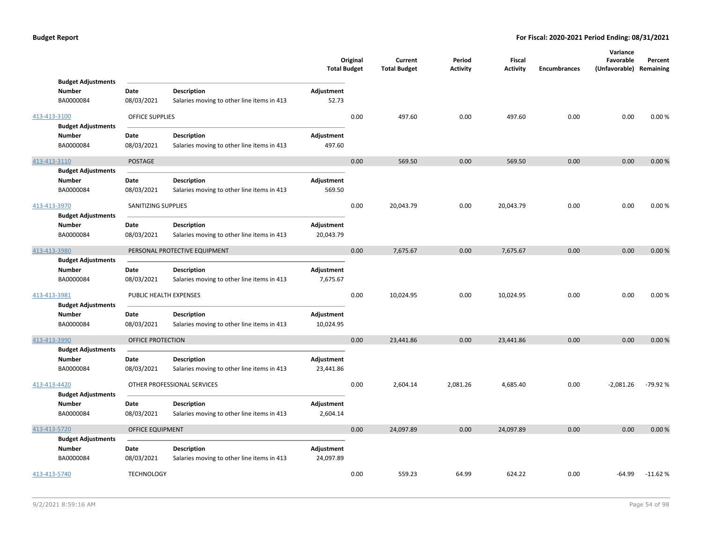|              |                                                         |                         |                                                                  | <b>Total Budget</b>     | Original | Current<br><b>Total Budget</b> | Period<br><b>Activity</b> | Fiscal<br><b>Activity</b> | <b>Encumbrances</b> | Variance<br>Favorable<br>(Unfavorable) Remaining | Percent   |
|--------------|---------------------------------------------------------|-------------------------|------------------------------------------------------------------|-------------------------|----------|--------------------------------|---------------------------|---------------------------|---------------------|--------------------------------------------------|-----------|
|              | <b>Budget Adjustments</b><br><b>Number</b><br>BA0000084 | Date<br>08/03/2021      | <b>Description</b><br>Salaries moving to other line items in 413 | Adjustment<br>52.73     |          |                                |                           |                           |                     |                                                  |           |
| 413-413-3100 | <b>Budget Adjustments</b>                               | <b>OFFICE SUPPLIES</b>  |                                                                  |                         | 0.00     | 497.60                         | 0.00                      | 497.60                    | 0.00                | 0.00                                             | 0.00%     |
|              | Number<br>BA0000084                                     | Date<br>08/03/2021      | <b>Description</b><br>Salaries moving to other line items in 413 | Adjustment<br>497.60    |          |                                |                           |                           |                     |                                                  |           |
| 413-413-3110 |                                                         | <b>POSTAGE</b>          |                                                                  |                         | 0.00     | 569.50                         | 0.00                      | 569.50                    | 0.00                | 0.00                                             | 0.00%     |
|              | <b>Budget Adjustments</b><br><b>Number</b><br>BA0000084 | Date<br>08/03/2021      | <b>Description</b><br>Salaries moving to other line items in 413 | Adjustment<br>569.50    |          |                                |                           |                           |                     |                                                  |           |
| 413-413-3970 | <b>Budget Adjustments</b>                               | SANITIZING SUPPLIES     |                                                                  |                         | 0.00     | 20,043.79                      | 0.00                      | 20,043.79                 | 0.00                | 0.00                                             | 0.00%     |
|              | <b>Number</b><br>BA0000084                              | Date<br>08/03/2021      | <b>Description</b><br>Salaries moving to other line items in 413 | Adjustment<br>20,043.79 |          |                                |                           |                           |                     |                                                  |           |
| 413-413-3980 |                                                         |                         | PERSONAL PROTECTIVE EQUIPMENT                                    |                         | 0.00     | 7,675.67                       | 0.00                      | 7,675.67                  | 0.00                | 0.00                                             | 0.00%     |
|              | <b>Budget Adjustments</b><br><b>Number</b><br>BA0000084 | Date<br>08/03/2021      | <b>Description</b><br>Salaries moving to other line items in 413 | Adjustment<br>7,675.67  |          |                                |                           |                           |                     |                                                  |           |
| 413-413-3981 | <b>Budget Adjustments</b>                               | PUBLIC HEALTH EXPENSES  |                                                                  |                         | 0.00     | 10,024.95                      | 0.00                      | 10,024.95                 | 0.00                | 0.00                                             | 0.00%     |
|              | <b>Number</b><br>BA0000084                              | Date<br>08/03/2021      | <b>Description</b><br>Salaries moving to other line items in 413 | Adjustment<br>10,024.95 |          |                                |                           |                           |                     |                                                  |           |
| 413-413-3990 | <b>Budget Adjustments</b>                               | OFFICE PROTECTION       |                                                                  |                         | 0.00     | 23,441.86                      | 0.00                      | 23,441.86                 | 0.00                | 0.00                                             | 0.00%     |
|              | <b>Number</b><br>BA0000084                              | Date<br>08/03/2021      | <b>Description</b><br>Salaries moving to other line items in 413 | Adjustment<br>23,441.86 |          |                                |                           |                           |                     |                                                  |           |
| 413-413-4420 | <b>Budget Adjustments</b>                               |                         | OTHER PROFESSIONAL SERVICES                                      |                         | 0.00     | 2,604.14                       | 2,081.26                  | 4,685.40                  | 0.00                | $-2,081.26$                                      | $-79.92%$ |
|              | Number<br>BA0000084                                     | Date<br>08/03/2021      | <b>Description</b><br>Salaries moving to other line items in 413 | Adjustment<br>2,604.14  |          |                                |                           |                           |                     |                                                  |           |
| 413-413-5720 |                                                         | <b>OFFICE EQUIPMENT</b> |                                                                  |                         | 0.00     | 24,097.89                      | 0.00                      | 24,097.89                 | 0.00                | 0.00                                             | 0.00%     |
|              | <b>Budget Adjustments</b><br><b>Number</b><br>BA0000084 | Date<br>08/03/2021      | <b>Description</b><br>Salaries moving to other line items in 413 | Adjustment<br>24,097.89 |          |                                |                           |                           |                     |                                                  |           |
| 413-413-5740 |                                                         | <b>TECHNOLOGY</b>       |                                                                  |                         | 0.00     | 559.23                         | 64.99                     | 624.22                    | 0.00                | $-64.99$                                         | $-11.62%$ |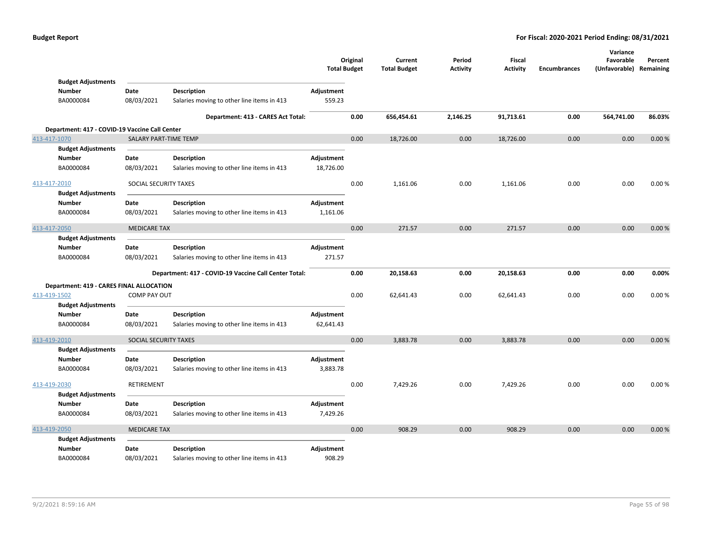|                                                 |                       |                                                       | <b>Total Budget</b> | Original | Current<br><b>Total Budget</b> | Period<br><b>Activity</b> | Fiscal<br><b>Activity</b> | <b>Encumbrances</b> | Variance<br>Favorable<br>(Unfavorable) | Percent<br>Remaining |
|-------------------------------------------------|-----------------------|-------------------------------------------------------|---------------------|----------|--------------------------------|---------------------------|---------------------------|---------------------|----------------------------------------|----------------------|
| <b>Budget Adjustments</b>                       |                       |                                                       |                     |          |                                |                           |                           |                     |                                        |                      |
| <b>Number</b>                                   | Date                  | Description                                           | Adjustment          |          |                                |                           |                           |                     |                                        |                      |
| BA0000084                                       | 08/03/2021            | Salaries moving to other line items in 413            | 559.23              |          |                                |                           |                           |                     |                                        |                      |
|                                                 |                       | Department: 413 - CARES Act Total:                    |                     | 0.00     | 656,454.61                     | 2,146.25                  | 91,713.61                 | 0.00                | 564,741.00                             | 86.03%               |
| Department: 417 - COVID-19 Vaccine Call Center  |                       |                                                       |                     |          |                                |                           |                           |                     |                                        |                      |
| 413-417-1070                                    | SALARY PART-TIME TEMP |                                                       |                     | 0.00     | 18,726.00                      | 0.00                      | 18,726.00                 | 0.00                | 0.00                                   | 0.00%                |
| <b>Budget Adjustments</b>                       |                       |                                                       |                     |          |                                |                           |                           |                     |                                        |                      |
| Number                                          | Date                  | <b>Description</b>                                    | Adjustment          |          |                                |                           |                           |                     |                                        |                      |
| BA0000084                                       | 08/03/2021            | Salaries moving to other line items in 413            | 18,726.00           |          |                                |                           |                           |                     |                                        |                      |
| 413-417-2010                                    | SOCIAL SECURITY TAXES |                                                       |                     | 0.00     | 1,161.06                       | 0.00                      | 1,161.06                  | 0.00                | 0.00                                   | 0.00%                |
| <b>Budget Adjustments</b>                       |                       |                                                       |                     |          |                                |                           |                           |                     |                                        |                      |
| <b>Number</b>                                   | Date                  | <b>Description</b>                                    | Adjustment          |          |                                |                           |                           |                     |                                        |                      |
| BA0000084                                       | 08/03/2021            | Salaries moving to other line items in 413            | 1,161.06            |          |                                |                           |                           |                     |                                        |                      |
| 413-417-2050                                    | <b>MEDICARE TAX</b>   |                                                       |                     | 0.00     | 271.57                         | 0.00                      | 271.57                    | 0.00                | 0.00                                   | 0.00%                |
| <b>Budget Adjustments</b>                       |                       |                                                       |                     |          |                                |                           |                           |                     |                                        |                      |
| <b>Number</b>                                   | Date                  | <b>Description</b>                                    | Adjustment          |          |                                |                           |                           |                     |                                        |                      |
| BA0000084                                       | 08/03/2021            | Salaries moving to other line items in 413            | 271.57              |          |                                |                           |                           |                     |                                        |                      |
|                                                 |                       | Department: 417 - COVID-19 Vaccine Call Center Total: |                     | 0.00     | 20,158.63                      | 0.00                      | 20,158.63                 | 0.00                | 0.00                                   | 0.00%                |
| <b>Department: 419 - CARES FINAL ALLOCATION</b> |                       |                                                       |                     |          |                                |                           |                           |                     |                                        |                      |
| 413-419-1502                                    | <b>COMP PAY OUT</b>   |                                                       |                     | 0.00     | 62,641.43                      | 0.00                      | 62,641.43                 | 0.00                | 0.00                                   | 0.00%                |
| <b>Budget Adjustments</b>                       |                       |                                                       |                     |          |                                |                           |                           |                     |                                        |                      |
| <b>Number</b>                                   | Date                  | <b>Description</b>                                    | Adjustment          |          |                                |                           |                           |                     |                                        |                      |
| BA0000084                                       | 08/03/2021            | Salaries moving to other line items in 413            | 62,641.43           |          |                                |                           |                           |                     |                                        |                      |
| 413-419-2010                                    | SOCIAL SECURITY TAXES |                                                       |                     | 0.00     | 3,883.78                       | 0.00                      | 3,883.78                  | 0.00                | 0.00                                   | 0.00%                |
| <b>Budget Adjustments</b>                       |                       |                                                       |                     |          |                                |                           |                           |                     |                                        |                      |
| <b>Number</b>                                   | Date                  | <b>Description</b>                                    | Adjustment          |          |                                |                           |                           |                     |                                        |                      |
| BA0000084                                       | 08/03/2021            | Salaries moving to other line items in 413            | 3,883.78            |          |                                |                           |                           |                     |                                        |                      |
| 413-419-2030                                    | RETIREMENT            |                                                       |                     | 0.00     | 7,429.26                       | 0.00                      | 7,429.26                  | 0.00                | 0.00                                   | 0.00%                |
| <b>Budget Adjustments</b>                       |                       |                                                       |                     |          |                                |                           |                           |                     |                                        |                      |
| <b>Number</b>                                   | Date                  | <b>Description</b>                                    | Adjustment          |          |                                |                           |                           |                     |                                        |                      |
| BA0000084                                       | 08/03/2021            | Salaries moving to other line items in 413            | 7,429.26            |          |                                |                           |                           |                     |                                        |                      |
| 413-419-2050                                    | <b>MEDICARE TAX</b>   |                                                       |                     | 0.00     | 908.29                         | 0.00                      | 908.29                    | 0.00                | 0.00                                   | 0.00%                |
| <b>Budget Adjustments</b>                       |                       |                                                       |                     |          |                                |                           |                           |                     |                                        |                      |
| <b>Number</b>                                   | Date                  | <b>Description</b>                                    | Adjustment          |          |                                |                           |                           |                     |                                        |                      |
| BA0000084                                       | 08/03/2021            | Salaries moving to other line items in 413            | 908.29              |          |                                |                           |                           |                     |                                        |                      |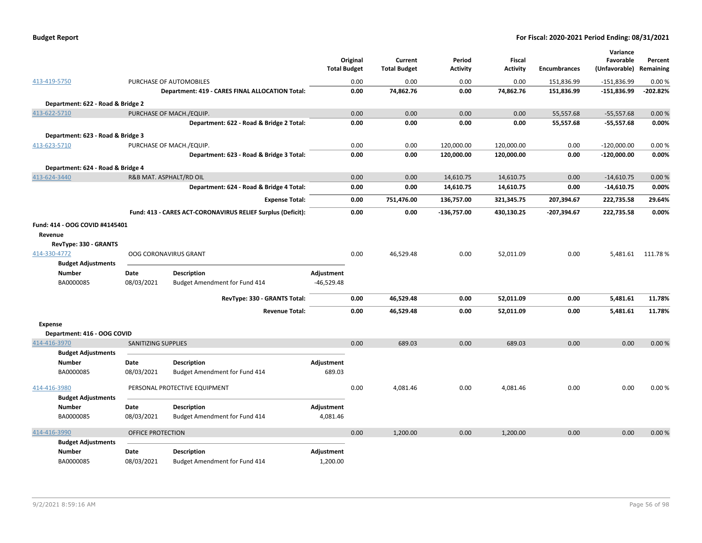| <b>Budget Report</b> |  |  |
|----------------------|--|--|
|----------------------|--|--|

|                                   |                            |                                                             |                     |          |                     |                 |                 |                     | Variance      |            |
|-----------------------------------|----------------------------|-------------------------------------------------------------|---------------------|----------|---------------------|-----------------|-----------------|---------------------|---------------|------------|
|                                   |                            |                                                             |                     | Original | Current             | Period          | Fiscal          |                     | Favorable     | Percent    |
|                                   |                            |                                                             | <b>Total Budget</b> |          | <b>Total Budget</b> | <b>Activity</b> | <b>Activity</b> | <b>Encumbrances</b> | (Unfavorable) | Remaining  |
| 413-419-5750                      |                            | PURCHASE OF AUTOMOBILES                                     |                     | 0.00     | 0.00                | 0.00            | 0.00            | 151,836.99          | $-151,836.99$ | 0.00%      |
|                                   |                            | Department: 419 - CARES FINAL ALLOCATION Total:             |                     | 0.00     | 74,862.76           | 0.00            | 74,862.76       | 151,836.99          | $-151,836.99$ | $-202.82%$ |
| Department: 622 - Road & Bridge 2 |                            |                                                             |                     |          |                     |                 |                 |                     |               |            |
| 413-622-5710                      |                            | PURCHASE OF MACH./EQUIP.                                    |                     | 0.00     | 0.00                | 0.00            | 0.00            | 55,557.68           | $-55,557.68$  | 0.00%      |
|                                   |                            | Department: 622 - Road & Bridge 2 Total:                    |                     | 0.00     | 0.00                | 0.00            | 0.00            | 55,557.68           | $-55,557.68$  | 0.00%      |
| Department: 623 - Road & Bridge 3 |                            |                                                             |                     |          |                     |                 |                 |                     |               |            |
| 413-623-5710                      |                            | PURCHASE OF MACH./EQUIP.                                    |                     | 0.00     | 0.00                | 120,000.00      | 120,000.00      | 0.00                | $-120,000.00$ | 0.00%      |
|                                   |                            | Department: 623 - Road & Bridge 3 Total:                    |                     | 0.00     | 0.00                | 120,000.00      | 120,000.00      | 0.00                | $-120,000.00$ | 0.00%      |
| Department: 624 - Road & Bridge 4 |                            |                                                             |                     |          |                     |                 |                 |                     |               |            |
| 413-624-3440                      |                            | R&B MAT. ASPHALT/RD OIL                                     |                     | 0.00     | 0.00                | 14,610.75       | 14,610.75       | 0.00                | $-14,610.75$  | 0.00%      |
|                                   |                            | Department: 624 - Road & Bridge 4 Total:                    |                     | 0.00     | 0.00                | 14,610.75       | 14,610.75       | 0.00                | $-14,610.75$  | 0.00%      |
|                                   |                            | <b>Expense Total:</b>                                       |                     | 0.00     | 751,476.00          | 136,757.00      | 321,345.75      | 207,394.67          | 222,735.58    | 29.64%     |
|                                   |                            | Fund: 413 - CARES ACT-CORONAVIRUS RELIEF Surplus (Deficit): |                     | 0.00     | 0.00                | $-136,757.00$   | 430,130.25      | $-207,394.67$       | 222,735.58    | 0.00%      |
| Fund: 414 - OOG COVID #4145401    |                            |                                                             |                     |          |                     |                 |                 |                     |               |            |
| Revenue                           |                            |                                                             |                     |          |                     |                 |                 |                     |               |            |
| RevType: 330 - GRANTS             |                            |                                                             |                     |          |                     |                 |                 |                     |               |            |
| 414-330-4772                      |                            | <b>OOG CORONAVIRUS GRANT</b>                                |                     | 0.00     | 46,529.48           | 0.00            | 52,011.09       | 0.00                | 5,481.61      | 111.78%    |
| <b>Budget Adjustments</b>         |                            |                                                             |                     |          |                     |                 |                 |                     |               |            |
| <b>Number</b>                     | Date                       | <b>Description</b>                                          | Adjustment          |          |                     |                 |                 |                     |               |            |
| BA0000085                         | 08/03/2021                 | Budget Amendment for Fund 414                               | $-46,529.48$        |          |                     |                 |                 |                     |               |            |
|                                   |                            | RevType: 330 - GRANTS Total:                                |                     | 0.00     | 46,529.48           | 0.00            | 52,011.09       | 0.00                | 5,481.61      | 11.78%     |
|                                   |                            | <b>Revenue Total:</b>                                       |                     | 0.00     | 46,529.48           | 0.00            | 52,011.09       | 0.00                | 5,481.61      | 11.78%     |
| <b>Expense</b>                    |                            |                                                             |                     |          |                     |                 |                 |                     |               |            |
| Department: 416 - OOG COVID       |                            |                                                             |                     |          |                     |                 |                 |                     |               |            |
| 414-416-3970                      | <b>SANITIZING SUPPLIES</b> |                                                             |                     | 0.00     | 689.03              | 0.00            | 689.03          | 0.00                | 0.00          | 0.00%      |
| <b>Budget Adjustments</b>         |                            |                                                             |                     |          |                     |                 |                 |                     |               |            |
| <b>Number</b>                     | Date                       | <b>Description</b>                                          | Adjustment          |          |                     |                 |                 |                     |               |            |
| BA0000085                         | 08/03/2021                 | Budget Amendment for Fund 414                               | 689.03              |          |                     |                 |                 |                     |               |            |
| 414-416-3980                      |                            | PERSONAL PROTECTIVE EQUIPMENT                               |                     | 0.00     | 4,081.46            | 0.00            | 4,081.46        | 0.00                | 0.00          | 0.00%      |
| <b>Budget Adjustments</b>         |                            |                                                             |                     |          |                     |                 |                 |                     |               |            |
| <b>Number</b>                     | Date                       | <b>Description</b>                                          | Adjustment          |          |                     |                 |                 |                     |               |            |
| BA0000085                         | 08/03/2021                 | Budget Amendment for Fund 414                               | 4,081.46            |          |                     |                 |                 |                     |               |            |
| 414-416-3990                      | <b>OFFICE PROTECTION</b>   |                                                             |                     | 0.00     | 1,200.00            | 0.00            | 1,200.00        | 0.00                | 0.00          | 0.00%      |
| <b>Budget Adjustments</b>         |                            |                                                             |                     |          |                     |                 |                 |                     |               |            |
| <b>Number</b>                     | Date                       | <b>Description</b>                                          | Adjustment          |          |                     |                 |                 |                     |               |            |
| BA0000085                         | 08/03/2021                 | Budget Amendment for Fund 414                               | 1,200.00            |          |                     |                 |                 |                     |               |            |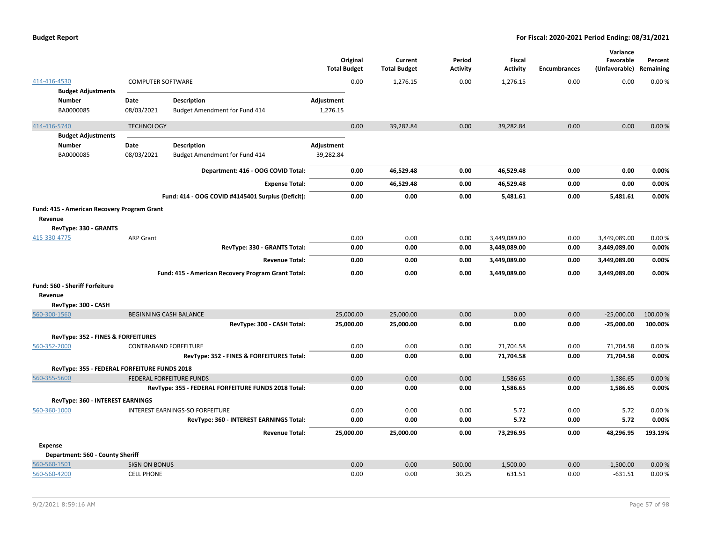|                |                                              |                          |                                                     | Original<br><b>Total Budget</b> | Current<br><b>Total Budget</b> | Period<br><b>Activity</b> | <b>Fiscal</b><br><b>Activity</b> | <b>Encumbrances</b> | Variance<br>Favorable<br>(Unfavorable) Remaining | Percent  |
|----------------|----------------------------------------------|--------------------------|-----------------------------------------------------|---------------------------------|--------------------------------|---------------------------|----------------------------------|---------------------|--------------------------------------------------|----------|
| 414-416-4530   |                                              | <b>COMPUTER SOFTWARE</b> |                                                     | 0.00                            | 1,276.15                       | 0.00                      | 1,276.15                         | 0.00                | 0.00                                             | 0.00%    |
|                | <b>Budget Adjustments</b>                    |                          |                                                     |                                 |                                |                           |                                  |                     |                                                  |          |
|                | Number<br>BA0000085                          | Date<br>08/03/2021       | Description<br>Budget Amendment for Fund 414        | Adjustment<br>1,276.15          |                                |                           |                                  |                     |                                                  |          |
| 414-416-5740   |                                              | <b>TECHNOLOGY</b>        |                                                     | 0.00                            | 39,282.84                      | 0.00                      | 39,282.84                        | 0.00                | 0.00                                             | 0.00%    |
|                | <b>Budget Adjustments</b>                    |                          |                                                     |                                 |                                |                           |                                  |                     |                                                  |          |
|                | <b>Number</b>                                | Date                     | <b>Description</b>                                  | Adjustment                      |                                |                           |                                  |                     |                                                  |          |
|                | BA0000085                                    | 08/03/2021               | Budget Amendment for Fund 414                       | 39,282.84                       |                                |                           |                                  |                     |                                                  |          |
|                |                                              |                          | Department: 416 - OOG COVID Total:                  | 0.00                            | 46,529.48                      | 0.00                      | 46,529.48                        | 0.00                | 0.00                                             | 0.00%    |
|                |                                              |                          | <b>Expense Total:</b>                               | 0.00                            | 46,529.48                      | 0.00                      | 46,529.48                        | 0.00                | 0.00                                             | 0.00%    |
|                |                                              |                          | Fund: 414 - OOG COVID #4145401 Surplus (Deficit):   | 0.00                            | 0.00                           | 0.00                      | 5,481.61                         | 0.00                | 5,481.61                                         | 0.00%    |
| Revenue        | Fund: 415 - American Recovery Program Grant  |                          |                                                     |                                 |                                |                           |                                  |                     |                                                  |          |
|                | RevType: 330 - GRANTS                        |                          |                                                     |                                 |                                |                           |                                  |                     |                                                  |          |
| 415-330-4775   |                                              | <b>ARP Grant</b>         |                                                     | 0.00                            | 0.00                           | 0.00                      | 3,449,089.00                     | 0.00                | 3,449,089.00                                     | 0.00%    |
|                |                                              |                          | RevType: 330 - GRANTS Total:                        | 0.00                            | 0.00                           | 0.00                      | 3,449,089.00                     | 0.00                | 3,449,089.00                                     | 0.00%    |
|                |                                              |                          | <b>Revenue Total:</b>                               | 0.00                            | 0.00                           | 0.00                      | 3,449,089.00                     | 0.00                | 3,449,089.00                                     | 0.00%    |
|                |                                              |                          | Fund: 415 - American Recovery Program Grant Total:  | 0.00                            | 0.00                           | 0.00                      | 3,449,089.00                     | 0.00                | 3,449,089.00                                     | 0.00%    |
|                | <b>Fund: 560 - Sheriff Forfeiture</b>        |                          |                                                     |                                 |                                |                           |                                  |                     |                                                  |          |
| Revenue        |                                              |                          |                                                     |                                 |                                |                           |                                  |                     |                                                  |          |
|                | RevType: 300 - CASH                          |                          |                                                     |                                 |                                |                           |                                  |                     |                                                  |          |
| 560-300-1560   |                                              |                          | <b>BEGINNING CASH BALANCE</b>                       | 25,000.00                       | 25,000.00                      | 0.00                      | 0.00                             | 0.00                | $-25,000.00$                                     | 100.00 % |
|                |                                              |                          | RevType: 300 - CASH Total:                          | 25,000.00                       | 25,000.00                      | 0.00                      | 0.00                             | 0.00                | $-25,000.00$                                     | 100.00%  |
|                | RevType: 352 - FINES & FORFEITURES           |                          |                                                     |                                 |                                |                           |                                  |                     |                                                  |          |
| 560-352-2000   |                                              |                          | <b>CONTRABAND FORFEITURE</b>                        | 0.00                            | 0.00                           | 0.00                      | 71,704.58                        | 0.00                | 71,704.58                                        | 0.00%    |
|                |                                              |                          | RevType: 352 - FINES & FORFEITURES Total:           | 0.00                            | 0.00                           | 0.00                      | 71,704.58                        | 0.00                | 71,704.58                                        | 0.00%    |
|                | RevType: 355 - FEDERAL FORFEITURE FUNDS 2018 |                          |                                                     |                                 |                                |                           |                                  |                     |                                                  |          |
| 560-355-5600   |                                              |                          | FEDERAL FORFEITURE FUNDS                            | 0.00                            | 0.00                           | 0.00                      | 1,586.65                         | 0.00                | 1,586.65                                         | 0.00%    |
|                |                                              |                          | RevType: 355 - FEDERAL FORFEITURE FUNDS 2018 Total: | 0.00                            | 0.00                           | 0.00                      | 1,586.65                         | 0.00                | 1,586.65                                         | 0.00%    |
|                | RevType: 360 - INTEREST EARNINGS             |                          |                                                     |                                 |                                |                           |                                  |                     |                                                  |          |
| 560-360-1000   |                                              |                          | INTEREST EARNINGS-SO FORFEITURE                     | 0.00                            | 0.00                           | 0.00                      | 5.72                             | 0.00                | 5.72                                             | 0.00%    |
|                |                                              |                          | RevType: 360 - INTEREST EARNINGS Total:             | 0.00                            | 0.00                           | 0.00                      | 5.72                             | 0.00                | 5.72                                             | 0.00%    |
|                |                                              |                          | <b>Revenue Total:</b>                               | 25,000.00                       | 25,000.00                      | 0.00                      | 73,296.95                        | 0.00                | 48,296.95                                        | 193.19%  |
| <b>Expense</b> |                                              |                          |                                                     |                                 |                                |                           |                                  |                     |                                                  |          |
|                | Department: 560 - County Sheriff             |                          |                                                     |                                 |                                |                           |                                  |                     |                                                  |          |
| 560-560-1501   |                                              | <b>SIGN ON BONUS</b>     |                                                     | 0.00                            | 0.00                           | 500.00                    | 1,500.00                         | 0.00                | $-1.500.00$                                      | 0.00%    |
| 560-560-4200   |                                              | <b>CELL PHONE</b>        |                                                     | 0.00                            | 0.00                           | 30.25                     | 631.51                           | 0.00                | $-631.51$                                        | 0.00%    |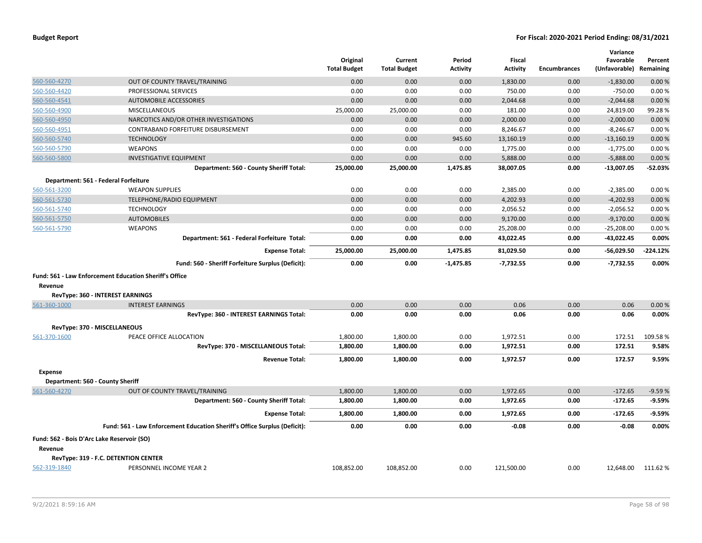|                                            |                                                                           | Original<br><b>Total Budget</b> | Current<br><b>Total Budget</b> | Period<br>Activity | Fiscal<br><b>Activity</b> | <b>Encumbrances</b> | Variance<br>Favorable<br>(Unfavorable) Remaining | Percent    |
|--------------------------------------------|---------------------------------------------------------------------------|---------------------------------|--------------------------------|--------------------|---------------------------|---------------------|--------------------------------------------------|------------|
| 560-560-4270                               | OUT OF COUNTY TRAVEL/TRAINING                                             | 0.00                            | 0.00                           | 0.00               | 1,830.00                  | 0.00                | $-1,830.00$                                      | 0.00%      |
| 560-560-4420                               | PROFESSIONAL SERVICES                                                     | 0.00                            | 0.00                           | 0.00               | 750.00                    | 0.00                | $-750.00$                                        | 0.00%      |
| 560-560-4541                               | <b>AUTOMOBILE ACCESSORIES</b>                                             | 0.00                            | 0.00                           | 0.00               | 2,044.68                  | 0.00                | $-2,044.68$                                      | 0.00%      |
| 560-560-4900                               | <b>MISCELLANEOUS</b>                                                      | 25,000.00                       | 25,000.00                      | 0.00               | 181.00                    | 0.00                | 24,819.00                                        | 99.28%     |
| 560-560-4950                               | NARCOTICS AND/OR OTHER INVESTIGATIONS                                     | 0.00                            | 0.00                           | 0.00               | 2,000.00                  | 0.00                | $-2,000.00$                                      | 0.00%      |
| 560-560-4951                               | CONTRABAND FORFEITURE DISBURSEMENT                                        | 0.00                            | 0.00                           | 0.00               | 8,246.67                  | 0.00                | $-8,246.67$                                      | 0.00%      |
| 560-560-5740                               | <b>TECHNOLOGY</b>                                                         | 0.00                            | 0.00                           | 945.60             | 13,160.19                 | 0.00                | $-13,160.19$                                     | 0.00%      |
| 560-560-5790                               | <b>WEAPONS</b>                                                            | 0.00                            | 0.00                           | 0.00               | 1,775.00                  | 0.00                | $-1,775.00$                                      | 0.00%      |
| 560-560-5800                               | <b>INVESTIGATIVE EQUIPMENT</b>                                            | 0.00                            | 0.00                           | 0.00               | 5,888.00                  | 0.00                | $-5,888.00$                                      | 0.00%      |
|                                            | Department: 560 - County Sheriff Total:                                   | 25,000.00                       | 25,000.00                      | 1,475.85           | 38,007.05                 | 0.00                | $-13,007.05$                                     | $-52.03%$  |
|                                            | Department: 561 - Federal Forfeiture                                      |                                 |                                |                    |                           |                     |                                                  |            |
| 560-561-3200                               | <b>WEAPON SUPPLIES</b>                                                    | 0.00                            | 0.00                           | 0.00               | 2,385.00                  | 0.00                | $-2,385.00$                                      | 0.00%      |
| 560-561-5730                               | TELEPHONE/RADIO EQUIPMENT                                                 | 0.00                            | 0.00                           | 0.00               | 4,202.93                  | 0.00                | $-4,202.93$                                      | 0.00%      |
| 560-561-5740                               | <b>TECHNOLOGY</b>                                                         | 0.00                            | 0.00                           | 0.00               | 2,056.52                  | 0.00                | $-2,056.52$                                      | 0.00%      |
| 560-561-5750                               | <b>AUTOMOBILES</b>                                                        | 0.00                            | 0.00                           | 0.00               | 9,170.00                  | 0.00                | $-9,170.00$                                      | 0.00%      |
| 560-561-5790                               | <b>WEAPONS</b>                                                            | 0.00                            | 0.00                           | 0.00               | 25,208.00                 | 0.00                | $-25,208.00$                                     | 0.00%      |
|                                            | Department: 561 - Federal Forfeiture Total:                               | 0.00                            | 0.00                           | 0.00               | 43,022.45                 | 0.00                | $-43,022.45$                                     | 0.00%      |
|                                            | <b>Expense Total:</b>                                                     | 25,000.00                       | 25,000.00                      | 1,475.85           | 81,029.50                 | 0.00                | $-56,029.50$                                     | $-224.12%$ |
|                                            | Fund: 560 - Sheriff Forfeiture Surplus (Deficit):                         | 0.00                            | 0.00                           | $-1,475.85$        | $-7,732.55$               | 0.00                | $-7,732.55$                                      | 0.00%      |
|                                            | <b>Fund: 561 - Law Enforcement Education Sheriff's Office</b>             |                                 |                                |                    |                           |                     |                                                  |            |
| Revenue                                    |                                                                           |                                 |                                |                    |                           |                     |                                                  |            |
|                                            | RevType: 360 - INTEREST EARNINGS                                          |                                 |                                |                    |                           |                     |                                                  |            |
| 561-360-1000                               | <b>INTEREST EARNINGS</b>                                                  | 0.00                            | 0.00                           | 0.00               | 0.06                      | 0.00                | 0.06                                             | 0.00%      |
|                                            | RevType: 360 - INTEREST EARNINGS Total:                                   | 0.00                            | 0.00                           | 0.00               | 0.06                      | 0.00                | 0.06                                             | 0.00%      |
|                                            | RevType: 370 - MISCELLANEOUS                                              |                                 |                                |                    |                           |                     |                                                  |            |
| 561-370-1600                               | PEACE OFFICE ALLOCATION                                                   | 1,800.00                        | 1,800.00                       | 0.00               | 1,972.51                  | 0.00                | 172.51                                           | 109.58%    |
|                                            | RevType: 370 - MISCELLANEOUS Total:                                       | 1,800.00                        | 1,800.00                       | 0.00               | 1,972.51                  | 0.00                | 172.51                                           | 9.58%      |
|                                            | <b>Revenue Total:</b>                                                     | 1,800.00                        | 1,800.00                       | 0.00               | 1,972.57                  | 0.00                | 172.57                                           | 9.59%      |
| <b>Expense</b>                             |                                                                           |                                 |                                |                    |                           |                     |                                                  |            |
| Department: 560 - County Sheriff           |                                                                           |                                 |                                |                    |                           |                     |                                                  |            |
| 561-560-4270                               | OUT OF COUNTY TRAVEL/TRAINING                                             | 1,800.00                        | 1,800.00                       | 0.00               | 1,972.65                  | 0.00                | $-172.65$                                        | $-9.59%$   |
|                                            | Department: 560 - County Sheriff Total:                                   | 1,800.00                        | 1,800.00                       | 0.00               | 1,972.65                  | 0.00                | $-172.65$                                        | $-9.59%$   |
|                                            | <b>Expense Total:</b>                                                     | 1,800.00                        | 1,800.00                       | 0.00               | 1,972.65                  | 0.00                | $-172.65$                                        | $-9.59%$   |
|                                            | Fund: 561 - Law Enforcement Education Sheriff's Office Surplus (Deficit): | 0.00                            | 0.00                           | 0.00               | $-0.08$                   | 0.00                | $-0.08$                                          | 0.00%      |
| Fund: 562 - Bois D'Arc Lake Reservoir (SO) |                                                                           |                                 |                                |                    |                           |                     |                                                  |            |
| Revenue                                    |                                                                           |                                 |                                |                    |                           |                     |                                                  |            |
|                                            | RevType: 319 - F.C. DETENTION CENTER                                      |                                 |                                |                    |                           |                     |                                                  |            |
| 562-319-1840                               | PERSONNEL INCOME YEAR 2                                                   | 108,852.00                      | 108,852.00                     | 0.00               | 121,500.00                | 0.00                | 12,648.00                                        | 111.62%    |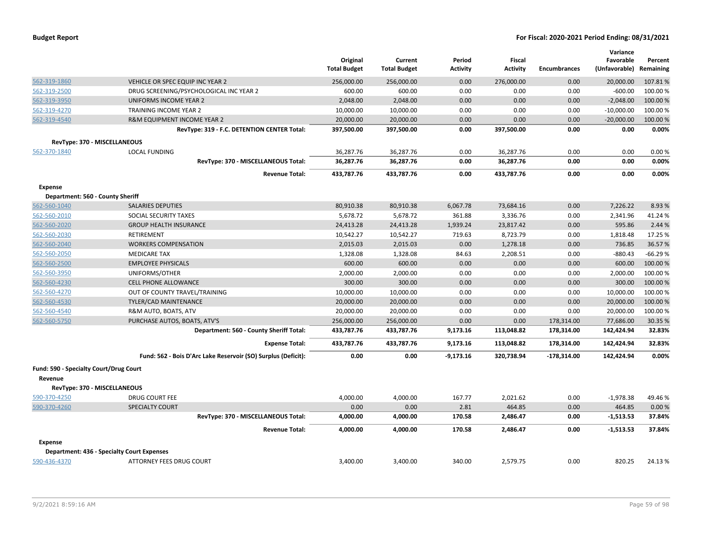| <b>Budget Report</b> |  |
|----------------------|--|
|----------------------|--|

|                                        |                                                               |                     |                     |             |                 |                     | Variance      |           |
|----------------------------------------|---------------------------------------------------------------|---------------------|---------------------|-------------|-----------------|---------------------|---------------|-----------|
|                                        |                                                               | Original            | Current             | Period      | <b>Fiscal</b>   |                     | Favorable     | Percent   |
|                                        |                                                               | <b>Total Budget</b> | <b>Total Budget</b> | Activity    | <b>Activity</b> | <b>Encumbrances</b> | (Unfavorable) | Remaining |
| 562-319-1860                           | VEHICLE OR SPEC EQUIP INC YEAR 2                              | 256,000.00          | 256,000.00          | 0.00        | 276,000.00      | 0.00                | 20,000.00     | 107.81%   |
| 562-319-2500                           | DRUG SCREENING/PSYCHOLOGICAL INC YEAR 2                       | 600.00              | 600.00              | 0.00        | 0.00            | 0.00                | $-600.00$     | 100.00%   |
| 562-319-3950                           | UNIFORMS INCOME YEAR 2                                        | 2,048.00            | 2,048.00            | 0.00        | 0.00            | 0.00                | $-2,048.00$   | 100.00 %  |
| 562-319-4270                           | TRAINING INCOME YEAR 2                                        | 10,000.00           | 10,000.00           | 0.00        | 0.00            | 0.00                | $-10,000.00$  | 100.00%   |
| 562-319-4540                           | R&M EQUIPMENT INCOME YEAR 2                                   | 20,000.00           | 20,000.00           | 0.00        | 0.00            | 0.00                | $-20,000.00$  | 100.00 %  |
|                                        | RevType: 319 - F.C. DETENTION CENTER Total:                   | 397,500.00          | 397,500.00          | 0.00        | 397,500.00      | 0.00                | 0.00          | 0.00%     |
| RevType: 370 - MISCELLANEOUS           |                                                               |                     |                     |             |                 |                     |               |           |
| 562-370-1840                           | <b>LOCAL FUNDING</b>                                          | 36,287.76           | 36,287.76           | 0.00        | 36,287.76       | 0.00                | 0.00          | 0.00%     |
|                                        | RevType: 370 - MISCELLANEOUS Total:                           | 36,287.76           | 36,287.76           | 0.00        | 36,287.76       | 0.00                | 0.00          | 0.00%     |
|                                        | <b>Revenue Total:</b>                                         | 433,787.76          | 433,787.76          | 0.00        | 433,787.76      | 0.00                | 0.00          | 0.00%     |
| <b>Expense</b>                         |                                                               |                     |                     |             |                 |                     |               |           |
| Department: 560 - County Sheriff       |                                                               |                     |                     |             |                 |                     |               |           |
| 562-560-1040                           | <b>SALARIES DEPUTIES</b>                                      | 80,910.38           | 80,910.38           | 6,067.78    | 73,684.16       | 0.00                | 7,226.22      | 8.93 %    |
| 562-560-2010                           | SOCIAL SECURITY TAXES                                         | 5,678.72            | 5,678.72            | 361.88      | 3,336.76        | 0.00                | 2,341.96      | 41.24%    |
| 562-560-2020                           | <b>GROUP HEALTH INSURANCE</b>                                 | 24,413.28           | 24,413.28           | 1,939.24    | 23,817.42       | 0.00                | 595.86        | 2.44 %    |
| 562-560-2030                           | <b>RETIREMENT</b>                                             | 10,542.27           | 10,542.27           | 719.63      | 8,723.79        | 0.00                | 1,818.48      | 17.25 %   |
| 562-560-2040                           | <b>WORKERS COMPENSATION</b>                                   | 2,015.03            | 2,015.03            | 0.00        | 1,278.18        | 0.00                | 736.85        | 36.57%    |
| 562-560-2050                           | <b>MEDICARE TAX</b>                                           | 1,328.08            | 1,328.08            | 84.63       | 2,208.51        | 0.00                | $-880.43$     | $-66.29%$ |
| 562-560-2500                           | <b>EMPLOYEE PHYSICALS</b>                                     | 600.00              | 600.00              | 0.00        | 0.00            | 0.00                | 600.00        | 100.00 %  |
| 562-560-3950                           | UNIFORMS/OTHER                                                | 2,000.00            | 2,000.00            | 0.00        | 0.00            | 0.00                | 2,000.00      | 100.00%   |
| 562-560-4230                           | <b>CELL PHONE ALLOWANCE</b>                                   | 300.00              | 300.00              | 0.00        | 0.00            | 0.00                | 300.00        | 100.00%   |
| 562-560-4270                           | OUT OF COUNTY TRAVEL/TRAINING                                 | 10,000.00           | 10,000.00           | 0.00        | 0.00            | 0.00                | 10,000.00     | 100.00%   |
| 562-560-4530                           | TYLER/CAD MAINTENANCE                                         | 20,000.00           | 20,000.00           | 0.00        | 0.00            | 0.00                | 20,000.00     | 100.00 %  |
| 562-560-4540                           | R&M AUTO, BOATS, ATV                                          | 20,000.00           | 20,000.00           | 0.00        | 0.00            | 0.00                | 20,000.00     | 100.00 %  |
| 562-560-5750                           | PURCHASE AUTOS, BOATS, ATV'S                                  | 256,000.00          | 256,000.00          | 0.00        | 0.00            | 178,314.00          | 77,686.00     | 30.35 %   |
|                                        | Department: 560 - County Sheriff Total:                       | 433,787.76          | 433,787.76          | 9,173.16    | 113,048.82      | 178,314.00          | 142,424.94    | 32.83%    |
|                                        | <b>Expense Total:</b>                                         | 433,787.76          | 433,787.76          | 9,173.16    | 113,048.82      | 178,314.00          | 142,424.94    | 32.83%    |
|                                        | Fund: 562 - Bois D'Arc Lake Reservoir (SO) Surplus (Deficit): | 0.00                | 0.00                | $-9,173.16$ | 320,738.94      | -178,314.00         | 142,424.94    | 0.00%     |
| Fund: 590 - Specialty Court/Drug Court |                                                               |                     |                     |             |                 |                     |               |           |
| Revenue                                |                                                               |                     |                     |             |                 |                     |               |           |
| RevType: 370 - MISCELLANEOUS           |                                                               |                     |                     |             |                 |                     |               |           |
| 590-370-4250                           | <b>DRUG COURT FEE</b>                                         | 4,000.00            | 4,000.00            | 167.77      | 2,021.62        | 0.00                | $-1,978.38$   | 49.46%    |
| 590-370-4260                           | <b>SPECIALTY COURT</b>                                        | 0.00                | 0.00                | 2.81        | 464.85          | 0.00                | 464.85        | 0.00%     |
|                                        | RevType: 370 - MISCELLANEOUS Total:                           | 4,000.00            | 4,000.00            | 170.58      | 2,486.47        | 0.00                | $-1,513.53$   | 37.84%    |
|                                        | <b>Revenue Total:</b>                                         | 4,000.00            | 4,000.00            | 170.58      | 2,486.47        | 0.00                | $-1,513.53$   | 37.84%    |
| <b>Expense</b>                         |                                                               |                     |                     |             |                 |                     |               |           |
|                                        | <b>Department: 436 - Specialty Court Expenses</b>             |                     |                     |             |                 |                     |               |           |
| 590-436-4370                           | <b>ATTORNEY FEES DRUG COURT</b>                               | 3,400.00            | 3,400.00            | 340.00      | 2.579.75        | 0.00                | 820.25        | 24.13%    |
|                                        |                                                               |                     |                     |             |                 |                     |               |           |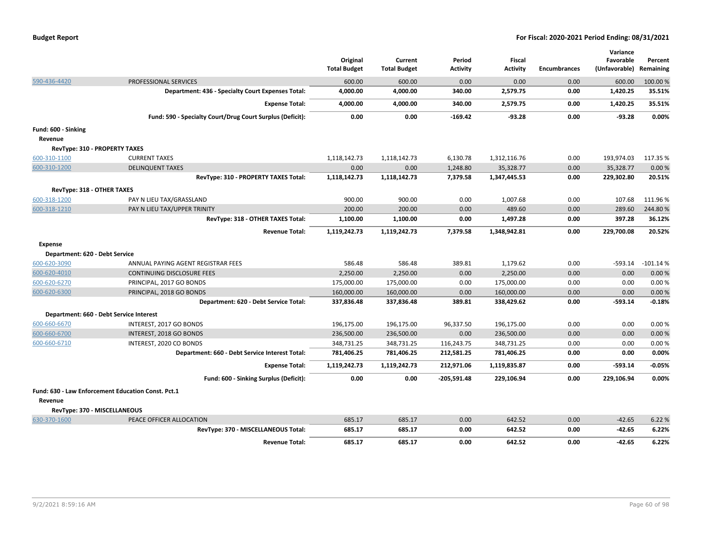| <b>Budget Report</b> |  |
|----------------------|--|
|----------------------|--|

|                                |                                                           | Original<br><b>Total Budget</b> | Current<br><b>Total Budget</b> | Period<br><b>Activity</b> | Fiscal<br><b>Activity</b> | <b>Encumbrances</b> | Variance<br>Favorable<br>(Unfavorable) | Percent<br>Remaining |
|--------------------------------|-----------------------------------------------------------|---------------------------------|--------------------------------|---------------------------|---------------------------|---------------------|----------------------------------------|----------------------|
| 590-436-4420                   | PROFESSIONAL SERVICES                                     | 600.00                          | 600.00                         | 0.00                      | 0.00                      | 0.00                | 600.00                                 | 100.00 %             |
|                                | Department: 436 - Specialty Court Expenses Total:         | 4,000.00                        | 4,000.00                       | 340.00                    | 2,579.75                  | 0.00                | 1,420.25                               | 35.51%               |
|                                | <b>Expense Total:</b>                                     | 4,000.00                        | 4,000.00                       | 340.00                    | 2,579.75                  | 0.00                | 1,420.25                               | 35.51%               |
|                                | Fund: 590 - Specialty Court/Drug Court Surplus (Deficit): | 0.00                            | 0.00                           | $-169.42$                 | $-93.28$                  | 0.00                | $-93.28$                               | 0.00%                |
| Fund: 600 - Sinking            |                                                           |                                 |                                |                           |                           |                     |                                        |                      |
| Revenue                        |                                                           |                                 |                                |                           |                           |                     |                                        |                      |
|                                | <b>RevType: 310 - PROPERTY TAXES</b>                      |                                 |                                |                           |                           |                     |                                        |                      |
| 600-310-1100                   | <b>CURRENT TAXES</b>                                      | 1,118,142.73                    | 1,118,142.73                   | 6,130.78                  | 1,312,116.76              | 0.00                | 193,974.03                             | 117.35 %             |
| 600-310-1200                   | <b>DELINQUENT TAXES</b>                                   | 0.00                            | 0.00                           | 1,248.80                  | 35,328.77                 | 0.00                | 35,328.77                              | 0.00%                |
|                                | RevType: 310 - PROPERTY TAXES Total:                      | 1,118,142.73                    | 1,118,142.73                   | 7,379.58                  | 1,347,445.53              | 0.00                | 229,302.80                             | 20.51%               |
| RevType: 318 - OTHER TAXES     |                                                           |                                 |                                |                           |                           |                     |                                        |                      |
| 600-318-1200                   | PAY N LIEU TAX/GRASSLAND                                  | 900.00                          | 900.00                         | 0.00                      | 1,007.68                  | 0.00                | 107.68                                 | 111.96%              |
| 600-318-1210                   | PAY N LIEU TAX/UPPER TRINITY                              | 200.00                          | 200.00                         | 0.00                      | 489.60                    | 0.00                | 289.60                                 | 244.80%              |
|                                | RevType: 318 - OTHER TAXES Total:                         | 1,100.00                        | 1,100.00                       | 0.00                      | 1,497.28                  | 0.00                | 397.28                                 | 36.12%               |
|                                | <b>Revenue Total:</b>                                     | 1,119,242.73                    | 1,119,242.73                   | 7,379.58                  | 1,348,942.81              | 0.00                | 229,700.08                             | 20.52%               |
| <b>Expense</b>                 |                                                           |                                 |                                |                           |                           |                     |                                        |                      |
| Department: 620 - Debt Service |                                                           |                                 |                                |                           |                           |                     |                                        |                      |
| 600-620-3090                   | ANNUAL PAYING AGENT REGISTRAR FEES                        | 586.48                          | 586.48                         | 389.81                    | 1.179.62                  | 0.00                |                                        | -593.14 -101.14 %    |
| 600-620-4010                   | CONTINUING DISCLOSURE FEES                                | 2,250.00                        | 2,250.00                       | 0.00                      | 2,250.00                  | 0.00                | 0.00                                   | 0.00%                |
| 600-620-6270                   | PRINCIPAL, 2017 GO BONDS                                  | 175,000.00                      | 175,000.00                     | 0.00                      | 175,000.00                | 0.00                | 0.00                                   | 0.00%                |
| 600-620-6300                   | PRINCIPAL, 2018 GO BONDS                                  | 160,000.00                      | 160,000.00                     | 0.00                      | 160,000.00                | 0.00                | 0.00                                   | 0.00%                |
|                                | Department: 620 - Debt Service Total:                     | 337,836.48                      | 337,836.48                     | 389.81                    | 338,429.62                | 0.00                | $-593.14$                              | $-0.18%$             |
|                                | Department: 660 - Debt Service Interest                   |                                 |                                |                           |                           |                     |                                        |                      |
| 600-660-6670                   | INTEREST, 2017 GO BONDS                                   | 196,175.00                      | 196,175.00                     | 96,337.50                 | 196,175.00                | 0.00                | 0.00                                   | 0.00%                |
| 600-660-6700                   | INTEREST, 2018 GO BONDS                                   | 236,500.00                      | 236,500.00                     | 0.00                      | 236,500.00                | 0.00                | 0.00                                   | 0.00%                |
| 600-660-6710                   | INTEREST, 2020 CO BONDS                                   | 348,731.25                      | 348,731.25                     | 116,243.75                | 348,731.25                | 0.00                | 0.00                                   | 0.00%                |
|                                | Department: 660 - Debt Service Interest Total:            | 781,406.25                      | 781,406.25                     | 212,581.25                | 781,406.25                | 0.00                | 0.00                                   | 0.00%                |
|                                | <b>Expense Total:</b>                                     | 1,119,242.73                    | 1,119,242.73                   | 212,971.06                | 1,119,835.87              | 0.00                | $-593.14$                              | $-0.05%$             |
|                                | Fund: 600 - Sinking Surplus (Deficit):                    | 0.00                            | 0.00                           | $-205,591.48$             | 229,106.94                | 0.00                | 229,106.94                             | 0.00%                |
|                                | Fund: 630 - Law Enforcement Education Const. Pct.1        |                                 |                                |                           |                           |                     |                                        |                      |
| Revenue                        |                                                           |                                 |                                |                           |                           |                     |                                        |                      |
|                                | RevType: 370 - MISCELLANEOUS                              |                                 |                                |                           |                           |                     |                                        |                      |
| 630-370-1600                   | PEACE OFFICER ALLOCATION                                  | 685.17                          | 685.17                         | 0.00                      | 642.52                    | 0.00                | $-42.65$                               | 6.22 %               |
|                                | RevType: 370 - MISCELLANEOUS Total:                       | 685.17                          | 685.17                         | 0.00                      | 642.52                    | 0.00                | $-42.65$                               | 6.22%                |
|                                | <b>Revenue Total:</b>                                     | 685.17                          | 685.17                         | 0.00                      | 642.52                    | 0.00                | $-42.65$                               | 6.22%                |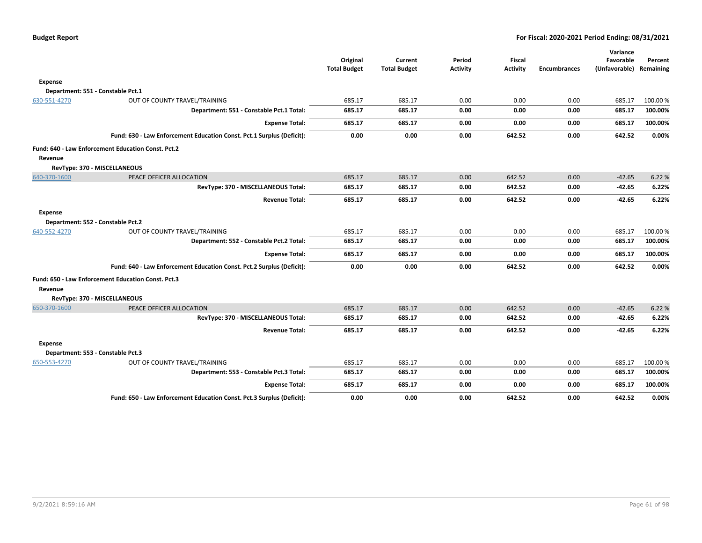|                |                                                                       | Original<br><b>Total Budget</b> | Current<br><b>Total Budget</b> | Period<br><b>Activity</b> | Fiscal<br><b>Activity</b> | <b>Encumbrances</b> | Variance<br>Favorable<br>(Unfavorable) Remaining | Percent         |
|----------------|-----------------------------------------------------------------------|---------------------------------|--------------------------------|---------------------------|---------------------------|---------------------|--------------------------------------------------|-----------------|
| <b>Expense</b> |                                                                       |                                 |                                |                           |                           |                     |                                                  |                 |
|                | Department: 551 - Constable Pct.1                                     |                                 |                                |                           |                           |                     |                                                  |                 |
| 630-551-4270   | OUT OF COUNTY TRAVEL/TRAINING                                         | 685.17                          | 685.17                         | 0.00                      | 0.00                      | 0.00                | 685.17                                           | 100.00%         |
|                | Department: 551 - Constable Pct.1 Total:                              | 685.17                          | 685.17                         | 0.00                      | 0.00                      | 0.00                | 685.17                                           | 100.00%         |
|                | <b>Expense Total:</b>                                                 | 685.17                          | 685.17                         | 0.00                      | 0.00                      | 0.00                | 685.17                                           | 100.00%         |
|                | Fund: 630 - Law Enforcement Education Const. Pct.1 Surplus (Deficit): | 0.00                            | 0.00                           | 0.00                      | 642.52                    | 0.00                | 642.52                                           | 0.00%           |
| Revenue        | Fund: 640 - Law Enforcement Education Const. Pct.2                    |                                 |                                |                           |                           |                     |                                                  |                 |
|                | RevType: 370 - MISCELLANEOUS                                          |                                 |                                |                           |                           |                     |                                                  |                 |
| 640-370-1600   | PEACE OFFICER ALLOCATION                                              | 685.17                          | 685.17                         | 0.00                      | 642.52                    | 0.00                | $-42.65$                                         | 6.22 %          |
|                | RevType: 370 - MISCELLANEOUS Total:                                   | 685.17                          | 685.17                         | 0.00                      | 642.52                    | 0.00                | $-42.65$                                         | 6.22%           |
|                | <b>Revenue Total:</b>                                                 | 685.17                          | 685.17                         | 0.00                      | 642.52                    | 0.00                | $-42.65$                                         | 6.22%           |
| <b>Expense</b> | Department: 552 - Constable Pct.2                                     |                                 |                                |                           |                           |                     |                                                  |                 |
| 640-552-4270   | OUT OF COUNTY TRAVEL/TRAINING                                         | 685.17                          | 685.17                         | 0.00                      | 0.00                      | 0.00                | 685.17                                           | 100.00 %        |
|                | Department: 552 - Constable Pct.2 Total:                              | 685.17                          | 685.17                         | 0.00                      | 0.00                      | 0.00                | 685.17                                           | 100.00%         |
|                | <b>Expense Total:</b>                                                 | 685.17                          | 685.17                         | 0.00                      | 0.00                      | 0.00                | 685.17                                           | 100.00%         |
|                |                                                                       |                                 |                                |                           |                           |                     |                                                  |                 |
|                | Fund: 640 - Law Enforcement Education Const. Pct.2 Surplus (Deficit): | 0.00                            | 0.00                           | 0.00                      | 642.52                    | 0.00                | 642.52                                           | 0.00%           |
|                | Fund: 650 - Law Enforcement Education Const. Pct.3                    |                                 |                                |                           |                           |                     |                                                  |                 |
| Revenue        |                                                                       |                                 |                                |                           |                           |                     |                                                  |                 |
|                | RevType: 370 - MISCELLANEOUS                                          |                                 |                                |                           |                           | 0.00                |                                                  |                 |
| 650-370-1600   | PEACE OFFICER ALLOCATION<br>RevType: 370 - MISCELLANEOUS Total:       | 685.17<br>685.17                | 685.17<br>685.17               | 0.00<br>0.00              | 642.52<br>642.52          | 0.00                | $-42.65$<br>$-42.65$                             | 6.22 %<br>6.22% |
|                |                                                                       |                                 |                                |                           |                           |                     |                                                  |                 |
| <b>Expense</b> | <b>Revenue Total:</b>                                                 | 685.17                          | 685.17                         | 0.00                      | 642.52                    | 0.00                | $-42.65$                                         | 6.22%           |
|                | Department: 553 - Constable Pct.3                                     |                                 |                                |                           |                           |                     |                                                  |                 |
| 650-553-4270   | OUT OF COUNTY TRAVEL/TRAINING                                         | 685.17                          | 685.17                         | 0.00                      | 0.00                      | 0.00                | 685.17                                           | 100.00%         |
|                | Department: 553 - Constable Pct.3 Total:                              | 685.17                          | 685.17                         | 0.00                      | 0.00                      | 0.00                | 685.17                                           | 100.00%         |
|                | <b>Expense Total:</b>                                                 | 685.17                          | 685.17                         | 0.00                      | 0.00                      | 0.00                | 685.17                                           | 100.00%         |
|                | Fund: 650 - Law Enforcement Education Const. Pct.3 Surplus (Deficit): | 0.00                            | 0.00                           | 0.00                      | 642.52                    | 0.00                | 642.52                                           | 0.00%           |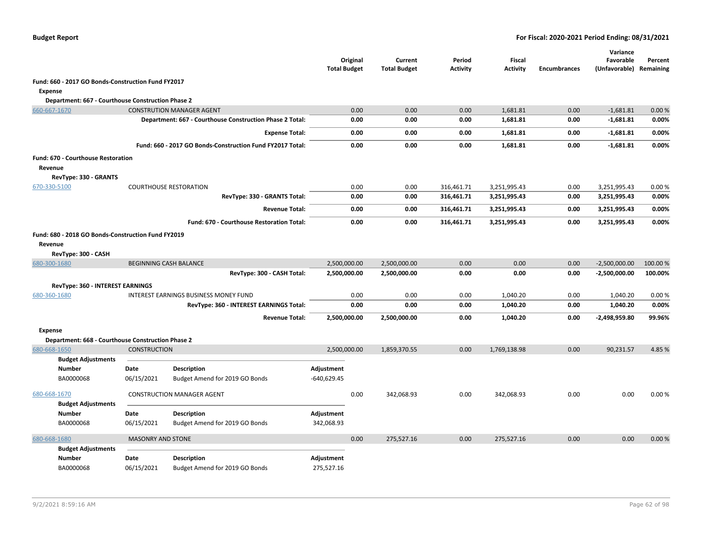|                                                                                      |                          |                                                           | <b>Total Budget</b> | Original | Current<br><b>Total Budget</b> | Period<br><b>Activity</b> | <b>Fiscal</b><br><b>Activity</b> | <b>Encumbrances</b> | Variance<br>Favorable<br>(Unfavorable) Remaining | Percent  |
|--------------------------------------------------------------------------------------|--------------------------|-----------------------------------------------------------|---------------------|----------|--------------------------------|---------------------------|----------------------------------|---------------------|--------------------------------------------------|----------|
| Fund: 660 - 2017 GO Bonds-Construction Fund FY2017                                   |                          |                                                           |                     |          |                                |                           |                                  |                     |                                                  |          |
| <b>Expense</b>                                                                       |                          |                                                           |                     |          |                                |                           |                                  |                     |                                                  |          |
| Department: 667 - Courthouse Construction Phase 2                                    |                          |                                                           |                     |          |                                |                           |                                  |                     |                                                  |          |
| 660-667-1670                                                                         |                          | <b>CONSTRUTION MANAGER AGENT</b>                          |                     | 0.00     | 0.00                           | 0.00                      | 1,681.81                         | 0.00                | $-1,681.81$                                      | 0.00%    |
|                                                                                      |                          | Department: 667 - Courthouse Construction Phase 2 Total:  |                     | 0.00     | 0.00                           | 0.00                      | 1,681.81                         | 0.00                | $-1,681.81$                                      | 0.00%    |
|                                                                                      |                          | <b>Expense Total:</b>                                     |                     | 0.00     | 0.00                           | 0.00                      | 1,681.81                         | 0.00                | $-1,681.81$                                      | 0.00%    |
|                                                                                      |                          | Fund: 660 - 2017 GO Bonds-Construction Fund FY2017 Total: |                     | 0.00     | 0.00                           | 0.00                      | 1,681.81                         | 0.00                | $-1,681.81$                                      | 0.00%    |
| Fund: 670 - Courthouse Restoration                                                   |                          |                                                           |                     |          |                                |                           |                                  |                     |                                                  |          |
| Revenue                                                                              |                          |                                                           |                     |          |                                |                           |                                  |                     |                                                  |          |
| RevType: 330 - GRANTS                                                                |                          |                                                           |                     |          |                                |                           |                                  |                     |                                                  |          |
| 670-330-5100                                                                         |                          | <b>COURTHOUSE RESTORATION</b>                             |                     | 0.00     | 0.00                           | 316,461.71                | 3,251,995.43                     | 0.00                | 3,251,995.43                                     | 0.00%    |
|                                                                                      |                          | RevType: 330 - GRANTS Total:                              |                     | 0.00     | 0.00                           | 316,461.71                | 3,251,995.43                     | 0.00                | 3,251,995.43                                     | 0.00%    |
|                                                                                      |                          | <b>Revenue Total:</b>                                     |                     | 0.00     | 0.00                           | 316,461.71                | 3,251,995.43                     | 0.00                | 3,251,995.43                                     | 0.00%    |
|                                                                                      |                          | Fund: 670 - Courthouse Restoration Total:                 |                     | 0.00     | 0.00                           | 316,461.71                | 3,251,995.43                     | 0.00                | 3,251,995.43                                     | 0.00%    |
| Fund: 680 - 2018 GO Bonds-Construction Fund FY2019<br>Revenue<br>RevType: 300 - CASH |                          |                                                           |                     |          |                                |                           |                                  |                     |                                                  |          |
| 680-300-1680                                                                         |                          | <b>BEGINNING CASH BALANCE</b>                             | 2,500,000.00        |          | 2,500,000.00                   | 0.00                      | 0.00                             | 0.00                | $-2,500,000.00$                                  | 100.00 % |
|                                                                                      |                          | RevType: 300 - CASH Total:                                | 2,500,000.00        |          | 2,500,000.00                   | 0.00                      | 0.00                             | 0.00                | $-2,500,000.00$                                  | 100.00%  |
| RevType: 360 - INTEREST EARNINGS                                                     |                          |                                                           |                     |          |                                |                           |                                  |                     |                                                  |          |
| 680-360-1680                                                                         |                          | <b>INTEREST EARNINGS BUSINESS MONEY FUND</b>              |                     | 0.00     | 0.00                           | 0.00                      | 1,040.20                         | 0.00                | 1,040.20                                         | 0.00%    |
|                                                                                      |                          | RevType: 360 - INTEREST EARNINGS Total:                   |                     | 0.00     | 0.00                           | 0.00                      | 1,040.20                         | 0.00                | 1,040.20                                         | 0.00%    |
|                                                                                      |                          | <b>Revenue Total:</b>                                     | 2,500,000.00        |          | 2,500,000.00                   | 0.00                      | 1,040.20                         | 0.00                | $-2,498,959.80$                                  | 99.96%   |
| <b>Expense</b>                                                                       |                          |                                                           |                     |          |                                |                           |                                  |                     |                                                  |          |
| Department: 668 - Courthouse Construction Phase 2                                    |                          |                                                           |                     |          |                                | 0.00                      |                                  |                     |                                                  |          |
| 680-668-1650<br><b>Budget Adjustments</b>                                            | <b>CONSTRUCTION</b>      |                                                           | 2,500,000.00        |          | 1,859,370.55                   |                           | 1,769,138.98                     | 0.00                | 90,231.57                                        | 4.85%    |
| <b>Number</b>                                                                        | Date                     | <b>Description</b>                                        | Adjustment          |          |                                |                           |                                  |                     |                                                  |          |
| BA0000068                                                                            | 06/15/2021               | Budget Amend for 2019 GO Bonds                            | $-640,629.45$       |          |                                |                           |                                  |                     |                                                  |          |
| 680-668-1670                                                                         |                          | <b>CONSTRUCTION MANAGER AGENT</b>                         |                     | 0.00     | 342,068.93                     | 0.00                      | 342,068.93                       | 0.00                | 0.00                                             | 0.00%    |
| <b>Budget Adjustments</b>                                                            |                          |                                                           |                     |          |                                |                           |                                  |                     |                                                  |          |
| <b>Number</b>                                                                        | Date                     | <b>Description</b>                                        | Adjustment          |          |                                |                           |                                  |                     |                                                  |          |
| BA0000068                                                                            | 06/15/2021               | Budget Amend for 2019 GO Bonds                            | 342,068.93          |          |                                |                           |                                  |                     |                                                  |          |
| 680-668-1680                                                                         | <b>MASONRY AND STONE</b> |                                                           |                     | 0.00     | 275,527.16                     | 0.00                      | 275,527.16                       | 0.00                | 0.00                                             | 0.00%    |
| <b>Budget Adjustments</b>                                                            |                          |                                                           |                     |          |                                |                           |                                  |                     |                                                  |          |
| <b>Number</b>                                                                        | Date                     | <b>Description</b>                                        | Adjustment          |          |                                |                           |                                  |                     |                                                  |          |
| BA0000068                                                                            | 06/15/2021               | Budget Amend for 2019 GO Bonds                            | 275,527.16          |          |                                |                           |                                  |                     |                                                  |          |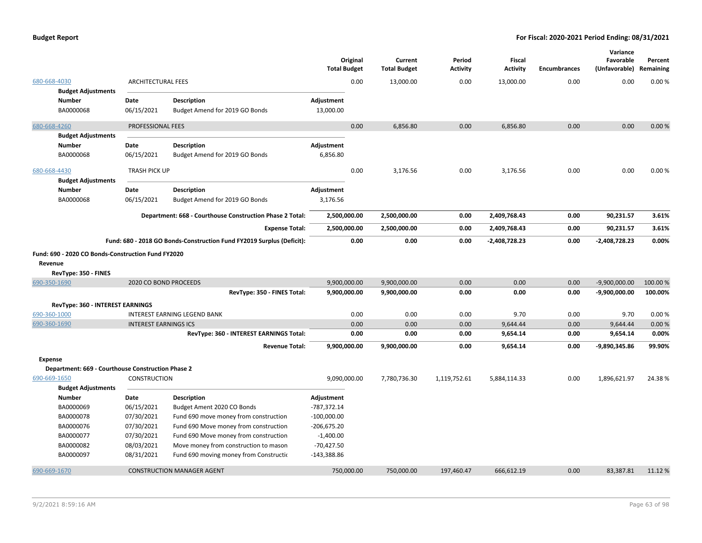|                                                               |                              |                                                                       | <b>Total Budget</b> | Original | Current<br><b>Total Budget</b> | Period<br><b>Activity</b> | <b>Fiscal</b><br><b>Activity</b> | Encumbrances | Variance<br>Favorable<br>(Unfavorable) Remaining | Percent |
|---------------------------------------------------------------|------------------------------|-----------------------------------------------------------------------|---------------------|----------|--------------------------------|---------------------------|----------------------------------|--------------|--------------------------------------------------|---------|
| 680-668-4030                                                  | <b>ARCHITECTURAL FEES</b>    |                                                                       |                     | 0.00     | 13,000.00                      | 0.00                      | 13,000.00                        | 0.00         | 0.00                                             | 0.00%   |
| <b>Budget Adjustments</b><br>Number                           | Date                         | <b>Description</b>                                                    | Adjustment          |          |                                |                           |                                  |              |                                                  |         |
| BA0000068                                                     | 06/15/2021                   | Budget Amend for 2019 GO Bonds                                        | 13,000.00           |          |                                |                           |                                  |              |                                                  |         |
| 680-668-4260                                                  | PROFESSIONAL FEES            |                                                                       |                     | 0.00     | 6,856.80                       | 0.00                      | 6,856.80                         | 0.00         | 0.00                                             | 0.00%   |
| <b>Budget Adjustments</b>                                     |                              |                                                                       |                     |          |                                |                           |                                  |              |                                                  |         |
| <b>Number</b>                                                 | Date                         | <b>Description</b>                                                    | Adjustment          |          |                                |                           |                                  |              |                                                  |         |
| BA0000068                                                     | 06/15/2021                   | Budget Amend for 2019 GO Bonds                                        | 6,856.80            |          |                                |                           |                                  |              |                                                  |         |
| 680-668-4430<br><b>Budget Adjustments</b>                     | TRASH PICK UP                |                                                                       |                     | 0.00     | 3,176.56                       | 0.00                      | 3,176.56                         | 0.00         | 0.00                                             | 0.00%   |
| <b>Number</b>                                                 | Date                         | <b>Description</b>                                                    | Adjustment          |          |                                |                           |                                  |              |                                                  |         |
| BA0000068                                                     | 06/15/2021                   | Budget Amend for 2019 GO Bonds                                        | 3,176.56            |          |                                |                           |                                  |              |                                                  |         |
|                                                               |                              | Department: 668 - Courthouse Construction Phase 2 Total:              | 2,500,000.00        |          | 2,500,000.00                   | 0.00                      | 2,409,768.43                     | 0.00         | 90,231.57                                        | 3.61%   |
|                                                               |                              | <b>Expense Total:</b>                                                 | 2,500,000.00        |          | 2,500,000.00                   | 0.00                      | 2,409,768.43                     | 0.00         | 90,231.57                                        | 3.61%   |
|                                                               |                              | Fund: 680 - 2018 GO Bonds-Construction Fund FY2019 Surplus (Deficit): |                     | 0.00     | 0.00                           | 0.00                      | $-2,408,728.23$                  | 0.00         | -2,408,728.23                                    | 0.00%   |
| Fund: 690 - 2020 CO Bonds-Construction Fund FY2020<br>Revenue |                              |                                                                       |                     |          |                                |                           |                                  |              |                                                  |         |
| RevType: 350 - FINES                                          |                              |                                                                       |                     |          |                                |                           |                                  |              |                                                  |         |
| 690-350-1690                                                  |                              | 2020 CO BOND PROCEEDS                                                 | 9,900,000.00        |          | 9,900,000.00                   | 0.00                      | 0.00                             | 0.00         | $-9,900,000.00$                                  | 100.00% |
|                                                               |                              | RevType: 350 - FINES Total:                                           | 9,900,000.00        |          | 9,900,000.00                   | 0.00                      | 0.00                             | 0.00         | -9,900,000.00                                    | 100.00% |
| <b>RevType: 360 - INTEREST EARNINGS</b>                       |                              |                                                                       |                     |          |                                |                           |                                  |              |                                                  |         |
| 690-360-1000                                                  |                              | <b>INTEREST EARNING LEGEND BANK</b>                                   |                     | 0.00     | 0.00                           | 0.00                      | 9.70                             | 0.00         | 9.70                                             | 0.00%   |
| 690-360-1690                                                  | <b>INTEREST EARNINGS ICS</b> |                                                                       |                     | 0.00     | 0.00                           | 0.00                      | 9,644.44                         | 0.00         | 9,644.44                                         | 0.00%   |
|                                                               |                              | RevType: 360 - INTEREST EARNINGS Total:                               |                     | 0.00     | 0.00                           | 0.00                      | 9,654.14                         | 0.00         | 9,654.14                                         | 0.00%   |
|                                                               |                              | <b>Revenue Total:</b>                                                 | 9,900,000.00        |          | 9,900,000.00                   | 0.00                      | 9,654.14                         | 0.00         | -9,890,345.86                                    | 99.90%  |
| Expense                                                       |                              |                                                                       |                     |          |                                |                           |                                  |              |                                                  |         |
| Department: 669 - Courthouse Construction Phase 2             |                              |                                                                       |                     |          |                                |                           |                                  |              |                                                  |         |
| 690-669-1650                                                  | <b>CONSTRUCTION</b>          |                                                                       | 9,090,000.00        |          | 7,780,736.30                   | 1,119,752.61              | 5,884,114.33                     | 0.00         | 1,896,621.97                                     | 24.38%  |
| <b>Budget Adjustments</b>                                     |                              |                                                                       |                     |          |                                |                           |                                  |              |                                                  |         |
| <b>Number</b>                                                 | Date                         | <b>Description</b>                                                    | Adjustment          |          |                                |                           |                                  |              |                                                  |         |
| BA0000069                                                     | 06/15/2021                   | Budget Ament 2020 CO Bonds                                            | $-787,372.14$       |          |                                |                           |                                  |              |                                                  |         |
| BA0000078                                                     | 07/30/2021                   | Fund 690 move money from construction                                 | $-100,000.00$       |          |                                |                           |                                  |              |                                                  |         |
| BA0000076                                                     | 07/30/2021                   | Fund 690 Move money from construction                                 | $-206,675.20$       |          |                                |                           |                                  |              |                                                  |         |
| BA0000077                                                     | 07/30/2021                   | Fund 690 Move money from construction                                 | $-1,400.00$         |          |                                |                           |                                  |              |                                                  |         |
| BA0000082                                                     | 08/03/2021                   | Move money from construction to mason                                 | $-70,427.50$        |          |                                |                           |                                  |              |                                                  |         |
| BA0000097                                                     | 08/31/2021                   | Fund 690 moving money from Construction                               | $-143,388.86$       |          |                                |                           |                                  |              |                                                  |         |
| 690-669-1670                                                  |                              | <b>CONSTRUCTION MANAGER AGENT</b>                                     | 750,000.00          |          | 750,000.00                     | 197.460.47                | 666.612.19                       | 0.00         | 83.387.81                                        | 11.12 % |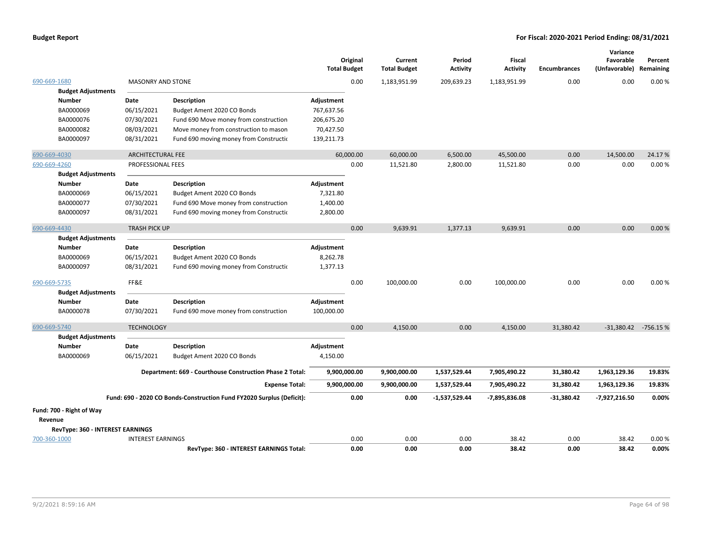|                                  |                          |                                                                       | Original<br><b>Total Budget</b> |      | Current<br><b>Total Budget</b> | Period<br><b>Activity</b> | <b>Fiscal</b><br><b>Activity</b> | <b>Encumbrances</b> | Variance<br>Favorable<br>(Unfavorable) Remaining | Percent |
|----------------------------------|--------------------------|-----------------------------------------------------------------------|---------------------------------|------|--------------------------------|---------------------------|----------------------------------|---------------------|--------------------------------------------------|---------|
| 690-669-1680                     | <b>MASONRY AND STONE</b> |                                                                       |                                 | 0.00 | 1,183,951.99                   | 209,639.23                | 1,183,951.99                     | 0.00                | 0.00                                             | 0.00%   |
| <b>Budget Adjustments</b>        |                          |                                                                       |                                 |      |                                |                           |                                  |                     |                                                  |         |
| <b>Number</b>                    | Date                     | <b>Description</b>                                                    | Adjustment                      |      |                                |                           |                                  |                     |                                                  |         |
| BA0000069                        | 06/15/2021               | Budget Ament 2020 CO Bonds                                            | 767,637.56                      |      |                                |                           |                                  |                     |                                                  |         |
| BA0000076                        | 07/30/2021               | Fund 690 Move money from construction                                 | 206,675.20                      |      |                                |                           |                                  |                     |                                                  |         |
| BA0000082                        | 08/03/2021               | Move money from construction to mason                                 | 70,427.50                       |      |                                |                           |                                  |                     |                                                  |         |
| BA0000097                        | 08/31/2021               | Fund 690 moving money from Construction                               | 139,211.73                      |      |                                |                           |                                  |                     |                                                  |         |
| 690-669-4030                     | <b>ARCHITECTURAL FEE</b> |                                                                       | 60,000.00                       |      | 60,000.00                      | 6,500.00                  | 45,500.00                        | 0.00                | 14,500.00                                        | 24.17%  |
| 690-669-4260                     | PROFESSIONAL FEES        |                                                                       |                                 | 0.00 | 11,521.80                      | 2,800.00                  | 11,521.80                        | 0.00                | 0.00                                             | 0.00%   |
| <b>Budget Adjustments</b>        |                          |                                                                       |                                 |      |                                |                           |                                  |                     |                                                  |         |
| <b>Number</b>                    | Date                     | <b>Description</b>                                                    | Adjustment                      |      |                                |                           |                                  |                     |                                                  |         |
| BA0000069                        | 06/15/2021               | Budget Ament 2020 CO Bonds                                            | 7,321.80                        |      |                                |                           |                                  |                     |                                                  |         |
| BA0000077                        | 07/30/2021               | Fund 690 Move money from construction                                 | 1,400.00                        |      |                                |                           |                                  |                     |                                                  |         |
| BA0000097                        | 08/31/2021               | Fund 690 moving money from Constructio                                | 2,800.00                        |      |                                |                           |                                  |                     |                                                  |         |
| 690-669-4430                     | <b>TRASH PICK UP</b>     |                                                                       |                                 | 0.00 | 9,639.91                       | 1,377.13                  | 9,639.91                         | 0.00                | 0.00                                             | 0.00%   |
| <b>Budget Adjustments</b>        |                          |                                                                       |                                 |      |                                |                           |                                  |                     |                                                  |         |
| <b>Number</b>                    | Date                     | <b>Description</b>                                                    | Adjustment                      |      |                                |                           |                                  |                     |                                                  |         |
| BA0000069                        | 06/15/2021               | Budget Ament 2020 CO Bonds                                            | 8,262.78                        |      |                                |                           |                                  |                     |                                                  |         |
| BA0000097                        | 08/31/2021               | Fund 690 moving money from Constructio                                | 1,377.13                        |      |                                |                           |                                  |                     |                                                  |         |
| 690-669-5735                     | FF&E                     |                                                                       |                                 | 0.00 | 100,000.00                     | 0.00                      | 100,000.00                       | 0.00                | 0.00                                             | 0.00%   |
| <b>Budget Adjustments</b>        |                          |                                                                       |                                 |      |                                |                           |                                  |                     |                                                  |         |
| Number                           | Date                     | <b>Description</b>                                                    | Adjustment                      |      |                                |                           |                                  |                     |                                                  |         |
| BA0000078                        | 07/30/2021               | Fund 690 move money from construction                                 | 100,000.00                      |      |                                |                           |                                  |                     |                                                  |         |
| 690-669-5740                     | <b>TECHNOLOGY</b>        |                                                                       |                                 | 0.00 | 4,150.00                       | 0.00                      | 4,150.00                         | 31,380.42           | -31,380.42 -756.15 %                             |         |
| <b>Budget Adjustments</b>        |                          |                                                                       |                                 |      |                                |                           |                                  |                     |                                                  |         |
| <b>Number</b>                    | Date                     | <b>Description</b>                                                    | Adjustment                      |      |                                |                           |                                  |                     |                                                  |         |
| BA0000069                        | 06/15/2021               | Budget Ament 2020 CO Bonds                                            | 4,150.00                        |      |                                |                           |                                  |                     |                                                  |         |
|                                  |                          | Department: 669 - Courthouse Construction Phase 2 Total:              | 9,900,000.00                    |      | 9,900,000.00                   | 1,537,529.44              | 7,905,490.22                     | 31,380.42           | 1,963,129.36                                     | 19.83%  |
|                                  |                          | <b>Expense Total:</b>                                                 | 9,900,000.00                    |      | 9,900,000.00                   | 1,537,529.44              | 7,905,490.22                     | 31,380.42           | 1,963,129.36                                     | 19.83%  |
|                                  |                          | Fund: 690 - 2020 CO Bonds-Construction Fund FY2020 Surplus (Deficit): |                                 | 0.00 | 0.00                           | $-1,537,529.44$           | -7,895,836.08                    | $-31,380.42$        | -7,927,216.50                                    | 0.00%   |
| Fund: 700 - Right of Way         |                          |                                                                       |                                 |      |                                |                           |                                  |                     |                                                  |         |
| Revenue                          |                          |                                                                       |                                 |      |                                |                           |                                  |                     |                                                  |         |
| RevType: 360 - INTEREST EARNINGS |                          |                                                                       |                                 |      |                                |                           |                                  |                     |                                                  |         |
| 700-360-1000                     | <b>INTEREST EARNINGS</b> |                                                                       |                                 | 0.00 | 0.00                           | 0.00                      | 38.42                            | 0.00                | 38.42                                            | 0.00%   |
|                                  |                          | <b>RevTvpe: 360 - INTEREST EARNINGS Total:</b>                        |                                 | 0.00 | 0.00                           | 0.00                      | 38.42                            | 0.00                | 38.42                                            | 0.00%   |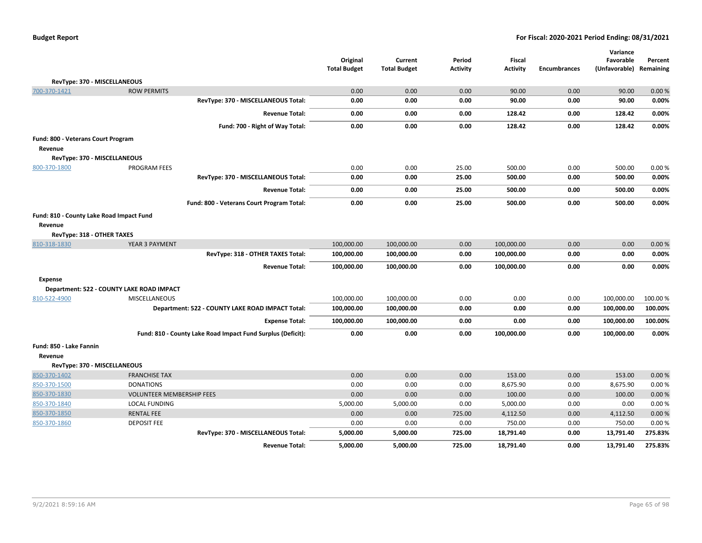|                                          |                                                             | Original<br><b>Total Budget</b> | Current<br><b>Total Budget</b> | Period<br><b>Activity</b> | Fiscal<br><b>Activity</b> | <b>Encumbrances</b> | Variance<br>Favorable<br>(Unfavorable) Remaining | Percent |
|------------------------------------------|-------------------------------------------------------------|---------------------------------|--------------------------------|---------------------------|---------------------------|---------------------|--------------------------------------------------|---------|
| RevType: 370 - MISCELLANEOUS             |                                                             |                                 |                                |                           |                           |                     |                                                  |         |
| 700-370-1421                             | <b>ROW PERMITS</b>                                          | 0.00                            | 0.00                           | 0.00                      | 90.00                     | 0.00                | 90.00                                            | 0.00%   |
|                                          | RevType: 370 - MISCELLANEOUS Total:                         | 0.00                            | 0.00                           | 0.00                      | 90.00                     | 0.00                | 90.00                                            | 0.00%   |
|                                          | <b>Revenue Total:</b>                                       | 0.00                            | 0.00                           | 0.00                      | 128.42                    | 0.00                | 128.42                                           | 0.00%   |
|                                          | Fund: 700 - Right of Way Total:                             | 0.00                            | 0.00                           | 0.00                      | 128.42                    | 0.00                | 128.42                                           | 0.00%   |
| Fund: 800 - Veterans Court Program       |                                                             |                                 |                                |                           |                           |                     |                                                  |         |
| Revenue                                  |                                                             |                                 |                                |                           |                           |                     |                                                  |         |
| RevType: 370 - MISCELLANEOUS             |                                                             |                                 |                                |                           |                           |                     |                                                  |         |
| 800-370-1800                             | <b>PROGRAM FEES</b>                                         | 0.00                            | 0.00                           | 25.00                     | 500.00                    | 0.00                | 500.00                                           | 0.00%   |
|                                          | RevType: 370 - MISCELLANEOUS Total:                         | 0.00                            | 0.00                           | 25.00                     | 500.00                    | 0.00                | 500.00                                           | 0.00%   |
|                                          | <b>Revenue Total:</b>                                       | 0.00                            | 0.00                           | 25.00                     | 500.00                    | 0.00                | 500.00                                           | 0.00%   |
|                                          | Fund: 800 - Veterans Court Program Total:                   | 0.00                            | 0.00                           | 25.00                     | 500.00                    | 0.00                | 500.00                                           | 0.00%   |
| Fund: 810 - County Lake Road Impact Fund |                                                             |                                 |                                |                           |                           |                     |                                                  |         |
| Revenue                                  |                                                             |                                 |                                |                           |                           |                     |                                                  |         |
| RevType: 318 - OTHER TAXES               |                                                             |                                 |                                |                           |                           |                     |                                                  |         |
| 810-318-1830                             | YEAR 3 PAYMENT                                              | 100,000.00                      | 100,000.00                     | 0.00                      | 100,000.00                | 0.00                | 0.00                                             | 0.00%   |
|                                          | RevType: 318 - OTHER TAXES Total:                           | 100,000.00                      | 100,000.00                     | 0.00                      | 100,000.00                | 0.00                | 0.00                                             | 0.00%   |
|                                          | <b>Revenue Total:</b>                                       | 100,000.00                      | 100,000.00                     | 0.00                      | 100,000.00                | 0.00                | 0.00                                             | 0.00%   |
| Expense                                  |                                                             |                                 |                                |                           |                           |                     |                                                  |         |
|                                          | Department: 522 - COUNTY LAKE ROAD IMPACT                   |                                 |                                |                           |                           |                     |                                                  |         |
| 810-522-4900                             | <b>MISCELLANEOUS</b>                                        | 100,000.00                      | 100,000.00                     | 0.00                      | 0.00                      | 0.00                | 100,000.00                                       | 100.00% |
|                                          | Department: 522 - COUNTY LAKE ROAD IMPACT Total:            | 100,000.00                      | 100,000.00                     | 0.00                      | 0.00                      | 0.00                | 100,000.00                                       | 100.00% |
|                                          | <b>Expense Total:</b>                                       | 100,000.00                      | 100,000.00                     | 0.00                      | 0.00                      | 0.00                | 100,000.00                                       | 100.00% |
|                                          | Fund: 810 - County Lake Road Impact Fund Surplus (Deficit): | 0.00                            | 0.00                           | 0.00                      | 100,000.00                | 0.00                | 100,000.00                                       | 0.00%   |
| Fund: 850 - Lake Fannin                  |                                                             |                                 |                                |                           |                           |                     |                                                  |         |
| Revenue                                  |                                                             |                                 |                                |                           |                           |                     |                                                  |         |
| RevType: 370 - MISCELLANEOUS             |                                                             |                                 |                                |                           |                           |                     |                                                  |         |
| 850-370-1402                             | <b>FRANCHISE TAX</b>                                        | 0.00                            | 0.00                           | 0.00                      | 153.00                    | 0.00                | 153.00                                           | 0.00%   |
| 850-370-1500                             | <b>DONATIONS</b>                                            | 0.00                            | 0.00                           | 0.00                      | 8,675.90                  | 0.00                | 8,675.90                                         | 0.00%   |
| 850-370-1830                             | <b>VOLUNTEER MEMBERSHIP FEES</b>                            | 0.00                            | 0.00                           | 0.00                      | 100.00                    | 0.00                | 100.00                                           | 0.00%   |
| 850-370-1840                             | LOCAL FUNDING                                               | 5,000.00                        | 5,000.00                       | 0.00                      | 5,000.00                  | 0.00                | 0.00                                             | 0.00%   |
| 850-370-1850                             | <b>RENTAL FEE</b>                                           | 0.00                            | 0.00                           | 725.00                    | 4,112.50                  | 0.00                | 4,112.50                                         | 0.00%   |
| 850-370-1860                             | <b>DEPOSIT FEE</b>                                          | 0.00                            | 0.00                           | 0.00                      | 750.00                    | 0.00                | 750.00                                           | 0.00%   |
|                                          | RevType: 370 - MISCELLANEOUS Total:                         | 5,000.00                        | 5,000.00                       | 725.00                    | 18,791.40                 | 0.00                | 13,791.40                                        | 275.83% |
|                                          | <b>Revenue Total:</b>                                       | 5,000.00                        | 5,000.00                       | 725.00                    | 18,791.40                 | 0.00                | 13,791.40                                        | 275.83% |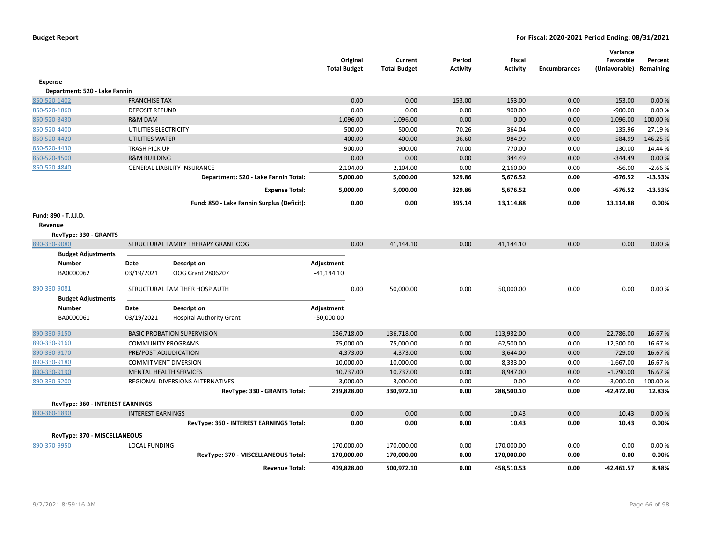|                                  |                           |                                            | Original<br><b>Total Budget</b> | Current<br><b>Total Budget</b> | Period<br>Activity | <b>Fiscal</b><br><b>Activity</b> | <b>Encumbrances</b> | Variance<br>Favorable<br>(Unfavorable) Remaining | Percent    |
|----------------------------------|---------------------------|--------------------------------------------|---------------------------------|--------------------------------|--------------------|----------------------------------|---------------------|--------------------------------------------------|------------|
| <b>Expense</b>                   |                           |                                            |                                 |                                |                    |                                  |                     |                                                  |            |
| Department: 520 - Lake Fannin    |                           |                                            |                                 |                                |                    |                                  |                     |                                                  |            |
| 850-520-1402                     | <b>FRANCHISE TAX</b>      |                                            | 0.00                            | 0.00                           | 153.00             | 153.00                           | 0.00                | $-153.00$                                        | 0.00%      |
| 850-520-1860                     | <b>DEPOSIT REFUND</b>     |                                            | 0.00                            | 0.00                           | 0.00               | 900.00                           | 0.00                | $-900.00$                                        | 0.00%      |
| 850-520-3430                     | <b>R&amp;M DAM</b>        |                                            | 1,096.00                        | 1,096.00                       | 0.00               | 0.00                             | 0.00                | 1,096.00                                         | 100.00%    |
| 850-520-4400                     | UTILITIES ELECTRICITY     |                                            | 500.00                          | 500.00                         | 70.26              | 364.04                           | 0.00                | 135.96                                           | 27.19%     |
| 850-520-4420                     | UTILITIES WATER           |                                            | 400.00                          | 400.00                         | 36.60              | 984.99                           | 0.00                | $-584.99$                                        | $-146.25%$ |
| 850-520-4430                     | <b>TRASH PICK UP</b>      |                                            | 900.00                          | 900.00                         | 70.00              | 770.00                           | 0.00                | 130.00                                           | 14.44 %    |
| 850-520-4500                     | <b>R&amp;M BUILDING</b>   |                                            | 0.00                            | 0.00                           | 0.00               | 344.49                           | 0.00                | $-344.49$                                        | 0.00%      |
| 850-520-4840                     |                           | <b>GENERAL LIABILITY INSURANCE</b>         | 2,104.00                        | 2,104.00                       | 0.00               | 2,160.00                         | 0.00                | $-56.00$                                         | $-2.66%$   |
|                                  |                           | Department: 520 - Lake Fannin Total:       | 5,000.00                        | 5,000.00                       | 329.86             | 5,676.52                         | 0.00                | $-676.52$                                        | $-13.53%$  |
|                                  |                           | <b>Expense Total:</b>                      | 5,000.00                        | 5,000.00                       | 329.86             | 5,676.52                         | 0.00                | $-676.52$                                        | $-13.53%$  |
|                                  |                           | Fund: 850 - Lake Fannin Surplus (Deficit): | 0.00                            | 0.00                           | 395.14             | 13,114.88                        | 0.00                | 13,114.88                                        | 0.00%      |
| Fund: 890 - T.J.J.D.             |                           |                                            |                                 |                                |                    |                                  |                     |                                                  |            |
| Revenue                          |                           |                                            |                                 |                                |                    |                                  |                     |                                                  |            |
| RevType: 330 - GRANTS            |                           |                                            |                                 |                                |                    |                                  |                     |                                                  |            |
| 890-330-9080                     |                           | STRUCTURAL FAMILY THERAPY GRANT OOG        | 0.00                            | 41,144.10                      | 0.00               | 41,144.10                        | 0.00                | 0.00                                             | 0.00%      |
| <b>Budget Adjustments</b>        |                           |                                            |                                 |                                |                    |                                  |                     |                                                  |            |
| Number                           | Date                      | <b>Description</b>                         | Adjustment                      |                                |                    |                                  |                     |                                                  |            |
| BA0000062                        | 03/19/2021                | OOG Grant 2806207                          | $-41,144.10$                    |                                |                    |                                  |                     |                                                  |            |
| 890-330-9081                     |                           | STRUCTURAL FAM THER HOSP AUTH              | 0.00                            | 50,000.00                      | 0.00               | 50,000.00                        | 0.00                | 0.00                                             | 0.00%      |
| <b>Budget Adjustments</b>        |                           |                                            |                                 |                                |                    |                                  |                     |                                                  |            |
| <b>Number</b>                    | Date                      | <b>Description</b>                         | Adjustment                      |                                |                    |                                  |                     |                                                  |            |
| BA0000061                        | 03/19/2021                | <b>Hospital Authority Grant</b>            | $-50,000.00$                    |                                |                    |                                  |                     |                                                  |            |
| 890-330-9150                     |                           | <b>BASIC PROBATION SUPERVISION</b>         | 136,718.00                      | 136,718.00                     | 0.00               | 113,932.00                       | 0.00                | $-22,786.00$                                     | 16.67%     |
| 890-330-9160                     | <b>COMMUNITY PROGRAMS</b> |                                            | 75,000.00                       | 75,000.00                      | 0.00               | 62,500.00                        | 0.00                | $-12,500.00$                                     | 16.67%     |
| 890-330-9170                     | PRE/POST ADJUDICATION     |                                            | 4,373.00                        | 4,373.00                       | 0.00               | 3,644.00                         | 0.00                | $-729.00$                                        | 16.67%     |
| 890-330-9180                     |                           | <b>COMMITMENT DIVERSION</b>                | 10,000.00                       | 10,000.00                      | 0.00               | 8,333.00                         | 0.00                | $-1,667.00$                                      | 16.67%     |
| 890-330-9190                     |                           | <b>MENTAL HEALTH SERVICES</b>              | 10,737.00                       | 10,737.00                      | 0.00               | 8,947.00                         | 0.00                | $-1,790.00$                                      | 16.67%     |
| 890-330-9200                     |                           | REGIONAL DIVERSIONS ALTERNATIVES           | 3,000.00                        | 3,000.00                       | 0.00               | 0.00                             | 0.00                | $-3,000.00$                                      | 100.00%    |
|                                  |                           | RevType: 330 - GRANTS Total:               | 239,828.00                      | 330,972.10                     | 0.00               | 288,500.10                       | 0.00                | -42,472.00                                       | 12.83%     |
| RevType: 360 - INTEREST EARNINGS |                           |                                            |                                 |                                |                    |                                  |                     |                                                  |            |
| 890-360-1890                     | <b>INTEREST EARNINGS</b>  |                                            | 0.00                            | 0.00                           | 0.00               | 10.43                            | 0.00                | 10.43                                            | 0.00%      |
|                                  |                           | RevType: 360 - INTEREST EARNINGS Total:    | 0.00                            | 0.00                           | 0.00               | 10.43                            | 0.00                | 10.43                                            | 0.00%      |
| RevType: 370 - MISCELLANEOUS     |                           |                                            |                                 |                                |                    |                                  |                     |                                                  |            |
| 890-370-9950                     | <b>LOCAL FUNDING</b>      |                                            | 170,000.00                      | 170,000.00                     | 0.00               | 170,000.00                       | 0.00                | 0.00                                             | 0.00%      |
|                                  |                           | RevType: 370 - MISCELLANEOUS Total:        | 170,000.00                      | 170,000.00                     | 0.00               | 170,000.00                       | 0.00                | 0.00                                             | 0.00%      |
|                                  |                           | <b>Revenue Total:</b>                      | 409,828.00                      | 500,972.10                     | 0.00               | 458.510.53                       | 0.00                | $-42.461.57$                                     | 8.48%      |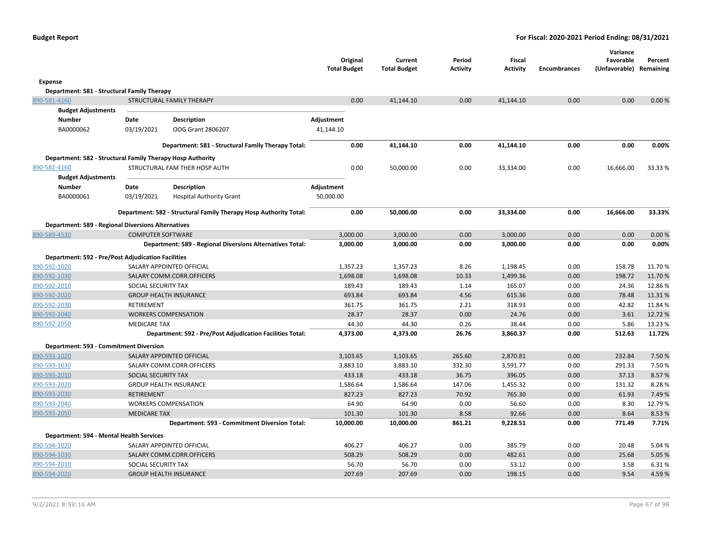|                                                            |                          |                                                                   | <b>Total Budget</b> | Original | Current<br><b>Total Budget</b> | Period<br><b>Activity</b> | <b>Fiscal</b><br><b>Activity</b> | <b>Encumbrances</b> | Variance<br>Favorable<br>(Unfavorable) Remaining | Percent |
|------------------------------------------------------------|--------------------------|-------------------------------------------------------------------|---------------------|----------|--------------------------------|---------------------------|----------------------------------|---------------------|--------------------------------------------------|---------|
| Expense                                                    |                          |                                                                   |                     |          |                                |                           |                                  |                     |                                                  |         |
| Department: 581 - Structural Family Therapy                |                          |                                                                   |                     |          |                                |                           |                                  |                     |                                                  |         |
| 890-581-4160                                               |                          | STRUCTURAL FAMILY THERAPY                                         |                     | 0.00     | 41,144.10                      | 0.00                      | 41,144.10                        | 0.00                | 0.00                                             | 0.00%   |
| <b>Budget Adjustments</b>                                  |                          |                                                                   |                     |          |                                |                           |                                  |                     |                                                  |         |
| <b>Number</b>                                              | Date                     | <b>Description</b>                                                | Adjustment          |          |                                |                           |                                  |                     |                                                  |         |
| BA0000062                                                  | 03/19/2021               | OOG Grant 2806207                                                 | 41,144.10           |          |                                |                           |                                  |                     |                                                  |         |
|                                                            |                          | Department: 581 - Structural Family Therapy Total:                |                     | 0.00     | 41,144.10                      | 0.00                      | 41,144.10                        | 0.00                | 0.00                                             | 0.00%   |
| Department: 582 - Structural Family Therapy Hosp Authority |                          |                                                                   |                     |          |                                |                           |                                  |                     |                                                  |         |
| 890-582-4160                                               |                          | STRUCTURAL FAM THER HOSP AUTH                                     |                     | 0.00     | 50,000.00                      | 0.00                      | 33,334.00                        | 0.00                | 16,666.00                                        | 33.33 % |
| <b>Budget Adjustments</b>                                  |                          |                                                                   |                     |          |                                |                           |                                  |                     |                                                  |         |
| <b>Number</b>                                              | Date                     | <b>Description</b>                                                | Adjustment          |          |                                |                           |                                  |                     |                                                  |         |
| BA0000061                                                  | 03/19/2021               | <b>Hospital Authority Grant</b>                                   | 50,000.00           |          |                                |                           |                                  |                     |                                                  |         |
|                                                            |                          | Department: 582 - Structural Family Therapy Hosp Authority Total: |                     | 0.00     | 50,000.00                      | 0.00                      | 33,334.00                        | 0.00                | 16,666.00                                        | 33.33%  |
| <b>Department: 589 - Regional Diversions Alternatives</b>  |                          |                                                                   |                     |          |                                |                           |                                  |                     |                                                  |         |
| 890-589-4530                                               | <b>COMPUTER SOFTWARE</b> |                                                                   |                     | 3,000.00 | 3,000.00                       | 0.00                      | 3,000.00                         | 0.00                | 0.00                                             | 0.00%   |
|                                                            |                          | Department: 589 - Regional Diversions Alternatives Total:         |                     | 3,000.00 | 3,000.00                       | 0.00                      | 3,000.00                         | 0.00                | 0.00                                             | 0.00%   |
| <b>Department: 592 - Pre/Post Adjudication Facilities</b>  |                          |                                                                   |                     |          |                                |                           |                                  |                     |                                                  |         |
| 890-592-1020                                               |                          | SALARY APPOINTED OFFICIAL                                         |                     | 1,357.23 | 1,357.23                       | 8.26                      | 1,198.45                         | 0.00                | 158.78                                           | 11.70%  |
| 890-592-1030                                               |                          | SALARY COMM.CORR.OFFICERS                                         |                     | 1,698.08 | 1,698.08                       | 10.33                     | 1,499.36                         | 0.00                | 198.72                                           | 11.70%  |
| 890-592-2010                                               | SOCIAL SECURITY TAX      |                                                                   |                     | 189.43   | 189.43                         | 1.14                      | 165.07                           | 0.00                | 24.36                                            | 12.86%  |
| 890-592-2020                                               |                          | <b>GROUP HEALTH INSURANCE</b>                                     |                     | 693.84   | 693.84                         | 4.56                      | 615.36                           | 0.00                | 78.48                                            | 11.31%  |
| 890-592-2030                                               | RETIREMENT               |                                                                   |                     | 361.75   | 361.75                         | 2.21                      | 318.93                           | 0.00                | 42.82                                            | 11.84 % |
| 890-592-2040                                               |                          | <b>WORKERS COMPENSATION</b>                                       |                     | 28.37    | 28.37                          | 0.00                      | 24.76                            | 0.00                | 3.61                                             | 12.72%  |
| 890-592-2050                                               | <b>MEDICARE TAX</b>      |                                                                   |                     | 44.30    | 44.30                          | 0.26                      | 38.44                            | 0.00                | 5.86                                             | 13.23 % |
|                                                            |                          | Department: 592 - Pre/Post Adjudication Facilities Total:         |                     | 4,373.00 | 4,373.00                       | 26.76                     | 3,860.37                         | 0.00                | 512.63                                           | 11.72%  |
| Department: 593 - Commitment Diversion                     |                          |                                                                   |                     |          |                                |                           |                                  |                     |                                                  |         |
| 890-593-1020                                               |                          | SALARY APPOINTED OFFICIAL                                         |                     | 3,103.65 | 3,103.65                       | 265.60                    | 2,870.81                         | 0.00                | 232.84                                           | 7.50%   |
| 890-593-1030                                               |                          | SALARY COMM.CORR.OFFICERS                                         |                     | 3,883.10 | 3,883.10                       | 332.30                    | 3,591.77                         | 0.00                | 291.33                                           | 7.50%   |
| 890-593-2010                                               | SOCIAL SECURITY TAX      |                                                                   |                     | 433.18   | 433.18                         | 36.75                     | 396.05                           | 0.00                | 37.13                                            | 8.57%   |
| 890-593-2020                                               |                          | <b>GROUP HEALTH INSURANCE</b>                                     |                     | 1,586.64 | 1,586.64                       | 147.06                    | 1,455.32                         | 0.00                | 131.32                                           | 8.28%   |
| 890-593-2030                                               | <b>RETIREMENT</b>        |                                                                   |                     | 827.23   | 827.23                         | 70.92                     | 765.30                           | 0.00                | 61.93                                            | 7.49 %  |
| 890-593-2040                                               |                          | <b>WORKERS COMPENSATION</b>                                       |                     | 64.90    | 64.90                          | 0.00                      | 56.60                            | 0.00                | 8.30                                             | 12.79%  |
| 890-593-2050                                               | <b>MEDICARE TAX</b>      |                                                                   |                     | 101.30   | 101.30                         | 8.58                      | 92.66                            | 0.00                | 8.64                                             | 8.53 %  |
|                                                            |                          | Department: 593 - Commitment Diversion Total:                     | 10,000.00           |          | 10,000.00                      | 861.21                    | 9,228.51                         | 0.00                | 771.49                                           | 7.71%   |
| Department: 594 - Mental Health Services                   |                          |                                                                   |                     |          |                                |                           |                                  |                     |                                                  |         |
| 890-594-1020                                               |                          | SALARY APPOINTED OFFICIAL                                         |                     | 406.27   | 406.27                         | 0.00                      | 385.79                           | 0.00                | 20.48                                            | 5.04 %  |
| 890-594-1030                                               |                          | SALARY COMM.CORR.OFFICERS                                         |                     | 508.29   | 508.29                         | 0.00                      | 482.61                           | 0.00                | 25.68                                            | 5.05 %  |
| 890-594-2010                                               | SOCIAL SECURITY TAX      |                                                                   |                     | 56.70    | 56.70                          | 0.00                      | 53.12                            | 0.00                | 3.58                                             | 6.31%   |
| 890-594-2020                                               |                          | <b>GROUP HEALTH INSURANCE</b>                                     |                     | 207.69   | 207.69                         | 0.00                      | 198.15                           | 0.00                | 9.54                                             | 4.59%   |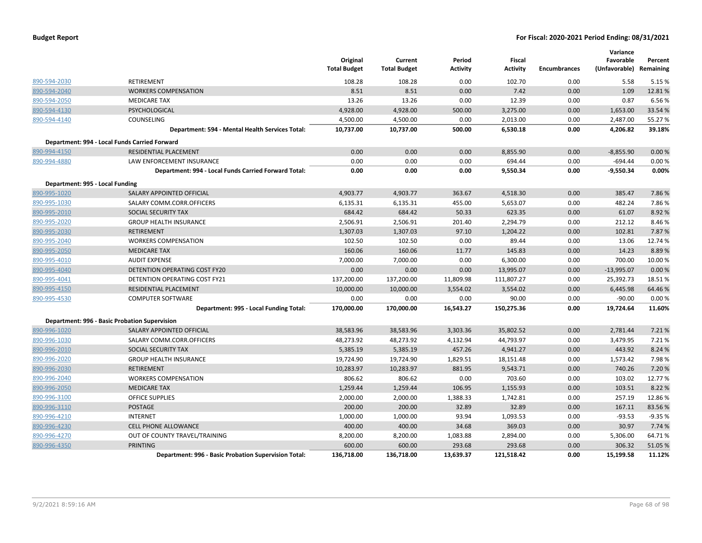|                                 |                                                      | Original<br><b>Total Budget</b> | Current<br><b>Total Budget</b> | Period<br><b>Activity</b> | Fiscal<br><b>Activity</b> | <b>Encumbrances</b> | Variance<br>Favorable<br>(Unfavorable) Remaining | Percent  |
|---------------------------------|------------------------------------------------------|---------------------------------|--------------------------------|---------------------------|---------------------------|---------------------|--------------------------------------------------|----------|
| 890-594-2030                    | RETIREMENT                                           | 108.28                          | 108.28                         | 0.00                      | 102.70                    | 0.00                | 5.58                                             | 5.15 %   |
| 890-594-2040                    | <b>WORKERS COMPENSATION</b>                          | 8.51                            | 8.51                           | 0.00                      | 7.42                      | 0.00                | 1.09                                             | 12.81%   |
| 890-594-2050                    | <b>MEDICARE TAX</b>                                  | 13.26                           | 13.26                          | 0.00                      | 12.39                     | 0.00                | 0.87                                             | 6.56%    |
| 890-594-4130                    | PSYCHOLOGICAL                                        | 4,928.00                        | 4,928.00                       | 500.00                    | 3,275.00                  | 0.00                | 1,653.00                                         | 33.54 %  |
| 890-594-4140                    | COUNSELING                                           | 4,500.00                        | 4,500.00                       | 0.00                      | 2,013.00                  | 0.00                | 2,487.00                                         | 55.27 %  |
|                                 | Department: 594 - Mental Health Services Total:      | 10,737.00                       | 10,737.00                      | 500.00                    | 6,530.18                  | 0.00                | 4,206.82                                         | 39.18%   |
|                                 | Department: 994 - Local Funds Carried Forward        |                                 |                                |                           |                           |                     |                                                  |          |
| 890-994-4150                    | RESIDENTIAL PLACEMENT                                | 0.00                            | 0.00                           | 0.00                      | 8,855.90                  | 0.00                | $-8,855.90$                                      | 0.00%    |
| 890-994-4880                    | LAW ENFORCEMENT INSURANCE                            | 0.00                            | 0.00                           | 0.00                      | 694.44                    | 0.00                | $-694.44$                                        | 0.00%    |
|                                 | Department: 994 - Local Funds Carried Forward Total: | 0.00                            | 0.00                           | 0.00                      | 9,550.34                  | 0.00                | $-9,550.34$                                      | 0.00%    |
| Department: 995 - Local Funding |                                                      |                                 |                                |                           |                           |                     |                                                  |          |
| 890-995-1020                    | SALARY APPOINTED OFFICIAL                            | 4,903.77                        | 4,903.77                       | 363.67                    | 4,518.30                  | 0.00                | 385.47                                           | 7.86%    |
| 890-995-1030                    | SALARY COMM.CORR.OFFICERS                            | 6,135.31                        | 6,135.31                       | 455.00                    | 5,653.07                  | 0.00                | 482.24                                           | 7.86%    |
| 890-995-2010                    | <b>SOCIAL SECURITY TAX</b>                           | 684.42                          | 684.42                         | 50.33                     | 623.35                    | 0.00                | 61.07                                            | 8.92 %   |
| 890-995-2020                    | <b>GROUP HEALTH INSURANCE</b>                        | 2,506.91                        | 2,506.91                       | 201.40                    | 2,294.79                  | 0.00                | 212.12                                           | 8.46%    |
| 890-995-2030                    | <b>RETIREMENT</b>                                    | 1,307.03                        | 1,307.03                       | 97.10                     | 1,204.22                  | 0.00                | 102.81                                           | 7.87%    |
| 890-995-2040                    | <b>WORKERS COMPENSATION</b>                          | 102.50                          | 102.50                         | 0.00                      | 89.44                     | 0.00                | 13.06                                            | 12.74 %  |
| 890-995-2050                    | <b>MEDICARE TAX</b>                                  | 160.06                          | 160.06                         | 11.77                     | 145.83                    | 0.00                | 14.23                                            | 8.89%    |
| 890-995-4010                    | <b>AUDIT EXPENSE</b>                                 | 7,000.00                        | 7,000.00                       | 0.00                      | 6,300.00                  | 0.00                | 700.00                                           | 10.00 %  |
| 890-995-4040                    | DETENTION OPERATING COST FY20                        | 0.00                            | 0.00                           | 0.00                      | 13,995.07                 | 0.00                | $-13,995.07$                                     | 0.00%    |
| 890-995-4041                    | DETENTION OPERATING COST FY21                        | 137,200.00                      | 137,200.00                     | 11,809.98                 | 111,807.27                | 0.00                | 25,392.73                                        | 18.51%   |
| 890-995-4150                    | RESIDENTIAL PLACEMENT                                | 10,000.00                       | 10,000.00                      | 3,554.02                  | 3,554.02                  | 0.00                | 6,445.98                                         | 64.46%   |
| 890-995-4530                    | <b>COMPUTER SOFTWARE</b>                             | 0.00                            | 0.00                           | 0.00                      | 90.00                     | 0.00                | $-90.00$                                         | 0.00%    |
|                                 | Department: 995 - Local Funding Total:               | 170,000.00                      | 170,000.00                     | 16,543.27                 | 150,275.36                | 0.00                | 19,724.64                                        | 11.60%   |
|                                 | Department: 996 - Basic Probation Supervision        |                                 |                                |                           |                           |                     |                                                  |          |
| 890-996-1020                    | SALARY APPOINTED OFFICIAL                            | 38,583.96                       | 38,583.96                      | 3,303.36                  | 35,802.52                 | 0.00                | 2,781.44                                         | 7.21 %   |
| 890-996-1030                    | SALARY COMM.CORR.OFFICERS                            | 48,273.92                       | 48,273.92                      | 4,132.94                  | 44,793.97                 | 0.00                | 3,479.95                                         | 7.21 %   |
| 890-996-2010                    | SOCIAL SECURITY TAX                                  | 5,385.19                        | 5,385.19                       | 457.26                    | 4,941.27                  | 0.00                | 443.92                                           | 8.24 %   |
| 890-996-2020                    | <b>GROUP HEALTH INSURANCE</b>                        | 19,724.90                       | 19,724.90                      | 1,829.51                  | 18,151.48                 | 0.00                | 1,573.42                                         | 7.98%    |
| 890-996-2030                    | <b>RETIREMENT</b>                                    | 10,283.97                       | 10,283.97                      | 881.95                    | 9,543.71                  | 0.00                | 740.26                                           | 7.20 %   |
| 890-996-2040                    | <b>WORKERS COMPENSATION</b>                          | 806.62                          | 806.62                         | 0.00                      | 703.60                    | 0.00                | 103.02                                           | 12.77%   |
| 890-996-2050                    | <b>MEDICARE TAX</b>                                  | 1,259.44                        | 1,259.44                       | 106.95                    | 1,155.93                  | 0.00                | 103.51                                           | 8.22 %   |
| 890-996-3100                    | <b>OFFICE SUPPLIES</b>                               | 2,000.00                        | 2,000.00                       | 1,388.33                  | 1,742.81                  | 0.00                | 257.19                                           | 12.86%   |
| 890-996-3110                    | POSTAGE                                              | 200.00                          | 200.00                         | 32.89                     | 32.89                     | 0.00                | 167.11                                           | 83.56%   |
| 890-996-4210                    | <b>INTERNET</b>                                      | 1,000.00                        | 1,000.00                       | 93.94                     | 1,093.53                  | 0.00                | $-93.53$                                         | $-9.35%$ |
| 890-996-4230                    | <b>CELL PHONE ALLOWANCE</b>                          | 400.00                          | 400.00                         | 34.68                     | 369.03                    | 0.00                | 30.97                                            | 7.74 %   |
| 890-996-4270                    | OUT OF COUNTY TRAVEL/TRAINING                        | 8,200.00                        | 8,200.00                       | 1,083.88                  | 2,894.00                  | 0.00                | 5,306.00                                         | 64.71%   |
| 890-996-4350                    | <b>PRINTING</b>                                      | 600.00                          | 600.00                         | 293.68                    | 293.68                    | 0.00                | 306.32                                           | 51.05 %  |
|                                 | Department: 996 - Basic Probation Supervision Total: | 136,718.00                      | 136,718.00                     | 13,639.37                 | 121,518.42                | 0.00                | 15,199.58                                        | 11.12%   |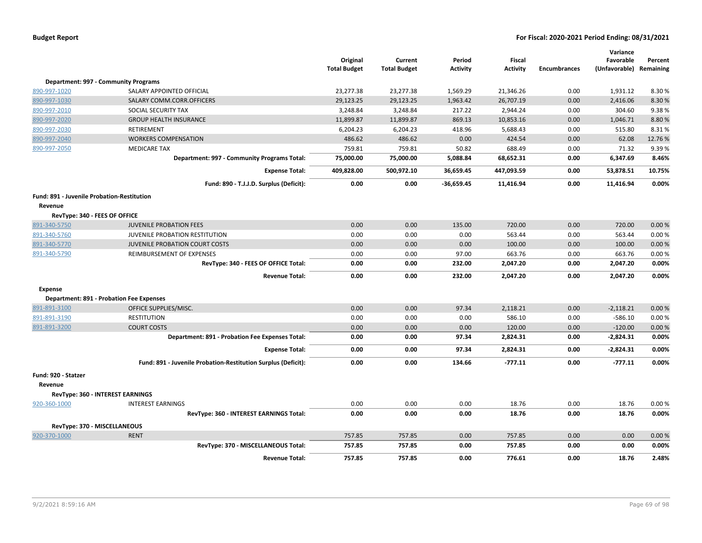|                                                   |                                                               | Original<br><b>Total Budget</b> | Current<br><b>Total Budget</b> | Period<br><b>Activity</b> | <b>Fiscal</b><br><b>Activity</b> | <b>Encumbrances</b> | Variance<br>Favorable<br>(Unfavorable) | Percent<br>Remaining |
|---------------------------------------------------|---------------------------------------------------------------|---------------------------------|--------------------------------|---------------------------|----------------------------------|---------------------|----------------------------------------|----------------------|
|                                                   | <b>Department: 997 - Community Programs</b>                   |                                 |                                |                           |                                  |                     |                                        |                      |
| 890-997-1020                                      | SALARY APPOINTED OFFICIAL                                     | 23,277.38                       | 23,277.38                      | 1,569.29                  | 21,346.26                        | 0.00                | 1,931.12                               | 8.30%                |
| 890-997-1030                                      | SALARY COMM.CORR.OFFICERS                                     | 29,123.25                       | 29,123.25                      | 1,963.42                  | 26,707.19                        | 0.00                | 2,416.06                               | 8.30%                |
| 890-997-2010                                      | SOCIAL SECURITY TAX                                           | 3,248.84                        | 3,248.84                       | 217.22                    | 2,944.24                         | 0.00                | 304.60                                 | 9.38%                |
| 890-997-2020                                      | <b>GROUP HEALTH INSURANCE</b>                                 | 11,899.87                       | 11,899.87                      | 869.13                    | 10,853.16                        | 0.00                | 1,046.71                               | 8.80%                |
| 890-997-2030                                      | RETIREMENT                                                    | 6,204.23                        | 6,204.23                       | 418.96                    | 5,688.43                         | 0.00                | 515.80                                 | 8.31%                |
| 890-997-2040                                      | <b>WORKERS COMPENSATION</b>                                   | 486.62                          | 486.62                         | 0.00                      | 424.54                           | 0.00                | 62.08                                  | 12.76%               |
| 890-997-2050                                      | <b>MEDICARE TAX</b>                                           | 759.81                          | 759.81                         | 50.82                     | 688.49                           | 0.00                | 71.32                                  | 9.39%                |
|                                                   | Department: 997 - Community Programs Total:                   | 75,000.00                       | 75,000.00                      | 5,088.84                  | 68,652.31                        | 0.00                | 6,347.69                               | 8.46%                |
|                                                   | <b>Expense Total:</b>                                         | 409,828.00                      | 500,972.10                     | 36,659.45                 | 447,093.59                       | 0.00                | 53,878.51                              | 10.75%               |
|                                                   | Fund: 890 - T.J.J.D. Surplus (Deficit):                       | 0.00                            | 0.00                           | $-36,659.45$              | 11,416.94                        | 0.00                | 11,416.94                              | 0.00%                |
| <b>Fund: 891 - Juvenile Probation-Restitution</b> |                                                               |                                 |                                |                           |                                  |                     |                                        |                      |
| Revenue                                           |                                                               |                                 |                                |                           |                                  |                     |                                        |                      |
| RevType: 340 - FEES OF OFFICE                     |                                                               |                                 |                                |                           |                                  |                     |                                        |                      |
| 891-340-5750                                      | <b>JUVENILE PROBATION FEES</b>                                | 0.00                            | 0.00                           | 135.00                    | 720.00                           | 0.00                | 720.00                                 | 0.00%                |
| 891-340-5760                                      | JUVENILE PROBATION RESTITUTION                                | 0.00                            | 0.00                           | 0.00                      | 563.44                           | 0.00                | 563.44                                 | 0.00%                |
| 891-340-5770                                      | JUVENILE PROBATION COURT COSTS                                | 0.00                            | 0.00                           | 0.00                      | 100.00                           | 0.00                | 100.00                                 | 0.00%                |
| 891-340-5790                                      | REIMBURSEMENT OF EXPENSES                                     | 0.00                            | 0.00                           | 97.00                     | 663.76                           | 0.00                | 663.76                                 | 0.00%                |
|                                                   | RevType: 340 - FEES OF OFFICE Total:                          | 0.00                            | 0.00                           | 232.00                    | 2,047.20                         | 0.00                | 2,047.20                               | 0.00%                |
|                                                   | <b>Revenue Total:</b>                                         | 0.00                            | 0.00                           | 232.00                    | 2,047.20                         | 0.00                | 2,047.20                               | 0.00%                |
| <b>Expense</b>                                    |                                                               |                                 |                                |                           |                                  |                     |                                        |                      |
|                                                   | <b>Department: 891 - Probation Fee Expenses</b>               |                                 |                                |                           |                                  |                     |                                        |                      |
| 891-891-3100                                      | OFFICE SUPPLIES/MISC.                                         | 0.00                            | 0.00                           | 97.34                     | 2,118.21                         | 0.00                | $-2,118.21$                            | 0.00%                |
| 891-891-3190                                      | <b>RESTITUTION</b>                                            | 0.00                            | 0.00                           | 0.00                      | 586.10                           | 0.00                | $-586.10$                              | 0.00%                |
| 891-891-3200                                      | <b>COURT COSTS</b>                                            | 0.00                            | 0.00                           | 0.00                      | 120.00                           | 0.00                | $-120.00$                              | 0.00%                |
|                                                   | Department: 891 - Probation Fee Expenses Total:               | 0.00                            | 0.00                           | 97.34                     | 2,824.31                         | 0.00                | $-2,824.31$                            | 0.00%                |
|                                                   | <b>Expense Total:</b>                                         | 0.00                            | 0.00                           | 97.34                     | 2,824.31                         | 0.00                | $-2,824.31$                            | 0.00%                |
|                                                   | Fund: 891 - Juvenile Probation-Restitution Surplus (Deficit): | 0.00                            | 0.00                           | 134.66                    | $-777.11$                        | 0.00                | $-777.11$                              | 0.00%                |
| Fund: 920 - Statzer                               |                                                               |                                 |                                |                           |                                  |                     |                                        |                      |
| Revenue                                           |                                                               |                                 |                                |                           |                                  |                     |                                        |                      |
|                                                   | RevType: 360 - INTEREST EARNINGS                              |                                 |                                |                           |                                  |                     |                                        |                      |
| 920-360-1000                                      | <b>INTEREST EARNINGS</b>                                      | 0.00                            | 0.00                           | 0.00                      | 18.76                            | 0.00                | 18.76                                  | 0.00%                |
|                                                   | RevType: 360 - INTEREST EARNINGS Total:                       | 0.00                            | 0.00                           | 0.00                      | 18.76                            | 0.00                | 18.76                                  | 0.00%                |
| RevType: 370 - MISCELLANEOUS                      |                                                               |                                 |                                |                           |                                  |                     |                                        |                      |
| 920-370-1000                                      | <b>RENT</b>                                                   | 757.85                          | 757.85                         | 0.00                      | 757.85                           | 0.00                | 0.00                                   | 0.00%                |
|                                                   | RevType: 370 - MISCELLANEOUS Total:                           | 757.85                          | 757.85                         | 0.00                      | 757.85                           | 0.00                | 0.00                                   | 0.00%                |
|                                                   | <b>Revenue Total:</b>                                         | 757.85                          | 757.85                         | 0.00                      | 776.61                           | 0.00                | 18.76                                  | 2.48%                |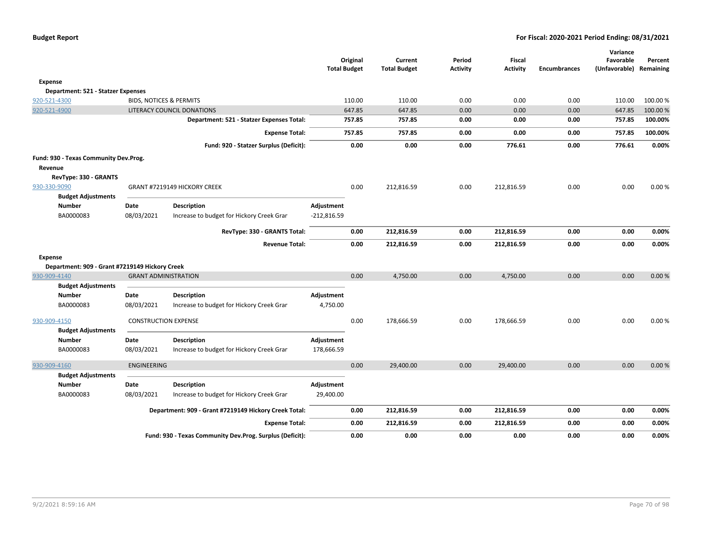|                                                      |                                    |                                                          | <b>Total Budget</b> | Original | Current<br><b>Total Budget</b> | Period<br><b>Activity</b> | Fiscal<br><b>Activity</b> | <b>Encumbrances</b> | Variance<br>Favorable<br>(Unfavorable) Remaining | Percent  |
|------------------------------------------------------|------------------------------------|----------------------------------------------------------|---------------------|----------|--------------------------------|---------------------------|---------------------------|---------------------|--------------------------------------------------|----------|
|                                                      |                                    |                                                          |                     |          |                                |                           |                           |                     |                                                  |          |
| <b>Expense</b><br>Department: 521 - Statzer Expenses |                                    |                                                          |                     |          |                                |                           |                           |                     |                                                  |          |
| 920-521-4300                                         | <b>BIDS, NOTICES &amp; PERMITS</b> |                                                          |                     | 110.00   | 110.00                         | 0.00                      | 0.00                      | 0.00                | 110.00                                           | 100.00 % |
| 920-521-4900                                         |                                    | LITERACY COUNCIL DONATIONS                               |                     | 647.85   | 647.85                         | 0.00                      | 0.00                      | 0.00                | 647.85                                           | 100.00%  |
|                                                      |                                    | Department: 521 - Statzer Expenses Total:                |                     | 757.85   | 757.85                         | 0.00                      | 0.00                      | 0.00                | 757.85                                           | 100.00%  |
|                                                      |                                    | <b>Expense Total:</b>                                    |                     | 757.85   | 757.85                         | 0.00                      | 0.00                      | 0.00                | 757.85                                           | 100.00%  |
|                                                      |                                    | Fund: 920 - Statzer Surplus (Deficit):                   |                     | 0.00     | 0.00                           | 0.00                      | 776.61                    | 0.00                | 776.61                                           | 0.00%    |
| Fund: 930 - Texas Community Dev.Prog.                |                                    |                                                          |                     |          |                                |                           |                           |                     |                                                  |          |
| Revenue                                              |                                    |                                                          |                     |          |                                |                           |                           |                     |                                                  |          |
| RevType: 330 - GRANTS                                |                                    |                                                          |                     |          |                                |                           |                           |                     |                                                  |          |
| 930-330-9090                                         |                                    | GRANT #7219149 HICKORY CREEK                             |                     | 0.00     | 212,816.59                     | 0.00                      | 212,816.59                | 0.00                | 0.00                                             | 0.00%    |
| <b>Budget Adjustments</b>                            |                                    |                                                          |                     |          |                                |                           |                           |                     |                                                  |          |
| Number                                               | Date                               | <b>Description</b>                                       | Adjustment          |          |                                |                           |                           |                     |                                                  |          |
| BA0000083                                            | 08/03/2021                         | Increase to budget for Hickory Creek Grar                | $-212,816.59$       |          |                                |                           |                           |                     |                                                  |          |
|                                                      |                                    | RevType: 330 - GRANTS Total:                             |                     | 0.00     | 212,816.59                     | 0.00                      | 212,816.59                | 0.00                | 0.00                                             | 0.00%    |
|                                                      |                                    | <b>Revenue Total:</b>                                    |                     | 0.00     | 212,816.59                     | 0.00                      | 212,816.59                | 0.00                | 0.00                                             | 0.00%    |
| <b>Expense</b>                                       |                                    |                                                          |                     |          |                                |                           |                           |                     |                                                  |          |
| Department: 909 - Grant #7219149 Hickory Creek       |                                    |                                                          |                     |          |                                |                           |                           |                     |                                                  |          |
| 930-909-4140                                         | <b>GRANT ADMINISTRATION</b>        |                                                          |                     | 0.00     | 4,750.00                       | 0.00                      | 4,750.00                  | 0.00                | 0.00                                             | 0.00%    |
| <b>Budget Adjustments</b>                            |                                    |                                                          |                     |          |                                |                           |                           |                     |                                                  |          |
| <b>Number</b>                                        | Date                               | <b>Description</b>                                       | Adjustment          |          |                                |                           |                           |                     |                                                  |          |
| BA0000083                                            | 08/03/2021                         | Increase to budget for Hickory Creek Grar                | 4,750.00            |          |                                |                           |                           |                     |                                                  |          |
| 930-909-4150                                         | <b>CONSTRUCTION EXPENSE</b>        |                                                          |                     | 0.00     | 178,666.59                     | 0.00                      | 178,666.59                | 0.00                | 0.00                                             | 0.00%    |
| <b>Budget Adjustments</b>                            |                                    |                                                          |                     |          |                                |                           |                           |                     |                                                  |          |
| <b>Number</b>                                        | Date                               | <b>Description</b>                                       | Adjustment          |          |                                |                           |                           |                     |                                                  |          |
| BA0000083                                            | 08/03/2021                         | Increase to budget for Hickory Creek Grar                | 178,666.59          |          |                                |                           |                           |                     |                                                  |          |
| 930-909-4160                                         | <b>ENGINEERING</b>                 |                                                          |                     | 0.00     | 29,400.00                      | 0.00                      | 29,400.00                 | 0.00                | 0.00                                             | 0.00%    |
| <b>Budget Adjustments</b>                            |                                    |                                                          |                     |          |                                |                           |                           |                     |                                                  |          |
| <b>Number</b>                                        | Date                               | <b>Description</b>                                       | Adjustment          |          |                                |                           |                           |                     |                                                  |          |
| BA0000083                                            | 08/03/2021                         | Increase to budget for Hickory Creek Grar                | 29,400.00           |          |                                |                           |                           |                     |                                                  |          |
|                                                      |                                    | Department: 909 - Grant #7219149 Hickory Creek Total:    |                     | 0.00     | 212,816.59                     | 0.00                      | 212,816.59                | 0.00                | 0.00                                             | 0.00%    |
|                                                      |                                    | <b>Expense Total:</b>                                    |                     | 0.00     | 212,816.59                     | 0.00                      | 212,816.59                | 0.00                | 0.00                                             | 0.00%    |
|                                                      |                                    | Fund: 930 - Texas Community Dev.Prog. Surplus (Deficit): |                     | 0.00     | 0.00                           | 0.00                      | 0.00                      | 0.00                | 0.00                                             | 0.00%    |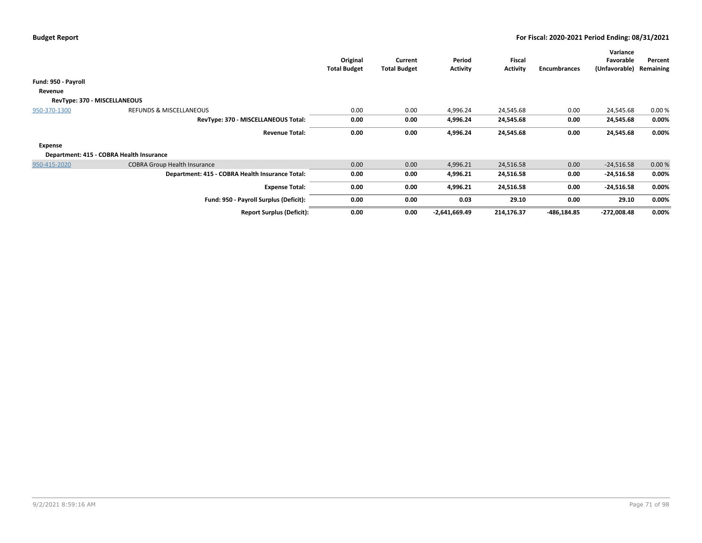|                              |                                                 | Original<br><b>Total Budget</b> | Current<br><b>Total Budget</b> | Period<br>Activity | Fiscal<br><b>Activity</b> | Encumbrances | Variance<br>Favorable<br>(Unfavorable) | Percent<br>Remaining |  |
|------------------------------|-------------------------------------------------|---------------------------------|--------------------------------|--------------------|---------------------------|--------------|----------------------------------------|----------------------|--|
| Fund: 950 - Payroll          |                                                 |                                 |                                |                    |                           |              |                                        |                      |  |
| Revenue                      |                                                 |                                 |                                |                    |                           |              |                                        |                      |  |
| RevType: 370 - MISCELLANEOUS |                                                 |                                 |                                |                    |                           |              |                                        |                      |  |
| 950-370-1300                 | <b>REFUNDS &amp; MISCELLANEOUS</b>              | 0.00                            | 0.00                           | 4,996.24           | 24,545.68                 | 0.00         | 24,545.68                              | 0.00%                |  |
|                              | RevType: 370 - MISCELLANEOUS Total:             | 0.00                            | 0.00                           | 4,996.24           | 24,545.68                 | 0.00         | 24,545.68                              | 0.00%                |  |
|                              | <b>Revenue Total:</b>                           | 0.00                            | 0.00                           | 4,996.24           | 24,545.68                 | 0.00         | 24,545.68                              | 0.00%                |  |
| <b>Expense</b>               |                                                 |                                 |                                |                    |                           |              |                                        |                      |  |
|                              | Department: 415 - COBRA Health Insurance        |                                 |                                |                    |                           |              |                                        |                      |  |
| 950-415-2020                 | <b>COBRA Group Health Insurance</b>             | 0.00                            | 0.00                           | 4,996.21           | 24,516.58                 | 0.00         | $-24,516.58$                           | 0.00%                |  |
|                              | Department: 415 - COBRA Health Insurance Total: | 0.00                            | 0.00                           | 4,996.21           | 24,516.58                 | 0.00         | $-24,516.58$                           | 0.00%                |  |
|                              | <b>Expense Total:</b>                           | 0.00                            | 0.00                           | 4,996.21           | 24,516.58                 | 0.00         | $-24,516.58$                           | 0.00%                |  |
|                              | Fund: 950 - Payroll Surplus (Deficit):          | 0.00                            | 0.00                           | 0.03               | 29.10                     | 0.00         | 29.10                                  | 0.00%                |  |
|                              | <b>Report Surplus (Deficit):</b>                | 0.00                            | 0.00                           | $-2,641,669.49$    | 214,176.37                | -486,184.85  | $-272,008.48$                          | 0.00%                |  |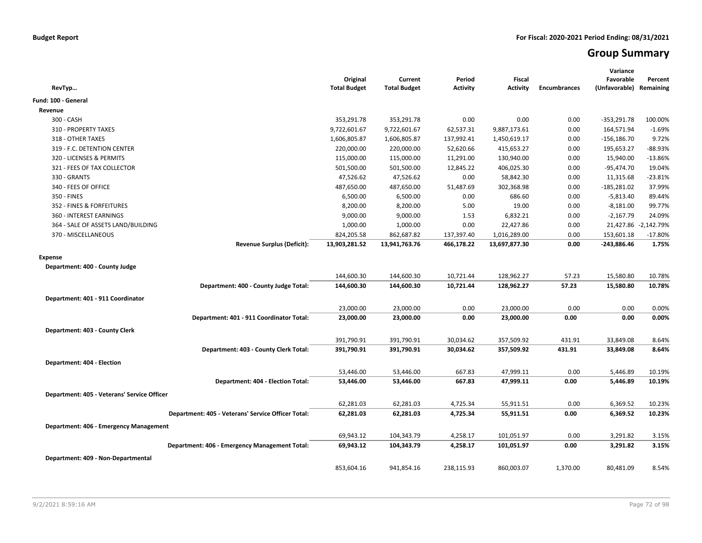# **Group Summary**

| RevTyp                                             | Original<br><b>Total Budget</b> | Current<br><b>Total Budget</b> | Period<br><b>Activity</b> | <b>Fiscal</b><br>Activity | <b>Encumbrances</b> | Variance<br>Favorable<br>(Unfavorable) Remaining | Percent              |
|----------------------------------------------------|---------------------------------|--------------------------------|---------------------------|---------------------------|---------------------|--------------------------------------------------|----------------------|
| Fund: 100 - General                                |                                 |                                |                           |                           |                     |                                                  |                      |
| Revenue                                            |                                 |                                |                           |                           |                     |                                                  |                      |
| 300 - CASH                                         | 353,291.78                      | 353,291.78                     | 0.00                      | 0.00                      | 0.00                | $-353,291.78$                                    | 100.00%              |
| 310 - PROPERTY TAXES                               | 9,722,601.67                    | 9,722,601.67                   | 62,537.31                 | 9,887,173.61              | 0.00                | 164,571.94                                       | $-1.69%$             |
| 318 - OTHER TAXES                                  | 1,606,805.87                    | 1,606,805.87                   | 137,992.41                | 1,450,619.17              | 0.00                | $-156, 186.70$                                   | 9.72%                |
| 319 - F.C. DETENTION CENTER                        | 220,000.00                      | 220,000.00                     | 52,620.66                 | 415,653.27                | 0.00                | 195,653.27                                       | $-88.93%$            |
| 320 - LICENSES & PERMITS                           | 115,000.00                      | 115,000.00                     | 11,291.00                 | 130,940.00                | 0.00                | 15,940.00                                        | -13.86%              |
| 321 - FEES OF TAX COLLECTOR                        | 501,500.00                      | 501,500.00                     | 12,845.22                 | 406,025.30                | 0.00                | -95,474.70                                       | 19.04%               |
| 330 - GRANTS                                       | 47,526.62                       | 47,526.62                      | 0.00                      | 58,842.30                 | 0.00                | 11,315.68                                        | $-23.81%$            |
| 340 - FEES OF OFFICE                               | 487,650.00                      | 487,650.00                     | 51,487.69                 | 302,368.98                | 0.00                | $-185,281.02$                                    | 37.99%               |
| 350 - FINES                                        | 6,500.00                        | 6,500.00                       | 0.00                      | 686.60                    | 0.00                | $-5,813.40$                                      | 89.44%               |
| 352 - FINES & FORFEITURES                          | 8,200.00                        | 8,200.00                       | 5.00                      | 19.00                     | 0.00                | $-8,181.00$                                      | 99.77%               |
| 360 - INTEREST EARNINGS                            | 9,000.00                        | 9,000.00                       | 1.53                      | 6,832.21                  | 0.00                | $-2,167.79$                                      | 24.09%               |
| 364 - SALE OF ASSETS LAND/BUILDING                 | 1,000.00                        | 1,000.00                       | 0.00                      | 22,427.86                 | 0.00                |                                                  | 21,427.86 -2,142.79% |
| 370 - MISCELLANEOUS                                | 824,205.58                      | 862,687.82                     | 137,397.40                | 1,016,289.00              | 0.00                | 153,601.18                                       | $-17.80%$            |
| <b>Revenue Surplus (Deficit):</b>                  | 13,903,281.52                   | 13,941,763.76                  | 466,178.22                | 13,697,877.30             | 0.00                | -243,886.46                                      | 1.75%                |
| <b>Expense</b>                                     |                                 |                                |                           |                           |                     |                                                  |                      |
| Department: 400 - County Judge                     |                                 |                                |                           |                           |                     |                                                  |                      |
|                                                    | 144,600.30                      | 144,600.30                     | 10,721.44                 | 128,962.27                | 57.23               | 15,580.80                                        | 10.78%               |
| Department: 400 - County Judge Total:              | 144,600.30                      | 144,600.30                     | 10,721.44                 | 128,962.27                | 57.23               | 15,580.80                                        | 10.78%               |
|                                                    |                                 |                                |                           |                           |                     |                                                  |                      |
| Department: 401 - 911 Coordinator                  |                                 |                                |                           |                           |                     |                                                  |                      |
|                                                    | 23,000.00                       | 23,000.00                      | 0.00                      | 23,000.00                 | 0.00                | 0.00                                             | 0.00%                |
| Department: 401 - 911 Coordinator Total:           | 23,000.00                       | 23,000.00                      | 0.00                      | 23,000.00                 | 0.00                | 0.00                                             | 0.00%                |
| Department: 403 - County Clerk                     |                                 |                                |                           |                           |                     |                                                  |                      |
|                                                    | 391,790.91                      | 391,790.91                     | 30,034.62                 | 357,509.92                | 431.91              | 33,849.08                                        | 8.64%                |
| Department: 403 - County Clerk Total:              | 391,790.91                      | 391,790.91                     | 30,034.62                 | 357,509.92                | 431.91              | 33,849.08                                        | 8.64%                |
| Department: 404 - Election                         |                                 |                                |                           |                           |                     |                                                  |                      |
|                                                    | 53,446.00                       | 53,446.00                      | 667.83                    | 47,999.11                 | 0.00                | 5,446.89                                         | 10.19%               |
| Department: 404 - Election Total:                  | 53,446.00                       | 53,446.00                      | 667.83                    | 47,999.11                 | 0.00                | 5,446.89                                         | 10.19%               |
|                                                    |                                 |                                |                           |                           |                     |                                                  |                      |
| Department: 405 - Veterans' Service Officer        |                                 |                                |                           |                           |                     |                                                  |                      |
| Department: 405 - Veterans' Service Officer Total: | 62,281.03                       | 62,281.03                      | 4,725.34<br>4,725.34      | 55,911.51<br>55,911.51    | 0.00<br>0.00        | 6,369.52<br>6,369.52                             | 10.23%<br>10.23%     |
|                                                    | 62,281.03                       | 62,281.03                      |                           |                           |                     |                                                  |                      |
| Department: 406 - Emergency Management             |                                 |                                |                           |                           |                     |                                                  |                      |
|                                                    | 69,943.12                       | 104,343.79                     | 4,258.17                  | 101,051.97                | 0.00                | 3,291.82                                         | 3.15%                |
| Department: 406 - Emergency Management Total:      | 69,943.12                       | 104,343.79                     | 4,258.17                  | 101,051.97                | 0.00                | 3,291.82                                         | 3.15%                |
| Department: 409 - Non-Departmental                 |                                 |                                |                           |                           |                     |                                                  |                      |
|                                                    | 853,604.16                      | 941,854.16                     | 238,115.93                | 860,003.07                | 1,370.00            | 80,481.09                                        | 8.54%                |
|                                                    |                                 |                                |                           |                           |                     |                                                  |                      |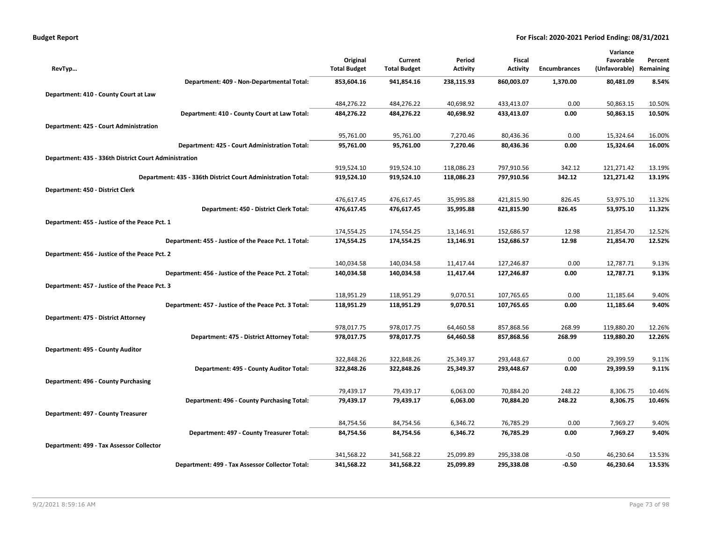| <b>Budget Report</b> |
|----------------------|
|----------------------|

|                                                              |                     |                     |                 |                 |                     | Variance      |           |
|--------------------------------------------------------------|---------------------|---------------------|-----------------|-----------------|---------------------|---------------|-----------|
|                                                              | Original            | Current             | Period          | Fiscal          |                     | Favorable     | Percent   |
| RevTyp                                                       | <b>Total Budget</b> | <b>Total Budget</b> | <b>Activity</b> | <b>Activity</b> | <b>Encumbrances</b> | (Unfavorable) | Remaining |
| Department: 409 - Non-Departmental Total:                    | 853,604.16          | 941,854.16          | 238,115.93      | 860,003.07      | 1,370.00            | 80,481.09     | 8.54%     |
| Department: 410 - County Court at Law                        |                     |                     |                 |                 |                     |               |           |
|                                                              | 484,276.22          | 484,276.22          | 40,698.92       | 433,413.07      | 0.00                | 50,863.15     | 10.50%    |
| Department: 410 - County Court at Law Total:                 | 484,276.22          | 484,276.22          | 40,698.92       | 433,413.07      | 0.00                | 50,863.15     | 10.50%    |
| Department: 425 - Court Administration                       |                     |                     |                 |                 |                     |               |           |
|                                                              | 95,761.00           | 95,761.00           | 7,270.46        | 80,436.36       | 0.00                | 15,324.64     | 16.00%    |
| Department: 425 - Court Administration Total:                | 95,761.00           | 95,761.00           | 7,270.46        | 80,436.36       | 0.00                | 15,324.64     | 16.00%    |
| Department: 435 - 336th District Court Administration        |                     |                     |                 |                 |                     |               |           |
|                                                              | 919,524.10          | 919,524.10          | 118,086.23      | 797,910.56      | 342.12              | 121,271.42    | 13.19%    |
| Department: 435 - 336th District Court Administration Total: | 919,524.10          | 919,524.10          | 118,086.23      | 797,910.56      | 342.12              | 121,271.42    | 13.19%    |
| Department: 450 - District Clerk                             |                     |                     |                 |                 |                     |               |           |
|                                                              | 476,617.45          | 476,617.45          | 35,995.88       | 421,815.90      | 826.45              | 53,975.10     | 11.32%    |
| Department: 450 - District Clerk Total:                      | 476,617.45          | 476,617.45          | 35,995.88       | 421,815.90      | 826.45              | 53,975.10     | 11.32%    |
| Department: 455 - Justice of the Peace Pct. 1                |                     |                     |                 |                 |                     |               |           |
|                                                              | 174,554.25          | 174,554.25          | 13,146.91       | 152,686.57      | 12.98               | 21,854.70     | 12.52%    |
| Department: 455 - Justice of the Peace Pct. 1 Total:         | 174,554.25          | 174,554.25          | 13,146.91       | 152,686.57      | 12.98               | 21,854.70     | 12.52%    |
| Department: 456 - Justice of the Peace Pct. 2                |                     |                     |                 |                 |                     |               |           |
|                                                              | 140,034.58          | 140,034.58          | 11,417.44       | 127,246.87      | 0.00                | 12,787.71     | 9.13%     |
| Department: 456 - Justice of the Peace Pct. 2 Total:         | 140,034.58          | 140,034.58          | 11,417.44       | 127,246.87      | 0.00                | 12,787.71     | 9.13%     |
| Department: 457 - Justice of the Peace Pct. 3                |                     |                     |                 |                 |                     |               |           |
|                                                              | 118,951.29          | 118,951.29          | 9,070.51        | 107,765.65      | 0.00                | 11,185.64     | 9.40%     |
| Department: 457 - Justice of the Peace Pct. 3 Total:         | 118,951.29          | 118,951.29          | 9,070.51        | 107,765.65      | 0.00                | 11,185.64     | 9.40%     |
| Department: 475 - District Attorney                          |                     |                     |                 |                 |                     |               |           |
|                                                              | 978,017.75          | 978,017.75          | 64,460.58       | 857,868.56      | 268.99              | 119,880.20    | 12.26%    |
| Department: 475 - District Attorney Total:                   | 978,017.75          | 978,017.75          | 64,460.58       | 857,868.56      | 268.99              | 119,880.20    | 12.26%    |
| Department: 495 - County Auditor                             |                     |                     |                 |                 |                     |               |           |
|                                                              | 322,848.26          | 322,848.26          | 25,349.37       | 293,448.67      | 0.00                | 29,399.59     | 9.11%     |
| Department: 495 - County Auditor Total:                      | 322,848.26          | 322,848.26          | 25,349.37       | 293,448.67      | 0.00                | 29,399.59     | 9.11%     |
| Department: 496 - County Purchasing                          |                     |                     |                 |                 |                     |               |           |
|                                                              | 79,439.17           | 79,439.17           | 6,063.00        | 70,884.20       | 248.22              | 8,306.75      | 10.46%    |
| Department: 496 - County Purchasing Total:                   | 79,439.17           | 79,439.17           | 6,063.00        | 70,884.20       | 248.22              | 8,306.75      | 10.46%    |
| Department: 497 - County Treasurer                           |                     |                     |                 |                 |                     |               |           |
|                                                              | 84,754.56           | 84,754.56           | 6,346.72        | 76,785.29       | 0.00                | 7,969.27      | 9.40%     |
| Department: 497 - County Treasurer Total:                    | 84,754.56           | 84,754.56           | 6,346.72        | 76,785.29       | 0.00                | 7,969.27      | 9.40%     |
| Department: 499 - Tax Assessor Collector                     |                     |                     |                 |                 |                     |               |           |
|                                                              | 341,568.22          | 341,568.22          | 25,099.89       | 295,338.08      | $-0.50$             | 46,230.64     | 13.53%    |
| Department: 499 - Tax Assessor Collector Total:              | 341,568.22          | 341,568.22          | 25,099.89       | 295,338.08      | $-0.50$             | 46,230.64     | 13.53%    |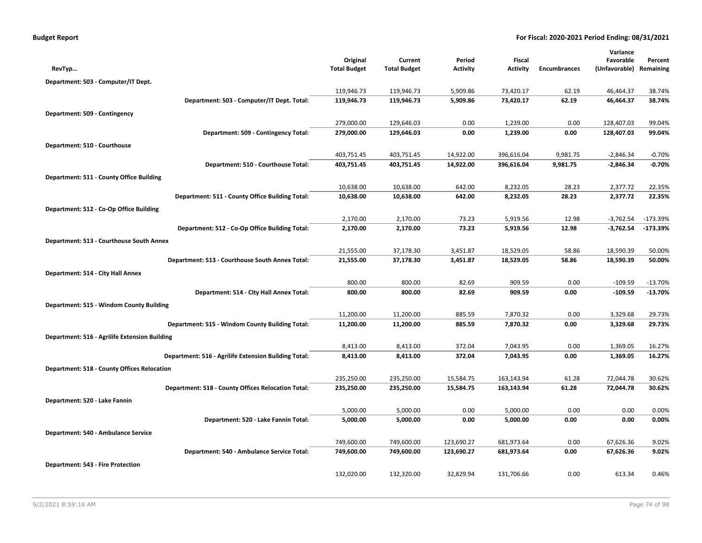|                                                      |                                 |                                |                           |                           |                     | Variance                             |                        |
|------------------------------------------------------|---------------------------------|--------------------------------|---------------------------|---------------------------|---------------------|--------------------------------------|------------------------|
| RevTyp                                               | Original<br><b>Total Budget</b> | Current<br><b>Total Budget</b> | Period<br><b>Activity</b> | Fiscal<br><b>Activity</b> | <b>Encumbrances</b> | Favorable<br>(Unfavorable) Remaining | Percent                |
|                                                      |                                 |                                |                           |                           |                     |                                      |                        |
| Department: 503 - Computer/IT Dept.                  | 119,946.73                      | 119,946.73                     | 5,909.86                  | 73,420.17                 | 62.19               | 46,464.37                            | 38.74%                 |
| Department: 503 - Computer/IT Dept. Total:           | 119,946.73                      | 119,946.73                     | 5,909.86                  | 73,420.17                 | 62.19               | 46,464.37                            | 38.74%                 |
|                                                      |                                 |                                |                           |                           |                     |                                      |                        |
| Department: 509 - Contingency                        | 279,000.00                      | 129,646.03                     | 0.00                      | 1,239.00                  | 0.00                | 128,407.03                           | 99.04%                 |
| Department: 509 - Contingency Total:                 | 279,000.00                      | 129,646.03                     | 0.00                      | 1,239.00                  | 0.00                | 128,407.03                           | 99.04%                 |
|                                                      |                                 |                                |                           |                           |                     |                                      |                        |
| Department: 510 - Courthouse                         | 403,751.45                      | 403,751.45                     | 14,922.00                 | 396,616.04                | 9,981.75            | $-2,846.34$                          | $-0.70%$               |
| Department: 510 - Courthouse Total:                  | 403,751.45                      | 403,751.45                     | 14,922.00                 | 396,616.04                | 9,981.75            | $-2,846.34$                          | $-0.70%$               |
|                                                      |                                 |                                |                           |                           |                     |                                      |                        |
| Department: 511 - County Office Building             | 10,638.00                       | 10,638.00                      | 642.00                    | 8,232.05                  | 28.23               | 2,377.72                             | 22.35%                 |
| Department: 511 - County Office Building Total:      | 10,638.00                       | 10,638.00                      | 642.00                    | 8,232.05                  | 28.23               | 2,377.72                             | 22.35%                 |
|                                                      |                                 |                                |                           |                           |                     |                                      |                        |
| Department: 512 - Co-Op Office Building              | 2,170.00                        | 2,170.00                       | 73.23                     | 5,919.56                  | 12.98               | $-3,762.54$                          | $-173.39%$             |
| Department: 512 - Co-Op Office Building Total:       | 2,170.00                        | 2,170.00                       | 73.23                     | 5,919.56                  | 12.98               | $-3,762.54$                          | $-173.39%$             |
|                                                      |                                 |                                |                           |                           |                     |                                      |                        |
| Department: 513 - Courthouse South Annex             |                                 |                                |                           |                           |                     |                                      |                        |
| Department: 513 - Courthouse South Annex Total:      | 21,555.00<br>21,555.00          | 37,178.30<br>37,178.30         | 3,451.87<br>3,451.87      | 18,529.05<br>18,529.05    | 58.86<br>58.86      | 18,590.39<br>18,590.39               | 50.00%<br>50.00%       |
|                                                      |                                 |                                |                           |                           |                     |                                      |                        |
| Department: 514 - City Hall Annex                    |                                 |                                |                           |                           |                     |                                      |                        |
| Department: 514 - City Hall Annex Total:             | 800.00<br>800.00                | 800.00<br>800.00               | 82.69<br>82.69            | 909.59<br>909.59          | 0.00<br>0.00        | $-109.59$<br>$-109.59$               | $-13.70%$<br>$-13.70%$ |
|                                                      |                                 |                                |                           |                           |                     |                                      |                        |
| Department: 515 - Windom County Building             |                                 |                                |                           |                           |                     |                                      |                        |
| Department: 515 - Windom County Building Total:      | 11,200.00<br>11,200.00          | 11,200.00<br>11,200.00         | 885.59<br>885.59          | 7,870.32<br>7,870.32      | 0.00<br>0.00        | 3,329.68<br>3,329.68                 | 29.73%<br>29.73%       |
|                                                      |                                 |                                |                           |                           |                     |                                      |                        |
| Department: 516 - Agrilife Extension Building        |                                 |                                |                           |                           |                     |                                      |                        |
| Department: 516 - Agrilife Extension Building Total: | 8,413.00<br>8,413.00            | 8,413.00<br>8,413.00           | 372.04<br>372.04          | 7,043.95<br>7,043.95      | 0.00<br>0.00        | 1,369.05<br>1,369.05                 | 16.27%<br>16.27%       |
|                                                      |                                 |                                |                           |                           |                     |                                      |                        |
| <b>Department: 518 - County Offices Relocation</b>   |                                 |                                |                           |                           |                     |                                      |                        |
| Department: 518 - County Offices Relocation Total:   | 235,250.00<br>235,250.00        | 235,250.00<br>235,250.00       | 15,584.75<br>15,584.75    | 163,143.94<br>163,143.94  | 61.28<br>61.28      | 72,044.78<br>72,044.78               | 30.62%<br>30.62%       |
|                                                      |                                 |                                |                           |                           |                     |                                      |                        |
| Department: 520 - Lake Fannin                        |                                 |                                |                           |                           |                     |                                      |                        |
| Department: 520 - Lake Fannin Total:                 | 5,000.00<br>5,000.00            | 5,000.00<br>5,000.00           | 0.00<br>0.00              | 5,000.00<br>5,000.00      | 0.00<br>0.00        | 0.00<br>0.00                         | 0.00%<br>0.00%         |
|                                                      |                                 |                                |                           |                           |                     |                                      |                        |
| Department: 540 - Ambulance Service                  |                                 |                                |                           |                           |                     |                                      |                        |
| Department: 540 - Ambulance Service Total:           | 749,600.00<br>749,600.00        | 749,600.00<br>749,600.00       | 123,690.27<br>123,690.27  | 681,973.64<br>681,973.64  | 0.00<br>0.00        | 67,626.36<br>67,626.36               | 9.02%<br>9.02%         |
|                                                      |                                 |                                |                           |                           |                     |                                      |                        |
| <b>Department: 543 - Fire Protection</b>             |                                 |                                |                           |                           |                     |                                      |                        |
|                                                      | 132,020.00                      | 132,320.00                     | 32,829.94                 | 131,706.66                | 0.00                | 613.34                               | 0.46%                  |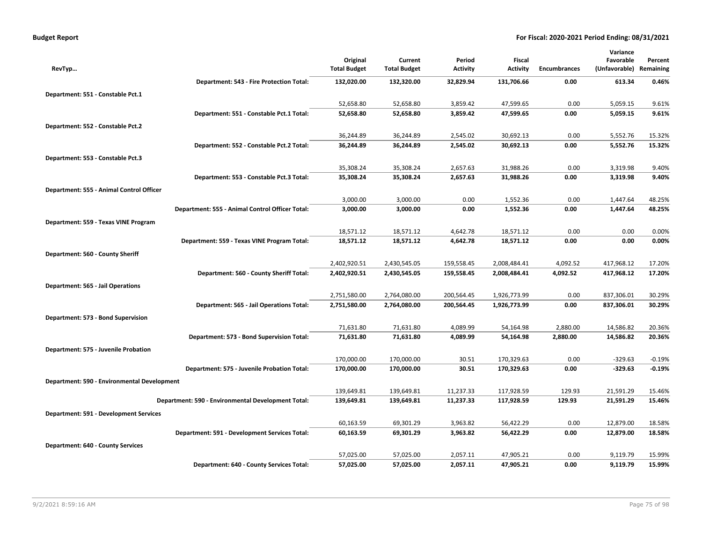| <b>Budget Report</b> |
|----------------------|
|----------------------|

|                                               |                                                    |                     |                     |                 |                 |                     | Variance      |           |
|-----------------------------------------------|----------------------------------------------------|---------------------|---------------------|-----------------|-----------------|---------------------|---------------|-----------|
|                                               |                                                    | Original            | Current             | Period          | Fiscal          |                     | Favorable     | Percent   |
| RevTyp                                        |                                                    | <b>Total Budget</b> | <b>Total Budget</b> | <b>Activity</b> | <b>Activity</b> | <b>Encumbrances</b> | (Unfavorable) | Remaining |
|                                               | Department: 543 - Fire Protection Total:           | 132,020.00          | 132,320.00          | 32,829.94       | 131,706.66      | 0.00                | 613.34        | 0.46%     |
| Department: 551 - Constable Pct.1             |                                                    |                     |                     |                 |                 |                     |               |           |
|                                               |                                                    | 52,658.80           | 52,658.80           | 3,859.42        | 47,599.65       | 0.00                | 5,059.15      | 9.61%     |
|                                               | Department: 551 - Constable Pct.1 Total:           | 52,658.80           | 52,658.80           | 3,859.42        | 47,599.65       | 0.00                | 5,059.15      | 9.61%     |
| Department: 552 - Constable Pct.2             |                                                    |                     |                     |                 |                 |                     |               |           |
|                                               |                                                    | 36,244.89           | 36,244.89           | 2,545.02        | 30,692.13       | 0.00                | 5,552.76      | 15.32%    |
|                                               | Department: 552 - Constable Pct.2 Total:           | 36,244.89           | 36,244.89           | 2,545.02        | 30,692.13       | 0.00                | 5,552.76      | 15.32%    |
| Department: 553 - Constable Pct.3             |                                                    |                     |                     |                 |                 |                     |               |           |
|                                               |                                                    | 35,308.24           | 35,308.24           | 2,657.63        | 31,988.26       | 0.00                | 3,319.98      | 9.40%     |
|                                               | Department: 553 - Constable Pct.3 Total:           | 35,308.24           | 35,308.24           | 2,657.63        | 31,988.26       | 0.00                | 3,319.98      | 9.40%     |
| Department: 555 - Animal Control Officer      |                                                    |                     |                     |                 |                 |                     |               |           |
|                                               |                                                    | 3,000.00            | 3,000.00            | 0.00            | 1,552.36        | 0.00                | 1,447.64      | 48.25%    |
|                                               | Department: 555 - Animal Control Officer Total:    | 3,000.00            | 3,000.00            | 0.00            | 1,552.36        | 0.00                | 1,447.64      | 48.25%    |
|                                               |                                                    |                     |                     |                 |                 |                     |               |           |
| Department: 559 - Texas VINE Program          |                                                    | 18,571.12           | 18,571.12           | 4,642.78        | 18,571.12       | 0.00                | 0.00          | 0.00%     |
|                                               | Department: 559 - Texas VINE Program Total:        | 18,571.12           | 18,571.12           | 4,642.78        | 18,571.12       | 0.00                | 0.00          | 0.00%     |
|                                               |                                                    |                     |                     |                 |                 |                     |               |           |
| Department: 560 - County Sheriff              |                                                    |                     |                     |                 |                 |                     |               |           |
|                                               |                                                    | 2,402,920.51        | 2,430,545.05        | 159,558.45      | 2,008,484.41    | 4,092.52            | 417,968.12    | 17.20%    |
|                                               | Department: 560 - County Sheriff Total:            | 2,402,920.51        | 2,430,545.05        | 159,558.45      | 2,008,484.41    | 4,092.52            | 417,968.12    | 17.20%    |
| Department: 565 - Jail Operations             |                                                    |                     |                     |                 |                 |                     |               |           |
|                                               |                                                    | 2,751,580.00        | 2,764,080.00        | 200,564.45      | 1,926,773.99    | 0.00                | 837,306.01    | 30.29%    |
|                                               | Department: 565 - Jail Operations Total:           | 2,751,580.00        | 2,764,080.00        | 200,564.45      | 1,926,773.99    | 0.00                | 837,306.01    | 30.29%    |
| Department: 573 - Bond Supervision            |                                                    |                     |                     |                 |                 |                     |               |           |
|                                               |                                                    | 71,631.80           | 71,631.80           | 4,089.99        | 54,164.98       | 2,880.00            | 14,586.82     | 20.36%    |
|                                               | Department: 573 - Bond Supervision Total:          | 71,631.80           | 71,631.80           | 4,089.99        | 54,164.98       | 2,880.00            | 14,586.82     | 20.36%    |
| Department: 575 - Juvenile Probation          |                                                    |                     |                     |                 |                 |                     |               |           |
|                                               |                                                    | 170,000.00          | 170,000.00          | 30.51           | 170,329.63      | 0.00                | $-329.63$     | $-0.19%$  |
|                                               | Department: 575 - Juvenile Probation Total:        | 170,000.00          | 170,000.00          | 30.51           | 170,329.63      | 0.00                | $-329.63$     | $-0.19%$  |
| Department: 590 - Environmental Development   |                                                    |                     |                     |                 |                 |                     |               |           |
|                                               |                                                    | 139,649.81          | 139,649.81          | 11,237.33       | 117,928.59      | 129.93              | 21,591.29     | 15.46%    |
|                                               | Department: 590 - Environmental Development Total: | 139,649.81          | 139,649.81          | 11,237.33       | 117,928.59      | 129.93              | 21,591.29     | 15.46%    |
| <b>Department: 591 - Development Services</b> |                                                    |                     |                     |                 |                 |                     |               |           |
|                                               |                                                    | 60,163.59           | 69,301.29           | 3,963.82        | 56,422.29       | 0.00                | 12,879.00     | 18.58%    |
|                                               | Department: 591 - Development Services Total:      | 60,163.59           | 69,301.29           | 3,963.82        | 56,422.29       | 0.00                | 12,879.00     | 18.58%    |
| <b>Department: 640 - County Services</b>      |                                                    |                     |                     |                 |                 |                     |               |           |
|                                               |                                                    | 57,025.00           | 57,025.00           | 2,057.11        | 47,905.21       | 0.00                | 9,119.79      | 15.99%    |
|                                               | Department: 640 - County Services Total:           | 57,025.00           | 57,025.00           | 2,057.11        | 47,905.21       | 0.00                | 9,119.79      | 15.99%    |
|                                               |                                                    |                     |                     |                 |                 |                     |               |           |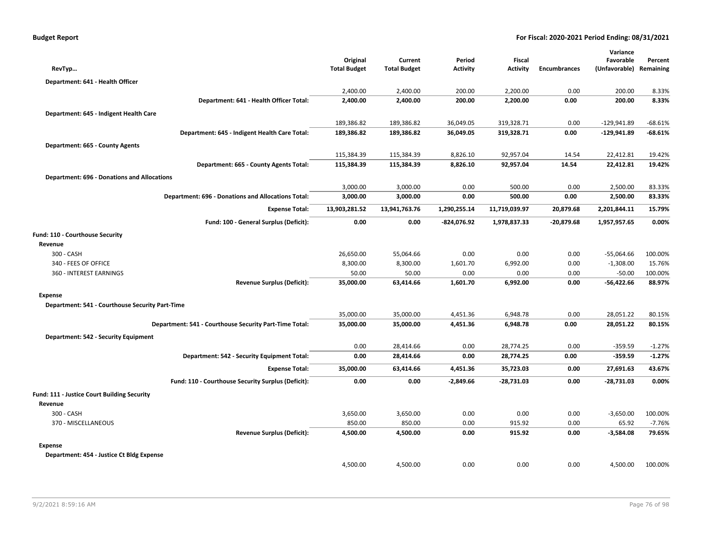| RevTyp                                                    | Original<br><b>Total Budget</b> | Current<br><b>Total Budget</b> | Period<br><b>Activity</b> | Fiscal<br><b>Activity</b> | <b>Encumbrances</b> | Variance<br>Favorable<br>(Unfavorable) | Percent<br>Remaining |
|-----------------------------------------------------------|---------------------------------|--------------------------------|---------------------------|---------------------------|---------------------|----------------------------------------|----------------------|
| Department: 641 - Health Officer                          |                                 |                                |                           |                           |                     |                                        |                      |
|                                                           | 2,400.00                        | 2,400.00                       | 200.00                    | 2,200.00                  | 0.00                | 200.00                                 | 8.33%                |
| Department: 641 - Health Officer Total:                   | 2,400.00                        | 2,400.00                       | 200.00                    | 2,200.00                  | 0.00                | 200.00                                 | 8.33%                |
| Department: 645 - Indigent Health Care                    |                                 |                                |                           |                           |                     |                                        |                      |
|                                                           | 189,386.82                      | 189,386.82                     | 36,049.05                 | 319,328.71                | 0.00                | $-129,941.89$                          | $-68.61%$            |
| Department: 645 - Indigent Health Care Total:             | 189,386.82                      | 189,386.82                     | 36,049.05                 | 319,328.71                | 0.00                | -129,941.89                            | $-68.61%$            |
| Department: 665 - County Agents                           |                                 |                                |                           |                           |                     |                                        |                      |
|                                                           | 115,384.39                      | 115,384.39                     | 8,826.10                  | 92,957.04                 | 14.54               | 22,412.81                              | 19.42%               |
| Department: 665 - County Agents Total:                    | 115,384.39                      | 115,384.39                     | 8,826.10                  | 92,957.04                 | 14.54               | 22,412.81                              | 19.42%               |
| <b>Department: 696 - Donations and Allocations</b>        |                                 |                                |                           |                           |                     |                                        |                      |
|                                                           | 3,000.00                        | 3,000.00                       | 0.00                      | 500.00                    | 0.00                | 2,500.00                               | 83.33%               |
| <b>Department: 696 - Donations and Allocations Total:</b> | 3,000.00                        | 3,000.00                       | 0.00                      | 500.00                    | 0.00                | 2,500.00                               | 83.33%               |
|                                                           |                                 |                                |                           |                           |                     |                                        |                      |
| <b>Expense Total:</b>                                     | 13,903,281.52                   | 13,941,763.76                  | 1,290,255.14              | 11,719,039.97             | 20,879.68           | 2,201,844.11                           | 15.79%               |
| Fund: 100 - General Surplus (Deficit):                    | 0.00                            | 0.00                           | -824,076.92               | 1,978,837.33              | $-20,879.68$        | 1,957,957.65                           | 0.00%                |
| Fund: 110 - Courthouse Security                           |                                 |                                |                           |                           |                     |                                        |                      |
| Revenue                                                   |                                 |                                |                           |                           |                     |                                        |                      |
| 300 - CASH                                                | 26,650.00                       | 55,064.66                      | 0.00                      | 0.00                      | 0.00                | $-55,064.66$                           | 100.00%              |
| 340 - FEES OF OFFICE                                      | 8,300.00                        | 8,300.00                       | 1,601.70                  | 6,992.00                  | 0.00                | $-1,308.00$                            | 15.76%               |
| 360 - INTEREST EARNINGS                                   | 50.00                           | 50.00                          | 0.00                      | 0.00                      | 0.00                | $-50.00$                               | 100.00%              |
| <b>Revenue Surplus (Deficit):</b>                         | 35,000.00                       | 63,414.66                      | 1,601.70                  | 6,992.00                  | 0.00                | $-56,422.66$                           | 88.97%               |
| <b>Expense</b>                                            |                                 |                                |                           |                           |                     |                                        |                      |
| Department: 541 - Courthouse Security Part-Time           |                                 |                                |                           |                           |                     |                                        |                      |
|                                                           | 35,000.00                       | 35,000.00                      | 4,451.36                  | 6,948.78                  | 0.00                | 28,051.22                              | 80.15%               |
| Department: 541 - Courthouse Security Part-Time Total:    | 35,000.00                       | 35,000.00                      | 4,451.36                  | 6,948.78                  | 0.00                | 28,051.22                              | 80.15%               |
| Department: 542 - Security Equipment                      |                                 |                                |                           |                           |                     |                                        |                      |
|                                                           | 0.00                            | 28,414.66                      | 0.00                      | 28,774.25                 | 0.00                | $-359.59$                              | $-1.27%$             |
| Department: 542 - Security Equipment Total:               | 0.00                            | 28,414.66                      | 0.00                      | 28,774.25                 | 0.00                | $-359.59$                              | $-1.27%$             |
| <b>Expense Total:</b>                                     | 35,000.00                       | 63,414.66                      | 4,451.36                  | 35,723.03                 | 0.00                | 27,691.63                              | 43.67%               |
| Fund: 110 - Courthouse Security Surplus (Deficit):        | 0.00                            | 0.00                           | $-2,849.66$               | $-28,731.03$              | 0.00                | $-28,731.03$                           | 0.00%                |
| Fund: 111 - Justice Court Building Security               |                                 |                                |                           |                           |                     |                                        |                      |
| Revenue                                                   |                                 |                                |                           |                           |                     |                                        |                      |
| 300 - CASH                                                | 3,650.00                        | 3,650.00                       | 0.00                      | 0.00                      | 0.00                | $-3,650.00$                            | 100.00%              |
| 370 - MISCELLANEOUS                                       | 850.00                          | 850.00                         | 0.00                      | 915.92                    | 0.00                | 65.92                                  | $-7.76%$             |
| <b>Revenue Surplus (Deficit):</b>                         | 4,500.00                        | 4,500.00                       | 0.00                      | 915.92                    | 0.00                | $-3,584.08$                            | 79.65%               |
| <b>Expense</b>                                            |                                 |                                |                           |                           |                     |                                        |                      |
| Department: 454 - Justice Ct Bldg Expense                 |                                 |                                |                           |                           |                     |                                        |                      |
|                                                           | 4,500.00                        | 4,500.00                       | 0.00                      | 0.00                      | 0.00                | 4,500.00                               | 100.00%              |
|                                                           |                                 |                                |                           |                           |                     |                                        |                      |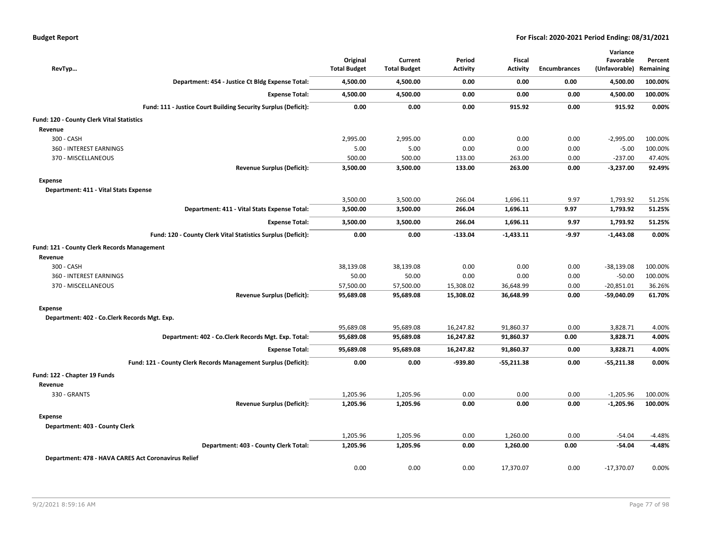| RevTyp                                              |                                                                | Original<br><b>Total Budget</b> | Current<br><b>Total Budget</b> | Period<br>Activity | Fiscal<br><b>Activity</b> | <b>Encumbrances</b> | Variance<br>Favorable<br>(Unfavorable) | Percent<br>Remaining |
|-----------------------------------------------------|----------------------------------------------------------------|---------------------------------|--------------------------------|--------------------|---------------------------|---------------------|----------------------------------------|----------------------|
|                                                     | Department: 454 - Justice Ct Bldg Expense Total:               | 4,500.00                        | 4,500.00                       | 0.00               | 0.00                      | 0.00                | 4,500.00                               | 100.00%              |
|                                                     | <b>Expense Total:</b>                                          | 4,500.00                        | 4,500.00                       | 0.00               | 0.00                      | 0.00                | 4,500.00                               | 100.00%              |
|                                                     | Fund: 111 - Justice Court Building Security Surplus (Deficit): | 0.00                            | 0.00                           | 0.00               | 915.92                    | 0.00                | 915.92                                 | 0.00%                |
| Fund: 120 - County Clerk Vital Statistics           |                                                                |                                 |                                |                    |                           |                     |                                        |                      |
| Revenue                                             |                                                                |                                 |                                |                    |                           |                     |                                        |                      |
| 300 - CASH                                          |                                                                | 2,995.00                        | 2,995.00                       | 0.00               | 0.00                      | 0.00                | $-2,995.00$                            | 100.00%              |
| 360 - INTEREST EARNINGS                             |                                                                | 5.00                            | 5.00                           | 0.00               | 0.00                      | 0.00                | $-5.00$                                | 100.00%              |
| 370 - MISCELLANEOUS                                 |                                                                | 500.00                          | 500.00                         | 133.00             | 263.00                    | 0.00                | $-237.00$                              | 47.40%               |
|                                                     | <b>Revenue Surplus (Deficit):</b>                              | 3,500.00                        | 3,500.00                       | 133.00             | 263.00                    | 0.00                | $-3,237.00$                            | 92.49%               |
| <b>Expense</b>                                      |                                                                |                                 |                                |                    |                           |                     |                                        |                      |
| Department: 411 - Vital Stats Expense               |                                                                |                                 |                                |                    |                           |                     |                                        |                      |
|                                                     |                                                                | 3,500.00                        | 3,500.00                       | 266.04             | 1,696.11                  | 9.97                | 1,793.92                               | 51.25%               |
|                                                     | Department: 411 - Vital Stats Expense Total:                   | 3,500.00                        | 3,500.00                       | 266.04             | 1,696.11                  | 9.97                | 1,793.92                               | 51.25%               |
|                                                     | <b>Expense Total:</b>                                          | 3,500.00                        | 3,500.00                       | 266.04             | 1,696.11                  | 9.97                | 1,793.92                               | 51.25%               |
|                                                     | Fund: 120 - County Clerk Vital Statistics Surplus (Deficit):   | 0.00                            | 0.00                           | $-133.04$          | $-1,433.11$               | $-9.97$             | $-1,443.08$                            | 0.00%                |
| Fund: 121 - County Clerk Records Management         |                                                                |                                 |                                |                    |                           |                     |                                        |                      |
| Revenue                                             |                                                                |                                 |                                |                    |                           |                     |                                        |                      |
| 300 - CASH                                          |                                                                | 38,139.08                       | 38,139.08                      | 0.00               | 0.00                      | 0.00                | -38,139.08                             | 100.00%              |
| 360 - INTEREST EARNINGS                             |                                                                | 50.00                           | 50.00                          | 0.00               | 0.00                      | 0.00                | $-50.00$                               | 100.00%              |
| 370 - MISCELLANEOUS                                 |                                                                | 57,500.00                       | 57,500.00                      | 15,308.02          | 36,648.99                 | 0.00                | $-20,851.01$                           | 36.26%               |
|                                                     | <b>Revenue Surplus (Deficit):</b>                              | 95,689.08                       | 95,689.08                      | 15,308.02          | 36,648.99                 | 0.00                | -59,040.09                             | 61.70%               |
| <b>Expense</b>                                      |                                                                |                                 |                                |                    |                           |                     |                                        |                      |
| Department: 402 - Co.Clerk Records Mgt. Exp.        |                                                                |                                 |                                |                    |                           |                     |                                        |                      |
|                                                     |                                                                | 95,689.08                       | 95,689.08                      | 16,247.82          | 91,860.37                 | 0.00                | 3,828.71                               | 4.00%                |
|                                                     | Department: 402 - Co.Clerk Records Mgt. Exp. Total:            | 95,689.08                       | 95,689.08                      | 16,247.82          | 91,860.37                 | 0.00                | 3,828.71                               | 4.00%                |
|                                                     | <b>Expense Total:</b>                                          | 95,689.08                       | 95,689.08                      | 16,247.82          | 91,860.37                 | 0.00                | 3,828.71                               | 4.00%                |
|                                                     | Fund: 121 - County Clerk Records Management Surplus (Deficit): | 0.00                            | 0.00                           | $-939.80$          | $-55,211.38$              | 0.00                | -55,211.38                             | 0.00%                |
| Fund: 122 - Chapter 19 Funds                        |                                                                |                                 |                                |                    |                           |                     |                                        |                      |
| Revenue                                             |                                                                |                                 |                                |                    |                           |                     |                                        |                      |
| 330 - GRANTS                                        |                                                                | 1,205.96                        | 1,205.96                       | 0.00               | 0.00                      | 0.00                | $-1,205.96$                            | 100.00%              |
|                                                     | <b>Revenue Surplus (Deficit):</b>                              | 1,205.96                        | 1,205.96                       | 0.00               | 0.00                      | 0.00                | $-1,205.96$                            | 100.00%              |
| <b>Expense</b>                                      |                                                                |                                 |                                |                    |                           |                     |                                        |                      |
| Department: 403 - County Clerk                      |                                                                |                                 |                                |                    |                           |                     |                                        |                      |
|                                                     |                                                                | 1,205.96                        | 1,205.96                       | 0.00               | 1,260.00                  | 0.00                | $-54.04$                               | $-4.48%$             |
|                                                     | Department: 403 - County Clerk Total:                          | 1,205.96                        | 1,205.96                       | 0.00               | 1,260.00                  | 0.00                | $-54.04$                               | $-4.48%$             |
| Department: 478 - HAVA CARES Act Coronavirus Relief |                                                                |                                 |                                |                    |                           |                     |                                        |                      |
|                                                     |                                                                | 0.00                            | 0.00                           | 0.00               | 17,370.07                 | 0.00                | $-17,370.07$                           | 0.00%                |
|                                                     |                                                                |                                 |                                |                    |                           |                     |                                        |                      |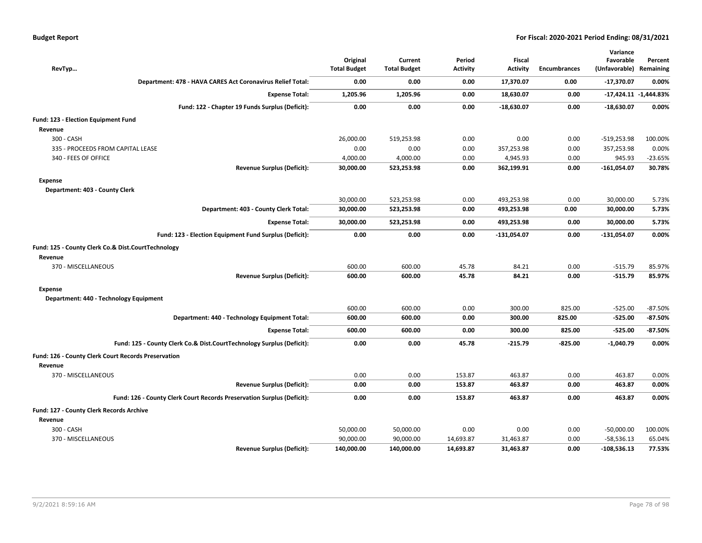| RevTyp                                                                 | Original<br><b>Total Budget</b> | Current<br><b>Total Budget</b> | Period<br><b>Activity</b> | Fiscal<br><b>Activity</b> | Encumbrances | Variance<br>Favorable<br>(Unfavorable) Remaining | Percent                   |
|------------------------------------------------------------------------|---------------------------------|--------------------------------|---------------------------|---------------------------|--------------|--------------------------------------------------|---------------------------|
| Department: 478 - HAVA CARES Act Coronavirus Relief Total:             | 0.00                            | 0.00                           | 0.00                      | 17,370.07                 | 0.00         | $-17,370.07$                                     | 0.00%                     |
| <b>Expense Total:</b>                                                  | 1,205.96                        | 1,205.96                       | 0.00                      | 18,630.07                 | 0.00         |                                                  | $-17,424.11$ $-1,444.83%$ |
| Fund: 122 - Chapter 19 Funds Surplus (Deficit):                        | 0.00                            | 0.00                           | 0.00                      | $-18,630.07$              | 0.00         | $-18,630.07$                                     | 0.00%                     |
| <b>Fund: 123 - Election Equipment Fund</b><br>Revenue                  |                                 |                                |                           |                           |              |                                                  |                           |
| 300 - CASH                                                             | 26,000.00                       | 519,253.98                     | 0.00                      | 0.00                      | 0.00         | $-519,253.98$                                    | 100.00%                   |
| 335 - PROCEEDS FROM CAPITAL LEASE                                      | 0.00                            | 0.00                           | 0.00                      | 357,253.98                | 0.00         | 357,253.98                                       | 0.00%                     |
| 340 - FEES OF OFFICE                                                   | 4,000.00                        | 4,000.00                       | 0.00                      | 4,945.93                  | 0.00         | 945.93                                           | $-23.65%$                 |
| <b>Revenue Surplus (Deficit):</b>                                      | 30,000.00                       | 523,253.98                     | 0.00                      | 362,199.91                | 0.00         | $-161,054.07$                                    | 30.78%                    |
| <b>Expense</b><br>Department: 403 - County Clerk                       |                                 |                                |                           |                           |              |                                                  |                           |
|                                                                        | 30,000.00                       | 523,253.98                     | 0.00                      | 493,253.98                | 0.00         | 30,000.00                                        | 5.73%                     |
| Department: 403 - County Clerk Total:                                  | 30,000.00                       | 523,253.98                     | 0.00                      | 493,253.98                | 0.00         | 30,000.00                                        | 5.73%                     |
| <b>Expense Total:</b>                                                  | 30,000.00                       | 523,253.98                     | 0.00                      | 493,253.98                | 0.00         | 30,000.00                                        | 5.73%                     |
| Fund: 123 - Election Equipment Fund Surplus (Deficit):                 | 0.00                            | 0.00                           | 0.00                      | $-131,054.07$             | 0.00         | $-131,054.07$                                    | 0.00%                     |
| Fund: 125 - County Clerk Co.& Dist.CourtTechnology<br>Revenue          |                                 |                                |                           |                           |              |                                                  |                           |
| 370 - MISCELLANEOUS                                                    | 600.00                          | 600.00                         | 45.78                     | 84.21                     | 0.00         | $-515.79$                                        | 85.97%                    |
| <b>Revenue Surplus (Deficit):</b>                                      | 600.00                          | 600.00                         | 45.78                     | 84.21                     | 0.00         | $-515.79$                                        | 85.97%                    |
| <b>Expense</b>                                                         |                                 |                                |                           |                           |              |                                                  |                           |
| Department: 440 - Technology Equipment                                 |                                 |                                |                           |                           |              |                                                  |                           |
|                                                                        | 600.00                          | 600.00                         | 0.00                      | 300.00                    | 825.00       | $-525.00$                                        | $-87.50%$                 |
| Department: 440 - Technology Equipment Total:                          | 600.00                          | 600.00                         | 0.00                      | 300.00                    | 825.00       | $-525.00$                                        | $-87.50%$                 |
| <b>Expense Total:</b>                                                  | 600.00                          | 600.00                         | 0.00                      | 300.00                    | 825.00       | $-525.00$                                        | $-87.50%$                 |
| Fund: 125 - County Clerk Co.& Dist.CourtTechnology Surplus (Deficit):  | 0.00                            | 0.00                           | 45.78                     | $-215.79$                 | $-825.00$    | $-1,040.79$                                      | 0.00%                     |
| Fund: 126 - County Clerk Court Records Preservation<br>Revenue         |                                 |                                |                           |                           |              |                                                  |                           |
| 370 - MISCELLANEOUS                                                    | 0.00                            | 0.00                           | 153.87                    | 463.87                    | 0.00         | 463.87                                           | 0.00%                     |
| <b>Revenue Surplus (Deficit):</b>                                      | 0.00                            | 0.00                           | 153.87                    | 463.87                    | 0.00         | 463.87                                           | 0.00%                     |
| Fund: 126 - County Clerk Court Records Preservation Surplus (Deficit): | 0.00                            | 0.00                           | 153.87                    | 463.87                    | 0.00         | 463.87                                           | 0.00%                     |
| Fund: 127 - County Clerk Records Archive                               |                                 |                                |                           |                           |              |                                                  |                           |
| Revenue                                                                |                                 |                                |                           |                           |              |                                                  |                           |
| 300 - CASH                                                             | 50,000.00                       | 50,000.00                      | 0.00                      | 0.00                      | 0.00         | $-50,000.00$                                     | 100.00%                   |
| 370 - MISCELLANEOUS                                                    | 90,000.00                       | 90,000.00                      | 14,693.87                 | 31,463.87                 | 0.00         | $-58,536.13$                                     | 65.04%                    |
| <b>Revenue Surplus (Deficit):</b>                                      | 140,000.00                      | 140,000.00                     | 14,693.87                 | 31.463.87                 | 0.00         | $-108,536.13$                                    | 77.53%                    |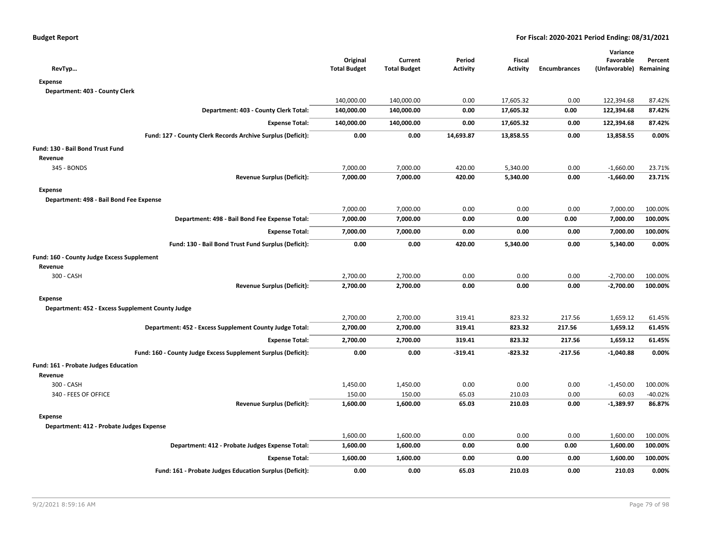| RevTyp                                                        | Original<br><b>Total Budget</b> | Current<br><b>Total Budget</b> | Period<br><b>Activity</b> | Fiscal<br><b>Activity</b> | <b>Encumbrances</b> | Variance<br>Favorable<br>(Unfavorable) Remaining | Percent   |
|---------------------------------------------------------------|---------------------------------|--------------------------------|---------------------------|---------------------------|---------------------|--------------------------------------------------|-----------|
| <b>Expense</b>                                                |                                 |                                |                           |                           |                     |                                                  |           |
| Department: 403 - County Clerk                                |                                 |                                |                           |                           |                     |                                                  |           |
|                                                               | 140,000.00                      | 140,000.00                     | 0.00                      | 17,605.32                 | 0.00                | 122,394.68                                       | 87.42%    |
| Department: 403 - County Clerk Total:                         | 140,000.00                      | 140,000.00                     | 0.00                      | 17,605.32                 | 0.00                | 122,394.68                                       | 87.42%    |
| <b>Expense Total:</b>                                         | 140,000.00                      | 140,000.00                     | 0.00                      | 17,605.32                 | 0.00                | 122,394.68                                       | 87.42%    |
| Fund: 127 - County Clerk Records Archive Surplus (Deficit):   | 0.00                            | 0.00                           | 14,693.87                 | 13,858.55                 | 0.00                | 13,858.55                                        | 0.00%     |
| Fund: 130 - Bail Bond Trust Fund                              |                                 |                                |                           |                           |                     |                                                  |           |
| Revenue                                                       |                                 |                                |                           |                           |                     |                                                  |           |
| 345 - BONDS                                                   | 7,000.00                        | 7,000.00                       | 420.00                    | 5,340.00                  | 0.00                | $-1,660.00$                                      | 23.71%    |
| <b>Revenue Surplus (Deficit):</b>                             | 7,000.00                        | 7,000.00                       | 420.00                    | 5,340.00                  | 0.00                | $-1,660.00$                                      | 23.71%    |
| <b>Expense</b>                                                |                                 |                                |                           |                           |                     |                                                  |           |
| Department: 498 - Bail Bond Fee Expense                       |                                 |                                |                           |                           |                     |                                                  |           |
|                                                               | 7,000.00                        | 7,000.00                       | 0.00                      | 0.00                      | 0.00                | 7,000.00                                         | 100.00%   |
| Department: 498 - Bail Bond Fee Expense Total:                | 7,000.00                        | 7,000.00                       | 0.00                      | 0.00                      | 0.00                | 7,000.00                                         | 100.00%   |
| <b>Expense Total:</b>                                         | 7,000.00                        | 7,000.00                       | 0.00                      | 0.00                      | 0.00                | 7,000.00                                         | 100.00%   |
| Fund: 130 - Bail Bond Trust Fund Surplus (Deficit):           | 0.00                            | 0.00                           | 420.00                    | 5,340.00                  | 0.00                | 5,340.00                                         | 0.00%     |
| Fund: 160 - County Judge Excess Supplement                    |                                 |                                |                           |                           |                     |                                                  |           |
| Revenue                                                       |                                 |                                |                           |                           |                     |                                                  |           |
| 300 - CASH                                                    | 2,700.00                        | 2,700.00                       | 0.00                      | 0.00                      | 0.00                | $-2,700.00$                                      | 100.00%   |
| <b>Revenue Surplus (Deficit):</b>                             | 2,700.00                        | 2,700.00                       | 0.00                      | 0.00                      | 0.00                | $-2,700.00$                                      | 100.00%   |
| <b>Expense</b>                                                |                                 |                                |                           |                           |                     |                                                  |           |
| Department: 452 - Excess Supplement County Judge              |                                 |                                |                           |                           |                     |                                                  |           |
|                                                               | 2,700.00                        | 2,700.00                       | 319.41                    | 823.32                    | 217.56              | 1,659.12                                         | 61.45%    |
| Department: 452 - Excess Supplement County Judge Total:       | 2,700.00                        | 2,700.00                       | 319.41                    | 823.32                    | 217.56              | 1,659.12                                         | 61.45%    |
| <b>Expense Total:</b>                                         | 2,700.00                        | 2,700.00                       | 319.41                    | 823.32                    | 217.56              | 1,659.12                                         | 61.45%    |
| Fund: 160 - County Judge Excess Supplement Surplus (Deficit): | 0.00                            | 0.00                           | $-319.41$                 | -823.32                   | $-217.56$           | $-1,040.88$                                      | 0.00%     |
| <b>Fund: 161 - Probate Judges Education</b>                   |                                 |                                |                           |                           |                     |                                                  |           |
| Revenue                                                       |                                 |                                |                           |                           |                     |                                                  |           |
| 300 - CASH                                                    | 1,450.00                        | 1,450.00                       | 0.00                      | 0.00                      | 0.00                | $-1,450.00$                                      | 100.00%   |
| 340 - FEES OF OFFICE                                          | 150.00                          | 150.00                         | 65.03                     | 210.03                    | 0.00                | 60.03                                            | $-40.02%$ |
| <b>Revenue Surplus (Deficit):</b>                             | 1,600.00                        | 1,600.00                       | 65.03                     | 210.03                    | 0.00                | $-1,389.97$                                      | 86.87%    |
| <b>Expense</b>                                                |                                 |                                |                           |                           |                     |                                                  |           |
| Department: 412 - Probate Judges Expense                      |                                 |                                |                           |                           |                     |                                                  |           |
|                                                               | 1,600.00                        | 1,600.00                       | 0.00                      | 0.00                      | 0.00                | 1,600.00                                         | 100.00%   |
| Department: 412 - Probate Judges Expense Total:               | 1,600.00                        | 1,600.00                       | 0.00                      | 0.00                      | 0.00                | 1,600.00                                         | 100.00%   |
| <b>Expense Total:</b>                                         | 1,600.00                        | 1,600.00                       | 0.00                      | 0.00                      | 0.00                | 1,600.00                                         | 100.00%   |
| Fund: 161 - Probate Judges Education Surplus (Deficit):       | 0.00                            | 0.00                           | 65.03                     | 210.03                    | 0.00                | 210.03                                           | 0.00%     |
|                                                               |                                 |                                |                           |                           |                     |                                                  |           |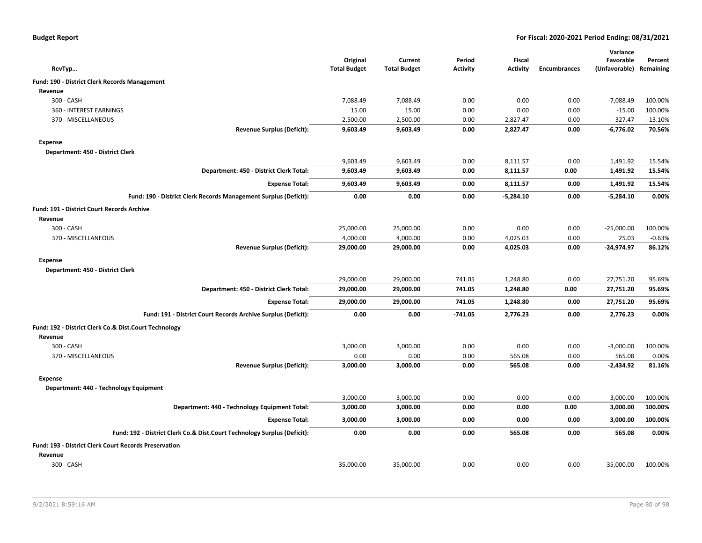|  |  |  | <b>Budget Report</b> |
|--|--|--|----------------------|
|--|--|--|----------------------|

|                                                                          |                      |                      |                 |                      |                     | Variance              |                     |
|--------------------------------------------------------------------------|----------------------|----------------------|-----------------|----------------------|---------------------|-----------------------|---------------------|
|                                                                          | Original             | Current              | Period          | Fiscal               |                     | Favorable             | Percent             |
| RevTyp                                                                   | <b>Total Budget</b>  | <b>Total Budget</b>  | <b>Activity</b> | <b>Activity</b>      | <b>Encumbrances</b> | (Unfavorable)         | Remaining           |
| Fund: 190 - District Clerk Records Management                            |                      |                      |                 |                      |                     |                       |                     |
| Revenue                                                                  |                      |                      |                 |                      |                     |                       |                     |
| 300 - CASH                                                               | 7,088.49             | 7,088.49             | 0.00            | 0.00                 | 0.00                | $-7,088.49$           | 100.00%             |
| 360 - INTEREST EARNINGS                                                  | 15.00                | 15.00                | 0.00            | 0.00                 | 0.00                | $-15.00$              | 100.00%             |
| 370 - MISCELLANEOUS<br><b>Revenue Surplus (Deficit):</b>                 | 2,500.00<br>9,603.49 | 2,500.00<br>9,603.49 | 0.00<br>0.00    | 2,827.47<br>2,827.47 | 0.00<br>0.00        | 327.47<br>$-6,776.02$ | $-13.10%$<br>70.56% |
|                                                                          |                      |                      |                 |                      |                     |                       |                     |
| <b>Expense</b>                                                           |                      |                      |                 |                      |                     |                       |                     |
| Department: 450 - District Clerk                                         |                      |                      |                 |                      |                     |                       |                     |
|                                                                          | 9,603.49             | 9,603.49             | 0.00            | 8,111.57             | 0.00                | 1,491.92              | 15.54%              |
| Department: 450 - District Clerk Total:                                  | 9,603.49             | 9,603.49             | 0.00            | 8,111.57             | 0.00                | 1,491.92              | 15.54%              |
| <b>Expense Total:</b>                                                    | 9,603.49             | 9,603.49             | 0.00            | 8,111.57             | 0.00                | 1,491.92              | 15.54%              |
| Fund: 190 - District Clerk Records Management Surplus (Deficit):         | 0.00                 | 0.00                 | 0.00            | $-5,284.10$          | 0.00                | $-5,284.10$           | 0.00%               |
| <b>Fund: 191 - District Court Records Archive</b>                        |                      |                      |                 |                      |                     |                       |                     |
| Revenue                                                                  |                      |                      |                 |                      |                     |                       |                     |
| 300 - CASH                                                               | 25,000.00            | 25,000.00            | 0.00            | 0.00                 | 0.00                | $-25,000.00$          | 100.00%             |
| 370 - MISCELLANEOUS                                                      | 4,000.00             | 4,000.00             | 0.00            | 4,025.03             | 0.00                | 25.03                 | $-0.63%$            |
| <b>Revenue Surplus (Deficit):</b>                                        | 29,000.00            | 29,000.00            | 0.00            | 4,025.03             | 0.00                | $-24,974.97$          | 86.12%              |
| <b>Expense</b>                                                           |                      |                      |                 |                      |                     |                       |                     |
| Department: 450 - District Clerk                                         |                      |                      |                 |                      |                     |                       |                     |
|                                                                          | 29,000.00            | 29,000.00            | 741.05          | 1,248.80             | 0.00                | 27,751.20             | 95.69%              |
| Department: 450 - District Clerk Total:                                  | 29,000.00            | 29,000.00            | 741.05          | 1,248.80             | 0.00                | 27,751.20             | 95.69%              |
| <b>Expense Total:</b>                                                    | 29,000.00            | 29,000.00            | 741.05          | 1,248.80             | 0.00                | 27,751.20             | 95.69%              |
| Fund: 191 - District Court Records Archive Surplus (Deficit):            | 0.00                 | 0.00                 | $-741.05$       | 2,776.23             | 0.00                | 2,776.23              | 0.00%               |
| Fund: 192 - District Clerk Co.& Dist.Court Technology                    |                      |                      |                 |                      |                     |                       |                     |
| Revenue                                                                  |                      |                      |                 |                      |                     |                       |                     |
| 300 - CASH                                                               | 3,000.00             | 3,000.00             | 0.00            | 0.00                 | 0.00                | $-3,000.00$           | 100.00%             |
| 370 - MISCELLANEOUS                                                      | 0.00                 | 0.00                 | 0.00            | 565.08               | 0.00                | 565.08                | 0.00%               |
| <b>Revenue Surplus (Deficit):</b>                                        | 3,000.00             | 3,000.00             | 0.00            | 565.08               | 0.00                | $-2,434.92$           | 81.16%              |
| <b>Expense</b>                                                           |                      |                      |                 |                      |                     |                       |                     |
| Department: 440 - Technology Equipment                                   |                      |                      |                 |                      |                     |                       |                     |
|                                                                          | 3,000.00             | 3,000.00             | 0.00            | 0.00                 | 0.00                | 3,000.00              | 100.00%             |
| Department: 440 - Technology Equipment Total:                            | 3,000.00             | 3,000.00             | 0.00            | 0.00                 | 0.00                | 3,000.00              | 100.00%             |
| <b>Expense Total:</b>                                                    | 3,000.00             | 3,000.00             | 0.00            | 0.00                 | 0.00                | 3,000.00              | 100.00%             |
| Fund: 192 - District Clerk Co.& Dist.Court Technology Surplus (Deficit): | 0.00                 | 0.00                 | 0.00            | 565.08               | 0.00                | 565.08                | 0.00%               |
| <b>Fund: 193 - District Clerk Court Records Preservation</b>             |                      |                      |                 |                      |                     |                       |                     |
| Revenue                                                                  |                      |                      |                 |                      |                     |                       |                     |
| 300 - CASH                                                               | 35,000.00            | 35,000.00            | 0.00            | 0.00                 | 0.00                | $-35,000.00$          | 100.00%             |
|                                                                          |                      |                      |                 |                      |                     |                       |                     |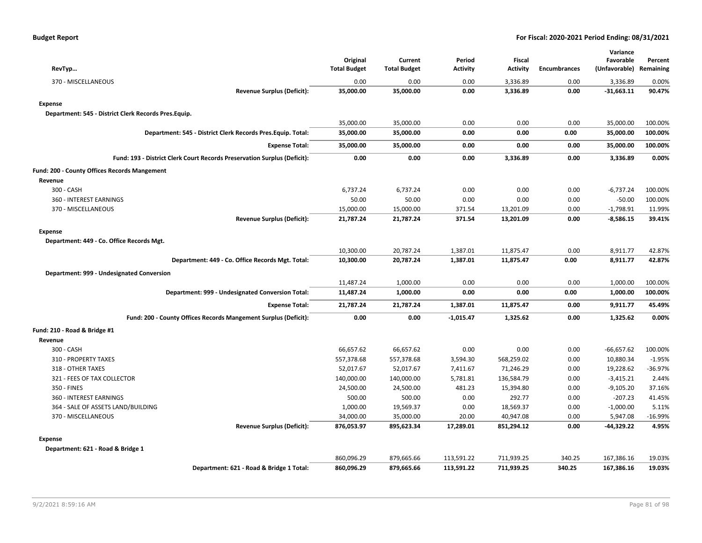| RevTyp                                                                   | Original<br><b>Total Budget</b> | Current<br><b>Total Budget</b> | Period<br><b>Activity</b> | <b>Fiscal</b><br><b>Activity</b> | <b>Encumbrances</b> | Variance<br>Favorable<br>(Unfavorable) Remaining | Percent  |
|--------------------------------------------------------------------------|---------------------------------|--------------------------------|---------------------------|----------------------------------|---------------------|--------------------------------------------------|----------|
| 370 - MISCELLANEOUS                                                      | 0.00                            | 0.00                           | 0.00                      | 3,336.89                         | 0.00                | 3,336.89                                         | 0.00%    |
| <b>Revenue Surplus (Deficit):</b>                                        | 35,000.00                       | 35,000.00                      | 0.00                      | 3,336.89                         | 0.00                | $-31,663.11$                                     | 90.47%   |
| <b>Expense</b>                                                           |                                 |                                |                           |                                  |                     |                                                  |          |
| Department: 545 - District Clerk Records Pres.Equip.                     |                                 |                                |                           |                                  |                     |                                                  |          |
|                                                                          | 35,000.00                       | 35,000.00                      | 0.00                      | 0.00                             | 0.00                | 35,000.00                                        | 100.00%  |
| Department: 545 - District Clerk Records Pres. Equip. Total:             | 35,000.00                       | 35,000.00                      | 0.00                      | 0.00                             | 0.00                | 35,000.00                                        | 100.00%  |
| <b>Expense Total:</b>                                                    | 35,000.00                       | 35,000.00                      | 0.00                      | 0.00                             | 0.00                | 35,000.00                                        | 100.00%  |
|                                                                          |                                 |                                |                           |                                  |                     |                                                  |          |
| Fund: 193 - District Clerk Court Records Preservation Surplus (Deficit): | 0.00                            | 0.00                           | 0.00                      | 3,336.89                         | 0.00                | 3,336.89                                         | 0.00%    |
| Fund: 200 - County Offices Records Mangement                             |                                 |                                |                           |                                  |                     |                                                  |          |
| Revenue                                                                  |                                 |                                |                           |                                  |                     |                                                  |          |
| 300 - CASH                                                               | 6,737.24                        | 6,737.24                       | 0.00                      | 0.00                             | 0.00                | $-6,737.24$                                      | 100.00%  |
| 360 - INTEREST EARNINGS                                                  | 50.00                           | 50.00                          | 0.00                      | 0.00                             | 0.00                | $-50.00$                                         | 100.00%  |
| 370 - MISCELLANEOUS                                                      | 15,000.00                       | 15,000.00                      | 371.54                    | 13,201.09                        | 0.00                | $-1,798.91$                                      | 11.99%   |
| <b>Revenue Surplus (Deficit):</b>                                        | 21,787.24                       | 21,787.24                      | 371.54                    | 13,201.09                        | 0.00                | $-8,586.15$                                      | 39.41%   |
| <b>Expense</b>                                                           |                                 |                                |                           |                                  |                     |                                                  |          |
| Department: 449 - Co. Office Records Mgt.                                |                                 |                                |                           |                                  |                     |                                                  |          |
|                                                                          | 10,300.00                       | 20,787.24                      | 1,387.01                  | 11,875.47                        | 0.00                | 8,911.77                                         | 42.87%   |
| Department: 449 - Co. Office Records Mgt. Total:                         | 10,300.00                       | 20,787.24                      | 1,387.01                  | 11,875.47                        | 0.00                | 8,911.77                                         | 42.87%   |
| Department: 999 - Undesignated Conversion                                |                                 |                                |                           |                                  |                     |                                                  |          |
|                                                                          | 11,487.24                       | 1,000.00                       | 0.00                      | 0.00                             | 0.00                | 1,000.00                                         | 100.00%  |
| Department: 999 - Undesignated Conversion Total:                         | 11,487.24                       | 1,000.00                       | 0.00                      | 0.00                             | 0.00                | 1,000.00                                         | 100.00%  |
| <b>Expense Total:</b>                                                    | 21,787.24                       | 21,787.24                      | 1,387.01                  | 11,875.47                        | 0.00                | 9,911.77                                         | 45.49%   |
| Fund: 200 - County Offices Records Mangement Surplus (Deficit):          | 0.00                            | 0.00                           | $-1,015.47$               | 1,325.62                         | 0.00                | 1,325.62                                         | 0.00%    |
| Fund: 210 - Road & Bridge #1                                             |                                 |                                |                           |                                  |                     |                                                  |          |
| Revenue                                                                  |                                 |                                |                           |                                  |                     |                                                  |          |
| 300 - CASH                                                               | 66,657.62                       | 66,657.62                      | 0.00                      | 0.00                             | 0.00                | $-66,657.62$                                     | 100.00%  |
| 310 - PROPERTY TAXES                                                     | 557,378.68                      | 557,378.68                     | 3,594.30                  | 568,259.02                       | 0.00                | 10,880.34                                        | $-1.95%$ |
| 318 - OTHER TAXES                                                        | 52,017.67                       | 52,017.67                      | 7,411.67                  | 71,246.29                        | 0.00                | 19,228.62                                        | -36.97%  |
| 321 - FEES OF TAX COLLECTOR                                              | 140,000.00                      | 140,000.00                     | 5,781.81                  | 136,584.79                       | 0.00                | $-3,415.21$                                      | 2.44%    |
| 350 - FINES                                                              | 24,500.00                       | 24,500.00                      | 481.23                    | 15,394.80                        | 0.00                | $-9,105.20$                                      | 37.16%   |
| 360 - INTEREST EARNINGS                                                  | 500.00                          | 500.00                         | 0.00                      | 292.77                           | 0.00                | $-207.23$                                        | 41.45%   |
| 364 - SALE OF ASSETS LAND/BUILDING                                       | 1,000.00                        | 19,569.37                      | 0.00                      | 18,569.37                        | 0.00                | $-1,000.00$                                      | 5.11%    |
| 370 - MISCELLANEOUS                                                      | 34,000.00                       | 35,000.00                      | 20.00                     | 40,947.08                        | 0.00                | 5,947.08                                         | -16.99%  |
| <b>Revenue Surplus (Deficit):</b>                                        | 876,053.97                      | 895,623.34                     | 17,289.01                 | 851,294.12                       | 0.00                | -44,329.22                                       | 4.95%    |
| <b>Expense</b>                                                           |                                 |                                |                           |                                  |                     |                                                  |          |
| Department: 621 - Road & Bridge 1                                        |                                 |                                |                           |                                  |                     |                                                  |          |
|                                                                          | 860,096.29                      | 879,665.66                     | 113,591.22                | 711,939.25                       | 340.25              | 167,386.16                                       | 19.03%   |
| Department: 621 - Road & Bridge 1 Total:                                 | 860,096.29                      | 879,665.66                     | 113,591.22                | 711,939.25                       | 340.25              | 167,386.16                                       | 19.03%   |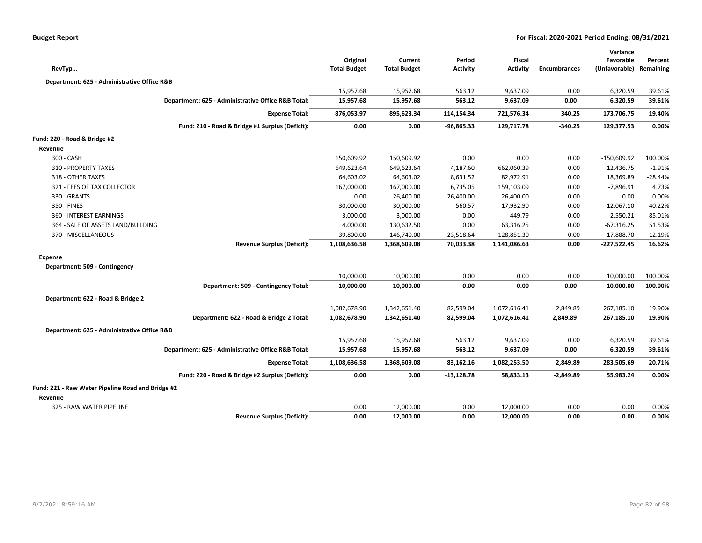| RevTyp                                            |                                                    | Original<br><b>Total Budget</b> | Current<br><b>Total Budget</b> | Period<br><b>Activity</b> | <b>Fiscal</b><br><b>Activity</b> | <b>Encumbrances</b> | Variance<br>Favorable<br>(Unfavorable) Remaining | Percent          |
|---------------------------------------------------|----------------------------------------------------|---------------------------------|--------------------------------|---------------------------|----------------------------------|---------------------|--------------------------------------------------|------------------|
|                                                   |                                                    |                                 |                                |                           |                                  |                     |                                                  |                  |
| Department: 625 - Administrative Office R&B       |                                                    |                                 |                                |                           |                                  |                     |                                                  |                  |
|                                                   | Department: 625 - Administrative Office R&B Total: | 15,957.68<br>15,957.68          | 15,957.68<br>15,957.68         | 563.12<br>563.12          | 9,637.09<br>9,637.09             | 0.00<br>0.00        | 6,320.59<br>6,320.59                             | 39.61%<br>39.61% |
|                                                   |                                                    |                                 |                                |                           |                                  |                     |                                                  |                  |
|                                                   | <b>Expense Total:</b>                              | 876,053.97                      | 895,623.34                     | 114,154.34                | 721,576.34                       | 340.25              | 173,706.75                                       | 19.40%           |
|                                                   | Fund: 210 - Road & Bridge #1 Surplus (Deficit):    | 0.00                            | 0.00                           | $-96,865.33$              | 129,717.78                       | $-340.25$           | 129,377.53                                       | 0.00%            |
| Fund: 220 - Road & Bridge #2                      |                                                    |                                 |                                |                           |                                  |                     |                                                  |                  |
| Revenue                                           |                                                    |                                 |                                |                           |                                  |                     |                                                  |                  |
| 300 - CASH                                        |                                                    | 150,609.92                      | 150,609.92                     | 0.00                      | 0.00                             | 0.00                | $-150,609.92$                                    | 100.00%          |
| 310 - PROPERTY TAXES                              |                                                    | 649,623.64                      | 649,623.64                     | 4,187.60                  | 662,060.39                       | 0.00                | 12,436.75                                        | $-1.91%$         |
| 318 - OTHER TAXES                                 |                                                    | 64,603.02                       | 64,603.02                      | 8,631.52                  | 82,972.91                        | 0.00                | 18,369.89                                        | $-28.44%$        |
| 321 - FEES OF TAX COLLECTOR                       |                                                    | 167,000.00                      | 167,000.00                     | 6,735.05                  | 159,103.09                       | 0.00                | $-7,896.91$                                      | 4.73%            |
| 330 - GRANTS                                      |                                                    | 0.00                            | 26,400.00                      | 26,400.00                 | 26,400.00                        | 0.00                | 0.00                                             | 0.00%            |
| 350 - FINES                                       |                                                    | 30,000.00                       | 30,000.00                      | 560.57                    | 17,932.90                        | 0.00                | $-12,067.10$                                     | 40.22%           |
| 360 - INTEREST EARNINGS                           |                                                    | 3,000.00                        | 3,000.00                       | 0.00                      | 449.79                           | 0.00                | $-2,550.21$                                      | 85.01%           |
| 364 - SALE OF ASSETS LAND/BUILDING                |                                                    | 4,000.00                        | 130,632.50                     | 0.00                      | 63,316.25                        | 0.00                | $-67,316.25$                                     | 51.53%           |
| 370 - MISCELLANEOUS                               |                                                    | 39,800.00                       | 146,740.00                     | 23,518.64                 | 128,851.30                       | 0.00                | $-17,888.70$                                     | 12.19%           |
|                                                   | <b>Revenue Surplus (Deficit):</b>                  | 1,108,636.58                    | 1,368,609.08                   | 70,033.38                 | 1,141,086.63                     | 0.00                | $-227,522.45$                                    | 16.62%           |
| Expense                                           |                                                    |                                 |                                |                           |                                  |                     |                                                  |                  |
| Department: 509 - Contingency                     |                                                    |                                 |                                |                           |                                  |                     |                                                  |                  |
|                                                   |                                                    | 10,000.00                       | 10,000.00                      | 0.00                      | 0.00                             | 0.00                | 10,000.00                                        | 100.00%          |
|                                                   | Department: 509 - Contingency Total:               | 10,000.00                       | 10,000.00                      | 0.00                      | 0.00                             | 0.00                | 10,000.00                                        | 100.00%          |
| Department: 622 - Road & Bridge 2                 |                                                    |                                 |                                |                           |                                  |                     |                                                  |                  |
|                                                   |                                                    | 1,082,678.90                    | 1,342,651.40                   | 82,599.04                 | 1,072,616.41                     | 2,849.89            | 267,185.10                                       | 19.90%           |
|                                                   | Department: 622 - Road & Bridge 2 Total:           | 1,082,678.90                    | 1,342,651.40                   | 82,599.04                 | 1,072,616.41                     | 2,849.89            | 267,185.10                                       | 19.90%           |
| Department: 625 - Administrative Office R&B       |                                                    |                                 |                                |                           |                                  |                     |                                                  |                  |
|                                                   |                                                    | 15,957.68                       | 15,957.68                      | 563.12                    | 9,637.09                         | 0.00                | 6,320.59                                         | 39.61%           |
|                                                   | Department: 625 - Administrative Office R&B Total: | 15,957.68                       | 15,957.68                      | 563.12                    | 9,637.09                         | 0.00                | 6,320.59                                         | 39.61%           |
|                                                   | <b>Expense Total:</b>                              | 1,108,636.58                    | 1,368,609.08                   | 83,162.16                 | 1,082,253.50                     | 2,849.89            | 283,505.69                                       | 20.71%           |
|                                                   | Fund: 220 - Road & Bridge #2 Surplus (Deficit):    | 0.00                            | 0.00                           | $-13,128.78$              | 58,833.13                        | $-2,849.89$         | 55,983.24                                        | 0.00%            |
| Fund: 221 - Raw Water Pipeline Road and Bridge #2 |                                                    |                                 |                                |                           |                                  |                     |                                                  |                  |
| Revenue                                           |                                                    |                                 |                                |                           |                                  |                     |                                                  |                  |
| 325 - RAW WATER PIPELINE                          |                                                    | 0.00                            | 12,000.00                      | 0.00                      | 12,000.00                        | 0.00                | 0.00                                             | 0.00%            |
|                                                   | <b>Revenue Surplus (Deficit):</b>                  | 0.00                            | 12,000.00                      | 0.00                      | 12,000.00                        | 0.00                | 0.00                                             | 0.00%            |
|                                                   |                                                    |                                 |                                |                           |                                  |                     |                                                  |                  |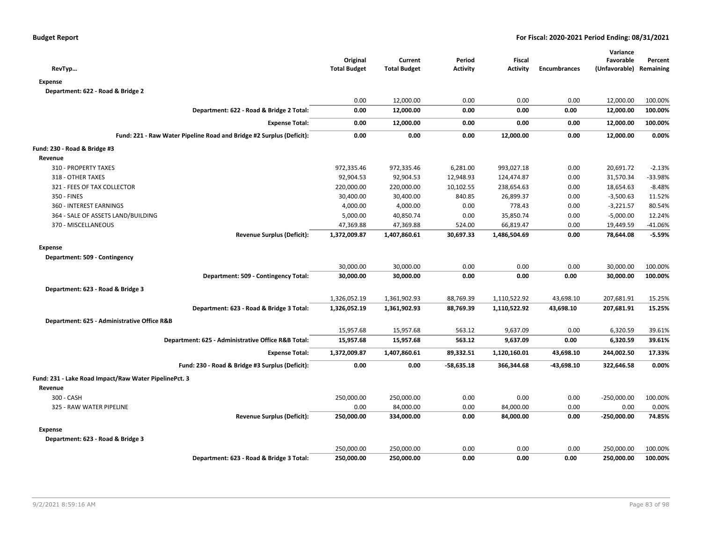| RevTyp                                                               | Original<br><b>Total Budget</b> | Current<br><b>Total Budget</b> | Period<br><b>Activity</b> | Fiscal<br><b>Activity</b> | <b>Encumbrances</b> | Variance<br>Favorable<br>(Unfavorable) Remaining | Percent   |
|----------------------------------------------------------------------|---------------------------------|--------------------------------|---------------------------|---------------------------|---------------------|--------------------------------------------------|-----------|
| <b>Expense</b>                                                       |                                 |                                |                           |                           |                     |                                                  |           |
| Department: 622 - Road & Bridge 2                                    |                                 |                                |                           |                           |                     |                                                  |           |
|                                                                      | 0.00                            | 12,000.00                      | 0.00                      | 0.00                      | 0.00                | 12,000.00                                        | 100.00%   |
| Department: 622 - Road & Bridge 2 Total:                             | 0.00                            | 12,000.00                      | 0.00                      | 0.00                      | 0.00                | 12,000.00                                        | 100.00%   |
| <b>Expense Total:</b>                                                | 0.00                            | 12,000.00                      | 0.00                      | 0.00                      | 0.00                | 12,000.00                                        | 100.00%   |
| Fund: 221 - Raw Water Pipeline Road and Bridge #2 Surplus (Deficit): | 0.00                            | 0.00                           | 0.00                      | 12,000.00                 | 0.00                | 12,000.00                                        | 0.00%     |
| Fund: 230 - Road & Bridge #3                                         |                                 |                                |                           |                           |                     |                                                  |           |
| Revenue                                                              |                                 |                                |                           |                           |                     |                                                  |           |
| 310 - PROPERTY TAXES                                                 | 972,335.46                      | 972,335.46                     | 6,281.00                  | 993,027.18                | 0.00                | 20,691.72                                        | $-2.13%$  |
| 318 - OTHER TAXES                                                    | 92,904.53                       | 92,904.53                      | 12,948.93                 | 124,474.87                | 0.00                | 31,570.34                                        | -33.98%   |
| 321 - FEES OF TAX COLLECTOR                                          | 220,000.00                      | 220,000.00                     | 10,102.55                 | 238,654.63                | 0.00                | 18,654.63                                        | $-8.48%$  |
| 350 - FINES                                                          | 30,400.00                       | 30,400.00                      | 840.85                    | 26,899.37                 | 0.00                | $-3,500.63$                                      | 11.52%    |
| 360 - INTEREST EARNINGS                                              | 4,000.00                        | 4,000.00                       | 0.00                      | 778.43                    | 0.00                | $-3,221.57$                                      | 80.54%    |
| 364 - SALE OF ASSETS LAND/BUILDING                                   | 5,000.00                        | 40,850.74                      | 0.00                      | 35,850.74                 | 0.00                | $-5,000.00$                                      | 12.24%    |
| 370 - MISCELLANEOUS                                                  | 47,369.88                       | 47,369.88                      | 524.00                    | 66,819.47                 | 0.00                | 19,449.59                                        | $-41.06%$ |
| <b>Revenue Surplus (Deficit):</b>                                    | 1,372,009.87                    | 1,407,860.61                   | 30,697.33                 | 1,486,504.69              | 0.00                | 78,644.08                                        | $-5.59%$  |
| <b>Expense</b>                                                       |                                 |                                |                           |                           |                     |                                                  |           |
| Department: 509 - Contingency                                        |                                 |                                |                           |                           |                     |                                                  |           |
|                                                                      | 30,000.00                       | 30,000.00                      | 0.00                      | 0.00                      | 0.00                | 30,000.00                                        | 100.00%   |
| Department: 509 - Contingency Total:                                 | 30,000.00                       | 30,000.00                      | 0.00                      | 0.00                      | 0.00                | 30,000.00                                        | 100.00%   |
| Department: 623 - Road & Bridge 3                                    |                                 |                                |                           |                           |                     |                                                  |           |
|                                                                      | 1,326,052.19                    | 1,361,902.93                   | 88,769.39                 | 1,110,522.92              | 43,698.10           | 207,681.91                                       | 15.25%    |
| Department: 623 - Road & Bridge 3 Total:                             | 1,326,052.19                    | 1,361,902.93                   | 88,769.39                 | 1,110,522.92              | 43,698.10           | 207,681.91                                       | 15.25%    |
| Department: 625 - Administrative Office R&B                          |                                 |                                |                           |                           |                     |                                                  |           |
|                                                                      | 15,957.68                       | 15,957.68                      | 563.12                    | 9,637.09                  | 0.00                | 6,320.59                                         | 39.61%    |
| Department: 625 - Administrative Office R&B Total:                   | 15,957.68                       | 15,957.68                      | 563.12                    | 9,637.09                  | 0.00                | 6,320.59                                         | 39.61%    |
| <b>Expense Total:</b>                                                | 1,372,009.87                    | 1,407,860.61                   | 89,332.51                 | 1,120,160.01              | 43,698.10           | 244,002.50                                       | 17.33%    |
| Fund: 230 - Road & Bridge #3 Surplus (Deficit):                      | 0.00                            | 0.00                           | $-58,635.18$              | 366,344.68                | $-43,698.10$        | 322,646.58                                       | 0.00%     |
| Fund: 231 - Lake Road Impact/Raw Water PipelinePct. 3                |                                 |                                |                           |                           |                     |                                                  |           |
| Revenue                                                              |                                 |                                |                           |                           |                     |                                                  |           |
| 300 - CASH                                                           | 250,000.00                      | 250,000.00                     | 0.00                      | 0.00                      | 0.00                | $-250,000.00$                                    | 100.00%   |
| 325 - RAW WATER PIPELINE                                             | 0.00                            | 84,000.00                      | 0.00                      | 84,000.00                 | 0.00                | 0.00                                             | 0.00%     |
| <b>Revenue Surplus (Deficit):</b>                                    | 250,000.00                      | 334,000.00                     | 0.00                      | 84,000.00                 | 0.00                | $-250,000.00$                                    | 74.85%    |
| <b>Expense</b>                                                       |                                 |                                |                           |                           |                     |                                                  |           |
| Department: 623 - Road & Bridge 3                                    |                                 |                                |                           |                           |                     |                                                  |           |
|                                                                      | 250,000.00                      | 250,000.00                     | 0.00                      | 0.00                      | 0.00                | 250,000.00                                       | 100.00%   |
| Department: 623 - Road & Bridge 3 Total:                             | 250,000.00                      | 250,000.00                     | 0.00                      | 0.00                      | 0.00                | 250,000.00                                       | 100.00%   |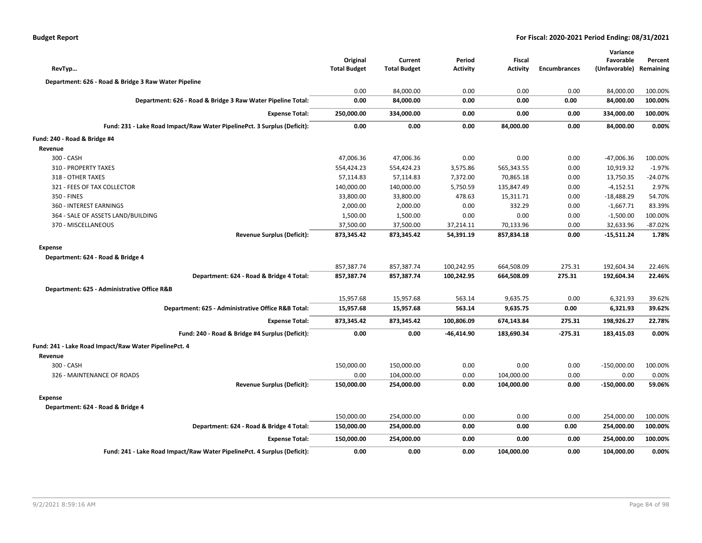| <b>Budget Report</b> |  |
|----------------------|--|
|----------------------|--|

| RevTyp                                                                   | Original<br><b>Total Budget</b> | Current<br><b>Total Budget</b> | Period<br><b>Activity</b> | <b>Fiscal</b><br><b>Activity</b> | <b>Encumbrances</b> | Variance<br>Favorable<br>(Unfavorable) | Percent<br>Remaining |
|--------------------------------------------------------------------------|---------------------------------|--------------------------------|---------------------------|----------------------------------|---------------------|----------------------------------------|----------------------|
| Department: 626 - Road & Bridge 3 Raw Water Pipeline                     |                                 |                                |                           |                                  |                     |                                        |                      |
|                                                                          | 0.00                            | 84,000.00                      | 0.00                      | 0.00                             | 0.00                | 84,000.00                              | 100.00%              |
| Department: 626 - Road & Bridge 3 Raw Water Pipeline Total:              | 0.00                            | 84,000.00                      | 0.00                      | 0.00                             | 0.00                | 84,000.00                              | 100.00%              |
| <b>Expense Total:</b>                                                    | 250,000.00                      | 334,000.00                     | 0.00                      | 0.00                             | 0.00                | 334,000.00                             | 100.00%              |
| Fund: 231 - Lake Road Impact/Raw Water PipelinePct. 3 Surplus (Deficit): | 0.00                            | 0.00                           | 0.00                      | 84,000.00                        | 0.00                | 84,000.00                              | 0.00%                |
| Fund: 240 - Road & Bridge #4                                             |                                 |                                |                           |                                  |                     |                                        |                      |
| Revenue                                                                  |                                 |                                |                           |                                  |                     |                                        |                      |
| 300 - CASH                                                               | 47,006.36                       | 47,006.36                      | 0.00                      | 0.00                             | 0.00                | -47,006.36                             | 100.00%              |
| 310 - PROPERTY TAXES                                                     | 554,424.23                      | 554,424.23                     | 3,575.86                  | 565,343.55                       | 0.00                | 10,919.32                              | $-1.97%$             |
| 318 - OTHER TAXES                                                        | 57,114.83                       | 57,114.83                      | 7,372.00                  | 70,865.18                        | 0.00                | 13,750.35                              | $-24.07%$            |
| 321 - FEES OF TAX COLLECTOR                                              | 140,000.00                      | 140,000.00                     | 5,750.59                  | 135,847.49                       | 0.00                | $-4,152.51$                            | 2.97%                |
| 350 - FINES                                                              | 33,800.00                       | 33,800.00                      | 478.63                    | 15,311.71                        | 0.00                | $-18,488.29$                           | 54.70%               |
| 360 - INTEREST EARNINGS                                                  | 2,000.00                        | 2,000.00                       | 0.00                      | 332.29                           | 0.00                | $-1,667.71$                            | 83.39%               |
| 364 - SALE OF ASSETS LAND/BUILDING                                       | 1,500.00                        | 1,500.00                       | 0.00                      | 0.00                             | 0.00                | $-1,500.00$                            | 100.00%              |
| 370 - MISCELLANEOUS                                                      | 37,500.00                       | 37,500.00                      | 37,214.11                 | 70,133.96                        | 0.00                | 32,633.96                              | $-87.02%$            |
| <b>Revenue Surplus (Deficit):</b>                                        | 873,345.42                      | 873,345.42                     | 54,391.19                 | 857,834.18                       | 0.00                | $-15,511.24$                           | 1.78%                |
| <b>Expense</b>                                                           |                                 |                                |                           |                                  |                     |                                        |                      |
| Department: 624 - Road & Bridge 4                                        |                                 |                                |                           |                                  |                     |                                        |                      |
|                                                                          | 857,387.74                      | 857,387.74                     | 100,242.95                | 664,508.09                       | 275.31              | 192,604.34                             | 22.46%               |
| Department: 624 - Road & Bridge 4 Total:                                 | 857,387.74                      | 857,387.74                     | 100,242.95                | 664,508.09                       | 275.31              | 192,604.34                             | 22.46%               |
| Department: 625 - Administrative Office R&B                              |                                 |                                |                           |                                  |                     |                                        |                      |
|                                                                          | 15,957.68                       | 15,957.68                      | 563.14                    | 9,635.75                         | 0.00                | 6,321.93                               | 39.62%               |
| Department: 625 - Administrative Office R&B Total:                       | 15,957.68                       | 15,957.68                      | 563.14                    | 9,635.75                         | 0.00                | 6,321.93                               | 39.62%               |
| <b>Expense Total:</b>                                                    | 873,345.42                      | 873,345.42                     | 100,806.09                | 674,143.84                       | 275.31              | 198,926.27                             | 22.78%               |
| Fund: 240 - Road & Bridge #4 Surplus (Deficit):                          | 0.00                            | 0.00                           | -46,414.90                | 183,690.34                       | $-275.31$           | 183,415.03                             | 0.00%                |
| Fund: 241 - Lake Road Impact/Raw Water PipelinePct. 4                    |                                 |                                |                           |                                  |                     |                                        |                      |
| Revenue                                                                  |                                 |                                |                           |                                  |                     |                                        |                      |
| 300 - CASH                                                               | 150,000.00                      | 150,000.00                     | 0.00                      | 0.00                             | 0.00                | $-150,000.00$                          | 100.00%              |
| 326 - MAINTENANCE OF ROADS                                               | 0.00                            | 104,000.00                     | 0.00                      | 104,000.00                       | 0.00                | 0.00                                   | 0.00%                |
| <b>Revenue Surplus (Deficit):</b>                                        | 150,000.00                      | 254,000.00                     | 0.00                      | 104,000.00                       | 0.00                | $-150,000.00$                          | 59.06%               |
| <b>Expense</b>                                                           |                                 |                                |                           |                                  |                     |                                        |                      |
| Department: 624 - Road & Bridge 4                                        |                                 |                                |                           |                                  |                     |                                        |                      |
|                                                                          | 150,000.00                      | 254,000.00                     | 0.00                      | 0.00                             | 0.00                | 254,000.00                             | 100.00%              |
| Department: 624 - Road & Bridge 4 Total:                                 | 150,000.00                      | 254,000.00                     | 0.00                      | 0.00                             | 0.00                | 254,000.00                             | 100.00%              |
| <b>Expense Total:</b>                                                    | 150,000.00                      | 254,000.00                     | 0.00                      | 0.00                             | 0.00                | 254,000.00                             | 100.00%              |
| Fund: 241 - Lake Road Impact/Raw Water PipelinePct. 4 Surplus (Deficit): | 0.00                            | 0.00                           | 0.00                      | 104,000.00                       | 0.00                | 104,000.00                             | 0.00%                |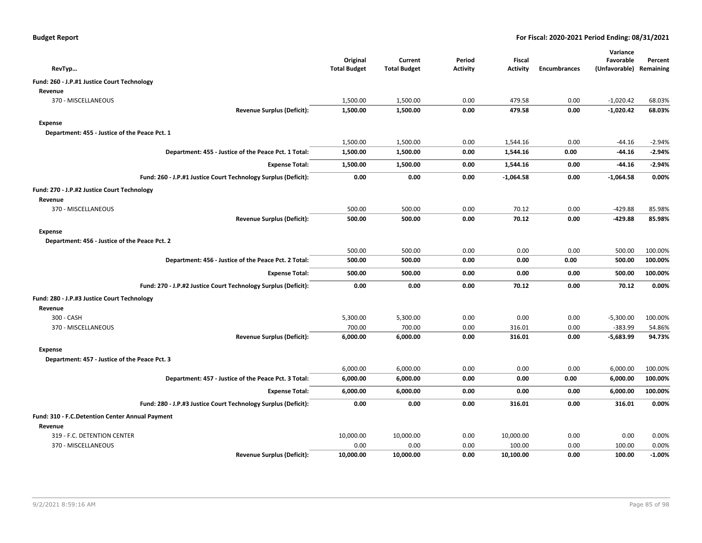| RevTyp                                          |                                                                | Original<br><b>Total Budget</b> | Current<br><b>Total Budget</b> | Period<br>Activity | <b>Fiscal</b><br><b>Activity</b> | <b>Encumbrances</b> | Variance<br>Favorable<br>(Unfavorable) Remaining | Percent  |
|-------------------------------------------------|----------------------------------------------------------------|---------------------------------|--------------------------------|--------------------|----------------------------------|---------------------|--------------------------------------------------|----------|
| Fund: 260 - J.P.#1 Justice Court Technology     |                                                                |                                 |                                |                    |                                  |                     |                                                  |          |
| Revenue                                         |                                                                |                                 |                                |                    |                                  |                     |                                                  |          |
| 370 - MISCELLANEOUS                             |                                                                | 1,500.00                        | 1,500.00                       | 0.00               | 479.58                           | 0.00                | $-1,020.42$                                      | 68.03%   |
|                                                 | <b>Revenue Surplus (Deficit):</b>                              | 1,500.00                        | 1,500.00                       | 0.00               | 479.58                           | 0.00                | $-1,020.42$                                      | 68.03%   |
| Expense                                         |                                                                |                                 |                                |                    |                                  |                     |                                                  |          |
| Department: 455 - Justice of the Peace Pct. 1   |                                                                |                                 |                                |                    |                                  |                     |                                                  |          |
|                                                 |                                                                | 1,500.00                        | 1,500.00                       | 0.00               | 1,544.16                         | 0.00                | -44.16                                           | $-2.94%$ |
|                                                 | Department: 455 - Justice of the Peace Pct. 1 Total:           | 1,500.00                        | 1,500.00                       | 0.00               | 1,544.16                         | 0.00                | -44.16                                           | $-2.94%$ |
|                                                 | <b>Expense Total:</b>                                          | 1,500.00                        | 1,500.00                       | 0.00               | 1,544.16                         | 0.00                | -44.16                                           | $-2.94%$ |
|                                                 | Fund: 260 - J.P.#1 Justice Court Technology Surplus (Deficit): | 0.00                            | 0.00                           | 0.00               | $-1,064.58$                      | 0.00                | $-1,064.58$                                      | 0.00%    |
| Fund: 270 - J.P.#2 Justice Court Technology     |                                                                |                                 |                                |                    |                                  |                     |                                                  |          |
| Revenue                                         |                                                                |                                 |                                |                    |                                  |                     |                                                  |          |
| 370 - MISCELLANEOUS                             |                                                                | 500.00                          | 500.00                         | 0.00               | 70.12                            | 0.00                | $-429.88$                                        | 85.98%   |
|                                                 | <b>Revenue Surplus (Deficit):</b>                              | 500.00                          | 500.00                         | 0.00               | 70.12                            | 0.00                | $-429.88$                                        | 85.98%   |
| Expense                                         |                                                                |                                 |                                |                    |                                  |                     |                                                  |          |
| Department: 456 - Justice of the Peace Pct. 2   |                                                                |                                 |                                |                    |                                  |                     |                                                  |          |
|                                                 |                                                                | 500.00                          | 500.00                         | 0.00               | 0.00                             | 0.00                | 500.00                                           | 100.00%  |
|                                                 | Department: 456 - Justice of the Peace Pct. 2 Total:           | 500.00                          | 500.00                         | 0.00               | 0.00                             | 0.00                | 500.00                                           | 100.00%  |
|                                                 | <b>Expense Total:</b>                                          | 500.00                          | 500.00                         | 0.00               | 0.00                             | 0.00                | 500.00                                           | 100.00%  |
|                                                 | Fund: 270 - J.P.#2 Justice Court Technology Surplus (Deficit): | 0.00                            | 0.00                           | 0.00               | 70.12                            | 0.00                | 70.12                                            | 0.00%    |
| Fund: 280 - J.P.#3 Justice Court Technology     |                                                                |                                 |                                |                    |                                  |                     |                                                  |          |
| Revenue                                         |                                                                |                                 |                                |                    |                                  |                     |                                                  |          |
| 300 - CASH                                      |                                                                | 5,300.00                        | 5,300.00                       | 0.00               | 0.00                             | 0.00                | $-5,300.00$                                      | 100.00%  |
| 370 - MISCELLANEOUS                             |                                                                | 700.00                          | 700.00                         | 0.00               | 316.01                           | 0.00                | $-383.99$                                        | 54.86%   |
|                                                 | <b>Revenue Surplus (Deficit):</b>                              | 6,000.00                        | 6,000.00                       | 0.00               | 316.01                           | 0.00                | $-5,683.99$                                      | 94.73%   |
| <b>Expense</b>                                  |                                                                |                                 |                                |                    |                                  |                     |                                                  |          |
| Department: 457 - Justice of the Peace Pct. 3   |                                                                |                                 |                                |                    |                                  |                     |                                                  |          |
|                                                 |                                                                | 6,000.00                        | 6,000.00                       | 0.00               | 0.00                             | 0.00                | 6,000.00                                         | 100.00%  |
|                                                 | Department: 457 - Justice of the Peace Pct. 3 Total:           | 6,000.00                        | 6,000.00                       | 0.00               | 0.00                             | 0.00                | 6,000.00                                         | 100.00%  |
|                                                 | <b>Expense Total:</b>                                          | 6,000.00                        | 6,000.00                       | 0.00               | 0.00                             | 0.00                | 6,000.00                                         | 100.00%  |
|                                                 | Fund: 280 - J.P.#3 Justice Court Technology Surplus (Deficit): | 0.00                            | 0.00                           | 0.00               | 316.01                           | 0.00                | 316.01                                           | 0.00%    |
| Fund: 310 - F.C.Detention Center Annual Payment |                                                                |                                 |                                |                    |                                  |                     |                                                  |          |
| Revenue                                         |                                                                |                                 |                                |                    |                                  |                     |                                                  |          |
| 319 - F.C. DETENTION CENTER                     |                                                                | 10,000.00                       | 10,000.00                      | 0.00               | 10,000.00                        | 0.00                | 0.00                                             | 0.00%    |
| 370 - MISCELLANEOUS                             |                                                                | 0.00                            | 0.00                           | 0.00               | 100.00                           | 0.00                | 100.00                                           | 0.00%    |
|                                                 | <b>Revenue Surplus (Deficit):</b>                              | 10,000.00                       | 10,000.00                      | 0.00               | 10,100.00                        | 0.00                | 100.00                                           | $-1.00%$ |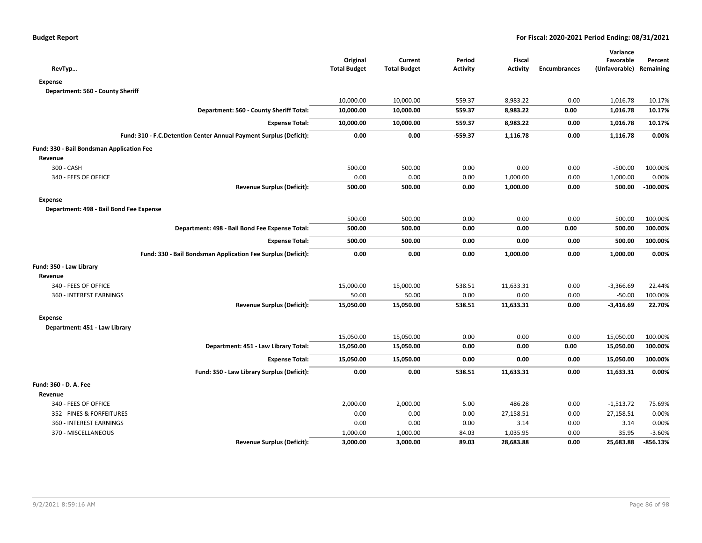| RevTyp                                                             | Original<br><b>Total Budget</b> | Current<br><b>Total Budget</b> | Period<br><b>Activity</b> | <b>Fiscal</b><br><b>Activity</b> | <b>Encumbrances</b> | Variance<br>Favorable<br>(Unfavorable) Remaining | Percent    |
|--------------------------------------------------------------------|---------------------------------|--------------------------------|---------------------------|----------------------------------|---------------------|--------------------------------------------------|------------|
| <b>Expense</b>                                                     |                                 |                                |                           |                                  |                     |                                                  |            |
| Department: 560 - County Sheriff                                   |                                 |                                |                           |                                  |                     |                                                  |            |
|                                                                    | 10,000.00                       | 10,000.00                      | 559.37                    | 8,983.22                         | 0.00                | 1,016.78                                         | 10.17%     |
| Department: 560 - County Sheriff Total:                            | 10,000.00                       | 10,000.00                      | 559.37                    | 8,983.22                         | 0.00                | 1,016.78                                         | 10.17%     |
| <b>Expense Total:</b>                                              | 10,000.00                       | 10,000.00                      | 559.37                    | 8,983.22                         | 0.00                | 1,016.78                                         | 10.17%     |
| Fund: 310 - F.C.Detention Center Annual Payment Surplus (Deficit): | 0.00                            | 0.00                           | $-559.37$                 | 1,116.78                         | 0.00                | 1,116.78                                         | 0.00%      |
| Fund: 330 - Bail Bondsman Application Fee                          |                                 |                                |                           |                                  |                     |                                                  |            |
| Revenue                                                            |                                 |                                |                           |                                  |                     |                                                  |            |
| 300 - CASH                                                         | 500.00                          | 500.00                         | 0.00                      | 0.00                             | 0.00                | $-500.00$                                        | 100.00%    |
| 340 - FEES OF OFFICE                                               | 0.00                            | 0.00                           | 0.00                      | 1,000.00                         | 0.00                | 1,000.00                                         | 0.00%      |
| <b>Revenue Surplus (Deficit):</b>                                  | 500.00                          | 500.00                         | 0.00                      | 1,000.00                         | 0.00                | 500.00                                           | $-100.00%$ |
| <b>Expense</b>                                                     |                                 |                                |                           |                                  |                     |                                                  |            |
| Department: 498 - Bail Bond Fee Expense                            |                                 |                                |                           |                                  |                     |                                                  |            |
|                                                                    | 500.00                          | 500.00                         | 0.00                      | 0.00                             | 0.00                | 500.00                                           | 100.00%    |
| Department: 498 - Bail Bond Fee Expense Total:                     | 500.00                          | 500.00                         | 0.00                      | 0.00                             | 0.00                | 500.00                                           | 100.00%    |
| <b>Expense Total:</b>                                              | 500.00                          | 500.00                         | 0.00                      | 0.00                             | 0.00                | 500.00                                           | 100.00%    |
| Fund: 330 - Bail Bondsman Application Fee Surplus (Deficit):       | 0.00                            | 0.00                           | 0.00                      | 1,000.00                         | 0.00                | 1,000.00                                         | 0.00%      |
| Fund: 350 - Law Library                                            |                                 |                                |                           |                                  |                     |                                                  |            |
| Revenue                                                            |                                 |                                |                           |                                  |                     |                                                  |            |
| 340 - FEES OF OFFICE                                               | 15,000.00                       | 15,000.00                      | 538.51                    | 11,633.31                        | 0.00                | $-3,366.69$                                      | 22.44%     |
| 360 - INTEREST EARNINGS                                            | 50.00                           | 50.00                          | 0.00                      | 0.00                             | 0.00                | $-50.00$                                         | 100.00%    |
| <b>Revenue Surplus (Deficit):</b>                                  | 15,050.00                       | 15,050.00                      | 538.51                    | 11,633.31                        | 0.00                | $-3,416.69$                                      | 22.70%     |
| <b>Expense</b>                                                     |                                 |                                |                           |                                  |                     |                                                  |            |
| Department: 451 - Law Library                                      |                                 |                                |                           |                                  |                     |                                                  |            |
|                                                                    | 15,050.00                       | 15,050.00                      | 0.00                      | 0.00                             | 0.00                | 15,050.00                                        | 100.00%    |
| Department: 451 - Law Library Total:                               | 15,050.00                       | 15,050.00                      | 0.00                      | 0.00                             | 0.00                | 15,050.00                                        | 100.00%    |
| <b>Expense Total:</b>                                              | 15,050.00                       | 15,050.00                      | 0.00                      | 0.00                             | 0.00                | 15,050.00                                        | 100.00%    |
| Fund: 350 - Law Library Surplus (Deficit):                         | 0.00                            | 0.00                           | 538.51                    | 11,633.31                        | 0.00                | 11,633.31                                        | 0.00%      |
| Fund: 360 - D. A. Fee                                              |                                 |                                |                           |                                  |                     |                                                  |            |
| Revenue                                                            |                                 |                                |                           |                                  |                     |                                                  |            |
| 340 - FEES OF OFFICE                                               | 2,000.00                        | 2,000.00                       | 5.00                      | 486.28                           | 0.00                | $-1,513.72$                                      | 75.69%     |
| 352 - FINES & FORFEITURES                                          | 0.00                            | 0.00                           | 0.00                      | 27,158.51                        | 0.00                | 27,158.51                                        | 0.00%      |
| 360 - INTEREST EARNINGS                                            | 0.00                            | 0.00                           | 0.00                      | 3.14                             | 0.00                | 3.14                                             | 0.00%      |
| 370 - MISCELLANEOUS                                                | 1,000.00                        | 1,000.00                       | 84.03                     | 1,035.95                         | 0.00                | 35.95                                            | $-3.60%$   |
| <b>Revenue Surplus (Deficit):</b>                                  | 3,000.00                        | 3,000.00                       | 89.03                     | 28,683.88                        | 0.00                | 25,683.88                                        | $-856.13%$ |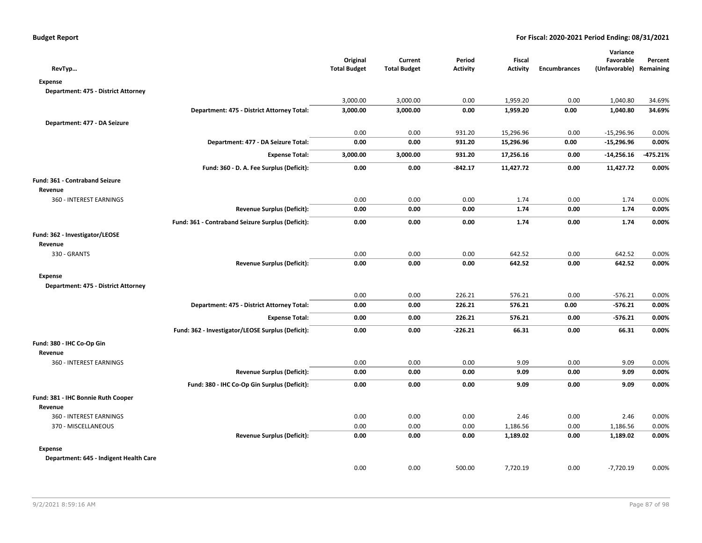| RevTyp                                 |                                                   | Original<br><b>Total Budget</b> | Current<br><b>Total Budget</b> | Period<br><b>Activity</b> | Fiscal<br><b>Activity</b> | <b>Encumbrances</b> | Variance<br>Favorable<br>(Unfavorable) Remaining | Percent  |
|----------------------------------------|---------------------------------------------------|---------------------------------|--------------------------------|---------------------------|---------------------------|---------------------|--------------------------------------------------|----------|
| <b>Expense</b>                         |                                                   |                                 |                                |                           |                           |                     |                                                  |          |
| Department: 475 - District Attorney    |                                                   |                                 |                                |                           |                           |                     |                                                  |          |
|                                        |                                                   | 3,000.00                        | 3,000.00                       | 0.00                      | 1,959.20                  | 0.00                | 1,040.80                                         | 34.69%   |
|                                        | Department: 475 - District Attorney Total:        | 3,000.00                        | 3,000.00                       | 0.00                      | 1,959.20                  | 0.00                | 1,040.80                                         | 34.69%   |
| Department: 477 - DA Seizure           |                                                   |                                 |                                |                           |                           |                     |                                                  |          |
|                                        |                                                   | 0.00                            | 0.00                           | 931.20                    | 15,296.96                 | 0.00                | $-15,296.96$                                     | 0.00%    |
|                                        | Department: 477 - DA Seizure Total:               | 0.00                            | 0.00                           | 931.20                    | 15,296.96                 | 0.00                | $-15,296.96$                                     | 0.00%    |
|                                        | <b>Expense Total:</b>                             | 3,000.00                        | 3,000.00                       | 931.20                    | 17,256.16                 | 0.00                | $-14,256.16$                                     | -475.21% |
|                                        | Fund: 360 - D. A. Fee Surplus (Deficit):          | 0.00                            | 0.00                           | $-842.17$                 | 11,427.72                 | 0.00                | 11,427.72                                        | 0.00%    |
| Fund: 361 - Contraband Seizure         |                                                   |                                 |                                |                           |                           |                     |                                                  |          |
| Revenue                                |                                                   |                                 |                                |                           |                           |                     |                                                  |          |
| 360 - INTEREST EARNINGS                |                                                   | 0.00                            | 0.00                           | 0.00                      | 1.74                      | 0.00                | 1.74                                             | 0.00%    |
|                                        | <b>Revenue Surplus (Deficit):</b>                 | 0.00                            | 0.00                           | 0.00                      | 1.74                      | 0.00                | 1.74                                             | 0.00%    |
|                                        | Fund: 361 - Contraband Seizure Surplus (Deficit): | 0.00                            | 0.00                           | 0.00                      | 1.74                      | 0.00                | 1.74                                             | 0.00%    |
| Fund: 362 - Investigator/LEOSE         |                                                   |                                 |                                |                           |                           |                     |                                                  |          |
| Revenue                                |                                                   |                                 |                                |                           |                           |                     |                                                  |          |
| 330 - GRANTS                           |                                                   | 0.00                            | 0.00                           | 0.00                      | 642.52                    | 0.00                | 642.52                                           | 0.00%    |
|                                        | <b>Revenue Surplus (Deficit):</b>                 | 0.00                            | 0.00                           | 0.00                      | 642.52                    | 0.00                | 642.52                                           | 0.00%    |
| <b>Expense</b>                         |                                                   |                                 |                                |                           |                           |                     |                                                  |          |
| Department: 475 - District Attorney    |                                                   |                                 |                                |                           |                           |                     |                                                  |          |
|                                        |                                                   | 0.00                            | 0.00                           | 226.21                    | 576.21                    | 0.00                | $-576.21$                                        | 0.00%    |
|                                        | Department: 475 - District Attorney Total:        | 0.00                            | 0.00                           | 226.21                    | 576.21                    | 0.00                | $-576.21$                                        | 0.00%    |
|                                        | <b>Expense Total:</b>                             | 0.00                            | 0.00                           | 226.21                    | 576.21                    | 0.00                | $-576.21$                                        | 0.00%    |
|                                        | Fund: 362 - Investigator/LEOSE Surplus (Deficit): | 0.00                            | 0.00                           | $-226.21$                 | 66.31                     | 0.00                | 66.31                                            | 0.00%    |
| Fund: 380 - IHC Co-Op Gin              |                                                   |                                 |                                |                           |                           |                     |                                                  |          |
| Revenue                                |                                                   |                                 |                                |                           |                           |                     |                                                  |          |
| 360 - INTEREST EARNINGS                |                                                   | 0.00                            | 0.00                           | 0.00                      | 9.09                      | 0.00                | 9.09                                             | 0.00%    |
|                                        | <b>Revenue Surplus (Deficit):</b>                 | 0.00                            | 0.00                           | 0.00                      | 9.09                      | 0.00                | 9.09                                             | 0.00%    |
|                                        | Fund: 380 - IHC Co-Op Gin Surplus (Deficit):      | 0.00                            | 0.00                           | 0.00                      | 9.09                      | 0.00                | 9.09                                             | 0.00%    |
| Fund: 381 - IHC Bonnie Ruth Cooper     |                                                   |                                 |                                |                           |                           |                     |                                                  |          |
| Revenue                                |                                                   |                                 |                                |                           |                           |                     |                                                  |          |
| 360 - INTEREST EARNINGS                |                                                   | 0.00                            | 0.00                           | 0.00                      | 2.46                      | 0.00                | 2.46                                             | 0.00%    |
| 370 - MISCELLANEOUS                    |                                                   | 0.00                            | 0.00                           | 0.00                      | 1,186.56                  | 0.00                | 1,186.56                                         | 0.00%    |
|                                        | <b>Revenue Surplus (Deficit):</b>                 | 0.00                            | 0.00                           | 0.00                      | 1,189.02                  | 0.00                | 1,189.02                                         | 0.00%    |
| <b>Expense</b>                         |                                                   |                                 |                                |                           |                           |                     |                                                  |          |
| Department: 645 - Indigent Health Care |                                                   |                                 |                                |                           |                           |                     |                                                  |          |
|                                        |                                                   | 0.00                            | 0.00                           | 500.00                    | 7,720.19                  | 0.00                | $-7,720.19$                                      | 0.00%    |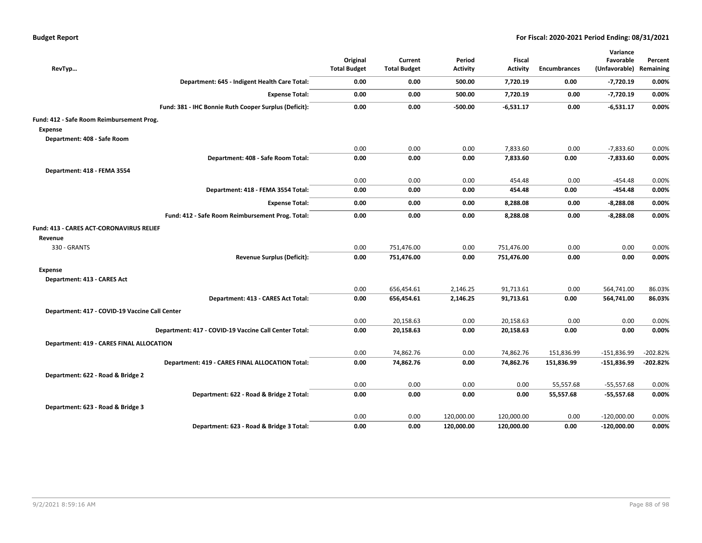| RevTyp                                                | Original<br><b>Total Budget</b> | Current<br><b>Total Budget</b> | Period<br><b>Activity</b> | <b>Fiscal</b><br><b>Activity</b> | <b>Encumbrances</b> | Variance<br>Favorable<br>(Unfavorable) | Percent<br>Remaining |
|-------------------------------------------------------|---------------------------------|--------------------------------|---------------------------|----------------------------------|---------------------|----------------------------------------|----------------------|
| Department: 645 - Indigent Health Care Total:         | 0.00                            | 0.00                           | 500.00                    | 7,720.19                         | 0.00                | $-7,720.19$                            | 0.00%                |
| <b>Expense Total:</b>                                 | 0.00                            | 0.00                           | 500.00                    | 7,720.19                         | 0.00                | $-7,720.19$                            | 0.00%                |
| Fund: 381 - IHC Bonnie Ruth Cooper Surplus (Deficit): | 0.00                            | 0.00                           | $-500.00$                 | $-6,531.17$                      | 0.00                | $-6,531.17$                            | 0.00%                |
| Fund: 412 - Safe Room Reimbursement Prog.             |                                 |                                |                           |                                  |                     |                                        |                      |
| <b>Expense</b>                                        |                                 |                                |                           |                                  |                     |                                        |                      |
| Department: 408 - Safe Room                           |                                 |                                |                           |                                  |                     |                                        |                      |
|                                                       | 0.00                            | 0.00                           | 0.00                      | 7,833.60                         | 0.00                | $-7,833.60$                            | 0.00%                |
| Department: 408 - Safe Room Total:                    | 0.00                            | 0.00                           | 0.00                      | 7,833.60                         | 0.00                | $-7,833.60$                            | 0.00%                |
| Department: 418 - FEMA 3554                           |                                 |                                |                           |                                  |                     |                                        |                      |
|                                                       | 0.00                            | 0.00                           | 0.00                      | 454.48                           | 0.00                | -454.48                                | 0.00%                |
| Department: 418 - FEMA 3554 Total:                    | 0.00                            | 0.00                           | 0.00                      | 454.48                           | 0.00                | -454.48                                | 0.00%                |
| <b>Expense Total:</b>                                 | 0.00                            | 0.00                           | 0.00                      | 8,288.08                         | 0.00                | $-8,288.08$                            | 0.00%                |
| Fund: 412 - Safe Room Reimbursement Prog. Total:      | 0.00                            | 0.00                           | 0.00                      | 8,288.08                         | 0.00                | $-8,288.08$                            | 0.00%                |
| Fund: 413 - CARES ACT-CORONAVIRUS RELIEF<br>Revenue   |                                 |                                |                           |                                  |                     |                                        |                      |
| 330 - GRANTS                                          | 0.00                            | 751,476.00                     | 0.00                      | 751,476.00                       | 0.00                | 0.00                                   | 0.00%                |
| <b>Revenue Surplus (Deficit):</b>                     | 0.00                            | 751,476.00                     | 0.00                      | 751,476.00                       | 0.00                | 0.00                                   | 0.00%                |
| <b>Expense</b>                                        |                                 |                                |                           |                                  |                     |                                        |                      |
| Department: 413 - CARES Act                           |                                 |                                |                           |                                  |                     |                                        |                      |
|                                                       | 0.00                            | 656,454.61                     | 2,146.25                  | 91,713.61                        | 0.00                | 564,741.00                             | 86.03%               |
| Department: 413 - CARES Act Total:                    | 0.00                            | 656,454.61                     | 2,146.25                  | 91,713.61                        | 0.00                | 564,741.00                             | 86.03%               |
| Department: 417 - COVID-19 Vaccine Call Center        |                                 |                                |                           |                                  |                     |                                        |                      |
|                                                       | 0.00                            | 20,158.63                      | 0.00                      | 20,158.63                        | 0.00                | 0.00                                   | 0.00%                |
| Department: 417 - COVID-19 Vaccine Call Center Total: | 0.00                            | 20,158.63                      | 0.00                      | 20,158.63                        | 0.00                | 0.00                                   | 0.00%                |
| <b>Department: 419 - CARES FINAL ALLOCATION</b>       |                                 |                                |                           |                                  |                     |                                        |                      |
|                                                       | 0.00                            | 74,862.76                      | 0.00                      | 74,862.76                        | 151,836.99          | $-151,836.99$                          | $-202.82%$           |
| Department: 419 - CARES FINAL ALLOCATION Total:       | 0.00                            | 74,862.76                      | 0.00                      | 74,862.76                        | 151,836.99          | $-151,836.99$                          | -202.82%             |
| Department: 622 - Road & Bridge 2                     |                                 |                                |                           |                                  |                     |                                        |                      |
|                                                       | 0.00                            | 0.00                           | 0.00                      | 0.00                             | 55,557.68           | $-55,557.68$                           | 0.00%                |
| Department: 622 - Road & Bridge 2 Total:              | 0.00                            | 0.00                           | 0.00                      | 0.00                             | 55,557.68           | $-55,557.68$                           | 0.00%                |
| Department: 623 - Road & Bridge 3                     |                                 |                                |                           |                                  |                     |                                        |                      |
|                                                       | 0.00                            | 0.00                           | 120,000.00                | 120,000.00                       | 0.00                | $-120,000.00$                          | 0.00%                |
| Department: 623 - Road & Bridge 3 Total:              | 0.00                            | 0.00                           | 120,000.00                | 120,000.00                       | 0.00                | $-120,000.00$                          | 0.00%                |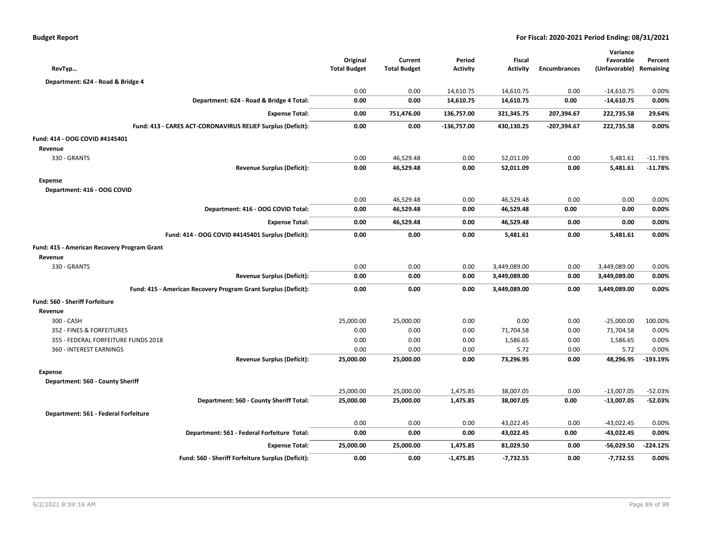| <b>Budget Report</b> |  |
|----------------------|--|
|----------------------|--|

| RevTyp                                                         | Original<br><b>Total Budget</b> | Current<br><b>Total Budget</b> | Period<br><b>Activity</b> | <b>Fiscal</b><br><b>Activity</b> | <b>Encumbrances</b> | Variance<br>Favorable<br>(Unfavorable) Remaining | Percent    |
|----------------------------------------------------------------|---------------------------------|--------------------------------|---------------------------|----------------------------------|---------------------|--------------------------------------------------|------------|
| Department: 624 - Road & Bridge 4                              |                                 |                                |                           |                                  |                     |                                                  |            |
|                                                                | 0.00                            | 0.00                           | 14,610.75                 | 14,610.75                        | 0.00                | $-14,610.75$                                     | 0.00%      |
| Department: 624 - Road & Bridge 4 Total:                       | 0.00                            | 0.00                           | 14,610.75                 | 14,610.75                        | 0.00                | $-14,610.75$                                     | 0.00%      |
| <b>Expense Total:</b>                                          | 0.00                            | 751,476.00                     | 136,757.00                | 321,345.75                       | 207,394.67          | 222,735.58                                       | 29.64%     |
| Fund: 413 - CARES ACT-CORONAVIRUS RELIEF Surplus (Deficit):    | 0.00                            | 0.00                           | $-136,757.00$             | 430,130.25                       | $-207,394.67$       | 222,735.58                                       | 0.00%      |
| Fund: 414 - OOG COVID #4145401                                 |                                 |                                |                           |                                  |                     |                                                  |            |
| Revenue                                                        |                                 |                                |                           |                                  |                     |                                                  |            |
| 330 - GRANTS                                                   | 0.00                            | 46,529.48                      | 0.00                      | 52,011.09                        | 0.00                | 5,481.61                                         | $-11.78%$  |
| <b>Revenue Surplus (Deficit):</b>                              | 0.00                            | 46,529.48                      | 0.00                      | 52,011.09                        | 0.00                | 5,481.61                                         | $-11.78%$  |
| <b>Expense</b>                                                 |                                 |                                |                           |                                  |                     |                                                  |            |
| Department: 416 - OOG COVID                                    |                                 |                                |                           |                                  |                     |                                                  |            |
|                                                                | 0.00                            | 46,529.48                      | 0.00                      | 46,529.48                        | 0.00                | 0.00                                             | 0.00%      |
| Department: 416 - OOG COVID Total:                             | 0.00                            | 46,529.48                      | 0.00                      | 46,529.48                        | 0.00                | 0.00                                             | 0.00%      |
| <b>Expense Total:</b>                                          | 0.00                            | 46,529.48                      | 0.00                      | 46,529.48                        | 0.00                | 0.00                                             | 0.00%      |
| Fund: 414 - OOG COVID #4145401 Surplus (Deficit):              | 0.00                            | 0.00                           | 0.00                      | 5,481.61                         | 0.00                | 5,481.61                                         | 0.00%      |
| Fund: 415 - American Recovery Program Grant                    |                                 |                                |                           |                                  |                     |                                                  |            |
| Revenue                                                        |                                 |                                |                           |                                  |                     |                                                  |            |
| 330 - GRANTS                                                   | 0.00                            | 0.00                           | 0.00                      | 3,449,089.00                     | 0.00                | 3,449,089.00                                     | 0.00%      |
| <b>Revenue Surplus (Deficit):</b>                              | 0.00                            | 0.00                           | 0.00                      | 3,449,089.00                     | 0.00                | 3,449,089.00                                     | 0.00%      |
| Fund: 415 - American Recovery Program Grant Surplus (Deficit): | 0.00                            | 0.00                           | 0.00                      | 3,449,089.00                     | 0.00                | 3,449,089.00                                     | 0.00%      |
| <b>Fund: 560 - Sheriff Forfeiture</b>                          |                                 |                                |                           |                                  |                     |                                                  |            |
| Revenue                                                        |                                 |                                |                           |                                  |                     |                                                  |            |
| 300 - CASH                                                     | 25,000.00                       | 25,000.00                      | 0.00                      | 0.00                             | 0.00                | $-25,000.00$                                     | 100.00%    |
| 352 - FINES & FORFEITURES                                      | 0.00                            | 0.00                           | 0.00                      | 71,704.58                        | 0.00                | 71,704.58                                        | 0.00%      |
| 355 - FEDERAL FORFEITURE FUNDS 2018                            | 0.00                            | 0.00                           | 0.00                      | 1,586.65                         | 0.00                | 1,586.65                                         | 0.00%      |
| 360 - INTEREST EARNINGS                                        | 0.00                            | 0.00                           | 0.00                      | 5.72                             | 0.00                | 5.72                                             | 0.00%      |
| <b>Revenue Surplus (Deficit):</b>                              | 25,000.00                       | 25,000.00                      | 0.00                      | 73,296.95                        | 0.00                | 48,296.95                                        | $-193.19%$ |
| <b>Expense</b>                                                 |                                 |                                |                           |                                  |                     |                                                  |            |
| Department: 560 - County Sheriff                               |                                 |                                |                           |                                  |                     |                                                  |            |
|                                                                | 25,000.00                       | 25,000.00                      | 1,475.85                  | 38,007.05                        | 0.00                | $-13,007.05$                                     | $-52.03%$  |
| Department: 560 - County Sheriff Total:                        | 25,000.00                       | 25,000.00                      | 1,475.85                  | 38,007.05                        | 0.00                | $-13,007.05$                                     | $-52.03%$  |
| Department: 561 - Federal Forfeiture                           |                                 |                                |                           |                                  |                     |                                                  |            |
|                                                                | 0.00                            | 0.00                           | 0.00                      | 43,022.45                        | 0.00                | $-43,022.45$                                     | 0.00%      |
| Department: 561 - Federal Forfeiture Total:                    | 0.00                            | 0.00                           | 0.00                      | 43,022.45                        | 0.00                | $-43,022.45$                                     | 0.00%      |
| <b>Expense Total:</b>                                          | 25,000.00                       | 25,000.00                      | 1,475.85                  | 81,029.50                        | 0.00                | $-56,029.50$                                     | $-224.12%$ |
| Fund: 560 - Sheriff Forfeiture Surplus (Deficit):              | 0.00                            | 0.00                           | $-1,475.85$               | $-7,732.55$                      | 0.00                | $-7,732.55$                                      | 0.00%      |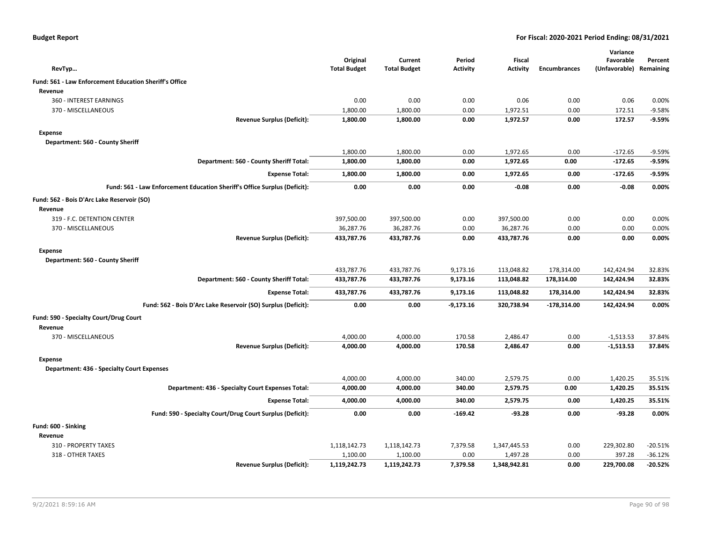| <b>Budget Report</b> |  |
|----------------------|--|
|----------------------|--|

|                                                        |                                                                           |                     |                     |                 |                 |                     | Variance                |           |
|--------------------------------------------------------|---------------------------------------------------------------------------|---------------------|---------------------|-----------------|-----------------|---------------------|-------------------------|-----------|
|                                                        |                                                                           | Original            | Current             | Period          | <b>Fiscal</b>   |                     | Favorable               | Percent   |
| RevTyp                                                 |                                                                           | <b>Total Budget</b> | <b>Total Budget</b> | <b>Activity</b> | <b>Activity</b> | <b>Encumbrances</b> | (Unfavorable) Remaining |           |
| Fund: 561 - Law Enforcement Education Sheriff's Office |                                                                           |                     |                     |                 |                 |                     |                         |           |
| Revenue                                                |                                                                           |                     |                     |                 |                 |                     |                         |           |
| 360 - INTEREST EARNINGS                                |                                                                           | 0.00                | 0.00                | 0.00            | 0.06            | 0.00                | 0.06                    | 0.00%     |
| 370 - MISCELLANEOUS                                    |                                                                           | 1,800.00            | 1,800.00            | 0.00            | 1,972.51        | 0.00                | 172.51                  | $-9.58%$  |
|                                                        | <b>Revenue Surplus (Deficit):</b>                                         | 1,800.00            | 1,800.00            | 0.00            | 1,972.57        | 0.00                | 172.57                  | $-9.59%$  |
| <b>Expense</b>                                         |                                                                           |                     |                     |                 |                 |                     |                         |           |
| Department: 560 - County Sheriff                       |                                                                           |                     |                     |                 |                 |                     |                         |           |
|                                                        |                                                                           | 1,800.00            | 1,800.00            | 0.00            | 1,972.65        | 0.00                | $-172.65$               | $-9.59%$  |
|                                                        | Department: 560 - County Sheriff Total:                                   | 1,800.00            | 1,800.00            | 0.00            | 1,972.65        | 0.00                | $-172.65$               | $-9.59%$  |
|                                                        | <b>Expense Total:</b>                                                     | 1,800.00            | 1,800.00            | 0.00            | 1,972.65        | 0.00                | $-172.65$               | $-9.59%$  |
|                                                        | Fund: 561 - Law Enforcement Education Sheriff's Office Surplus (Deficit): | 0.00                | 0.00                | 0.00            | $-0.08$         | 0.00                | $-0.08$                 | 0.00%     |
| Fund: 562 - Bois D'Arc Lake Reservoir (SO)             |                                                                           |                     |                     |                 |                 |                     |                         |           |
| Revenue                                                |                                                                           |                     |                     |                 |                 |                     |                         |           |
| 319 - F.C. DETENTION CENTER                            |                                                                           | 397,500.00          | 397,500.00          | 0.00            | 397,500.00      | 0.00                | 0.00                    | 0.00%     |
| 370 - MISCELLANEOUS                                    |                                                                           | 36,287.76           | 36,287.76           | 0.00            | 36,287.76       | 0.00                | 0.00                    | 0.00%     |
|                                                        | <b>Revenue Surplus (Deficit):</b>                                         | 433,787.76          | 433,787.76          | 0.00            | 433,787.76      | 0.00                | 0.00                    | 0.00%     |
| <b>Expense</b>                                         |                                                                           |                     |                     |                 |                 |                     |                         |           |
| Department: 560 - County Sheriff                       |                                                                           |                     |                     |                 |                 |                     |                         |           |
|                                                        |                                                                           | 433,787.76          | 433,787.76          | 9,173.16        | 113,048.82      | 178,314.00          | 142,424.94              | 32.83%    |
|                                                        | Department: 560 - County Sheriff Total:                                   | 433,787.76          | 433,787.76          | 9,173.16        | 113,048.82      | 178,314.00          | 142,424.94              | 32.83%    |
|                                                        | <b>Expense Total:</b>                                                     | 433,787.76          | 433,787.76          | 9,173.16        | 113,048.82      | 178,314.00          | 142,424.94              | 32.83%    |
|                                                        | Fund: 562 - Bois D'Arc Lake Reservoir (SO) Surplus (Deficit):             | 0.00                | 0.00                | $-9,173.16$     | 320,738.94      | $-178,314.00$       | 142,424.94              | 0.00%     |
| Fund: 590 - Specialty Court/Drug Court                 |                                                                           |                     |                     |                 |                 |                     |                         |           |
| Revenue                                                |                                                                           |                     |                     |                 |                 |                     |                         |           |
| 370 - MISCELLANEOUS                                    |                                                                           | 4,000.00            | 4,000.00            | 170.58          | 2,486.47        | 0.00                | $-1,513.53$             | 37.84%    |
|                                                        | <b>Revenue Surplus (Deficit):</b>                                         | 4,000.00            | 4,000.00            | 170.58          | 2,486.47        | 0.00                | $-1,513.53$             | 37.84%    |
| <b>Expense</b>                                         |                                                                           |                     |                     |                 |                 |                     |                         |           |
| <b>Department: 436 - Specialty Court Expenses</b>      |                                                                           |                     |                     |                 |                 |                     |                         |           |
|                                                        |                                                                           | 4,000.00            | 4,000.00            | 340.00          | 2,579.75        | 0.00                | 1,420.25                | 35.51%    |
|                                                        | Department: 436 - Specialty Court Expenses Total:                         | 4,000.00            | 4,000.00            | 340.00          | 2,579.75        | 0.00                | 1,420.25                | 35.51%    |
|                                                        | <b>Expense Total:</b>                                                     | 4,000.00            | 4,000.00            | 340.00          | 2,579.75        | 0.00                | 1,420.25                | 35.51%    |
|                                                        | Fund: 590 - Specialty Court/Drug Court Surplus (Deficit):                 | 0.00                | 0.00                | $-169.42$       | $-93.28$        | 0.00                | $-93.28$                | 0.00%     |
| Fund: 600 - Sinking                                    |                                                                           |                     |                     |                 |                 |                     |                         |           |
| Revenue                                                |                                                                           |                     |                     |                 |                 |                     |                         |           |
| 310 - PROPERTY TAXES                                   |                                                                           | 1,118,142.73        | 1,118,142.73        | 7,379.58        | 1,347,445.53    | 0.00                | 229,302.80              | $-20.51%$ |
| 318 - OTHER TAXES                                      |                                                                           | 1,100.00            | 1,100.00            | 0.00            | 1,497.28        | 0.00                | 397.28                  | $-36.12%$ |
|                                                        | <b>Revenue Surplus (Deficit):</b>                                         | 1,119,242.73        | 1,119,242.73        | 7,379.58        | 1,348,942.81    | 0.00                | 229,700.08              | $-20.52%$ |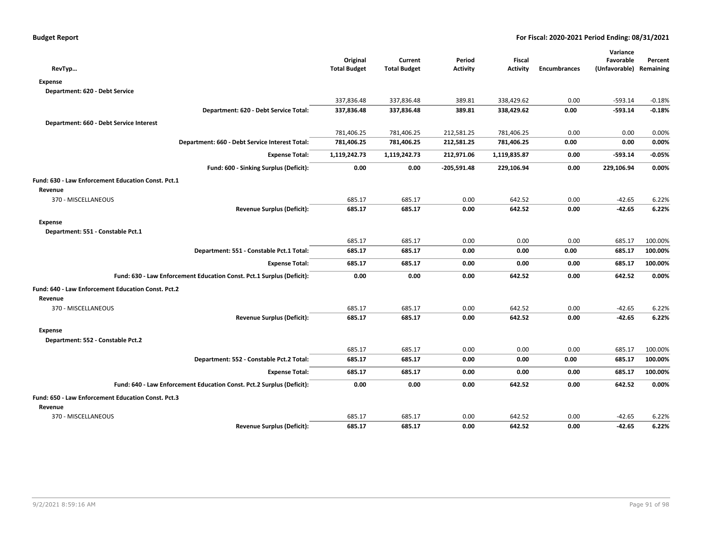|                                                                       |                                 |                                |                           |                                  |                     | Variance                             |          |
|-----------------------------------------------------------------------|---------------------------------|--------------------------------|---------------------------|----------------------------------|---------------------|--------------------------------------|----------|
| RevTyp                                                                | Original<br><b>Total Budget</b> | Current<br><b>Total Budget</b> | Period<br><b>Activity</b> | <b>Fiscal</b><br><b>Activity</b> | <b>Encumbrances</b> | Favorable<br>(Unfavorable) Remaining | Percent  |
| <b>Expense</b>                                                        |                                 |                                |                           |                                  |                     |                                      |          |
| Department: 620 - Debt Service                                        |                                 |                                |                           |                                  |                     |                                      |          |
|                                                                       | 337,836.48                      | 337,836.48                     | 389.81                    | 338,429.62                       | 0.00                | $-593.14$                            | $-0.18%$ |
| Department: 620 - Debt Service Total:                                 | 337,836.48                      | 337,836.48                     | 389.81                    | 338,429.62                       | 0.00                | $-593.14$                            | $-0.18%$ |
| Department: 660 - Debt Service Interest                               |                                 |                                |                           |                                  |                     |                                      |          |
|                                                                       | 781,406.25                      | 781,406.25                     | 212,581.25                | 781,406.25                       | 0.00                | 0.00                                 | 0.00%    |
| Department: 660 - Debt Service Interest Total:                        | 781,406.25                      | 781,406.25                     | 212,581.25                | 781,406.25                       | 0.00                | 0.00                                 | 0.00%    |
| <b>Expense Total:</b>                                                 | 1,119,242.73                    | 1,119,242.73                   | 212,971.06                | 1,119,835.87                     | 0.00                | $-593.14$                            | $-0.05%$ |
| Fund: 600 - Sinking Surplus (Deficit):                                | 0.00                            | 0.00                           | $-205,591.48$             | 229,106.94                       | 0.00                | 229,106.94                           | 0.00%    |
|                                                                       |                                 |                                |                           |                                  |                     |                                      |          |
| Fund: 630 - Law Enforcement Education Const. Pct.1<br>Revenue         |                                 |                                |                           |                                  |                     |                                      |          |
| 370 - MISCELLANEOUS                                                   | 685.17                          | 685.17                         | 0.00                      | 642.52                           | 0.00                | $-42.65$                             | 6.22%    |
| <b>Revenue Surplus (Deficit):</b>                                     | 685.17                          | 685.17                         | 0.00                      | 642.52                           | 0.00                | $-42.65$                             | 6.22%    |
|                                                                       |                                 |                                |                           |                                  |                     |                                      |          |
| Expense<br>Department: 551 - Constable Pct.1                          |                                 |                                |                           |                                  |                     |                                      |          |
|                                                                       | 685.17                          | 685.17                         | 0.00                      | 0.00                             | 0.00                | 685.17                               | 100.00%  |
| Department: 551 - Constable Pct.1 Total:                              | 685.17                          | 685.17                         | 0.00                      | 0.00                             | 0.00                | 685.17                               | 100.00%  |
| <b>Expense Total:</b>                                                 | 685.17                          | 685.17                         | 0.00                      | 0.00                             | 0.00                | 685.17                               | 100.00%  |
|                                                                       |                                 |                                |                           |                                  |                     |                                      |          |
| Fund: 630 - Law Enforcement Education Const. Pct.1 Surplus (Deficit): | 0.00                            | 0.00                           | 0.00                      | 642.52                           | 0.00                | 642.52                               | 0.00%    |
| Fund: 640 - Law Enforcement Education Const. Pct.2                    |                                 |                                |                           |                                  |                     |                                      |          |
| Revenue                                                               |                                 |                                |                           |                                  |                     |                                      |          |
| 370 - MISCELLANEOUS                                                   | 685.17                          | 685.17                         | 0.00                      | 642.52                           | 0.00                | $-42.65$                             | 6.22%    |
| <b>Revenue Surplus (Deficit):</b>                                     | 685.17                          | 685.17                         | 0.00                      | 642.52                           | 0.00                | $-42.65$                             | 6.22%    |
| <b>Expense</b>                                                        |                                 |                                |                           |                                  |                     |                                      |          |
| Department: 552 - Constable Pct.2                                     |                                 |                                |                           |                                  |                     |                                      |          |
|                                                                       | 685.17                          | 685.17                         | 0.00                      | 0.00                             | 0.00                | 685.17                               | 100.00%  |
| Department: 552 - Constable Pct.2 Total:                              | 685.17                          | 685.17                         | 0.00                      | 0.00                             | 0.00                | 685.17                               | 100.00%  |
| <b>Expense Total:</b>                                                 | 685.17                          | 685.17                         | 0.00                      | 0.00                             | 0.00                | 685.17                               | 100.00%  |
| Fund: 640 - Law Enforcement Education Const. Pct.2 Surplus (Deficit): | 0.00                            | 0.00                           | 0.00                      | 642.52                           | 0.00                | 642.52                               | 0.00%    |
| Fund: 650 - Law Enforcement Education Const. Pct.3                    |                                 |                                |                           |                                  |                     |                                      |          |
| Revenue                                                               |                                 |                                |                           |                                  |                     |                                      |          |
| 370 - MISCELLANEOUS                                                   | 685.17                          | 685.17                         | 0.00                      | 642.52                           | 0.00                | $-42.65$                             | 6.22%    |
| <b>Revenue Surplus (Deficit):</b>                                     | 685.17                          | 685.17                         | 0.00                      | 642.52                           | 0.00                | $-42.65$                             | 6.22%    |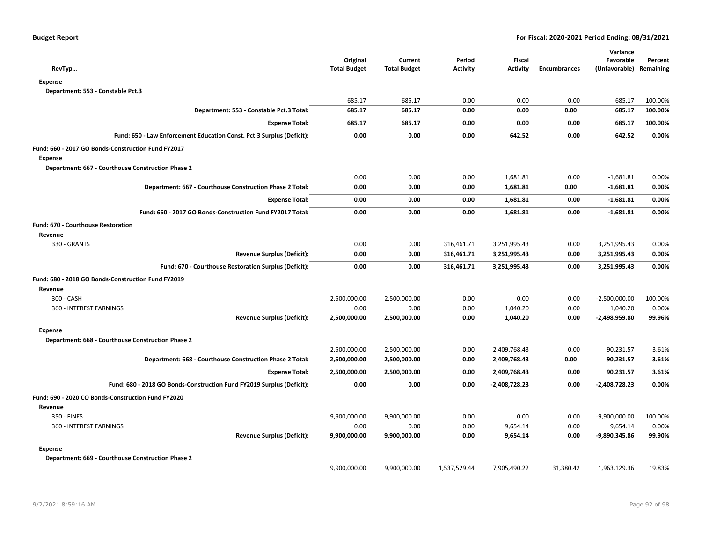| RevTyp                                                                | Original<br><b>Total Budget</b> | Current<br><b>Total Budget</b> | Period<br><b>Activity</b> | <b>Fiscal</b><br>Activity | <b>Encumbrances</b> | Variance<br>Favorable<br>(Unfavorable) Remaining | Percent |
|-----------------------------------------------------------------------|---------------------------------|--------------------------------|---------------------------|---------------------------|---------------------|--------------------------------------------------|---------|
| <b>Expense</b>                                                        |                                 |                                |                           |                           |                     |                                                  |         |
| Department: 553 - Constable Pct.3                                     |                                 |                                |                           |                           |                     |                                                  |         |
|                                                                       | 685.17                          | 685.17                         | 0.00                      | 0.00                      | 0.00                | 685.17                                           | 100.00% |
| Department: 553 - Constable Pct.3 Total:                              | 685.17                          | 685.17                         | 0.00                      | 0.00                      | 0.00                | 685.17                                           | 100.00% |
| <b>Expense Total:</b>                                                 | 685.17                          | 685.17                         | 0.00                      | 0.00                      | 0.00                | 685.17                                           | 100.00% |
| Fund: 650 - Law Enforcement Education Const. Pct.3 Surplus (Deficit): | 0.00                            | 0.00                           | 0.00                      | 642.52                    | 0.00                | 642.52                                           | 0.00%   |
| Fund: 660 - 2017 GO Bonds-Construction Fund FY2017<br><b>Expense</b>  |                                 |                                |                           |                           |                     |                                                  |         |
| Department: 667 - Courthouse Construction Phase 2                     |                                 |                                |                           |                           |                     |                                                  |         |
|                                                                       | 0.00                            | 0.00                           | 0.00                      | 1,681.81                  | 0.00                | $-1,681.81$                                      | 0.00%   |
| Department: 667 - Courthouse Construction Phase 2 Total:              | 0.00                            | 0.00                           | 0.00                      | 1,681.81                  | 0.00                | $-1,681.81$                                      | 0.00%   |
| <b>Expense Total:</b>                                                 | 0.00                            | 0.00                           | 0.00                      | 1,681.81                  | 0.00                | $-1,681.81$                                      | 0.00%   |
| Fund: 660 - 2017 GO Bonds-Construction Fund FY2017 Total:             | 0.00                            | 0.00                           | 0.00                      | 1,681.81                  | 0.00                | $-1,681.81$                                      | 0.00%   |
| <b>Fund: 670 - Courthouse Restoration</b>                             |                                 |                                |                           |                           |                     |                                                  |         |
| Revenue                                                               |                                 |                                |                           |                           |                     |                                                  |         |
| 330 - GRANTS                                                          | 0.00                            | 0.00                           | 316,461.71                | 3,251,995.43              | 0.00                | 3,251,995.43                                     | 0.00%   |
| <b>Revenue Surplus (Deficit):</b>                                     | 0.00                            | 0.00                           | 316,461.71                | 3,251,995.43              | 0.00                | 3,251,995.43                                     | 0.00%   |
| Fund: 670 - Courthouse Restoration Surplus (Deficit):                 | 0.00                            | 0.00                           | 316,461.71                | 3,251,995.43              | 0.00                | 3,251,995.43                                     | 0.00%   |
| Fund: 680 - 2018 GO Bonds-Construction Fund FY2019                    |                                 |                                |                           |                           |                     |                                                  |         |
| Revenue                                                               |                                 |                                |                           |                           |                     |                                                  |         |
| 300 - CASH                                                            | 2,500,000.00                    | 2,500,000.00                   | 0.00                      | 0.00                      | 0.00                | $-2,500,000.00$                                  | 100.00% |
| 360 - INTEREST EARNINGS                                               | 0.00                            | 0.00                           | 0.00                      | 1,040.20                  | 0.00                | 1,040.20                                         | 0.00%   |
| <b>Revenue Surplus (Deficit):</b>                                     | 2,500,000.00                    | 2,500,000.00                   | 0.00                      | 1,040.20                  | 0.00                | -2,498,959.80                                    | 99.96%  |
| <b>Expense</b>                                                        |                                 |                                |                           |                           |                     |                                                  |         |
| Department: 668 - Courthouse Construction Phase 2                     |                                 |                                |                           |                           |                     |                                                  |         |
|                                                                       | 2,500,000.00                    | 2,500,000.00                   | 0.00                      | 2,409,768.43              | 0.00                | 90,231.57                                        | 3.61%   |
| Department: 668 - Courthouse Construction Phase 2 Total:              | 2,500,000.00                    | 2,500,000.00                   | 0.00                      | 2,409,768.43              | 0.00                | 90,231.57                                        | 3.61%   |
| <b>Expense Total:</b>                                                 | 2,500,000.00                    | 2,500,000.00                   | 0.00                      | 2,409,768.43              | 0.00                | 90,231.57                                        | 3.61%   |
| Fund: 680 - 2018 GO Bonds-Construction Fund FY2019 Surplus (Deficit): | 0.00                            | 0.00                           | 0.00                      | -2,408,728.23             | 0.00                | -2,408,728.23                                    | 0.00%   |
| Fund: 690 - 2020 CO Bonds-Construction Fund FY2020                    |                                 |                                |                           |                           |                     |                                                  |         |
| Revenue                                                               |                                 |                                |                           |                           |                     |                                                  |         |
| 350 - FINES                                                           | 9,900,000.00                    | 9,900,000.00                   | 0.00                      | 0.00                      | 0.00                | $-9,900,000.00$                                  | 100.00% |
| 360 - INTEREST EARNINGS                                               | 0.00                            | 0.00                           | 0.00                      | 9,654.14                  | 0.00                | 9,654.14                                         | 0.00%   |
| <b>Revenue Surplus (Deficit):</b>                                     | 9,900,000.00                    | 9,900,000.00                   | 0.00                      | 9,654.14                  | 0.00                | -9,890,345.86                                    | 99.90%  |
| <b>Expense</b>                                                        |                                 |                                |                           |                           |                     |                                                  |         |
| Department: 669 - Courthouse Construction Phase 2                     |                                 |                                |                           |                           |                     |                                                  |         |
|                                                                       | 9,900,000.00                    | 9,900,000.00                   | 1,537,529.44              | 7,905,490.22              | 31,380.42           | 1,963,129.36                                     | 19.83%  |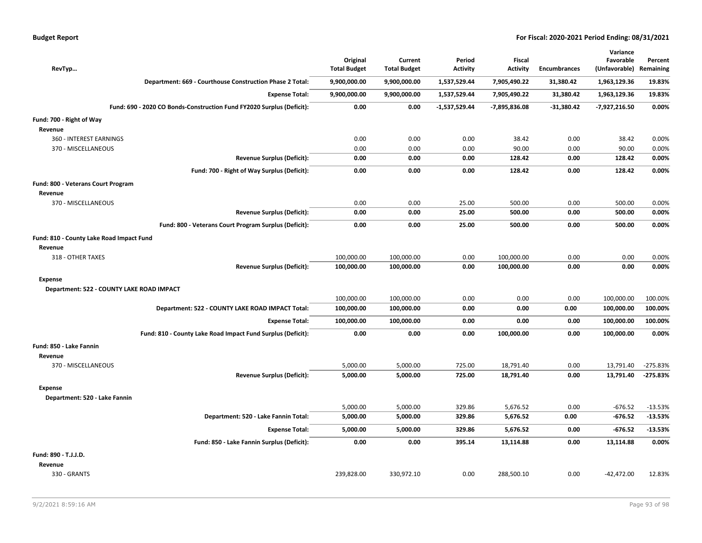|  | <b>Budget Report</b> |
|--|----------------------|
|--|----------------------|

|                                           |                                                                       | Original            | Current             | Period          | Fiscal          |                     | Variance<br>Favorable | Percent    |
|-------------------------------------------|-----------------------------------------------------------------------|---------------------|---------------------|-----------------|-----------------|---------------------|-----------------------|------------|
| RevTyp                                    |                                                                       | <b>Total Budget</b> | <b>Total Budget</b> | <b>Activity</b> | <b>Activity</b> | <b>Encumbrances</b> | (Unfavorable)         | Remaining  |
|                                           | Department: 669 - Courthouse Construction Phase 2 Total:              | 9,900,000.00        | 9,900,000.00        | 1,537,529.44    | 7,905,490.22    | 31,380.42           | 1,963,129.36          | 19.83%     |
|                                           | <b>Expense Total:</b>                                                 | 9,900,000.00        | 9,900,000.00        | 1,537,529.44    | 7,905,490.22    | 31,380.42           | 1,963,129.36          | 19.83%     |
|                                           | Fund: 690 - 2020 CO Bonds-Construction Fund FY2020 Surplus (Deficit): | 0.00                | 0.00                | $-1,537,529.44$ | -7,895,836.08   | $-31,380.42$        | $-7,927,216.50$       | 0.00%      |
| Fund: 700 - Right of Way                  |                                                                       |                     |                     |                 |                 |                     |                       |            |
| Revenue                                   |                                                                       |                     |                     |                 |                 |                     |                       |            |
| 360 - INTEREST EARNINGS                   |                                                                       | 0.00                | 0.00                | 0.00            | 38.42           | 0.00                | 38.42                 | 0.00%      |
| 370 - MISCELLANEOUS                       |                                                                       | 0.00                | 0.00                | 0.00            | 90.00           | 0.00                | 90.00                 | 0.00%      |
|                                           | <b>Revenue Surplus (Deficit):</b>                                     | 0.00                | 0.00                | 0.00            | 128.42          | 0.00                | 128.42                | 0.00%      |
|                                           | Fund: 700 - Right of Way Surplus (Deficit):                           | 0.00                | 0.00                | 0.00            | 128.42          | 0.00                | 128.42                | 0.00%      |
| Fund: 800 - Veterans Court Program        |                                                                       |                     |                     |                 |                 |                     |                       |            |
| Revenue                                   |                                                                       |                     |                     |                 |                 |                     |                       |            |
| 370 - MISCELLANEOUS                       |                                                                       | 0.00                | 0.00                | 25.00           | 500.00          | 0.00                | 500.00                | 0.00%      |
|                                           | <b>Revenue Surplus (Deficit):</b>                                     | 0.00                | 0.00                | 25.00           | 500.00          | 0.00                | 500.00                | 0.00%      |
|                                           | Fund: 800 - Veterans Court Program Surplus (Deficit):                 | 0.00                | 0.00                | 25.00           | 500.00          | 0.00                | 500.00                | 0.00%      |
| Fund: 810 - County Lake Road Impact Fund  |                                                                       |                     |                     |                 |                 |                     |                       |            |
| Revenue                                   |                                                                       |                     |                     |                 |                 |                     |                       |            |
| 318 - OTHER TAXES                         |                                                                       | 100,000.00          | 100,000.00          | 0.00            | 100,000.00      | 0.00                | 0.00                  | 0.00%      |
|                                           | <b>Revenue Surplus (Deficit):</b>                                     | 100,000.00          | 100,000.00          | 0.00            | 100,000.00      | 0.00                | 0.00                  | 0.00%      |
| Expense                                   |                                                                       |                     |                     |                 |                 |                     |                       |            |
| Department: 522 - COUNTY LAKE ROAD IMPACT |                                                                       |                     |                     |                 |                 |                     |                       |            |
|                                           |                                                                       | 100,000.00          | 100,000.00          | 0.00            | 0.00            | 0.00                | 100,000.00            | 100.00%    |
|                                           | Department: 522 - COUNTY LAKE ROAD IMPACT Total:                      | 100,000.00          | 100,000.00          | 0.00            | 0.00            | 0.00                | 100,000.00            | 100.00%    |
|                                           | <b>Expense Total:</b>                                                 | 100,000.00          | 100,000.00          | 0.00            | 0.00            | 0.00                | 100,000.00            | 100.00%    |
|                                           | Fund: 810 - County Lake Road Impact Fund Surplus (Deficit):           | 0.00                | 0.00                | 0.00            | 100,000.00      | 0.00                | 100,000.00            | 0.00%      |
| Fund: 850 - Lake Fannin                   |                                                                       |                     |                     |                 |                 |                     |                       |            |
| Revenue                                   |                                                                       |                     |                     |                 |                 |                     |                       |            |
| 370 - MISCELLANEOUS                       |                                                                       | 5,000.00            | 5,000.00            | 725.00          | 18,791.40       | 0.00                | 13,791.40             | $-275.83%$ |
|                                           | <b>Revenue Surplus (Deficit):</b>                                     | 5,000.00            | 5,000.00            | 725.00          | 18,791.40       | 0.00                | 13,791.40             | $-275.83%$ |
| <b>Expense</b>                            |                                                                       |                     |                     |                 |                 |                     |                       |            |
| Department: 520 - Lake Fannin             |                                                                       |                     |                     |                 |                 |                     |                       |            |
|                                           |                                                                       | 5,000.00            | 5,000.00            | 329.86          | 5,676.52        | 0.00                | $-676.52$             | $-13.53%$  |
|                                           | Department: 520 - Lake Fannin Total:                                  | 5,000.00            | 5,000.00            | 329.86          | 5,676.52        | 0.00                | $-676.52$             | $-13.53%$  |
|                                           | <b>Expense Total:</b>                                                 | 5,000.00            | 5,000.00            | 329.86          | 5,676.52        | 0.00                | $-676.52$             | $-13.53%$  |
|                                           | Fund: 850 - Lake Fannin Surplus (Deficit):                            | 0.00                | 0.00                | 395.14          | 13.114.88       | 0.00                | 13,114.88             | 0.00%      |
| Fund: 890 - T.J.J.D.                      |                                                                       |                     |                     |                 |                 |                     |                       |            |
| Revenue                                   |                                                                       |                     |                     |                 |                 |                     |                       |            |
| 330 - GRANTS                              |                                                                       | 239,828.00          | 330,972.10          | 0.00            | 288,500.10      | 0.00                | $-42,472.00$          | 12.83%     |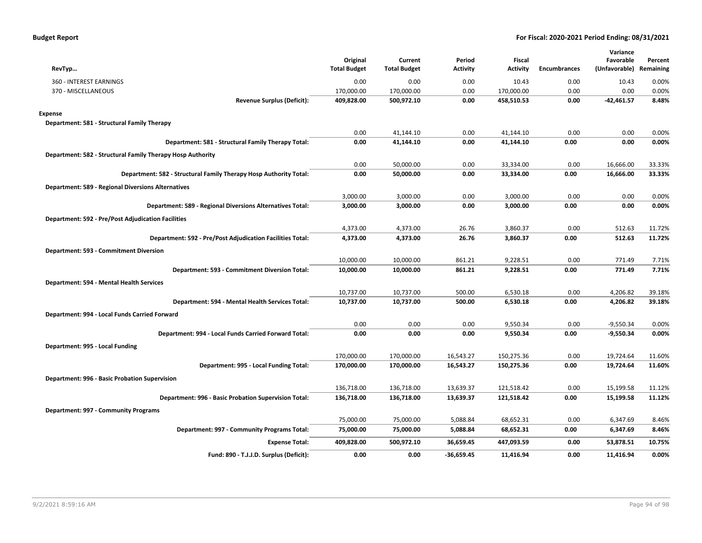| RevTyp                                                            | Original<br><b>Total Budget</b> | Current<br><b>Total Budget</b> | Period<br><b>Activity</b> | Fiscal<br><b>Activity</b> | <b>Encumbrances</b> | Variance<br>Favorable<br>(Unfavorable) Remaining | Percent |
|-------------------------------------------------------------------|---------------------------------|--------------------------------|---------------------------|---------------------------|---------------------|--------------------------------------------------|---------|
| 360 - INTEREST EARNINGS                                           | 0.00                            | 0.00                           | 0.00                      | 10.43                     | 0.00                | 10.43                                            | 0.00%   |
| 370 - MISCELLANEOUS                                               | 170,000.00                      | 170,000.00                     | 0.00                      | 170,000.00                | 0.00                | 0.00                                             | 0.00%   |
| <b>Revenue Surplus (Deficit):</b>                                 | 409,828.00                      | 500,972.10                     | 0.00                      | 458,510.53                | 0.00                | -42,461.57                                       | 8.48%   |
| Expense                                                           |                                 |                                |                           |                           |                     |                                                  |         |
| Department: 581 - Structural Family Therapy                       |                                 |                                |                           |                           |                     |                                                  |         |
|                                                                   | 0.00                            | 41,144.10                      | 0.00                      | 41,144.10                 | 0.00                | 0.00                                             | 0.00%   |
| Department: 581 - Structural Family Therapy Total:                | 0.00                            | 41,144.10                      | 0.00                      | 41,144.10                 | 0.00                | 0.00                                             | 0.00%   |
| Department: 582 - Structural Family Therapy Hosp Authority        |                                 |                                |                           |                           |                     |                                                  |         |
|                                                                   | 0.00                            | 50,000.00                      | 0.00                      | 33,334.00                 | 0.00                | 16,666.00                                        | 33.33%  |
| Department: 582 - Structural Family Therapy Hosp Authority Total: | 0.00                            | 50,000.00                      | 0.00                      | 33,334.00                 | 0.00                | 16,666.00                                        | 33.33%  |
| <b>Department: 589 - Regional Diversions Alternatives</b>         |                                 |                                |                           |                           |                     |                                                  |         |
|                                                                   | 3,000.00                        | 3,000.00                       | 0.00                      | 3,000.00                  | 0.00                | 0.00                                             | 0.00%   |
| Department: 589 - Regional Diversions Alternatives Total:         | 3,000.00                        | 3,000.00                       | 0.00                      | 3,000.00                  | 0.00                | 0.00                                             | 0.00%   |
| <b>Department: 592 - Pre/Post Adjudication Facilities</b>         |                                 |                                |                           |                           |                     |                                                  |         |
|                                                                   | 4,373.00                        | 4,373.00                       | 26.76                     | 3,860.37                  | 0.00                | 512.63                                           | 11.72%  |
| Department: 592 - Pre/Post Adjudication Facilities Total:         | 4,373.00                        | 4,373.00                       | 26.76                     | 3,860.37                  | 0.00                | 512.63                                           | 11.72%  |
| Department: 593 - Commitment Diversion                            |                                 |                                |                           |                           |                     |                                                  |         |
|                                                                   | 10,000.00                       | 10,000.00                      | 861.21                    | 9,228.51                  | 0.00                | 771.49                                           | 7.71%   |
| Department: 593 - Commitment Diversion Total:                     | 10,000.00                       | 10,000.00                      | 861.21                    | 9,228.51                  | 0.00                | 771.49                                           | 7.71%   |
| Department: 594 - Mental Health Services                          |                                 |                                |                           |                           |                     |                                                  |         |
|                                                                   | 10,737.00                       | 10,737.00                      | 500.00                    | 6,530.18                  | 0.00                | 4,206.82                                         | 39.18%  |
| Department: 594 - Mental Health Services Total:                   | 10,737.00                       | 10,737.00                      | 500.00                    | 6,530.18                  | 0.00                | 4,206.82                                         | 39.18%  |
| Department: 994 - Local Funds Carried Forward                     |                                 |                                |                           |                           |                     |                                                  |         |
|                                                                   | 0.00                            | 0.00                           | 0.00                      | 9,550.34                  | 0.00                | $-9,550.34$                                      | 0.00%   |
| Department: 994 - Local Funds Carried Forward Total:              | 0.00                            | 0.00                           | 0.00                      | 9,550.34                  | 0.00                | $-9,550.34$                                      | 0.00%   |
| Department: 995 - Local Funding                                   |                                 |                                |                           |                           |                     |                                                  |         |
|                                                                   | 170,000.00                      | 170,000.00                     | 16,543.27                 | 150,275.36                | 0.00                | 19,724.64                                        | 11.60%  |
| Department: 995 - Local Funding Total:                            | 170,000.00                      | 170,000.00                     | 16,543.27                 | 150,275.36                | 0.00                | 19,724.64                                        | 11.60%  |
| Department: 996 - Basic Probation Supervision                     |                                 |                                |                           |                           |                     |                                                  |         |
|                                                                   | 136,718.00                      | 136,718.00                     | 13,639.37                 | 121,518.42                | 0.00                | 15,199.58                                        | 11.12%  |
| Department: 996 - Basic Probation Supervision Total:              | 136,718.00                      | 136,718.00                     | 13,639.37                 | 121,518.42                | 0.00                | 15,199.58                                        | 11.12%  |
| Department: 997 - Community Programs                              |                                 |                                |                           |                           |                     |                                                  |         |
|                                                                   | 75,000.00                       | 75,000.00                      | 5,088.84                  | 68,652.31                 | 0.00                | 6,347.69                                         | 8.46%   |
| Department: 997 - Community Programs Total:                       | 75,000.00                       | 75,000.00                      | 5,088.84                  | 68,652.31                 | 0.00                | 6,347.69                                         | 8.46%   |
| <b>Expense Total:</b>                                             | 409,828.00                      | 500,972.10                     | 36,659.45                 | 447,093.59                | 0.00                | 53,878.51                                        | 10.75%  |
| Fund: 890 - T.J.J.D. Surplus (Deficit):                           | 0.00                            | 0.00                           | $-36,659.45$              | 11,416.94                 | 0.00                | 11,416.94                                        | 0.00%   |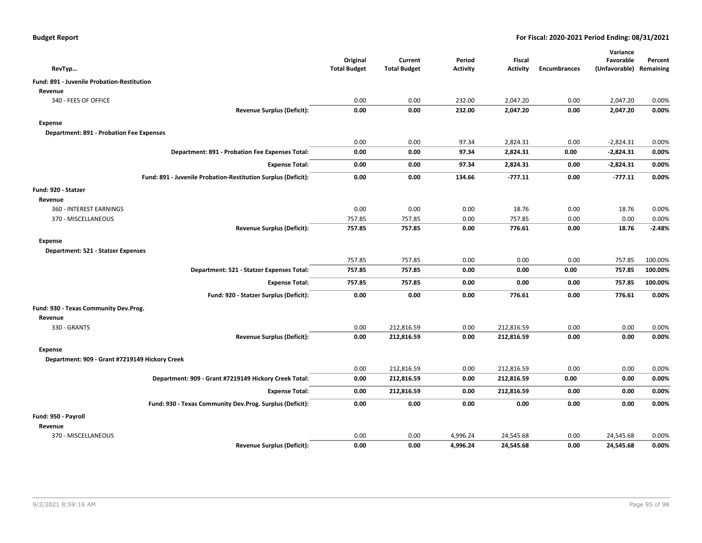| RevTyp                                                        | Original<br><b>Total Budget</b> | Current<br><b>Total Budget</b> | Period<br><b>Activity</b> | <b>Fiscal</b><br><b>Activity</b> | <b>Encumbrances</b> | Variance<br>Favorable<br>(Unfavorable) | Percent<br>Remaining |
|---------------------------------------------------------------|---------------------------------|--------------------------------|---------------------------|----------------------------------|---------------------|----------------------------------------|----------------------|
| Fund: 891 - Juvenile Probation-Restitution                    |                                 |                                |                           |                                  |                     |                                        |                      |
| Revenue                                                       |                                 |                                |                           |                                  |                     |                                        |                      |
| 340 - FEES OF OFFICE                                          | 0.00                            | 0.00                           | 232.00                    | 2,047.20                         | 0.00                | 2,047.20                               | 0.00%                |
| <b>Revenue Surplus (Deficit):</b>                             | 0.00                            | 0.00                           | 232.00                    | 2,047.20                         | 0.00                | 2,047.20                               | 0.00%                |
| <b>Expense</b>                                                |                                 |                                |                           |                                  |                     |                                        |                      |
| <b>Department: 891 - Probation Fee Expenses</b>               |                                 |                                |                           |                                  |                     |                                        |                      |
|                                                               | 0.00                            | 0.00                           | 97.34                     | 2,824.31                         | 0.00                | $-2,824.31$                            | 0.00%                |
| Department: 891 - Probation Fee Expenses Total:               | 0.00                            | 0.00                           | 97.34                     | 2,824.31                         | 0.00                | $-2,824.31$                            | 0.00%                |
| <b>Expense Total:</b>                                         | 0.00                            | 0.00                           | 97.34                     | 2,824.31                         | 0.00                | -2,824.31                              | 0.00%                |
| Fund: 891 - Juvenile Probation-Restitution Surplus (Deficit): | 0.00                            | 0.00                           | 134.66                    | $-777.11$                        | 0.00                | $-777.11$                              | 0.00%                |
| Fund: 920 - Statzer                                           |                                 |                                |                           |                                  |                     |                                        |                      |
| Revenue                                                       |                                 |                                |                           |                                  |                     |                                        |                      |
| 360 - INTEREST EARNINGS                                       | 0.00                            | 0.00                           | 0.00                      | 18.76                            | 0.00                | 18.76                                  | 0.00%                |
| 370 - MISCELLANEOUS                                           | 757.85                          | 757.85                         | 0.00                      | 757.85                           | 0.00                | 0.00                                   | 0.00%                |
| <b>Revenue Surplus (Deficit):</b>                             | 757.85                          | 757.85                         | 0.00                      | 776.61                           | 0.00                | 18.76                                  | $-2.48%$             |
| <b>Expense</b>                                                |                                 |                                |                           |                                  |                     |                                        |                      |
| Department: 521 - Statzer Expenses                            |                                 |                                |                           |                                  |                     |                                        |                      |
|                                                               | 757.85                          | 757.85                         | 0.00                      | 0.00                             | 0.00                | 757.85                                 | 100.00%              |
| Department: 521 - Statzer Expenses Total:                     | 757.85                          | 757.85                         | 0.00                      | 0.00                             | 0.00                | 757.85                                 | 100.00%              |
| <b>Expense Total:</b>                                         | 757.85                          | 757.85                         | 0.00                      | 0.00                             | 0.00                | 757.85                                 | 100.00%              |
| Fund: 920 - Statzer Surplus (Deficit):                        | 0.00                            | 0.00                           | 0.00                      | 776.61                           | 0.00                | 776.61                                 | 0.00%                |
| Fund: 930 - Texas Community Dev.Prog.                         |                                 |                                |                           |                                  |                     |                                        |                      |
| Revenue                                                       |                                 |                                |                           |                                  |                     |                                        |                      |
| 330 - GRANTS                                                  | 0.00                            | 212,816.59                     | 0.00                      | 212,816.59                       | 0.00                | 0.00                                   | 0.00%                |
| <b>Revenue Surplus (Deficit):</b>                             | 0.00                            | 212,816.59                     | 0.00                      | 212,816.59                       | 0.00                | 0.00                                   | 0.00%                |
| <b>Expense</b>                                                |                                 |                                |                           |                                  |                     |                                        |                      |
| Department: 909 - Grant #7219149 Hickory Creek                |                                 |                                |                           |                                  |                     |                                        |                      |
|                                                               | 0.00                            | 212,816.59                     | 0.00                      | 212,816.59                       | 0.00                | 0.00                                   | 0.00%                |
| Department: 909 - Grant #7219149 Hickory Creek Total:         | 0.00                            | 212,816.59                     | 0.00                      | 212,816.59                       | 0.00                | 0.00                                   | 0.00%                |
| <b>Expense Total:</b>                                         | 0.00                            | 212,816.59                     | 0.00                      | 212,816.59                       | 0.00                | 0.00                                   | 0.00%                |
| Fund: 930 - Texas Community Dev.Prog. Surplus (Deficit):      | 0.00                            | 0.00                           | 0.00                      | 0.00                             | 0.00                | 0.00                                   | 0.00%                |
| Fund: 950 - Payroll                                           |                                 |                                |                           |                                  |                     |                                        |                      |
| Revenue                                                       |                                 |                                |                           |                                  |                     |                                        |                      |
| 370 - MISCELLANEOUS                                           | 0.00                            | 0.00                           | 4,996.24                  | 24,545.68                        | 0.00                | 24,545.68                              | 0.00%                |
| <b>Revenue Surplus (Deficit):</b>                             | 0.00                            | 0.00                           | 4,996.24                  | 24,545.68                        | 0.00                | 24,545.68                              | 0.00%                |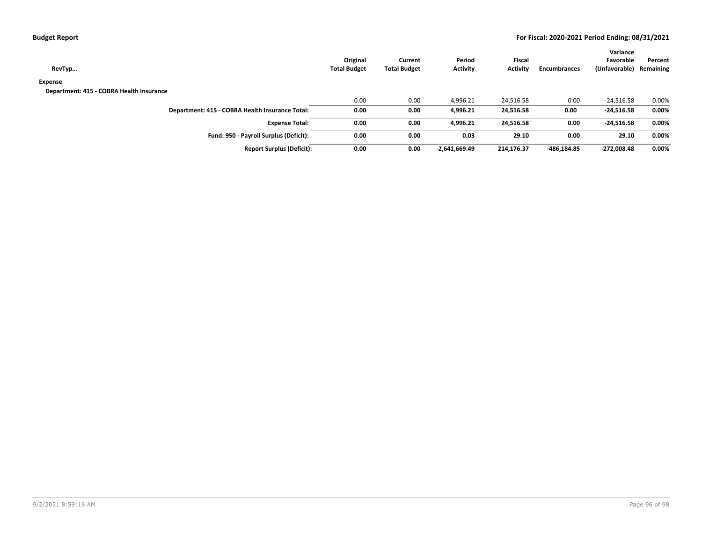| <b>Budget Report</b> |  |
|----------------------|--|
|----------------------|--|

| RevTyp                                          | Original<br><b>Total Budget</b> | Current<br><b>Total Budget</b> | Period<br><b>Activity</b> | <b>Fiscal</b><br>Activity | Encumbrances | Variance<br>Favorable<br>(Unfavorable) | Percent<br>Remaining |
|-------------------------------------------------|---------------------------------|--------------------------------|---------------------------|---------------------------|--------------|----------------------------------------|----------------------|
| Expense                                         |                                 |                                |                           |                           |              |                                        |                      |
| Department: 415 - COBRA Health Insurance        |                                 |                                |                           |                           |              |                                        |                      |
|                                                 | 0.00                            | 0.00                           | 4,996.21                  | 24,516.58                 | 0.00         | $-24,516.58$                           | 0.00%                |
| Department: 415 - COBRA Health Insurance Total: | 0.00                            | 0.00                           | 4,996.21                  | 24,516.58                 | 0.00         | $-24,516.58$                           | 0.00%                |
| <b>Expense Total:</b>                           | 0.00                            | 0.00                           | 4.996.21                  | 24,516.58                 | 0.00         | $-24,516.58$                           | 0.00%                |
| Fund: 950 - Payroll Surplus (Deficit):          | 0.00                            | 0.00                           | 0.03                      | 29.10                     | 0.00         | 29.10                                  | 0.00%                |
| <b>Report Surplus (Deficit):</b>                | 0.00                            | 0.00                           | -2,641,669.49             | 214,176.37                | -486,184.85  | $-272,008.48$                          | 0.00%                |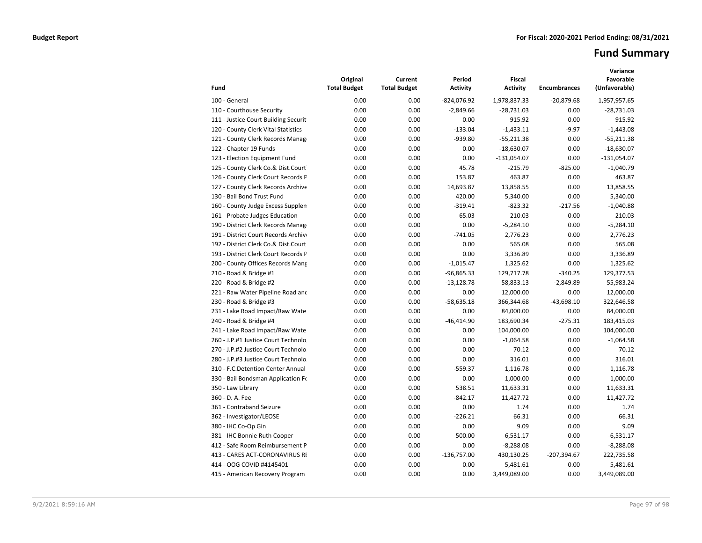# **Fund Summary**

| Fund                                 | Original<br><b>Total Budget</b> | Current<br><b>Total Budget</b> | Period<br><b>Activity</b> | <b>Fiscal</b><br><b>Activity</b> | <b>Encumbrances</b> | Variance<br>Favorable<br>(Unfavorable) |
|--------------------------------------|---------------------------------|--------------------------------|---------------------------|----------------------------------|---------------------|----------------------------------------|
| 100 - General                        | 0.00                            | 0.00                           | $-824,076.92$             | 1,978,837.33                     | $-20,879.68$        | 1,957,957.65                           |
| 110 - Courthouse Security            | 0.00                            | 0.00                           | $-2,849.66$               | $-28,731.03$                     | 0.00                | $-28,731.03$                           |
| 111 - Justice Court Building Securit | 0.00                            | 0.00                           | 0.00                      | 915.92                           | 0.00                | 915.92                                 |
| 120 - County Clerk Vital Statistics  | 0.00                            | 0.00                           | $-133.04$                 | $-1,433.11$                      | $-9.97$             | $-1,443.08$                            |
| 121 - County Clerk Records Manag     | 0.00                            | 0.00                           | $-939.80$                 | $-55,211.38$                     | 0.00                | $-55,211.38$                           |
| 122 - Chapter 19 Funds               | 0.00                            | 0.00                           | 0.00                      | $-18,630.07$                     | 0.00                | $-18,630.07$                           |
| 123 - Election Equipment Fund        | 0.00                            | 0.00                           | 0.00                      | $-131,054.07$                    | 0.00                | $-131,054.07$                          |
| 125 - County Clerk Co.& Dist.Court   | 0.00                            | 0.00                           | 45.78                     | $-215.79$                        | $-825.00$           | $-1,040.79$                            |
| 126 - County Clerk Court Records P   | 0.00                            | 0.00                           | 153.87                    | 463.87                           | 0.00                | 463.87                                 |
| 127 - County Clerk Records Archive   | 0.00                            | 0.00                           | 14,693.87                 | 13,858.55                        | 0.00                | 13,858.55                              |
| 130 - Bail Bond Trust Fund           | 0.00                            | 0.00                           | 420.00                    | 5,340.00                         | 0.00                | 5,340.00                               |
| 160 - County Judge Excess Supplen    | 0.00                            | 0.00                           | $-319.41$                 | $-823.32$                        | $-217.56$           | $-1,040.88$                            |
| 161 - Probate Judges Education       | 0.00                            | 0.00                           | 65.03                     | 210.03                           | 0.00                | 210.03                                 |
| 190 - District Clerk Records Manag   | 0.00                            | 0.00                           | 0.00                      | $-5,284.10$                      | 0.00                | $-5,284.10$                            |
| 191 - District Court Records Archive | 0.00                            | 0.00                           | $-741.05$                 | 2,776.23                         | 0.00                | 2,776.23                               |
| 192 - District Clerk Co.& Dist.Court | 0.00                            | 0.00                           | 0.00                      | 565.08                           | 0.00                | 565.08                                 |
| 193 - District Clerk Court Records P | 0.00                            | 0.00                           | 0.00                      | 3,336.89                         | 0.00                | 3,336.89                               |
| 200 - County Offices Records Mang    | 0.00                            | 0.00                           | $-1,015.47$               | 1,325.62                         | 0.00                | 1,325.62                               |
| 210 - Road & Bridge #1               | 0.00                            | 0.00                           | $-96,865.33$              | 129,717.78                       | $-340.25$           | 129,377.53                             |
| 220 - Road & Bridge #2               | 0.00                            | 0.00                           | $-13,128.78$              | 58,833.13                        | $-2,849.89$         | 55,983.24                              |
| 221 - Raw Water Pipeline Road and    | 0.00                            | 0.00                           | 0.00                      | 12,000.00                        | 0.00                | 12,000.00                              |
| 230 - Road & Bridge #3               | 0.00                            | 0.00                           | $-58,635.18$              | 366,344.68                       | $-43,698.10$        | 322,646.58                             |
| 231 - Lake Road Impact/Raw Wate      | 0.00                            | 0.00                           | 0.00                      | 84,000.00                        | 0.00                | 84,000.00                              |
| 240 - Road & Bridge #4               | 0.00                            | 0.00                           | $-46,414.90$              | 183,690.34                       | $-275.31$           | 183,415.03                             |
| 241 - Lake Road Impact/Raw Wate      | 0.00                            | 0.00                           | 0.00                      | 104,000.00                       | 0.00                | 104,000.00                             |
| 260 - J.P.#1 Justice Court Technolo  | 0.00                            | 0.00                           | 0.00                      | $-1,064.58$                      | 0.00                | $-1,064.58$                            |
| 270 - J.P.#2 Justice Court Technolo  | 0.00                            | 0.00                           | 0.00                      | 70.12                            | 0.00                | 70.12                                  |
| 280 - J.P.#3 Justice Court Technolo  | 0.00                            | 0.00                           | 0.00                      | 316.01                           | 0.00                | 316.01                                 |
| 310 - F.C.Detention Center Annual    | 0.00                            | 0.00                           | $-559.37$                 | 1,116.78                         | 0.00                | 1,116.78                               |
| 330 - Bail Bondsman Application Fe   | 0.00                            | 0.00                           | 0.00                      | 1,000.00                         | 0.00                | 1,000.00                               |
| 350 - Law Library                    | 0.00                            | 0.00                           | 538.51                    | 11,633.31                        | 0.00                | 11,633.31                              |
| 360 - D. A. Fee                      | 0.00                            | 0.00                           | $-842.17$                 | 11,427.72                        | 0.00                | 11,427.72                              |
| 361 - Contraband Seizure             | 0.00                            | 0.00                           | 0.00                      | 1.74                             | 0.00                | 1.74                                   |
| 362 - Investigator/LEOSE             | 0.00                            | 0.00                           | $-226.21$                 | 66.31                            | 0.00                | 66.31                                  |
| 380 - IHC Co-Op Gin                  | 0.00                            | 0.00                           | 0.00                      | 9.09                             | 0.00                | 9.09                                   |
| 381 - IHC Bonnie Ruth Cooper         | 0.00                            | 0.00                           | $-500.00$                 | $-6,531.17$                      | 0.00                | $-6,531.17$                            |
| 412 - Safe Room Reimbursement P      | 0.00                            | 0.00                           | 0.00                      | $-8,288.08$                      | 0.00                | $-8,288.08$                            |
| 413 - CARES ACT-CORONAVIRUS RI       | 0.00                            | 0.00                           | $-136,757.00$             | 430,130.25                       | $-207,394.67$       | 222,735.58                             |
| 414 - OOG COVID #4145401             | 0.00                            | 0.00                           | 0.00                      | 5,481.61                         | 0.00                | 5,481.61                               |
| 415 - American Recovery Program      | 0.00                            | 0.00                           | 0.00                      | 3,449,089.00                     | 0.00                | 3,449,089.00                           |